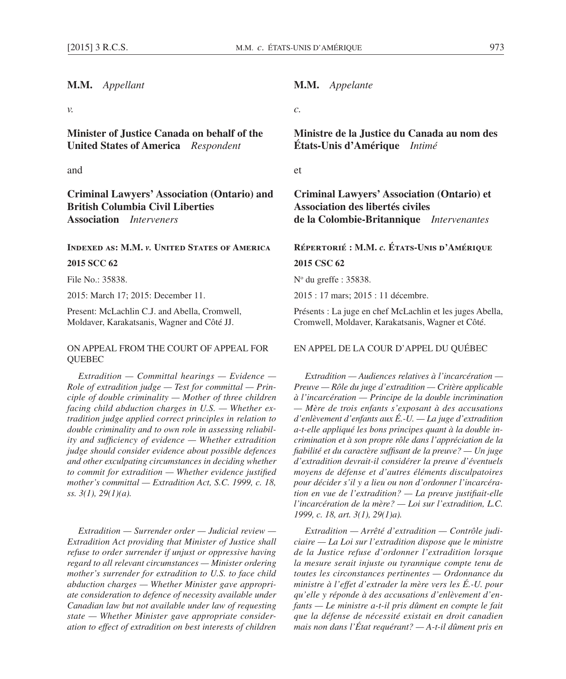## **M.M.** *Appellant*

*v.*

**Minister of Justice Canada on behalf of the United States of America** *Respondent*

and

**Criminal Lawyers' Association (Ontario) and British Columbia Civil Liberties Association** *Interveners*

## **Indexed as: M.M.** *v.* **United States of America**

### **2015 SCC 62**

File No.: 35838.

2015: March 17; 2015: December 11.

Present: McLachlin C.J. and Abella, Cromwell, Moldaver, Karakatsanis, Wagner and Côté JJ.

## ON APPEAL FROM THE COURT OF APPEAL FOR **OUEBEC**

*Extradition — Committal hearings — Evidence — Role of extradition judge — Test for committal — Principle of double criminality — Mother of three children facing child abduction charges in U.S. — Whether extradition judge applied correct principles in relation to double criminality and to own role in assessing reliability and sufficiency of evidence — Whether extradition judge should consider evidence about possible defences and other exculpating circumstances in deciding whether to commit for extradition — Whether evidence justified mother's committal — Extradition Act, S.C. 1999, c. 18, ss. 3(1), 29(1)(a).*

*Extradition — Surrender order — Judicial review — Extradition Act providing that Minister of Justice shall refuse to order surrender if unjust or oppressive having regard to all relevant circumstances — Minister ordering mother's surrender for extradition to U.S. to face child abduction charges — Whether Minister gave appropriate consideration to defence of necessity available under Canadian law but not available under law of requesting state — Whether Minister gave appropriate consideration to effect of extradition on best interests of children*  **M.M.** *Appelante*

*c.*

# **Ministre de la Justice du Canada au nom des États-Unis d'Amérique** *Intimé*

et

**Criminal Lawyers' Association (Ontario) et Association des libertés civiles de la Colombie-Britannique** *Intervenantes*

# **Répertorié : M.M.** *c.* **États-Unis d'Amérique**

## **2015 CSC 62**

N<sup>o</sup> du greffe : 35838.

2015 : 17 mars; 2015 : 11 décembre.

Présents : La juge en chef McLachlin et les juges Abella, Cromwell, Moldaver, Karakatsanis, Wagner et Côté.

EN APPEL DE LA COUR D'APPEL DU QUÉBEC

*Extradition — Audiences relatives à l'incarcération — Preuve — Rôle du juge d'extradition — Critère applicable à l'incarcération — Principe de la double incrimination — Mère de trois enfants s'exposant à des accusations d'enlèvement d'enfants aux É.-U. — La juge d'extradition a-t-elle appliqué les bons principes quant à la double incrimination et à son propre rôle dans l'appréciation de la fiabilité et du caractère suffisant de la preuve? — Un juge d'extradition devrait-il considérer la preuve d'éventuels moyens de défense et d'autres éléments disculpatoires pour décider s'il y a lieu ou non d'ordonner l'incarcération en vue de l'extradition? — La preuve justifiait-elle l'incarcération de la mère? — Loi sur l'extradition, L.C. 1999, c. 18, art. 3(1), 29(1)a).*

*Extradition — Arrêté d'extradition — Contrôle judiciaire — La Loi sur l'extradition dispose que le ministre de la Justice refuse d'ordonner l'extradition lorsque la mesure serait injuste ou tyrannique compte tenu de toutes les circonstances pertinentes — Ordonnance du ministre à l'effet d'extrader la mère vers les É.-U. pour qu'elle y réponde à des accusations d'enlèvement d'enfants — Le ministre a-t-il pris dûment en compte le fait que la défense de nécessité existait en droit canadien mais non dans l'État requérant? — A-t-il dûment pris en*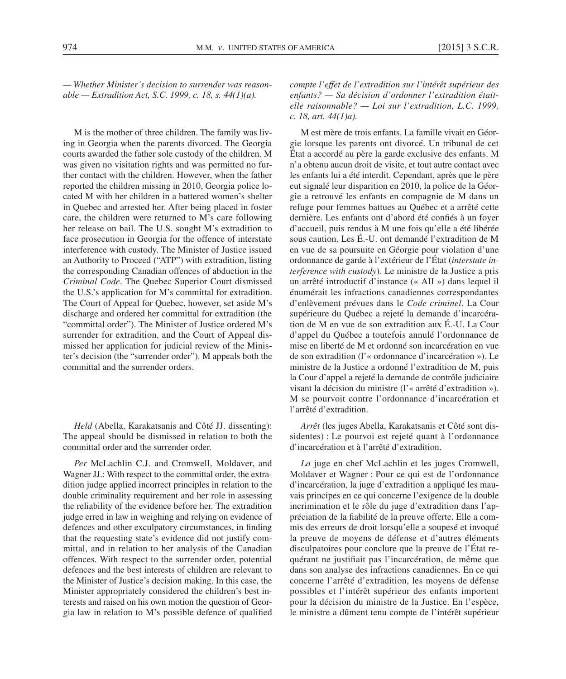*— Whether Minister's decision to surrender was reasonable — Extradition Act, S.C. 1999, c. 18, s. 44(1)(a).*

M is the mother of three children. The family was living in Georgia when the parents divorced. The Georgia courts awarded the father sole custody of the children. M was given no visitation rights and was permitted no further contact with the children. However, when the father reported the children missing in 2010, Georgia police located M with her children in a battered women's shelter in Quebec and arrested her. After being placed in foster care, the children were returned to M's care following her release on bail. The U.S. sought M's extradition to face prosecution in Georgia for the offence of interstate interference with custody. The Minister of Justice issued an Authority to Proceed ("ATP") with extradition, listing the corresponding Canadian offences of abduction in the *Criminal Code*. The Quebec Superior Court dismissed the U.S.'s application for M's committal for extradition. The Court of Appeal for Quebec, however, set aside M's discharge and ordered her committal for extradition (the "committal order"). The Minister of Justice ordered M's surrender for extradition, and the Court of Appeal dismissed her application for judicial review of the Minister's decision (the "surrender order"). M appeals both the committal and the surrender orders.

*Held* (Abella, Karakatsanis and Côté JJ. dissenting): The appeal should be dismissed in relation to both the committal order and the surrender order.

*Per* McLachlin C.J. and Cromwell, Moldaver, and Wagner JJ.: With respect to the committal order, the extradition judge applied incorrect principles in relation to the double criminality requirement and her role in assessing the reliability of the evidence before her. The extradition judge erred in law in weighing and relying on evidence of defences and other exculpatory circumstances, in finding that the requesting state's evidence did not justify committal, and in relation to her analysis of the Canadian offences. With respect to the surrender order, potential defences and the best interests of children are relevant to the Minister of Justice's decision making. In this case, the Minister appropriately considered the children's best interests and raised on his own motion the question of Georgia law in relation to M's possible defence of qualified

*compte l'effet de l'extradition sur l'intérêt supérieur des enfants? — Sa décision d'ordonner l'extradition étaitelle raisonnable? — Loi sur l'extradition, L.C. 1999, c. 18, art. 44(1)a).*

M est mère de trois enfants. La famille vivait en Géorgie lorsque les parents ont divorcé. Un tribunal de cet État a accordé au père la garde exclusive des enfants. M n'a obtenu aucun droit de visite, et tout autre contact avec les enfants lui a été interdit. Cependant, après que le père eut signalé leur disparition en 2010, la police de la Géorgie a retrouvé les enfants en compagnie de M dans un refuge pour femmes battues au Québec et a arrêté cette dernière. Les enfants ont d'abord été confiés à un foyer d'accueil, puis rendus à M une fois qu'elle a été libérée sous caution. Les É.-U. ont demandé l'extradition de M en vue de sa poursuite en Géorgie pour violation d'une ordonnance de garde à l'extérieur de l'État (*interstate interference with custody*). Le ministre de la Justice a pris un arrêté introductif d'instance (« AII ») dans lequel il énumérait les infractions canadiennes correspondantes d'enlèvement prévues dans le *Code criminel*. La Cour supérieure du Québec a rejeté la demande d'incarcération de M en vue de son extradition aux É.-U. La Cour d'appel du Québec a toutefois annulé l'ordonnance de mise en liberté de M et ordonné son incarcération en vue de son extradition (l'« ordonnance d'incarcération »). Le ministre de la Justice a ordonné l'extradition de M, puis la Cour d'appel a rejeté la demande de contrôle judiciaire visant la décision du ministre (l'« arrêté d'extradition »). M se pourvoit contre l'ordonnance d'incarcération et l'arrêté d'extradition.

*Arrêt* (les juges Abella, Karakatsanis et Côté sont dissidentes) : Le pourvoi est rejeté quant à l'ordonnance d'incarcération et à l'arrêté d'extradition.

*La* juge en chef McLachlin et les juges Cromwell, Moldaver et Wagner : Pour ce qui est de l'ordonnance d'incarcération, la juge d'extradition a appliqué les mauvais principes en ce qui concerne l'exigence de la double incrimination et le rôle du juge d'extradition dans l'appréciation de la fiabilité de la preuve offerte. Elle a commis des erreurs de droit lorsqu'elle a soupesé et invoqué la preuve de moyens de défense et d'autres éléments disculpatoires pour conclure que la preuve de l'État requérant ne justifiait pas l'incarcération, de même que dans son analyse des infractions canadiennes. En ce qui concerne l'arrêté d'extradition, les moyens de défense possibles et l'intérêt supérieur des enfants importent pour la décision du ministre de la Justice. En l'espèce, le ministre a dûment tenu compte de l'intérêt supérieur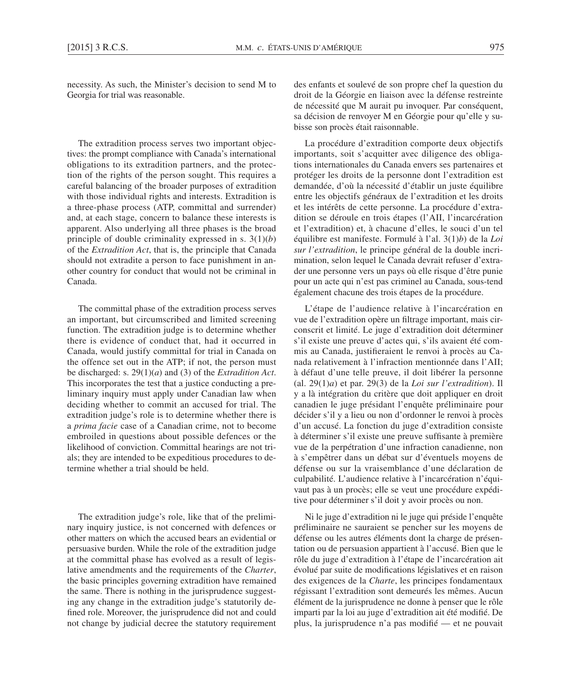necessity. As such, the Minister's decision to send M to Georgia for trial was reasonable.

The extradition process serves two important objectives: the prompt compliance with Canada's international obligations to its extradition partners, and the protection of the rights of the person sought. This requires a careful balancing of the broader purposes of extradition with those individual rights and interests. Extradition is a three-phase process (ATP, committal and surrender) and, at each stage, concern to balance these interests is apparent. Also underlying all three phases is the broad principle of double criminality expressed in s. 3(1)(*b*) of the *Extradition Act*, that is, the principle that Canada should not extradite a person to face punishment in another country for conduct that would not be criminal in Canada.

The committal phase of the extradition process serves an important, but circumscribed and limited screening function. The extradition judge is to determine whether there is evidence of conduct that, had it occurred in Canada, would justify committal for trial in Canada on the offence set out in the ATP; if not, the person must be discharged: s. 29(1)(*a*) and (3) of the *Extradition Act*. This incorporates the test that a justice conducting a preliminary inquiry must apply under Canadian law when deciding whether to commit an accused for trial. The extradition judge's role is to determine whether there is a *prima facie* case of a Canadian crime, not to become embroiled in questions about possible defences or the likelihood of conviction. Committal hearings are not trials; they are intended to be expeditious procedures to determine whether a trial should be held.

The extradition judge's role, like that of the preliminary inquiry justice, is not concerned with defences or other matters on which the accused bears an evidential or persuasive burden. While the role of the extradition judge at the committal phase has evolved as a result of legislative amendments and the requirements of the *Charter*, the basic principles governing extradition have remained the same. There is nothing in the jurisprudence suggesting any change in the extradition judge's statutorily defined role. Moreover, the jurisprudence did not and could not change by judicial decree the statutory requirement des enfants et soulevé de son propre chef la question du droit de la Géorgie en liaison avec la défense restreinte de nécessité que M aurait pu invoquer. Par conséquent, sa décision de renvoyer M en Géorgie pour qu'elle y subisse son procès était raisonnable.

La procédure d'extradition comporte deux objectifs importants, soit s'acquitter avec diligence des obligations internationales du Canada envers ses partenaires et protéger les droits de la personne dont l'extradition est demandée, d'où la nécessité d'établir un juste équilibre entre les objectifs généraux de l'extradition et les droits et les intérêts de cette personne. La procédure d'extradition se déroule en trois étapes (l'AII, l'incarcération et l'extradition) et, à chacune d'elles, le souci d'un tel équilibre est manifeste. Formulé à l'al. 3(1)*b*) de la *Loi sur l'extradition*, le principe général de la double incrimination, selon lequel le Canada devrait refuser d'extrader une personne vers un pays où elle risque d'être punie pour un acte qui n'est pas criminel au Canada, sous-tend également chacune des trois étapes de la procédure.

L'étape de l'audience relative à l'incarcération en vue de l'extradition opère un filtrage important, mais circonscrit et limité. Le juge d'extradition doit déterminer s'il existe une preuve d'actes qui, s'ils avaient été commis au Canada, justifieraient le renvoi à procès au Canada relativement à l'infraction mentionnée dans l'AII; à défaut d'une telle preuve, il doit libérer la personne (al. 29(1)*a*) et par. 29(3) de la *Loi sur l'extradition*). Il y a là intégration du critère que doit appliquer en droit canadien le juge présidant l'enquête préliminaire pour décider s'il y a lieu ou non d'ordonner le renvoi à procès d'un accusé. La fonction du juge d'extradition consiste à déterminer s'il existe une preuve suffisante à première vue de la perpétration d'une infraction canadienne, non à s'empêtrer dans un débat sur d'éventuels moyens de défense ou sur la vraisemblance d'une déclaration de culpabilité. L'audience relative à l'incarcération n'équivaut pas à un procès; elle se veut une procédure expéditive pour déterminer s'il doit y avoir procès ou non.

Ni le juge d'extradition ni le juge qui préside l'enquête préliminaire ne sauraient se pencher sur les moyens de défense ou les autres éléments dont la charge de présentation ou de persuasion appartient à l'accusé. Bien que le rôle du juge d'extradition à l'étape de l'incarcération ait évolué par suite de modifications législatives et en raison des exigences de la *Charte*, les principes fondamentaux régissant l'extradition sont demeurés les mêmes. Aucun élément de la jurisprudence ne donne à penser que le rôle imparti par la loi au juge d'extradition ait été modifié. De plus, la jurisprudence n'a pas modifié — et ne pouvait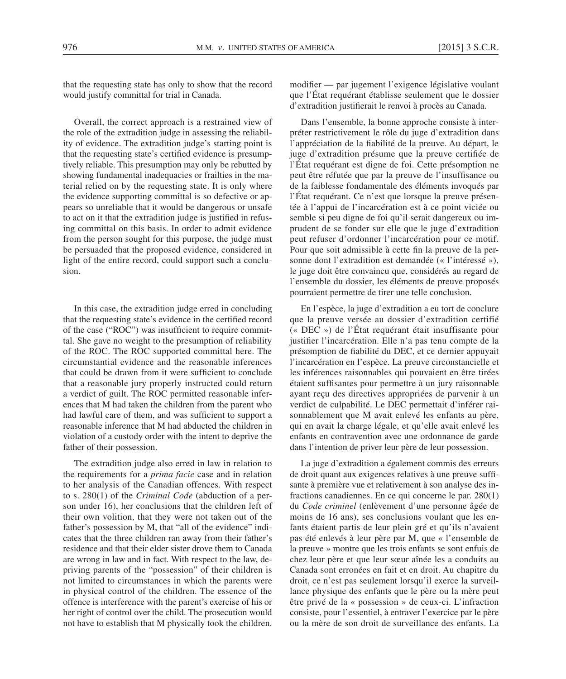that the requesting state has only to show that the record would justify committal for trial in Canada.

Overall, the correct approach is a restrained view of the role of the extradition judge in assessing the reliability of evidence. The extradition judge's starting point is that the requesting state's certified evidence is presumptively reliable. This presumption may only be rebutted by showing fundamental inadequacies or frailties in the material relied on by the requesting state. It is only where the evidence supporting committal is so defective or appears so unreliable that it would be dangerous or unsafe to act on it that the extradition judge is justified in refusing committal on this basis. In order to admit evidence from the person sought for this purpose, the judge must be persuaded that the proposed evidence, considered in light of the entire record, could support such a conclusion.

In this case, the extradition judge erred in concluding that the requesting state's evidence in the certified record of the case ("ROC") was insufficient to require committal. She gave no weight to the presumption of reliability of the ROC. The ROC supported committal here. The circumstantial evidence and the reasonable inferences that could be drawn from it were sufficient to conclude that a reasonable jury properly instructed could return a verdict of guilt. The ROC permitted reasonable inferences that M had taken the children from the parent who had lawful care of them, and was sufficient to support a reasonable inference that M had abducted the children in violation of a custody order with the intent to deprive the father of their possession.

The extradition judge also erred in law in relation to the requirements for a *prima facie* case and in relation to her analysis of the Canadian offences. With respect to s. 280(1) of the *Criminal Code* (abduction of a person under 16), her conclusions that the children left of their own volition, that they were not taken out of the father's possession by M, that "all of the evidence" indicates that the three children ran away from their father's residence and that their elder sister drove them to Canada are wrong in law and in fact. With respect to the law, depriving parents of the "possession" of their children is not limited to circumstances in which the parents were in physical control of the children. The essence of the offence is interference with the parent's exercise of his or her right of control over the child. The prosecution would not have to establish that M physically took the children.

modifier — par jugement l'exigence législative voulant que l'État requérant établisse seulement que le dossier d'extradition justifierait le renvoi à procès au Canada.

Dans l'ensemble, la bonne approche consiste à interpréter restrictivement le rôle du juge d'extradition dans l'appréciation de la fiabilité de la preuve. Au départ, le juge d'extradition présume que la preuve certifiée de l'État requérant est digne de foi. Cette présomption ne peut être réfutée que par la preuve de l'insuffisance ou de la faiblesse fondamentale des éléments invoqués par l'État requérant. Ce n'est que lorsque la preuve présentée à l'appui de l'incarcération est à ce point viciée ou semble si peu digne de foi qu'il serait dangereux ou imprudent de se fonder sur elle que le juge d'extradition peut refuser d'ordonner l'incarcération pour ce motif. Pour que soit admissible à cette fin la preuve de la personne dont l'extradition est demandée (« l'intéressé »), le juge doit être convaincu que, considérés au regard de l'ensemble du dossier, les éléments de preuve proposés pourraient permettre de tirer une telle conclusion.

En l'espèce, la juge d'extradition a eu tort de conclure que la preuve versée au dossier d'extradition certifié (« DEC ») de l'État requérant était insuffisante pour justifier l'incarcération. Elle n'a pas tenu compte de la présomption de fiabilité du DEC, et ce dernier appuyait l'incarcération en l'espèce. La preuve circonstancielle et les inférences raisonnables qui pouvaient en être tirées étaient suffisantes pour permettre à un jury raisonnable ayant reçu des directives appropriées de parvenir à un verdict de culpabilité. Le DEC permettait d'inférer raisonnablement que M avait enlevé les enfants au père, qui en avait la charge légale, et qu'elle avait enlevé les enfants en contravention avec une ordonnance de garde dans l'intention de priver leur père de leur possession.

La juge d'extradition a également commis des erreurs de droit quant aux exigences relatives à une preuve suffisante à première vue et relativement à son analyse des infractions canadiennes. En ce qui concerne le par. 280(1) du *Code criminel* (enlèvement d'une personne âgée de moins de 16 ans), ses conclusions voulant que les enfants étaient partis de leur plein gré et qu'ils n'avaient pas été enlevés à leur père par M, que « l'ensemble de la preuve » montre que les trois enfants se sont enfuis de chez leur père et que leur sœur aînée les a conduits au Canada sont erronées en fait et en droit. Au chapitre du droit, ce n'est pas seulement lorsqu'il exerce la surveillance physique des enfants que le père ou la mère peut être privé de la « possession » de ceux-ci. L'infraction consiste, pour l'essentiel, à entraver l'exercice par le père ou la mère de son droit de surveillance des enfants. La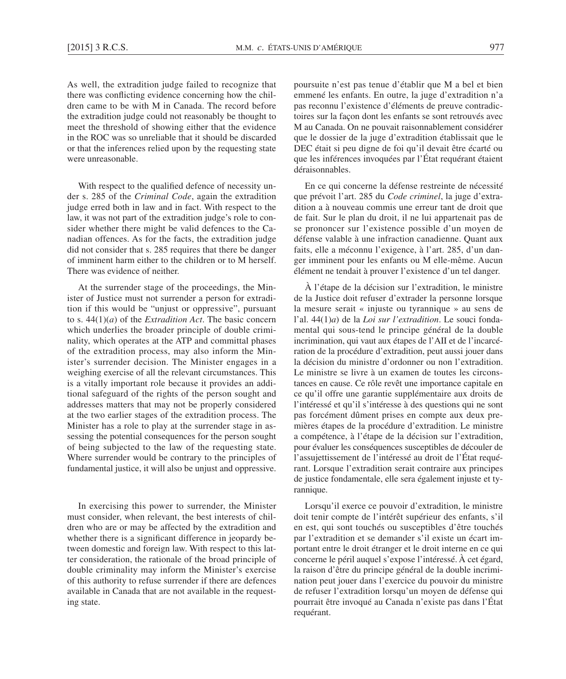As well, the extradition judge failed to recognize that there was conflicting evidence concerning how the children came to be with M in Canada. The record before the extradition judge could not reasonably be thought to meet the threshold of showing either that the evidence in the ROC was so unreliable that it should be discarded or that the inferences relied upon by the requesting state were unreasonable.

With respect to the qualified defence of necessity under s. 285 of the *Criminal Code*, again the extradition judge erred both in law and in fact. With respect to the law, it was not part of the extradition judge's role to consider whether there might be valid defences to the Canadian offences. As for the facts, the extradition judge did not consider that s. 285 requires that there be danger of imminent harm either to the children or to M herself. There was evidence of neither.

At the surrender stage of the proceedings, the Minister of Justice must not surrender a person for extradition if this would be "unjust or oppressive", pursuant to s. 44(1)(*a*) of the *Extradition Act*. The basic concern which underlies the broader principle of double criminality, which operates at the ATP and committal phases of the extradition process, may also inform the Minister's surrender decision. The Minister engages in a weighing exercise of all the relevant circumstances. This is a vitally important role because it provides an additional safeguard of the rights of the person sought and addresses matters that may not be properly considered at the two earlier stages of the extradition process. The Minister has a role to play at the surrender stage in assessing the potential consequences for the person sought of being subjected to the law of the requesting state. Where surrender would be contrary to the principles of fundamental justice, it will also be unjust and oppressive.

In exercising this power to surrender, the Minister must consider, when relevant, the best interests of children who are or may be affected by the extradition and whether there is a significant difference in jeopardy between domestic and foreign law. With respect to this latter consideration, the rationale of the broad principle of double criminality may inform the Minister's exercise of this authority to refuse surrender if there are defences available in Canada that are not available in the requesting state.

poursuite n'est pas tenue d'établir que M a bel et bien emmené les enfants. En outre, la juge d'extradition n'a pas reconnu l'existence d'éléments de preuve contradictoires sur la façon dont les enfants se sont retrouvés avec M au Canada. On ne pouvait raisonnablement considérer que le dossier de la juge d'extradition établissait que le DEC était si peu digne de foi qu'il devait être écarté ou que les inférences invoquées par l'État requérant étaient déraisonnables.

En ce qui concerne la défense restreinte de nécessité que prévoit l'art. 285 du *Code criminel*, la juge d'extradition a à nouveau commis une erreur tant de droit que de fait. Sur le plan du droit, il ne lui appartenait pas de se prononcer sur l'existence possible d'un moyen de défense valable à une infraction canadienne. Quant aux faits, elle a méconnu l'exigence, à l'art. 285, d'un danger imminent pour les enfants ou M elle-même. Aucun élément ne tendait à prouver l'existence d'un tel danger.

À l'étape de la décision sur l'extradition, le ministre de la Justice doit refuser d'extrader la personne lorsque la mesure serait « injuste ou tyrannique » au sens de l'al. 44(1)*a*) de la *Loi sur l'extradition*. Le souci fondamental qui sous-tend le principe général de la double incrimination, qui vaut aux étapes de l'AII et de l'incarcération de la procédure d'extradition, peut aussi jouer dans la décision du ministre d'ordonner ou non l'extradition. Le ministre se livre à un examen de toutes les circonstances en cause. Ce rôle revêt une importance capitale en ce qu'il offre une garantie supplémentaire aux droits de l'intéressé et qu'il s'intéresse à des questions qui ne sont pas forcément dûment prises en compte aux deux premières étapes de la procédure d'extradition. Le ministre a compétence, à l'étape de la décision sur l'extradition, pour évaluer les conséquences susceptibles de découler de l'assujettissement de l'intéressé au droit de l'État requérant. Lorsque l'extradition serait contraire aux principes de justice fondamentale, elle sera également injuste et tyrannique.

Lorsqu'il exerce ce pouvoir d'extradition, le ministre doit tenir compte de l'intérêt supérieur des enfants, s'il en est, qui sont touchés ou susceptibles d'être touchés par l'extradition et se demander s'il existe un écart important entre le droit étranger et le droit interne en ce qui concerne le péril auquel s'expose l'intéressé. À cet égard, la raison d'être du principe général de la double incrimination peut jouer dans l'exercice du pouvoir du ministre de refuser l'extradition lorsqu'un moyen de défense qui pourrait être invoqué au Canada n'existe pas dans l'État requérant.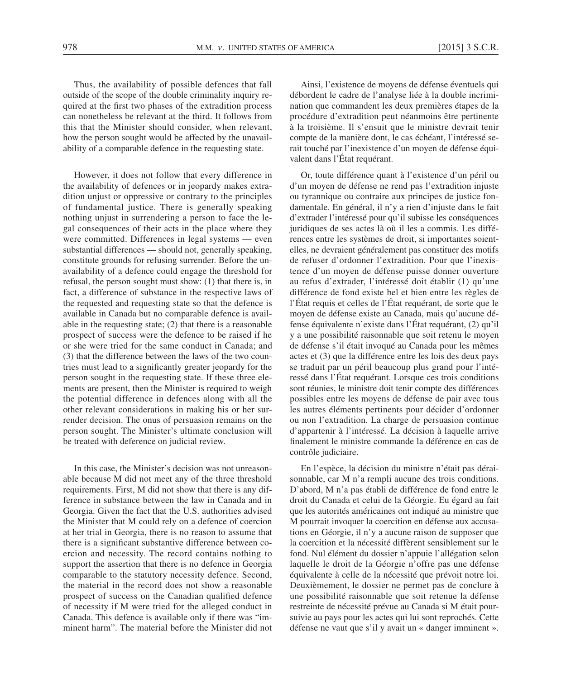Thus, the availability of possible defences that fall outside of the scope of the double criminality inquiry required at the first two phases of the extradition process can nonetheless be relevant at the third. It follows from this that the Minister should consider, when relevant, how the person sought would be affected by the unavailability of a comparable defence in the requesting state.

However, it does not follow that every difference in the availability of defences or in jeopardy makes extradition unjust or oppressive or contrary to the principles of fundamental justice. There is generally speaking nothing unjust in surrendering a person to face the legal consequences of their acts in the place where they were committed. Differences in legal systems — even substantial differences — should not, generally speaking, constitute grounds for refusing surrender. Before the unavailability of a defence could engage the threshold for refusal, the person sought must show: (1) that there is, in fact, a difference of substance in the respective laws of the requested and requesting state so that the defence is available in Canada but no comparable defence is available in the requesting state; (2) that there is a reasonable prospect of success were the defence to be raised if he or she were tried for the same conduct in Canada; and (3) that the difference between the laws of the two countries must lead to a significantly greater jeopardy for the person sought in the requesting state. If these three elements are present, then the Minister is required to weigh the potential difference in defences along with all the other relevant considerations in making his or her surrender decision. The onus of persuasion remains on the person sought. The Minister's ultimate conclusion will be treated with deference on judicial review.

In this case, the Minister's decision was not unreasonable because M did not meet any of the three threshold requirements. First, M did not show that there is any difference in substance between the law in Canada and in Georgia. Given the fact that the U.S. authorities advised the Minister that M could rely on a defence of coercion at her trial in Georgia, there is no reason to assume that there is a significant substantive difference between coercion and necessity. The record contains nothing to support the assertion that there is no defence in Georgia comparable to the statutory necessity defence. Second, the material in the record does not show a reasonable prospect of success on the Canadian qualified defence of necessity if M were tried for the alleged conduct in Canada. This defence is available only if there was "imminent harm". The material before the Minister did not

Ainsi, l'existence de moyens de défense éventuels qui débordent le cadre de l'analyse liée à la double incrimination que commandent les deux premières étapes de la procédure d'extradition peut néanmoins être pertinente à la troisième. Il s'ensuit que le ministre devrait tenir compte de la manière dont, le cas échéant, l'intéressé serait touché par l'inexistence d'un moyen de défense équivalent dans l'État requérant.

Or, toute différence quant à l'existence d'un péril ou d'un moyen de défense ne rend pas l'extradition injuste ou tyrannique ou contraire aux principes de justice fondamentale. En général, il n'y a rien d'injuste dans le fait d'extrader l'intéressé pour qu'il subisse les conséquences juridiques de ses actes là où il les a commis. Les différences entre les systèmes de droit, si importantes soientelles, ne devraient généralement pas constituer des motifs de refuser d'ordonner l'extradition. Pour que l'inexistence d'un moyen de défense puisse donner ouverture au refus d'extrader, l'intéressé doit établir (1) qu'une différence de fond existe bel et bien entre les règles de l'État requis et celles de l'État requérant, de sorte que le moyen de défense existe au Canada, mais qu'aucune défense équivalente n'existe dans l'État requérant, (2) qu'il y a une possibilité raisonnable que soit retenu le moyen de défense s'il était invoqué au Canada pour les mêmes actes et (3) que la différence entre les lois des deux pays se traduit par un péril beaucoup plus grand pour l'intéressé dans l'État requérant. Lorsque ces trois conditions sont réunies, le ministre doit tenir compte des différences possibles entre les moyens de défense de pair avec tous les autres éléments pertinents pour décider d'ordonner ou non l'extradition. La charge de persuasion continue d'appartenir à l'intéressé. La décision à laquelle arrive finalement le ministre commande la déférence en cas de contrôle judiciaire.

En l'espèce, la décision du ministre n'était pas déraisonnable, car M n'a rempli aucune des trois conditions. D'abord, M n'a pas établi de différence de fond entre le droit du Canada et celui de la Géorgie. Eu égard au fait que les autorités américaines ont indiqué au ministre que M pourrait invoquer la coercition en défense aux accusations en Géorgie, il n'y a aucune raison de supposer que la coercition et la nécessité diffèrent sensiblement sur le fond. Nul élément du dossier n'appuie l'allégation selon laquelle le droit de la Géorgie n'offre pas une défense équivalente à celle de la nécessité que prévoit notre loi. Deuxièmement, le dossier ne permet pas de conclure à une possibilité raisonnable que soit retenue la défense restreinte de nécessité prévue au Canada si M était poursuivie au pays pour les actes qui lui sont reprochés. Cette défense ne vaut que s'il y avait un « danger imminent ».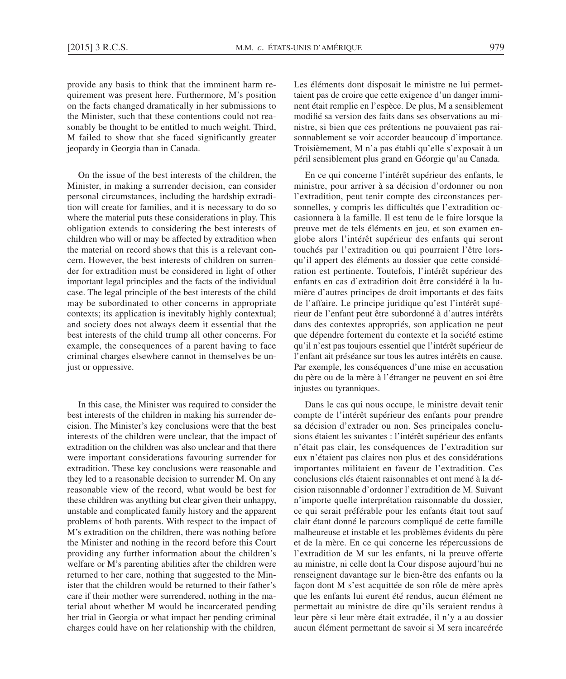provide any basis to think that the imminent harm requirement was present here. Furthermore, M's position on the facts changed dramatically in her submissions to the Minister, such that these contentions could not reasonably be thought to be entitled to much weight. Third, M failed to show that she faced significantly greater jeopardy in Georgia than in Canada.

On the issue of the best interests of the children, the Minister, in making a surrender decision, can consider personal circumstances, including the hardship extradition will create for families, and it is necessary to do so where the material puts these considerations in play. This obligation extends to considering the best interests of children who will or may be affected by extradition when the material on record shows that this is a relevant concern. However, the best interests of children on surrender for extradition must be considered in light of other important legal principles and the facts of the individual case. The legal principle of the best interests of the child may be subordinated to other concerns in appropriate contexts; its application is inevitably highly contextual; and society does not always deem it essential that the best interests of the child trump all other concerns. For example, the consequences of a parent having to face criminal charges elsewhere cannot in themselves be unjust or oppressive.

In this case, the Minister was required to consider the best interests of the children in making his surrender decision. The Minister's key conclusions were that the best interests of the children were unclear, that the impact of extradition on the children was also unclear and that there were important considerations favouring surrender for extradition. These key conclusions were reasonable and they led to a reasonable decision to surrender M. On any reasonable view of the record, what would be best for these children was anything but clear given their unhappy, unstable and complicated family history and the apparent problems of both parents. With respect to the impact of M's extradition on the children, there was nothing before the Minister and nothing in the record before this Court providing any further information about the children's welfare or M's parenting abilities after the children were returned to her care, nothing that suggested to the Minister that the children would be returned to their father's care if their mother were surrendered, nothing in the material about whether M would be incarcerated pending her trial in Georgia or what impact her pending criminal charges could have on her relationship with the children, Les éléments dont disposait le ministre ne lui permettaient pas de croire que cette exigence d'un danger imminent était remplie en l'espèce. De plus, M a sensiblement modifié sa version des faits dans ses observations au ministre, si bien que ces prétentions ne pouvaient pas raisonnablement se voir accorder beaucoup d'importance. Troisièmement, M n'a pas établi qu'elle s'exposait à un péril sensiblement plus grand en Géorgie qu'au Canada.

En ce qui concerne l'intérêt supérieur des enfants, le ministre, pour arriver à sa décision d'ordonner ou non l'extradition, peut tenir compte des circonstances personnelles, y compris les difficultés que l'extradition occasionnera à la famille. Il est tenu de le faire lorsque la preuve met de tels éléments en jeu, et son examen englobe alors l'intérêt supérieur des enfants qui seront touchés par l'extradition ou qui pourraient l'être lorsqu'il appert des éléments au dossier que cette considération est pertinente. Toutefois, l'intérêt supérieur des enfants en cas d'extradition doit être considéré à la lumière d'autres principes de droit importants et des faits de l'affaire. Le principe juridique qu'est l'intérêt supérieur de l'enfant peut être subordonné à d'autres intérêts dans des contextes appropriés, son application ne peut que dépendre fortement du contexte et la société estime qu'il n'est pas toujours essentiel que l'intérêt supérieur de l'enfant ait préséance sur tous les autres intérêts en cause. Par exemple, les conséquences d'une mise en accusation du père ou de la mère à l'étranger ne peuvent en soi être injustes ou tyranniques.

Dans le cas qui nous occupe, le ministre devait tenir compte de l'intérêt supérieur des enfants pour prendre sa décision d'extrader ou non. Ses principales conclusions étaient les suivantes : l'intérêt supérieur des enfants n'était pas clair, les conséquences de l'extradition sur eux n'étaient pas claires non plus et des considérations importantes militaient en faveur de l'extradition. Ces conclusions clés étaient raisonnables et ont mené à la décision raisonnable d'ordonner l'extradition de M. Suivant n'importe quelle interprétation raisonnable du dossier, ce qui serait préférable pour les enfants était tout sauf clair étant donné le parcours compliqué de cette famille malheureuse et instable et les problèmes évidents du père et de la mère. En ce qui concerne les répercussions de l'extradition de M sur les enfants, ni la preuve offerte au ministre, ni celle dont la Cour dispose aujourd'hui ne renseignent davantage sur le bien-être des enfants ou la façon dont M s'est acquittée de son rôle de mère après que les enfants lui eurent été rendus, aucun élément ne permettait au ministre de dire qu'ils seraient rendus à leur père si leur mère était extradée, il n'y a au dossier aucun élément permettant de savoir si M sera incarcérée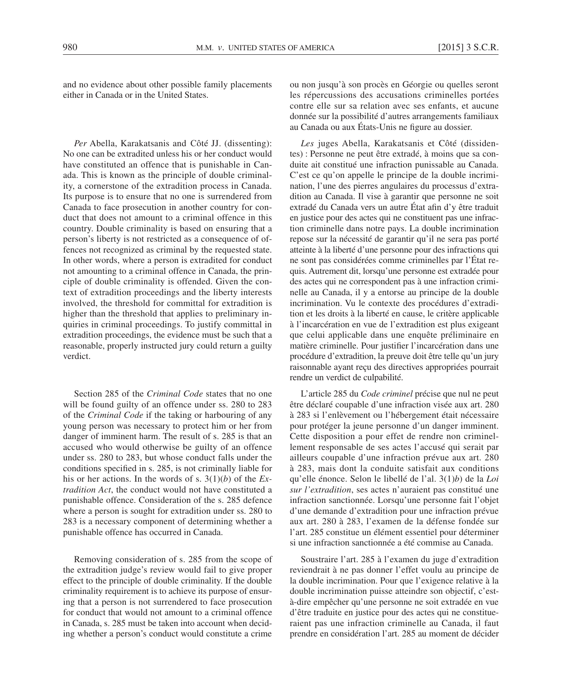and no evidence about other possible family placements either in Canada or in the United States.

*Per* Abella, Karakatsanis and Côté JJ. (dissenting): No one can be extradited unless his or her conduct would have constituted an offence that is punishable in Canada. This is known as the principle of double criminality, a cornerstone of the extradition process in Canada. Its purpose is to ensure that no one is surrendered from Canada to face prosecution in another country for conduct that does not amount to a criminal offence in this country. Double criminality is based on ensuring that a person's liberty is not restricted as a consequence of offences not recognized as criminal by the requested state. In other words, where a person is extradited for conduct not amounting to a criminal offence in Canada, the principle of double criminality is offended. Given the context of extradition proceedings and the liberty interests involved, the threshold for committal for extradition is higher than the threshold that applies to preliminary inquiries in criminal proceedings. To justify committal in extradition proceedings, the evidence must be such that a reasonable, properly instructed jury could return a guilty verdict.

Section 285 of the *Criminal Code* states that no one will be found guilty of an offence under ss. 280 to 283 of the *Criminal Code* if the taking or harbouring of any young person was necessary to protect him or her from danger of imminent harm. The result of s. 285 is that an accused who would otherwise be guilty of an offence under ss. 280 to 283, but whose conduct falls under the conditions specified in s. 285, is not criminally liable for his or her actions. In the words of s. 3(1)(*b*) of the *Extradition Act*, the conduct would not have constituted a punishable offence. Consideration of the s. 285 defence where a person is sought for extradition under ss. 280 to 283 is a necessary component of determining whether a punishable offence has occurred in Canada.

Removing consideration of s. 285 from the scope of the extradition judge's review would fail to give proper effect to the principle of double criminality. If the double criminality requirement is to achieve its purpose of ensuring that a person is not surrendered to face prosecution for conduct that would not amount to a criminal offence in Canada, s. 285 must be taken into account when deciding whether a person's conduct would constitute a crime ou non jusqu'à son procès en Géorgie ou quelles seront les répercussions des accusations criminelles portées contre elle sur sa relation avec ses enfants, et aucune donnée sur la possibilité d'autres arrangements familiaux au Canada ou aux États-Unis ne figure au dossier.

*Les* juges Abella, Karakatsanis et Côté (dissidentes) : Personne ne peut être extradé, à moins que sa conduite ait constitué une infraction punissable au Canada. C'est ce qu'on appelle le principe de la double incrimination, l'une des pierres angulaires du processus d'extradition au Canada. Il vise à garantir que personne ne soit extradé du Canada vers un autre État afin d'y être traduit en justice pour des actes qui ne constituent pas une infraction criminelle dans notre pays. La double incrimination repose sur la nécessité de garantir qu'il ne sera pas porté atteinte à la liberté d'une personne pour des infractions qui ne sont pas considérées comme criminelles par l'État requis. Autrement dit, lorsqu'une personne est extradée pour des actes qui ne correspondent pas à une infraction criminelle au Canada, il y a entorse au principe de la double incrimination. Vu le contexte des procédures d'extradition et les droits à la liberté en cause, le critère applicable à l'incarcération en vue de l'extradition est plus exigeant que celui applicable dans une enquête préliminaire en matière criminelle. Pour justifier l'incarcération dans une procédure d'extradition, la preuve doit être telle qu'un jury raisonnable ayant reçu des directives appropriées pourrait rendre un verdict de culpabilité.

L'article 285 du *Code criminel* précise que nul ne peut être déclaré coupable d'une infraction visée aux art. 280 à 283 si l'enlèvement ou l'hébergement était nécessaire pour protéger la jeune personne d'un danger imminent. Cette disposition a pour effet de rendre non criminellement responsable de ses actes l'accusé qui serait par ailleurs coupable d'une infraction prévue aux art. 280 à 283, mais dont la conduite satisfait aux conditions qu'elle énonce. Selon le libellé de l'al. 3(1)*b*) de la *Loi sur l'extradition*, ses actes n'auraient pas constitué une infraction sanctionnée. Lorsqu'une personne fait l'objet d'une demande d'extradition pour une infraction prévue aux art. 280 à 283, l'examen de la défense fondée sur l'art. 285 constitue un élément essentiel pour déterminer si une infraction sanctionnée a été commise au Canada.

Soustraire l'art. 285 à l'examen du juge d'extradition reviendrait à ne pas donner l'effet voulu au principe de la double incrimination. Pour que l'exigence relative à la double incrimination puisse atteindre son objectif, c'està-dire empêcher qu'une personne ne soit extradée en vue d'être traduite en justice pour des actes qui ne constitueraient pas une infraction criminelle au Canada, il faut prendre en considération l'art. 285 au moment de décider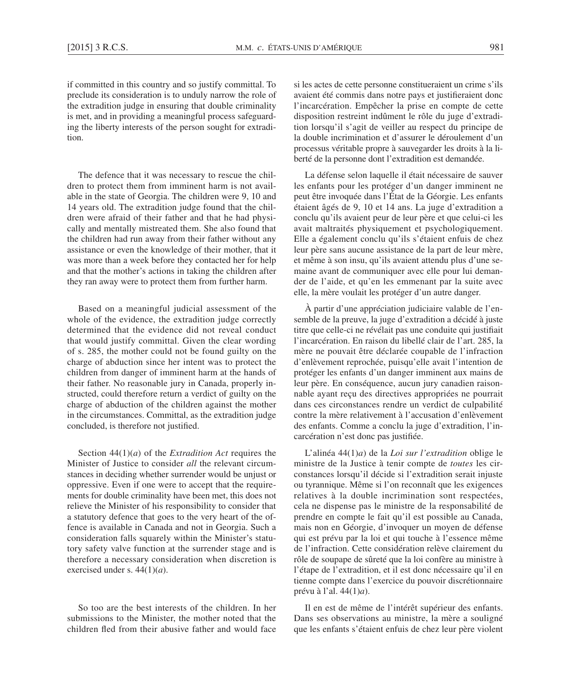if committed in this country and so justify committal. To preclude its consideration is to unduly narrow the role of the extradition judge in ensuring that double criminality is met, and in providing a meaningful process safeguarding the liberty interests of the person sought for extradition.

The defence that it was necessary to rescue the children to protect them from imminent harm is not available in the state of Georgia. The children were 9, 10 and 14 years old. The extradition judge found that the children were afraid of their father and that he had physically and mentally mistreated them. She also found that the children had run away from their father without any assistance or even the knowledge of their mother, that it was more than a week before they contacted her for help and that the mother's actions in taking the children after they ran away were to protect them from further harm.

Based on a meaningful judicial assessment of the whole of the evidence, the extradition judge correctly determined that the evidence did not reveal conduct that would justify committal. Given the clear wording of s. 285, the mother could not be found guilty on the charge of abduction since her intent was to protect the children from danger of imminent harm at the hands of their father. No reasonable jury in Canada, properly instructed, could therefore return a verdict of guilty on the charge of abduction of the children against the mother in the circumstances. Committal, as the extradition judge concluded, is therefore not justified.

Section 44(1)(*a*) of the *Extradition Act* requires the Minister of Justice to consider *all* the relevant circumstances in deciding whether surrender would be unjust or oppressive. Even if one were to accept that the requirements for double criminality have been met, this does not relieve the Minister of his responsibility to consider that a statutory defence that goes to the very heart of the offence is available in Canada and not in Georgia. Such a consideration falls squarely within the Minister's statutory safety valve function at the surrender stage and is therefore a necessary consideration when discretion is exercised under s. 44(1)(*a*).

So too are the best interests of the children. In her submissions to the Minister, the mother noted that the children fled from their abusive father and would face si les actes de cette personne constitueraient un crime s'ils avaient été commis dans notre pays et justifieraient donc l'incarcération. Empêcher la prise en compte de cette disposition restreint indûment le rôle du juge d'extradition lorsqu'il s'agit de veiller au respect du principe de la double incrimination et d'assurer le déroulement d'un processus véritable propre à sauvegarder les droits à la liberté de la personne dont l'extradition est demandée.

La défense selon laquelle il était nécessaire de sauver les enfants pour les protéger d'un danger imminent ne peut être invoquée dans l'État de la Géorgie. Les enfants étaient âgés de 9, 10 et 14 ans. La juge d'extradition a conclu qu'ils avaient peur de leur père et que celui-ci les avait maltraités physiquement et psychologiquement. Elle a également conclu qu'ils s'étaient enfuis de chez leur père sans aucune assistance de la part de leur mère, et même à son insu, qu'ils avaient attendu plus d'une semaine avant de communiquer avec elle pour lui demander de l'aide, et qu'en les emmenant par la suite avec elle, la mère voulait les protéger d'un autre danger.

À partir d'une appréciation judiciaire valable de l'ensemble de la preuve, la juge d'extradition a décidé à juste titre que celle-ci ne révélait pas une conduite qui justifiait l'incarcération. En raison du libellé clair de l'art. 285, la mère ne pouvait être déclarée coupable de l'infraction d'enlèvement reprochée, puisqu'elle avait l'intention de protéger les enfants d'un danger imminent aux mains de leur père. En conséquence, aucun jury canadien raisonnable ayant reçu des directives appropriées ne pourrait dans ces circonstances rendre un verdict de culpabilité contre la mère relativement à l'accusation d'enlèvement des enfants. Comme a conclu la juge d'extradition, l'incarcération n'est donc pas justifiée.

L'alinéa 44(1)*a*) de la *Loi sur l'extradition* oblige le ministre de la Justice à tenir compte de *toutes* les circonstances lorsqu'il décide si l'extradition serait injuste ou tyrannique. Même si l'on reconnaît que les exigences relatives à la double incrimination sont respectées, cela ne dispense pas le ministre de la responsabilité de prendre en compte le fait qu'il est possible au Canada, mais non en Géorgie, d'invoquer un moyen de défense qui est prévu par la loi et qui touche à l'essence même de l'infraction. Cette considération relève clairement du rôle de soupape de sûreté que la loi confère au ministre à l'étape de l'extradition, et il est donc nécessaire qu'il en tienne compte dans l'exercice du pouvoir discrétionnaire prévu à l'al. 44(1)*a*).

Il en est de même de l'intérêt supérieur des enfants. Dans ses observations au ministre, la mère a souligné que les enfants s'étaient enfuis de chez leur père violent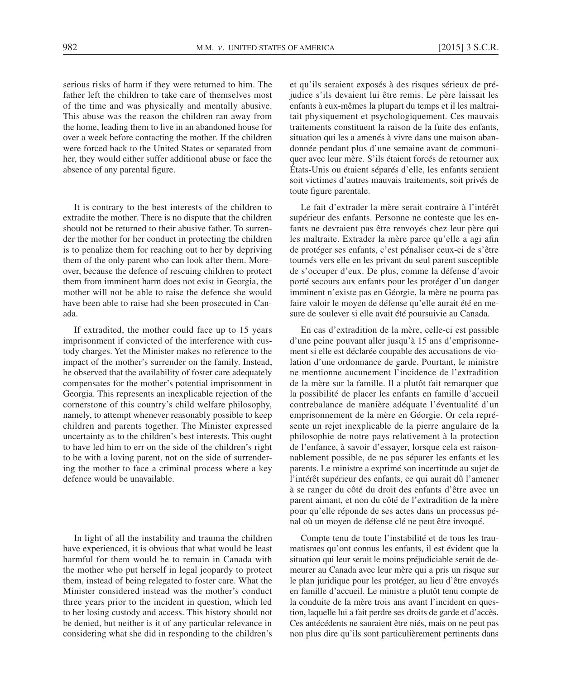serious risks of harm if they were returned to him. The father left the children to take care of themselves most of the time and was physically and mentally abusive. This abuse was the reason the children ran away from the home, leading them to live in an abandoned house for over a week before contacting the mother. If the children were forced back to the United States or separated from her, they would either suffer additional abuse or face the absence of any parental figure.

It is contrary to the best interests of the children to extradite the mother. There is no dispute that the children should not be returned to their abusive father. To surrender the mother for her conduct in protecting the children is to penalize them for reaching out to her by depriving them of the only parent who can look after them. Moreover, because the defence of rescuing children to protect them from imminent harm does not exist in Georgia, the mother will not be able to raise the defence she would have been able to raise had she been prosecuted in Canada.

If extradited, the mother could face up to 15 years imprisonment if convicted of the interference with custody charges. Yet the Minister makes no reference to the impact of the mother's surrender on the family. Instead, he observed that the availability of foster care adequately compensates for the mother's potential imprisonment in Georgia. This represents an inexplicable rejection of the cornerstone of this country's child welfare philosophy, namely, to attempt whenever reasonably possible to keep children and parents together. The Minister expressed uncertainty as to the children's best interests. This ought to have led him to err on the side of the children's right to be with a loving parent, not on the side of surrendering the mother to face a criminal process where a key defence would be unavailable.

In light of all the instability and trauma the children have experienced, it is obvious that what would be least harmful for them would be to remain in Canada with the mother who put herself in legal jeopardy to protect them, instead of being relegated to foster care. What the Minister considered instead was the mother's conduct three years prior to the incident in question, which led to her losing custody and access. This history should not be denied, but neither is it of any particular relevance in considering what she did in responding to the children's

et qu'ils seraient exposés à des risques sérieux de préjudice s'ils devaient lui être remis. Le père laissait les enfants à eux-mêmes la plupart du temps et il les maltraitait physiquement et psychologiquement. Ces mauvais traitements constituent la raison de la fuite des enfants, situation qui les a amenés à vivre dans une maison abandonnée pendant plus d'une semaine avant de communiquer avec leur mère. S'ils étaient forcés de retourner aux États-Unis ou étaient séparés d'elle, les enfants seraient soit victimes d'autres mauvais traitements, soit privés de toute figure parentale.

Le fait d'extrader la mère serait contraire à l'intérêt supérieur des enfants. Personne ne conteste que les enfants ne devraient pas être renvoyés chez leur père qui les maltraite. Extrader la mère parce qu'elle a agi afin de protéger ses enfants, c'est pénaliser ceux-ci de s'être tournés vers elle en les privant du seul parent susceptible de s'occuper d'eux. De plus, comme la défense d'avoir porté secours aux enfants pour les protéger d'un danger imminent n'existe pas en Géorgie, la mère ne pourra pas faire valoir le moyen de défense qu'elle aurait été en mesure de soulever si elle avait été poursuivie au Canada.

En cas d'extradition de la mère, celle-ci est passible d'une peine pouvant aller jusqu'à 15 ans d'emprisonnement si elle est déclarée coupable des accusations de violation d'une ordonnance de garde. Pourtant, le ministre ne mentionne aucunement l'incidence de l'extradition de la mère sur la famille. Il a plutôt fait remarquer que la possibilité de placer les enfants en famille d'accueil contrebalance de manière adéquate l'éventualité d'un emprisonnement de la mère en Géorgie. Or cela représente un rejet inexplicable de la pierre angulaire de la philosophie de notre pays relativement à la protection de l'enfance, à savoir d'essayer, lorsque cela est raisonnablement possible, de ne pas séparer les enfants et les parents. Le ministre a exprimé son incertitude au sujet de l'intérêt supérieur des enfants, ce qui aurait dû l'amener à se ranger du côté du droit des enfants d'être avec un parent aimant, et non du côté de l'extradition de la mère pour qu'elle réponde de ses actes dans un processus pénal où un moyen de défense clé ne peut être invoqué.

Compte tenu de toute l'instabilité et de tous les traumatismes qu'ont connus les enfants, il est évident que la situation qui leur serait le moins préjudiciable serait de demeurer au Canada avec leur mère qui a pris un risque sur le plan juridique pour les protéger, au lieu d'être envoyés en famille d'accueil. Le ministre a plutôt tenu compte de la conduite de la mère trois ans avant l'incident en question, laquelle lui a fait perdre ses droits de garde et d'accès. Ces antécédents ne sauraient être niés, mais on ne peut pas non plus dire qu'ils sont particulièrement pertinents dans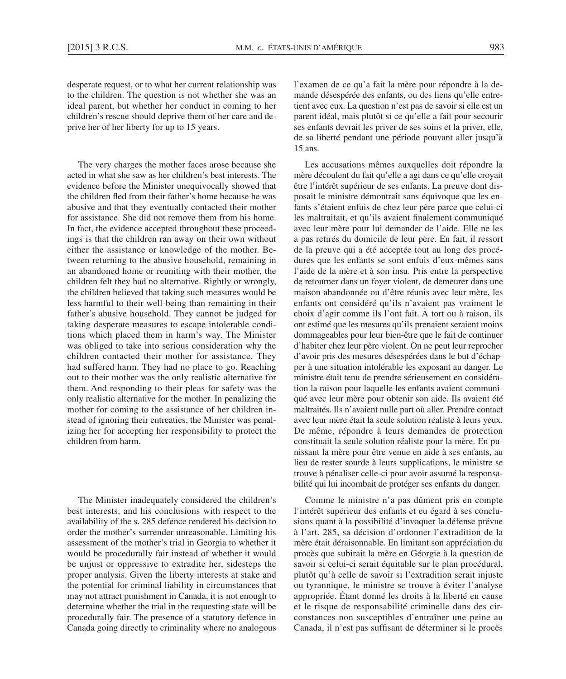desperate request, or to what her current relationship was to the children. The question is not whether she was an ideal parent, but whether her conduct in coming to her children's rescue should deprive them of her care and deprive her of her liberty for up to 15 years.

The very charges the mother faces arose because she acted in what she saw as her children's best interests. The evidence before the Minister unequivocally showed that the children fled from their father's home because he was abusive and that they eventually contacted their mother for assistance. She did not remove them from his home. In fact, the evidence accepted throughout these proceedings is that the children ran away on their own without either the assistance or knowledge of the mother. Between returning to the abusive household, remaining in an abandoned home or reuniting with their mother, the children felt they had no alternative. Rightly or wrongly, the children believed that taking such measures would be less harmful to their well-being than remaining in their father's abusive household. They cannot be judged for taking desperate measures to escape intolerable conditions which placed them in harm's way. The Minister was obliged to take into serious consideration why the children contacted their mother for assistance. They had suffered harm. They had no place to go. Reaching out to their mother was the only realistic alternative for them. And responding to their pleas for safety was the only realistic alternative for the mother. In penalizing the mother for coming to the assistance of her children instead of ignoring their entreaties, the Minister was penalizing her for accepting her responsibility to protect the children from harm.

The Minister inadequately considered the children's best interests, and his conclusions with respect to the availability of the s. 285 defence rendered his decision to order the mother's surrender unreasonable. Limiting his assessment of the mother's trial in Georgia to whether it would be procedurally fair instead of whether it would be unjust or oppressive to extradite her, sidesteps the proper analysis. Given the liberty interests at stake and the potential for criminal liability in circumstances that may not attract punishment in Canada, it is not enough to determine whether the trial in the requesting state will be procedurally fair. The presence of a statutory defence in Canada going directly to criminality where no analogous l'examen de ce qu'a fait la mère pour répondre à la demande désespérée des enfants, ou des liens qu'elle entretient avec eux. La question n'est pas de savoir si elle est un parent idéal, mais plutôt si ce qu'elle a fait pour secourir ses enfants devrait les priver de ses soins et la priver, elle, de sa liberté pendant une période pouvant aller jusqu'à 15 ans.

Les accusations mêmes auxquelles doit répondre la mère découlent du fait qu'elle a agi dans ce qu'elle croyait être l'intérêt supérieur de ses enfants. La preuve dont disposait le ministre démontrait sans équivoque que les enfants s'étaient enfuis de chez leur père parce que celui-ci les maltraitait, et qu'ils avaient finalement communiqué avec leur mère pour lui demander de l'aide. Elle ne les a pas retirés du domicile de leur père. En fait, il ressort de la preuve qui a été acceptée tout au long des procédures que les enfants se sont enfuis d'eux-mêmes sans l'aide de la mère et à son insu. Pris entre la perspective de retourner dans un foyer violent, de demeurer dans une maison abandonnée ou d'être réunis avec leur mère, les enfants ont considéré qu'ils n'avaient pas vraiment le choix d'agir comme ils l'ont fait. À tort ou à raison, ils ont estimé que les mesures qu'ils prenaient seraient moins dommageables pour leur bien-être que le fait de continuer d'habiter chez leur père violent. On ne peut leur reprocher d'avoir pris des mesures désespérées dans le but d'échapper à une situation intolérable les exposant au danger. Le ministre était tenu de prendre sérieusement en considération la raison pour laquelle les enfants avaient communiqué avec leur mère pour obtenir son aide. Ils avaient été maltraités. Ils n'avaient nulle part où aller. Prendre contact avec leur mère était la seule solution réaliste à leurs yeux. De même, répondre à leurs demandes de protection constituait la seule solution réaliste pour la mère. En punissant la mère pour être venue en aide à ses enfants, au lieu de rester sourde à leurs supplications, le ministre se trouve à pénaliser celle-ci pour avoir assumé la responsabilité qui lui incombait de protéger ses enfants du danger.

Comme le ministre n'a pas dûment pris en compte l'intérêt supérieur des enfants et eu égard à ses conclusions quant à la possibilité d'invoquer la défense prévue à l'art. 285, sa décision d'ordonner l'extradition de la mère était déraisonnable. En limitant son appréciation du procès que subirait la mère en Géorgie à la question de savoir si celui-ci serait équitable sur le plan procédural, plutôt qu'à celle de savoir si l'extradition serait injuste ou tyrannique, le ministre se trouve à éviter l'analyse appropriée. Étant donné les droits à la liberté en cause et le risque de responsabilité criminelle dans des circonstances non susceptibles d'entraîner une peine au Canada, il n'est pas suffisant de déterminer si le procès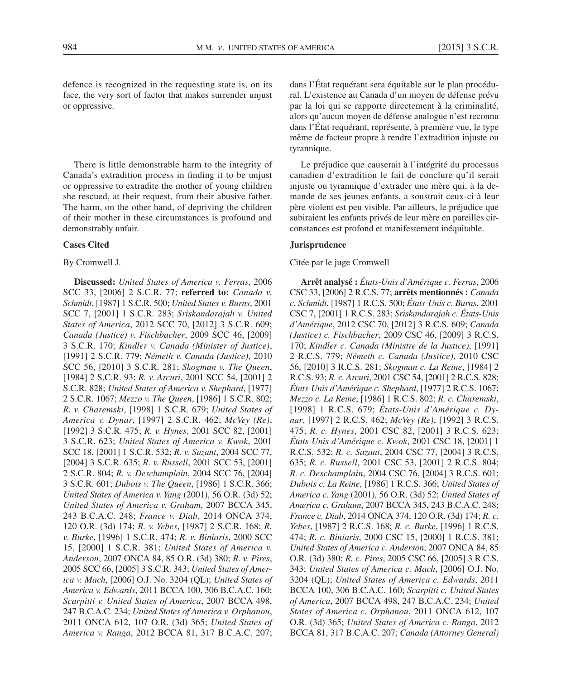defence is recognized in the requesting state is, on its face, the very sort of factor that makes surrender unjust or oppressive.

There is little demonstrable harm to the integrity of Canada's extradition process in finding it to be unjust or oppressive to extradite the mother of young children she rescued, at their request, from their abusive father. The harm, on the other hand, of depriving the children of their mother in these circumstances is profound and demonstrably unfair.

#### **Cases Cited**

#### By Cromwell J.

**Discussed:** *United States of America v. Ferras*, 2006 SCC 33, [2006] 2 S.C.R. 77; **referred to:** *Canada v. Schmidt*, [1987] 1 S.C.R. 500; *United States v. Burns*, 2001 SCC 7, [2001] 1 S.C.R. 283; *Sriskandarajah v. United States of America*, 2012 SCC 70, [2012] 3 S.C.R. 609; *Canada (Justice) v. Fischbacher*, 2009 SCC 46, [2009] 3 S.C.R. 170; *Kindler v. Canada (Minister of Justice)*, [1991] 2 S.C.R. 779; *Németh v. Canada (Justice)*, 2010 SCC 56, [2010] 3 S.C.R. 281; *Skogman v. The Queen*, [1984] 2 S.C.R. 93; *R. v. Arcuri*, 2001 SCC 54, [2001] 2 S.C.R. 828; *United States of America v. Shephard*, [1977] 2 S.C.R. 1067; *Mezzo v. The Queen*, [1986] 1 S.C.R. 802; *R. v. Charemski*, [1998] 1 S.C.R. 679; *United States of America v. Dynar*, [1997] 2 S.C.R. 462; *McVey (Re)*, [1992] 3 S.C.R. 475; *R. v. Hynes*, 2001 SCC 82, [2001] 3 S.C.R. 623; *United States of America v. Kwok*, 2001 SCC 18, [2001] 1 S.C.R. 532; *R. v. Sazant*, 2004 SCC 77, [2004] 3 S.C.R. 635; *R. v. Russell*, 2001 SCC 53, [2001] 2 S.C.R. 804; *R. v. Deschamplain*, 2004 SCC 76, [2004] 3 S.C.R. 601; *Dubois v. The Queen*, [1986] 1 S.C.R. 366; *United States of America v. Yang* (2001), 56 O.R. (3d) 52; *United States of America v. Graham*, 2007 BCCA 345, 243 B.C.A.C. 248; *France v. Diab*, 2014 ONCA 374, 120 O.R. (3d) 174; *R. v. Yebes*, [1987] 2 S.C.R. 168; *R. v. Burke*, [1996] 1 S.C.R. 474; *R. v. Biniaris*, 2000 SCC 15, [2000] 1 S.C.R. 381; *United States of America v. Anderson*, 2007 ONCA 84, 85 O.R. (3d) 380; *R. v. Pires*, 2005 SCC 66, [2005] 3 S.C.R. 343; *United States of America v. Mach*, [2006] O.J. No. 3204 (QL); *United States of America v. Edwards*, 2011 BCCA 100, 306 B.C.A.C. 160; *Scarpitti v. United States of America*, 2007 BCCA 498, 247 B.C.A.C. 234; *United States of America v. Orphanou*, 2011 ONCA 612, 107 O.R. (3d) 365; *United States of America v. Ranga*, 2012 BCCA 81, 317 B.C.A.C. 207; dans l'État requérant sera équitable sur le plan procédural. L'existence au Canada d'un moyen de défense prévu par la loi qui se rapporte directement à la criminalité, alors qu'aucun moyen de défense analogue n'est reconnu dans l'État requérant, représente, à première vue, le type même de facteur propre à rendre l'extradition injuste ou tyrannique.

Le préjudice que causerait à l'intégrité du processus canadien d'extradition le fait de conclure qu'il serait injuste ou tyrannique d'extrader une mère qui, à la demande de ses jeunes enfants, a soustrait ceux-ci à leur père violent est peu visible. Par ailleurs, le préjudice que subiraient les enfants privés de leur mère en pareilles circonstances est profond et manifestement inéquitable.

#### **Jurisprudence**

#### Citée par le juge Cromwell

**Arrêt analysé :** *États-Unis d'Amérique c. Ferras*, 2006 CSC 33, [2006] 2 R.C.S. 77; **arrêts mentionnés :** *Canada c. Schmidt*, [1987] 1 R.C.S. 500; *États-Unis c. Burns*, 2001 CSC 7, [2001] 1 R.C.S. 283; *Sriskandarajah c. États-Unis d'Amérique*, 2012 CSC 70, [2012] 3 R.C.S. 609; *Canada (Justice) c. Fischbacher*, 2009 CSC 46, [2009] 3 R.C.S. 170; *Kindler c. Canada (Ministre de la Justice)*, [1991] 2 R.C.S. 779; *Németh c. Canada (Justice)*, 2010 CSC 56, [2010] 3 R.C.S. 281; *Skogman c. La Reine*, [1984] 2 R.C.S. 93; *R. c. Arcuri*, 2001 CSC 54, [2001] 2 R.C.S. 828; *États-Unis d'Amérique c. Shephard*, [1977] 2 R.C.S. 1067; *Mezzo c. La Reine*, [1986] 1 R.C.S. 802; *R. c. Charemski*, [1998] 1 R.C.S. 679; *États-Unis d'Amérique c. Dynar*, [1997] 2 R.C.S. 462; *McVey (Re)*, [1992] 3 R.C.S. 475; *R. c. Hynes*, 2001 CSC 82, [2001] 3 R.C.S. 623; *États-Unis d'Amérique c. Kwok*, 2001 CSC 18, [2001] 1 R.C.S. 532; *R. c. Sazant*, 2004 CSC 77, [2004] 3 R.C.S. 635; *R. c. Russell*, 2001 CSC 53, [2001] 2 R.C.S. 804; *R. c. Deschamplain*, 2004 CSC 76, [2004] 3 R.C.S. 601; *Dubois c. La Reine*, [1986] 1 R.C.S. 366; *United States of America c. Yang* (2001), 56 O.R. (3d) 52; *United States of America c. Graham*, 2007 BCCA 345, 243 B.C.A.C. 248; *France c. Diab*, 2014 ONCA 374, 120 O.R. (3d) 174; *R. c. Yebes*, [1987] 2 R.C.S. 168; *R. c. Burke*, [1996] 1 R.C.S. 474; *R. c. Biniaris*, 2000 CSC 15, [2000] 1 R.C.S. 381; *United States of America c. Anderson*, 2007 ONCA 84, 85 O.R. (3d) 380; *R. c. Pires*, 2005 CSC 66, [2005] 3 R.C.S. 343; *United States of America c. Mach*, [2006] O.J. No. 3204 (QL); *United States of America c. Edwards*, 2011 BCCA 100, 306 B.C.A.C. 160; *Scarpitti c. United States of America*, 2007 BCCA 498, 247 B.C.A.C. 234; *United States of America c. Orphanou*, 2011 ONCA 612, 107 O.R. (3d) 365; *United States of America c. Ranga*, 2012 BCCA 81, 317 B.C.A.C. 207; *Canada (Attorney General)*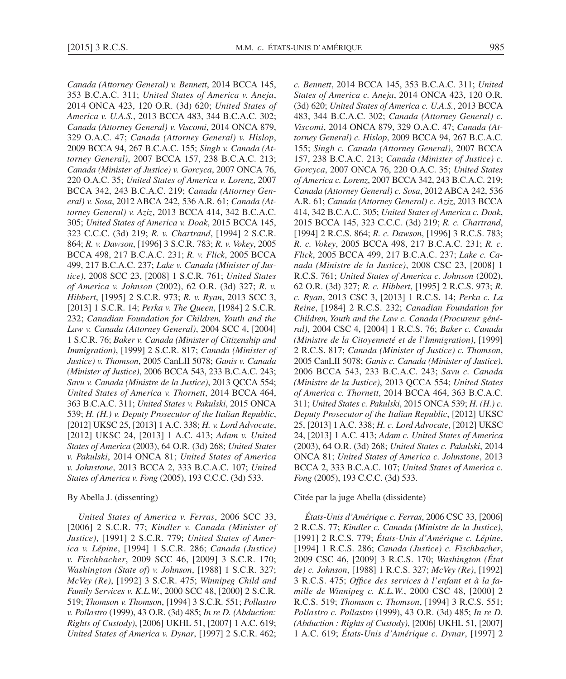*Canada (Attorney General) v. Bennett*, 2014 BCCA 145, 353 B.C.A.C. 311; *United States of America v. Aneja*, 2014 ONCA 423, 120 O.R. (3d) 620; *United States of America v. U.A.S.*, 2013 BCCA 483, 344 B.C.A.C. 302; *Canada (Attorney General) v. Viscomi*, 2014 ONCA 879, 329 O.A.C. 47; *Canada (Attorney General) v. Hislop*, 2009 BCCA 94, 267 B.C.A.C. 155; *Singh v. Canada (Attorney General)*, 2007 BCCA 157, 238 B.C.A.C. 213; *Canada (Minister of Justice) v. Gorcyca*, 2007 ONCA 76, 220 O.A.C. 35; *United States of America v. Lorenz*, 2007 BCCA 342, 243 B.C.A.C. 219; *Canada (Attorney General) v. Sosa*, 2012 ABCA 242, 536 A.R. 61; *Canada (Attorney General) v. Aziz*, 2013 BCCA 414, 342 B.C.A.C. 305; *United States of America v. Doak*, 2015 BCCA 145, 323 C.C.C. (3d) 219; *R. v. Chartrand*, [1994] 2 S.C.R. 864; *R. v. Dawson*, [1996] 3 S.C.R. 783; *R. v. Vokey*, 2005 BCCA 498, 217 B.C.A.C. 231; *R. v. Flick*, 2005 BCCA 499, 217 B.C.A.C. 237; *Lake v. Canada (Minister of Justice)*, 2008 SCC 23, [2008] 1 S.C.R. 761; *United States of America v. Johnson* (2002), 62 O.R. (3d) 327; *R. v. Hibbert*, [1995] 2 S.C.R. 973; *R. v. Ryan*, 2013 SCC 3, [2013] 1 S.C.R. 14; *Perka v. The Queen*, [1984] 2 S.C.R. 232; *Canadian Foundation for Children, Youth and the Law v. Canada (Attorney General)*, 2004 SCC 4, [2004] 1 S.C.R. 76; *Baker v. Canada (Minister of Citizenship and Immigration)*, [1999] 2 S.C.R. 817; *Canada (Minister of Justice) v. Thomson*, 2005 CanLII 5078; *Ganis v. Canada (Minister of Justice)*, 2006 BCCA 543, 233 B.C.A.C. 243; *Savu v. Canada (Ministre de la Justice)*, 2013 QCCA 554; *United States of America v. Thornett*, 2014 BCCA 464, 363 B.C.A.C. 311; *United States v. Pakulski*, 2015 ONCA 539; *H. (H.) v. Deputy Prosecutor of the Italian Republic*, [2012] UKSC 25, [2013] 1 A.C. 338; *H. v. Lord Advocate*, [2012] UKSC 24, [2013] 1 A.C. 413; *Adam v. United States of America* (2003), 64 O.R. (3d) 268; *United States v. Pakulski*, 2014 ONCA 81; *United States of America v. Johnstone*, 2013 BCCA 2, 333 B.C.A.C. 107; *United States of America v. Fong* (2005), 193 C.C.C. (3d) 533.

#### By Abella J. (dissenting)

*United States of America v. Ferras*, 2006 SCC 33, [2006] 2 S.C.R. 77; *Kindler v. Canada (Minister of Justice)*, [1991] 2 S.C.R. 779; *United States of America v. Lépine*, [1994] 1 S.C.R. 286; *Canada (Justice) v. Fischbacher*, 2009 SCC 46, [2009] 3 S.C.R. 170; *Washington (State of) v. Johnson*, [1988] 1 S.C.R. 327; *McVey (Re)*, [1992] 3 S.C.R. 475; *Winnipeg Child and Family Services v. K.L.W.*, 2000 SCC 48, [2000] 2 S.C.R. 519; *Thomson v. Thomson*, [1994] 3 S.C.R. 551; *Pollastro v. Pollastro* (1999), 43 O.R. (3d) 485; *In re D. (Abduction: Rights of Custody)*, [2006] UKHL 51, [2007] 1 A.C. 619; *United States of America v. Dynar*, [1997] 2 S.C.R. 462; *c. Bennett*, 2014 BCCA 145, 353 B.C.A.C. 311; *United States of America c. Aneja*, 2014 ONCA 423, 120 O.R. (3d) 620; *United States of America c. U.A.S.*, 2013 BCCA 483, 344 B.C.A.C. 302; *Canada (Attorney General) c. Viscomi*, 2014 ONCA 879, 329 O.A.C. 47; *Canada (Attorney General) c. Hislop*, 2009 BCCA 94, 267 B.C.A.C. 155; *Singh c. Canada (Attorney General)*, 2007 BCCA 157, 238 B.C.A.C. 213; *Canada (Minister of Justice) c. Gorcyca*, 2007 ONCA 76, 220 O.A.C. 35; *United States of America c. Lorenz*, 2007 BCCA 342, 243 B.C.A.C. 219; *Canada (Attorney General) c. Sosa*, 2012 ABCA 242, 536 A.R. 61; *Canada (Attorney General) c. Aziz*, 2013 BCCA 414, 342 B.C.A.C. 305; *United States of America c. Doak*, 2015 BCCA 145, 323 C.C.C. (3d) 219; *R. c. Chartrand*, [1994] 2 R.C.S. 864; *R. c. Dawson*, [1996] 3 R.C.S. 783; *R. c. Vokey*, 2005 BCCA 498, 217 B.C.A.C. 231; *R. c. Flick*, 2005 BCCA 499, 217 B.C.A.C. 237; *Lake c. Canada (Ministre de la Justice)*, 2008 CSC 23, [2008] 1 R.C.S. 761; *United States of America c. Johnson* (2002), 62 O.R. (3d) 327; *R. c. Hibbert*, [1995] 2 R.C.S. 973; *R. c. Ryan*, 2013 CSC 3, [2013] 1 R.C.S. 14; *Perka c. La Reine*, [1984] 2 R.C.S. 232; *Canadian Foundation for Children, Youth and the Law c. Canada (Procureur général)*, 2004 CSC 4, [2004] 1 R.C.S. 76; *Baker c. Canada (Ministre de la Citoyenneté et de l'Immigration)*, [1999] 2 R.C.S. 817; *Canada (Minister of Justice) c. Thomson*, 2005 CanLII 5078; *Ganis c. Canada (Minister of Justice)*, 2006 BCCA 543, 233 B.C.A.C. 243; *Savu c. Canada (Ministre de la Justice)*, 2013 QCCA 554; *United States of America c. Thornett*, 2014 BCCA 464, 363 B.C.A.C. 311; *United States c. Pakulski*, 2015 ONCA 539; *H. (H.) c. Deputy Prosecutor of the Italian Republic*, [2012] UKSC 25, [2013] 1 A.C. 338; *H. c. Lord Advocate*, [2012] UKSC 24, [2013] 1 A.C. 413; *Adam c. United States of America* (2003), 64 O.R. (3d) 268; *United States c. Pakulski*, 2014 ONCA 81; *United States of America c. Johnstone*, 2013 BCCA 2, 333 B.C.A.C. 107; *United States of America c. Fong* (2005), 193 C.C.C. (3d) 533.

#### Citée par la juge Abella (dissidente)

*États-Unis d'Amérique c. Ferras*, 2006 CSC 33, [2006] 2 R.C.S. 77; *Kindler c. Canada (Ministre de la Justice)*, [1991] 2 R.C.S. 779; *États-Unis d'Amérique c. Lépine*, [1994] 1 R.C.S. 286; *Canada (Justice) c. Fischbacher*, 2009 CSC 46, [2009] 3 R.C.S. 170; *Washington (État de) c. Johnson*, [1988] 1 R.C.S. 327; *McVey (Re)*, [1992] 3 R.C.S. 475; *Office des services à l'enfant et à la famille de Winnipeg c. K.L.W.*, 2000 CSC 48, [2000] 2 R.C.S. 519; *Thomson c. Thomson*, [1994] 3 R.C.S. 551; *Pollastro c. Pollastro* (1999), 43 O.R. (3d) 485; *In re D. (Abduction : Rights of Custody)*, [2006] UKHL 51, [2007] 1 A.C. 619; *États-Unis d'Amérique c. Dynar*, [1997] 2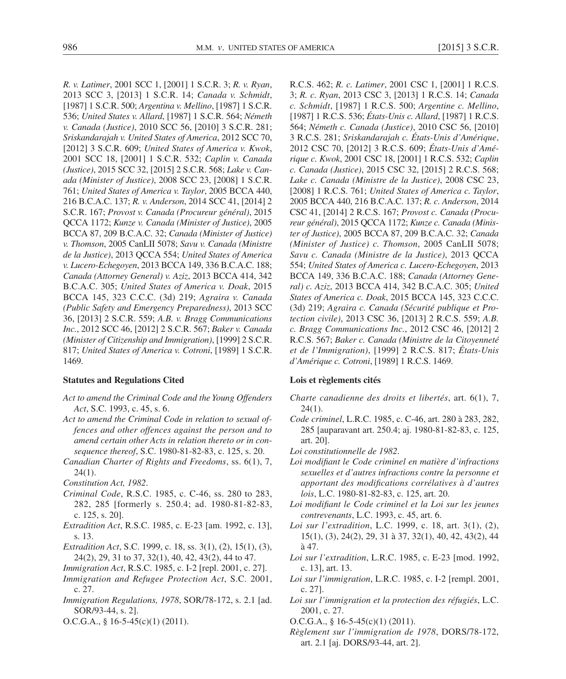*R. v. Latimer*, 2001 SCC 1, [2001] 1 S.C.R. 3; *R. v. Ryan*, 2013 SCC 3, [2013] 1 S.C.R. 14; *Canada v. Schmidt*, [1987] 1 S.C.R. 500; *Argentina v. Mellino*, [1987] 1 S.C.R. 536; *United States v. Allard*, [1987] 1 S.C.R. 564; *Németh v. Canada (Justice)*, 2010 SCC 56, [2010] 3 S.C.R. 281; *Sriskandarajah v. United States of America*, 2012 SCC 70, [2012] 3 S.C.R. 609; *United States of America v. Kwok*, 2001 SCC 18, [2001] 1 S.C.R. 532; *Caplin v. Canada (Justice)*, 2015 SCC 32, [2015] 2 S.C.R. 568; *Lake v. Canada (Minister of Justice)*, 2008 SCC 23, [2008] 1 S.C.R. 761; *United States of America v. Taylor*, 2005 BCCA 440, 216 B.C.A.C. 137; *R. v. Anderson*, 2014 SCC 41, [2014] 2 S.C.R. 167; *Provost v. Canada (Procureur général)*, 2015 QCCA 1172; *Kunze v. Canada (Minister of Justice)*, 2005 BCCA 87, 209 B.C.A.C. 32; *Canada (Minister of Justice) v. Thomson*, 2005 CanLII 5078; *Savu v. Canada (Ministre de la Justice)*, 2013 QCCA 554; *United States of America v. Lucero-Echegoyen*, 2013 BCCA 149, 336 B.C.A.C. 188; *Canada (Attorney General) v. Aziz*, 2013 BCCA 414, 342 B.C.A.C. 305; *United States of America v. Doak*, 2015 BCCA 145, 323 C.C.C. (3d) 219; *Agraira v. Canada (Public Safety and Emergency Preparedness)*, 2013 SCC 36, [2013] 2 S.C.R. 559; *A.B. v. Bragg Communications Inc.*, 2012 SCC 46, [2012] 2 S.C.R. 567; *Baker v. Canada (Minister of Citizenship and Immigration)*, [1999] 2 S.C.R. 817; *United States of America v. Cotroni*, [1989] 1 S.C.R. 1469.

#### **Statutes and Regulations Cited**

- *Act to amend the Criminal Code and the Young Offenders Act*, S.C. 1993, c. 45, s. 6.
- *Act to amend the Criminal Code in relation to sexual offences and other offences against the person and to amend certain other Acts in relation thereto or in consequence thereof*, S.C. 1980-81-82-83, c. 125, s. 20.
- *Canadian Charter of Rights and Freedoms*, ss. 6(1), 7,  $24(1)$ .
- *Constitution Act, 1982*.
- *Criminal Code*, R.S.C. 1985, c. C-46, ss. 280 to 283, 282, 285 [formerly s. 250.4; ad. 1980-81-82-83, c. 125, s. 20].
- *Extradition Act*, R.S.C. 1985, c. E-23 [am. 1992, c. 13], s. 13.
- *Extradition Act*, S.C. 1999, c. 18, ss. 3(1), (2), 15(1), (3), 24(2), 29, 31 to 37, 32(1), 40, 42, 43(2), 44 to 47.
- *Immigration Act*, R.S.C. 1985, c. I-2 [repl. 2001, c. 27].
- *Immigration and Refugee Protection Act*, S.C. 2001, c. 27.
- *Immigration Regulations, 1978*, SOR/78-172, s. 2.1 [ad. SOR/93-44, s. 2].
- O.C.G.A., § 16-5-45(c)(1) (2011).

R.C.S. 462; *R. c. Latimer*, 2001 CSC 1, [2001] 1 R.C.S. 3; *R. c. Ryan*, 2013 CSC 3, [2013] 1 R.C.S. 14; *Canada c. Schmidt*, [1987] 1 R.C.S. 500; *Argentine c. Mellino*, [1987] 1 R.C.S. 536; *États-Unis c. Allard*, [1987] 1 R.C.S. 564; *Németh c. Canada (Justice)*, 2010 CSC 56, [2010] 3 R.C.S. 281; *Sriskandarajah c. États-Unis d'Amérique*, 2012 CSC 70, [2012] 3 R.C.S. 609; *États-Unis d'Amérique c. Kwok*, 2001 CSC 18, [2001] 1 R.C.S. 532; *Caplin c. Canada (Justice)*, 2015 CSC 32, [2015] 2 R.C.S. 568; *Lake c. Canada (Ministre de la Justice)*, 2008 CSC 23, [2008] 1 R.C.S. 761; *United States of America c. Taylor*, 2005 BCCA 440, 216 B.C.A.C. 137; *R. c. Anderson*, 2014 CSC 41, [2014] 2 R.C.S. 167; *Provost c. Canada (Procureur général)*, 2015 QCCA 1172; *Kunze c. Canada (Minister of Justice)*, 2005 BCCA 87, 209 B.C.A.C. 32; *Canada (Minister of Justice) c. Thomson*, 2005 CanLII 5078; *Savu c. Canada (Ministre de la Justice)*, 2013 QCCA 554; *United States of America c. Lucero-Echegoyen*, 2013 BCCA 149, 336 B.C.A.C. 188; *Canada (Attorney General) c. Aziz*, 2013 BCCA 414, 342 B.C.A.C. 305; *United States of America c. Doak*, 2015 BCCA 145, 323 C.C.C. (3d) 219; *Agraira c. Canada (Sécurité publique et Protection civile)*, 2013 CSC 36, [2013] 2 R.C.S. 559; *A.B. c. Bragg Communications Inc.*, 2012 CSC 46, [2012] 2 R.C.S. 567; *Baker c. Canada (Ministre de la Citoyenneté et de l'Immigration)*, [1999] 2 R.C.S. 817; *États-Unis d'Amérique c. Cotroni*, [1989] 1 R.C.S. 1469.

#### **Lois et règlements cités**

- *Charte canadienne des droits et libertés*, art. 6(1), 7,  $24(1)$ .
- *Code criminel*, L.R.C. 1985, c. C-46, art. 280 à 283, 282, 285 [auparavant art. 250.4; aj. 1980-81-82-83, c. 125, art. 20].
- *Loi constitutionnelle de 1982*.
- *Loi modifiant le Code criminel en matière d'infractions sexuelles et d'autres infractions contre la personne et apportant des modifications corrélatives à d'autres lois*, L.C. 1980-81-82-83, c. 125, art. 20.
- *Loi modifiant le Code criminel et la Loi sur les jeunes contrevenants*, L.C. 1993, c. 45, art. 6.
- *Loi sur l'extradition*, L.C. 1999, c. 18, art. 3(1), (2), 15(1), (3), 24(2), 29, 31 à 37, 32(1), 40, 42, 43(2), 44 à 47.
- *Loi sur l'extradition*, L.R.C. 1985, c. E-23 [mod. 1992, c. 13], art. 13.
- *Loi sur l'immigration*, L.R.C. 1985, c. I-2 [rempl. 2001, c. 27].
- *Loi sur l'immigration et la protection des réfugiés*, L.C. 2001, c. 27.
- O.C.G.A., § 16-5-45(c)(1) (2011).
- *Règlement sur l'immigration de 1978*, DORS/78-172, art. 2.1 [aj. DORS/93-44, art. 2].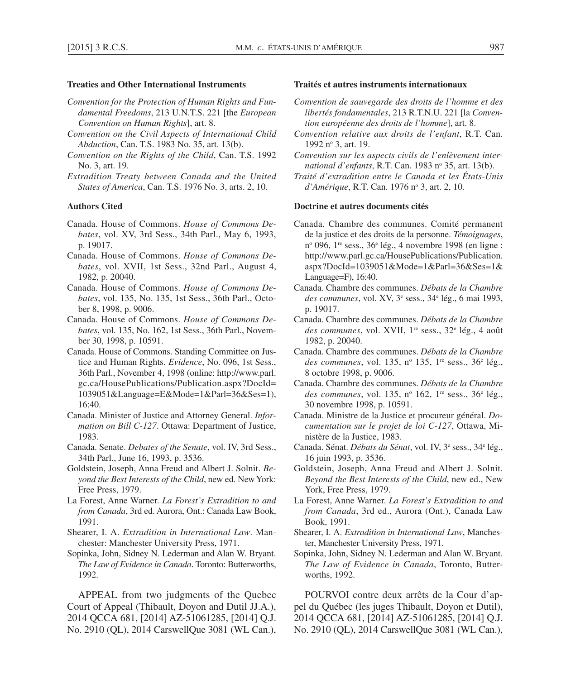### **Treaties and Other International Instruments**

- *Convention for the Protection of Human Rights and Fundamental Freedoms*, 213 U.N.T.S. 221 [the *European Convention on Human Rights*], art. 8.
- *Convention on the Civil Aspects of International Child Abduction*, Can. T.S. 1983 No. 35, art. 13(b).
- *Convention on the Rights of the Child*, Can. T.S. 1992 No. 3, art. 19.
- *Extradition Treaty between Canada and the United States of America*, Can. T.S. 1976 No. 3, arts. 2, 10.

#### **Authors Cited**

- Canada. House of Commons. *House of Commons Debates*, vol. XV, 3rd Sess., 34th Parl., May 6, 1993, p. 19017.
- Canada. House of Commons. *House of Commons Debates*, vol. XVII, 1st Sess., 32nd Parl., August 4, 1982, p. 20040.
- Canada. House of Commons. *House of Commons Debates*, vol. 135, No. 135, 1st Sess., 36th Parl., October 8, 1998, p. 9006.
- Canada. House of Commons. *House of Commons Debates*, vol. 135, No. 162, 1st Sess., 36th Parl., November 30, 1998, p. 10591.
- Canada. House of Commons. Standing Committee on Justice and Human Rights. *Evidence*, No. 096, 1st Sess., 36th Parl., November 4, 1998 (online: http://www.parl. gc.ca/HousePublications/Publication.aspx?DocId= 1039051&Language=E&Mode=1&Parl=36&Ses=1), 16:40.
- Canada. Minister of Justice and Attorney General. *Information on Bill C-127*. Ottawa: Department of Justice, 1983.
- Canada. Senate. *Debates of the Senate*, vol. IV, 3rd Sess., 34th Parl., June 16, 1993, p. 3536.
- Goldstein, Joseph, Anna Freud and Albert J. Solnit. *Beyond the Best Interests of the Child*, new ed. New York: Free Press, 1979.
- La Forest, Anne Warner. *La Forest's Extradition to and from Canada*, 3rd ed. Aurora, Ont.: Canada Law Book, 1991.
- Shearer, I. A. *Extradition in International Law*. Manchester: Manchester University Press, 1971.
- Sopinka, John, Sidney N. Lederman and Alan W. Bryant. *The Law of Evidence in Canada*. Toronto: Butterworths, 1992.

APPEAL from two judgments of the Quebec Court of Appeal (Thibault, Doyon and Dutil JJ.A.), 2014 QCCA 681, [2014] AZ-51061285, [2014] Q.J. No. 2910 (QL), 2014 CarswellQue 3081 (WL Can.),

### **Traités et autres instruments internationaux**

- *Convention de sauvegarde des droits de l'homme et des libertés fondamentales*, 213 R.T.N.U. 221 [la *Convention européenne des droits de l'homme*], art. 8.
- *Convention relative aux droits de l'enfant*, R.T. Can. 1992 nº 3, art. 19.
- *Convention sur les aspects civils de l'enlèvement inter*national d'enfants, R.T. Can. 1983 nº 35, art. 13(b).
- *Traité d'extradition entre le Canada et les États-Unis*  d'Amérique, R.T. Can. 1976 nº 3, art. 2, 10.

#### **Doctrine et autres documents cités**

- Canada. Chambre des communes. Comité permanent de la justice et des droits de la personne. *Témoignages*, n<sup>o</sup> 096, 1<sup>re</sup> sess., 36<sup>e</sup> lég., 4 novembre 1998 (en ligne : http://www.parl.gc.ca/HousePublications/Publication. aspx?DocId=1039051&Mode=1&Parl=36&Ses=1& Language=F), 16:40.
- Canada. Chambre des communes. *Débats de la Chambre*  des communes, vol. XV, 3<sup>e</sup> sess., 34<sup>e</sup> lég., 6 mai 1993, p. 19017.
- Canada. Chambre des communes. *Débats de la Chambre*  des communes, vol. XVII, 1<sup>re</sup> sess., 32<sup>e</sup> lég., 4 août 1982, p. 20040.
- Canada. Chambre des communes. *Débats de la Chambre*  des communes, vol. 135, nº 135, 1<sup>re</sup> sess., 36<sup>e</sup> lég., 8 octobre 1998, p. 9006.
- Canada. Chambre des communes. *Débats de la Chambre*  des communes, vol. 135, nº 162, 1<sup>re</sup> sess., 36<sup>e</sup> lég., 30 novembre 1998, p. 10591.
- Canada. Ministre de la Justice et procureur général. *Documentation sur le projet de loi C-127*, Ottawa, Ministère de la Justice, 1983.
- Canada. Sénat. *Débats du Sénat*, vol. IV, 3<sup>e</sup> sess., 34<sup>e</sup> lég., 16 juin 1993, p. 3536.
- Goldstein, Joseph, Anna Freud and Albert J. Solnit. *Beyond the Best Interests of the Child*, new ed., New York, Free Press, 1979.
- La Forest, Anne Warner. *La Forest's Extradition to and from Canada*, 3rd ed., Aurora (Ont.), Canada Law Book, 1991.
- Shearer, I. A. *Extradition in International Law*, Manchester, Manchester University Press, 1971.
- Sopinka, John, Sidney N. Lederman and Alan W. Bryant. *The Law of Evidence in Canada*, Toronto, Butterworths, 1992.

POURVOI contre deux arrêts de la Cour d'appel du Québec (les juges Thibault, Doyon et Dutil), 2014 QCCA 681, [2014] AZ-51061285, [2014] Q.J. No. 2910 (QL), 2014 CarswellQue 3081 (WL Can.),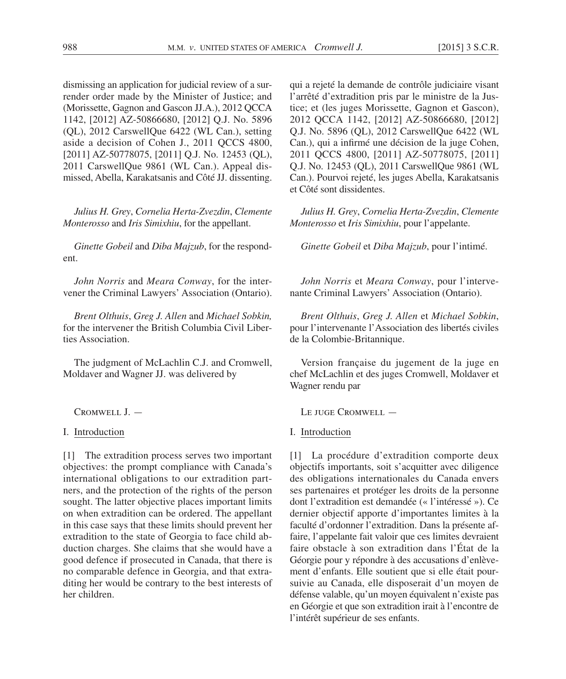dismissing an application for judicial review of a surrender order made by the Minister of Justice; and (Morissette, Gagnon and Gascon JJ.A.), 2012 QCCA 1142, [2012] AZ-50866680, [2012] Q.J. No. 5896 (QL), 2012 CarswellQue 6422 (WL Can.), setting aside a decision of Cohen J., 2011 QCCS 4800, [2011] AZ-50778075, [2011] Q.J. No. 12453 (QL), 2011 CarswellQue 9861 (WL Can.). Appeal dismissed, Abella, Karakatsanis and Côté JJ. dissenting.

*Julius H. Grey*, *Cornelia Herta-Zvezdin*, *Clemente Monterosso* and *Iris Simixhiu*, for the appellant.

*Ginette Gobeil* and *Diba Majzub*, for the respondent.

*John Norris* and *Meara Conway*, for the intervener the Criminal Lawyers' Association (Ontario).

*Brent Olthuis*, *Greg J. Allen* and *Michael Sobkin,*  for the intervener the British Columbia Civil Liberties Association.

The judgment of McLachlin C.J. and Cromwell, Moldaver and Wagner JJ. was delivered by

Cromwell J. —

I. Introduction

[1] The extradition process serves two important objectives: the prompt compliance with Canada's international obligations to our extradition partners, and the protection of the rights of the person sought. The latter objective places important limits on when extradition can be ordered. The appellant in this case says that these limits should prevent her extradition to the state of Georgia to face child abduction charges. She claims that she would have a good defence if prosecuted in Canada, that there is no comparable defence in Georgia, and that extraditing her would be contrary to the best interests of her children.

qui a rejeté la demande de contrôle judiciaire visant l'arrêté d'extradition pris par le ministre de la Justice; et (les juges Morissette, Gagnon et Gascon), 2012 QCCA 1142, [2012] AZ-50866680, [2012] Q.J. No. 5896 (QL), 2012 CarswellQue 6422 (WL Can.), qui a infirmé une décision de la juge Cohen, 2011 QCCS 4800, [2011] AZ-50778075, [2011] Q.J. No. 12453 (QL), 2011 CarswellQue 9861 (WL Can.). Pourvoi rejeté, les juges Abella, Karakatsanis et Côté sont dissidentes.

*Julius H. Grey*, *Cornelia Herta-Zvezdin*, *Clemente Monterosso* et *Iris Simixhiu*, pour l'appelante.

*Ginette Gobeil* et *Diba Majzub*, pour l'intimé.

*John Norris* et *Meara Conway*, pour l'intervenante Criminal Lawyers' Association (Ontario).

*Brent Olthuis*, *Greg J. Allen* et *Michael Sobkin*, pour l'intervenante l'Association des libertés civiles de la Colombie-Britannique.

Version française du jugement de la juge en chef McLachlin et des juges Cromwell, Moldaver et Wagner rendu par

Le juge Cromwell —

I. Introduction

[1] La procédure d'extradition comporte deux objectifs importants, soit s'acquitter avec diligence des obligations internationales du Canada envers ses partenaires et protéger les droits de la personne dont l'extradition est demandée (« l'intéressé »). Ce dernier objectif apporte d'importantes limites à la faculté d'ordonner l'extradition. Dans la présente affaire, l'appelante fait valoir que ces limites devraient faire obstacle à son extradition dans l'État de la Géorgie pour y répondre à des accusations d'enlèvement d'enfants. Elle soutient que si elle était poursuivie au Canada, elle disposerait d'un moyen de défense valable, qu'un moyen équivalent n'existe pas en Géorgie et que son extradition irait à l'encontre de l'intérêt supérieur de ses enfants.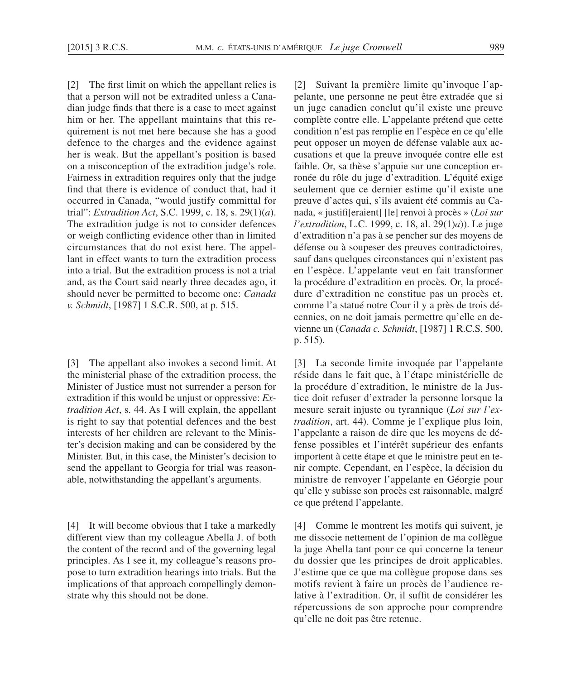[2] The first limit on which the appellant relies is that a person will not be extradited unless a Canadian judge finds that there is a case to meet against him or her. The appellant maintains that this requirement is not met here because she has a good defence to the charges and the evidence against her is weak. But the appellant's position is based on a misconception of the extradition judge's role. Fairness in extradition requires only that the judge find that there is evidence of conduct that, had it occurred in Canada, "would justify committal for trial": *Extradition Act*, S.C. 1999, c. 18, s. 29(1)(*a*). The extradition judge is not to consider defences or weigh conflicting evidence other than in limited circumstances that do not exist here. The appellant in effect wants to turn the extradition process into a trial. But the extradition process is not a trial and, as the Court said nearly three decades ago, it should never be permitted to become one: *Canada v. Schmidt*, [1987] 1 S.C.R. 500, at p. 515.

[3] The appellant also invokes a second limit. At the ministerial phase of the extradition process, the Minister of Justice must not surrender a person for extradition if this would be unjust or oppressive: *Extradition Act*, s. 44. As I will explain, the appellant is right to say that potential defences and the best interests of her children are relevant to the Minister's decision making and can be considered by the Minister. But, in this case, the Minister's decision to send the appellant to Georgia for trial was reasonable, notwithstanding the appellant's arguments.

[4] It will become obvious that I take a markedly different view than my colleague Abella J. of both the content of the record and of the governing legal principles. As I see it, my colleague's reasons propose to turn extradition hearings into trials. But the implications of that approach compellingly demonstrate why this should not be done.

[2] Suivant la première limite qu'invoque l'appelante, une personne ne peut être extradée que si un juge canadien conclut qu'il existe une preuve complète contre elle. L'appelante prétend que cette condition n'est pas remplie en l'espèce en ce qu'elle peut opposer un moyen de défense valable aux accusations et que la preuve invoquée contre elle est faible. Or, sa thèse s'appuie sur une conception erronée du rôle du juge d'extradition. L'équité exige seulement que ce dernier estime qu'il existe une preuve d'actes qui, s'ils avaient été commis au Canada, « justifi[eraient] [le] renvoi à procès » (*Loi sur l'extradition*, L.C. 1999, c. 18, al. 29(1)*a*)). Le juge d'extradition n'a pas à se pencher sur des moyens de défense ou à soupeser des preuves contradictoires, sauf dans quelques circonstances qui n'existent pas en l'espèce. L'appelante veut en fait transformer la procédure d'extradition en procès. Or, la procédure d'extradition ne constitue pas un procès et, comme l'a statué notre Cour il y a près de trois décennies, on ne doit jamais permettre qu'elle en devienne un (*Canada c. Schmidt*, [1987] 1 R.C.S. 500, p. 515).

[3] La seconde limite invoquée par l'appelante réside dans le fait que, à l'étape ministérielle de la procédure d'extradition, le ministre de la Justice doit refuser d'extrader la personne lorsque la mesure serait injuste ou tyrannique (*Loi sur l'extradition*, art. 44). Comme je l'explique plus loin, l'appelante a raison de dire que les moyens de défense possibles et l'intérêt supérieur des enfants importent à cette étape et que le ministre peut en tenir compte. Cependant, en l'espèce, la décision du ministre de renvoyer l'appelante en Géorgie pour qu'elle y subisse son procès est raisonnable, malgré ce que prétend l'appelante.

[4] Comme le montrent les motifs qui suivent, je me dissocie nettement de l'opinion de ma collègue la juge Abella tant pour ce qui concerne la teneur du dossier que les principes de droit applicables. J'estime que ce que ma collègue propose dans ses motifs revient à faire un procès de l'audience relative à l'extradition. Or, il suffit de considérer les répercussions de son approche pour comprendre qu'elle ne doit pas être retenue.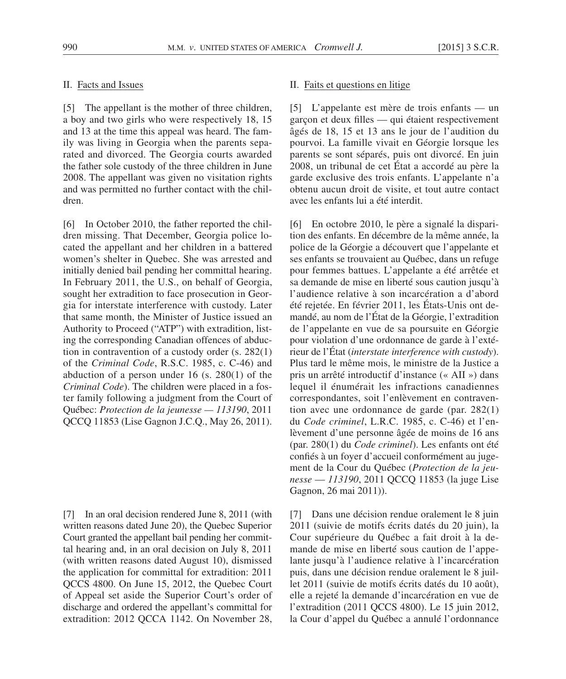# II. Facts and Issues

[5] The appellant is the mother of three children, a boy and two girls who were respectively 18, 15 and 13 at the time this appeal was heard. The family was living in Georgia when the parents separated and divorced. The Georgia courts awarded the father sole custody of the three children in June 2008. The appellant was given no visitation rights and was permitted no further contact with the children.

[6] In October 2010, the father reported the children missing. That December, Georgia police located the appellant and her children in a battered women's shelter in Quebec. She was arrested and initially denied bail pending her committal hearing. In February 2011, the U.S., on behalf of Georgia, sought her extradition to face prosecution in Georgia for interstate interference with custody. Later that same month, the Minister of Justice issued an Authority to Proceed ("ATP") with extradition, listing the corresponding Canadian offences of abduction in contravention of a custody order (s. 282(1) of the *Criminal Code*, R.S.C. 1985, c. C-46) and abduction of a person under 16 (s. 280(1) of the *Criminal Code*). The children were placed in a foster family following a judgment from the Court of Québec: *Protection de la jeunesse — 113190*, 2011 QCCQ 11853 (Lise Gagnon J.C.Q., May 26, 2011).

[7] In an oral decision rendered June 8, 2011 (with written reasons dated June 20), the Quebec Superior Court granted the appellant bail pending her committal hearing and, in an oral decision on July 8, 2011 (with written reasons dated August 10), dismissed the application for committal for extradition: 2011 QCCS 4800. On June 15, 2012, the Quebec Court of Appeal set aside the Superior Court's order of discharge and ordered the appellant's committal for extradition: 2012 QCCA 1142. On November 28,

## II. Faits et questions en litige

[5] L'appelante est mère de trois enfants — un garçon et deux filles — qui étaient respectivement âgés de 18, 15 et 13 ans le jour de l'audition du pourvoi. La famille vivait en Géorgie lorsque les parents se sont séparés, puis ont divorcé. En juin 2008, un tribunal de cet État a accordé au père la garde exclusive des trois enfants. L'appelante n'a obtenu aucun droit de visite, et tout autre contact avec les enfants lui a été interdit.

[6] En octobre 2010, le père a signalé la disparition des enfants. En décembre de la même année, la police de la Géorgie a découvert que l'appelante et ses enfants se trouvaient au Québec, dans un refuge pour femmes battues. L'appelante a été arrêtée et sa demande de mise en liberté sous caution jusqu'à l'audience relative à son incarcération a d'abord été rejetée. En février 2011, les États-Unis ont demandé, au nom de l'État de la Géorgie, l'extradition de l'appelante en vue de sa poursuite en Géorgie pour violation d'une ordonnance de garde à l'extérieur de l'État (*interstate interference with custody*). Plus tard le même mois, le ministre de la Justice a pris un arrêté introductif d'instance (« AII ») dans lequel il énumérait les infractions canadiennes correspondantes, soit l'enlèvement en contravention avec une ordonnance de garde (par. 282(1) du *Code criminel*, L.R.C. 1985, c. C-46) et l'enlèvement d'une personne âgée de moins de 16 ans (par. 280(1) du *Code criminel*). Les enfants ont été confiés à un foyer d'accueil conformément au jugement de la Cour du Québec (*Protection de la jeunesse* — *113190*, 2011 QCCQ 11853 (la juge Lise Gagnon, 26 mai 2011)).

[7] Dans une décision rendue oralement le 8 juin 2011 (suivie de motifs écrits datés du 20 juin), la Cour supérieure du Québec a fait droit à la demande de mise en liberté sous caution de l'appelante jusqu'à l'audience relative à l'incarcération puis, dans une décision rendue oralement le 8 juillet 2011 (suivie de motifs écrits datés du 10 août), elle a rejeté la demande d'incarcération en vue de l'extradition (2011 QCCS 4800). Le 15 juin 2012, la Cour d'appel du Québec a annulé l'ordonnance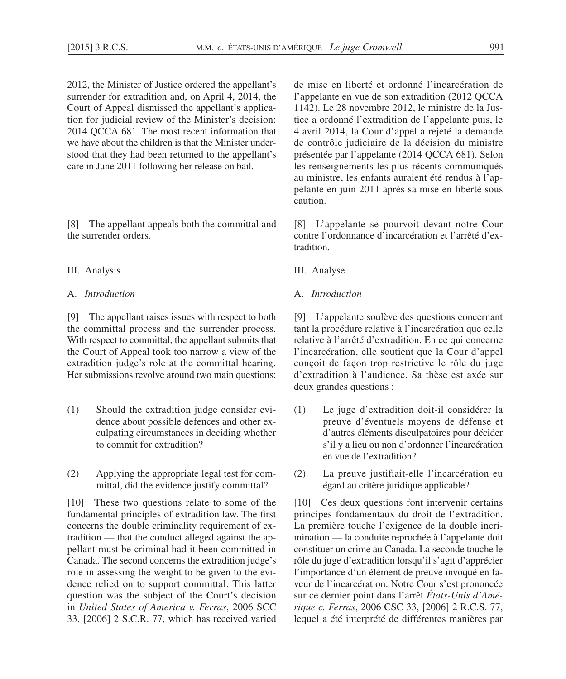2012, the Minister of Justice ordered the appellant's surrender for extradition and, on April 4, 2014, the Court of Appeal dismissed the appellant's application for judicial review of the Minister's decision: 2014 QCCA 681. The most recent information that we have about the children is that the Minister understood that they had been returned to the appellant's care in June 2011 following her release on bail.

[8] The appellant appeals both the committal and the surrender orders.

# III. Analysis

# A. *Introduction*

[9] The appellant raises issues with respect to both the committal process and the surrender process. With respect to committal, the appellant submits that the Court of Appeal took too narrow a view of the extradition judge's role at the committal hearing. Her submissions revolve around two main questions:

- (1) Should the extradition judge consider evidence about possible defences and other exculpating circumstances in deciding whether to commit for extradition?
- (2) Applying the appropriate legal test for committal, did the evidence justify committal?

[10] These two questions relate to some of the fundamental principles of extradition law. The first concerns the double criminality requirement of extradition — that the conduct alleged against the appellant must be criminal had it been committed in Canada. The second concerns the extradition judge's role in assessing the weight to be given to the evidence relied on to support committal. This latter question was the subject of the Court's decision in *United States of America v. Ferras*, 2006 SCC 33, [2006] 2 S.C.R. 77, which has received varied de mise en liberté et ordonné l'incarcération de l'appelante en vue de son extradition (2012 QCCA 1142). Le 28 novembre 2012, le ministre de la Justice a ordonné l'extradition de l'appelante puis, le 4 avril 2014, la Cour d'appel a rejeté la demande de contrôle judiciaire de la décision du ministre présentée par l'appelante (2014 QCCA 681). Selon les renseignements les plus récents communiqués au ministre, les enfants auraient été rendus à l'appelante en juin 2011 après sa mise en liberté sous caution.

[8] L'appelante se pourvoit devant notre Cour contre l'ordonnance d'incarcération et l'arrêté d'extradition.

# III. Analyse

## A. *Introduction*

[9] L'appelante soulève des questions concernant tant la procédure relative à l'incarcération que celle relative à l'arrêté d'extradition. En ce qui concerne l'incarcération, elle soutient que la Cour d'appel conçoit de façon trop restrictive le rôle du juge d'extradition à l'audience. Sa thèse est axée sur deux grandes questions :

- (1) Le juge d'extradition doit-il considérer la preuve d'éventuels moyens de défense et d'autres éléments disculpatoires pour décider s'il y a lieu ou non d'ordonner l'incarcération en vue de l'extradition?
- (2) La preuve justifiait-elle l'incarcération eu égard au critère juridique applicable?

[10] Ces deux questions font intervenir certains principes fondamentaux du droit de l'extradition. La première touche l'exigence de la double incrimination — la conduite reprochée à l'appelante doit constituer un crime au Canada. La seconde touche le rôle du juge d'extradition lorsqu'il s'agit d'apprécier l'importance d'un élément de preuve invoqué en faveur de l'incarcération. Notre Cour s'est prononcée sur ce dernier point dans l'arrêt *États-Unis d'Amérique c. Ferras*, 2006 CSC 33, [2006] 2 R.C.S. 77, lequel a été interprété de différentes manières par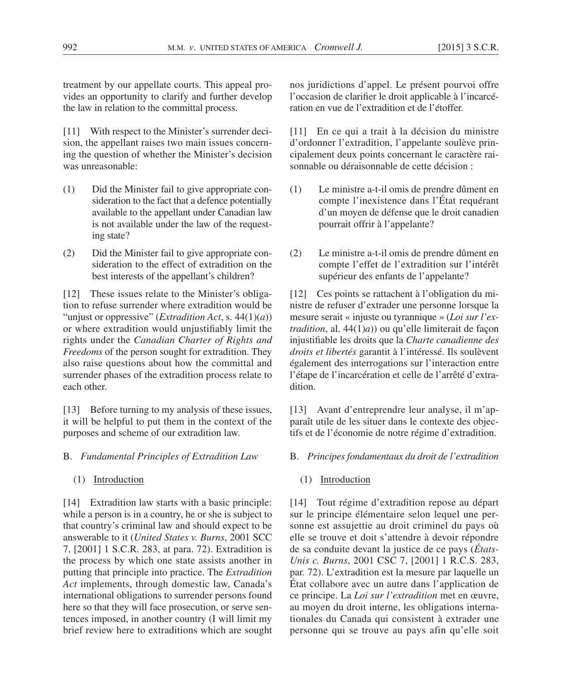treatment by our appellate courts. This appeal provides an opportunity to clarify and further develop the law in relation to the committal process.

[11] With respect to the Minister's surrender decision, the appellant raises two main issues concerning the question of whether the Minister's decision was unreasonable:

- (1) Did the Minister fail to give appropriate consideration to the fact that a defence potentially available to the appellant under Canadian law is not available under the law of the requesting state?
- (2) Did the Minister fail to give appropriate consideration to the effect of extradition on the best interests of the appellant's children?

[12] These issues relate to the Minister's obligation to refuse surrender where extradition would be "unjust or oppressive" (*Extradition Act*, s. 44(1)(*a*)) or where extradition would unjustifiably limit the rights under the *Canadian Charter of Rights and Freedoms* of the person sought for extradition. They also raise questions about how the committal and surrender phases of the extradition process relate to each other.

[13] Before turning to my analysis of these issues, it will be helpful to put them in the context of the purposes and scheme of our extradition law.

# B. *Fundamental Principles of Extradition Law*

(1) Introduction

[14] Extradition law starts with a basic principle: while a person is in a country, he or she is subject to that country's criminal law and should expect to be answerable to it (*United States v. Burns*, 2001 SCC 7, [2001] 1 S.C.R. 283, at para. 72). Extradition is the process by which one state assists another in putting that principle into practice. The *Extradition Act* implements, through domestic law, Canada's international obligations to surrender persons found here so that they will face prosecution, or serve sentences imposed, in another country (I will limit my brief review here to extraditions which are sought

nos juridictions d'appel. Le présent pourvoi offre l'occasion de clarifier le droit applicable à l'incarcération en vue de l'extradition et de l'étoffer.

[11] En ce qui a trait à la décision du ministre d'ordonner l'extradition, l'appelante soulève principalement deux points concernant le caractère raisonnable ou déraisonnable de cette décision :

- (1) Le ministre a-t-il omis de prendre dûment en compte l'inexistence dans l'État requérant d'un moyen de défense que le droit canadien pourrait offrir à l'appelante?
- (2) Le ministre a-t-il omis de prendre dûment en compte l'effet de l'extradition sur l'intérêt supérieur des enfants de l'appelante?

[12] Ces points se rattachent à l'obligation du ministre de refuser d'extrader une personne lorsque la mesure serait « injuste ou tyrannique » (*Loi sur l'extradition*, al.  $44(1)a$ ) ou qu'elle limiterait de façon injustifiable les droits que la *Charte canadienne des droits et libertés* garantit à l'intéressé. Ils soulèvent également des interrogations sur l'interaction entre l'étape de l'incarcération et celle de l'arrêté d'extradition.

[13] Avant d'entreprendre leur analyse, il m'apparaît utile de les situer dans le contexte des objectifs et de l'économie de notre régime d'extradition.

## B. *Principes fondamentaux du droit de l'extradition*

(1) Introduction

[14] Tout régime d'extradition repose au départ sur le principe élémentaire selon lequel une personne est assujettie au droit criminel du pays où elle se trouve et doit s'attendre à devoir répondre de sa conduite devant la justice de ce pays (*États-Unis c. Burns*, 2001 CSC 7, [2001] 1 R.C.S. 283, par. 72). L'extradition est la mesure par laquelle un État collabore avec un autre dans l'application de ce principe. La *Loi sur l'extradition* met en œuvre, au moyen du droit interne, les obligations internationales du Canada qui consistent à extrader une personne qui se trouve au pays afin qu'elle soit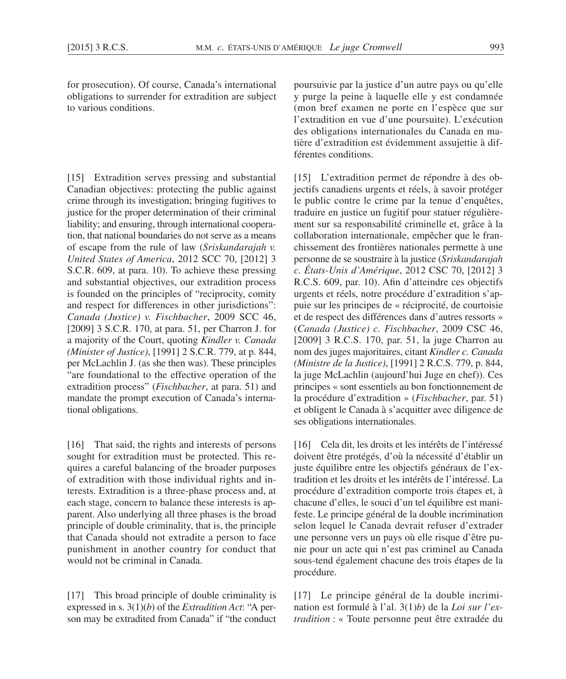for prosecution). Of course, Canada's international obligations to surrender for extradition are subject to various conditions.

[15] Extradition serves pressing and substantial Canadian objectives: protecting the public against crime through its investigation; bringing fugitives to justice for the proper determination of their criminal liability; and ensuring, through international cooperation, that national boundaries do not serve as a means of escape from the rule of law (*Sriskandarajah v. United States of America*, 2012 SCC 70, [2012] 3 S.C.R. 609, at para. 10). To achieve these pressing and substantial objectives, our extradition process is founded on the principles of "reciprocity, comity and respect for differences in other jurisdictions": *Canada (Justice) v. Fischbacher*, 2009 SCC 46, [2009] 3 S.C.R. 170, at para. 51, per Charron J. for a majority of the Court, quoting *Kindler v. Canada (Minister of Justice)*, [1991] 2 S.C.R. 779, at p. 844, per McLachlin J. (as she then was). These principles "are foundational to the effective operation of the extradition process" (*Fischbacher*, at para. 51) and mandate the prompt execution of Canada's international obligations.

[16] That said, the rights and interests of persons sought for extradition must be protected. This requires a careful balancing of the broader purposes of extradition with those individual rights and interests. Extradition is a three-phase process and, at each stage, concern to balance these interests is apparent. Also underlying all three phases is the broad principle of double criminality, that is, the principle that Canada should not extradite a person to face punishment in another country for conduct that would not be criminal in Canada.

[17] This broad principle of double criminality is expressed in s. 3(1)(*b*) of the *Extradition Act*: "A person may be extradited from Canada" if "the conduct poursuivie par la justice d'un autre pays ou qu'elle y purge la peine à laquelle elle y est condamnée (mon bref examen ne porte en l'espèce que sur l'extradition en vue d'une poursuite). L'exécution des obligations internationales du Canada en matière d'extradition est évidemment assujettie à différentes conditions.

[15] L'extradition permet de répondre à des objectifs canadiens urgents et réels, à savoir protéger le public contre le crime par la tenue d'enquêtes, traduire en justice un fugitif pour statuer régulièrement sur sa responsabilité criminelle et, grâce à la collaboration internationale, empêcher que le franchissement des frontières nationales permette à une personne de se soustraire à la justice (*Sriskandarajah c. États-Unis d'Amérique*, 2012 CSC 70, [2012] 3 R.C.S. 609, par. 10). Afin d'atteindre ces objectifs urgents et réels, notre procédure d'extradition s'appuie sur les principes de « réciprocité, de courtoisie et de respect des différences dans d'autres ressorts » (*Canada (Justice) c. Fischbacher*, 2009 CSC 46, [2009] 3 R.C.S. 170, par. 51, la juge Charron au nom des juges majoritaires, citant *Kindler c. Canada (Ministre de la Justice)*, [1991] 2 R.C.S. 779, p. 844, la juge McLachlin (aujourd'hui Juge en chef)). Ces principes « sont essentiels au bon fonctionnement de la procédure d'extradition » (*Fischbacher*, par. 51) et obligent le Canada à s'acquitter avec diligence de ses obligations internationales.

[16] Cela dit, les droits et les intérêts de l'intéressé doivent être protégés, d'où la nécessité d'établir un juste équilibre entre les objectifs généraux de l'extradition et les droits et les intérêts de l'intéressé. La procédure d'extradition comporte trois étapes et, à chacune d'elles, le souci d'un tel équilibre est manifeste. Le principe général de la double incrimination selon lequel le Canada devrait refuser d'extrader une personne vers un pays où elle risque d'être punie pour un acte qui n'est pas criminel au Canada sous-tend également chacune des trois étapes de la procédure.

[17] Le principe général de la double incrimination est formulé à l'al. 3(1)*b*) de la *Loi sur l'extradition* : « Toute personne peut être extradée du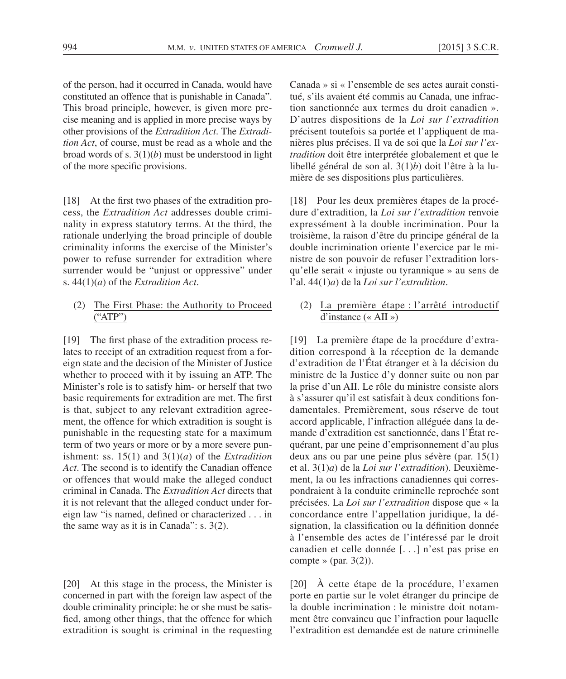of the person, had it occurred in Canada, would have constituted an offence that is punishable in Canada". This broad principle, however, is given more precise meaning and is applied in more precise ways by other provisions of the *Extradition Act*. The *Extradition Act*, of course, must be read as a whole and the broad words of s. 3(1)(*b*) must be understood in light of the more specific provisions.

[18] At the first two phases of the extradition process, the *Extradition Act* addresses double criminality in express statutory terms. At the third, the rationale underlying the broad principle of double criminality informs the exercise of the Minister's power to refuse surrender for extradition where surrender would be "unjust or oppressive" under s. 44(1)(*a*) of the *Extradition Act*.

# (2) The First Phase: the Authority to Proceed  $\overline{(^{\prime\prime}ATP^{\prime\prime})}$

[19] The first phase of the extradition process relates to receipt of an extradition request from a foreign state and the decision of the Minister of Justice whether to proceed with it by issuing an ATP. The Minister's role is to satisfy him- or herself that two basic requirements for extradition are met. The first is that, subject to any relevant extradition agreement, the offence for which extradition is sought is punishable in the requesting state for a maximum term of two years or more or by a more severe punishment: ss.  $15(1)$  and  $3(1)(a)$  of the *Extradition Act*. The second is to identify the Canadian offence or offences that would make the alleged conduct criminal in Canada. The *Extradition Act* directs that it is not relevant that the alleged conduct under foreign law "is named, defined or characterized . . . in the same way as it is in Canada": s. 3(2).

[20] At this stage in the process, the Minister is concerned in part with the foreign law aspect of the double criminality principle: he or she must be satisfied, among other things, that the offence for which extradition is sought is criminal in the requesting Canada » si « l'ensemble de ses actes aurait constitué, s'ils avaient été commis au Canada, une infraction sanctionnée aux termes du droit canadien ». D'autres dispositions de la *Loi sur l'extradition* précisent toutefois sa portée et l'appliquent de manières plus précises. Il va de soi que la *Loi sur l'extradition* doit être interprétée globalement et que le libellé général de son al. 3(1)*b*) doit l'être à la lumière de ses dispositions plus particulières.

[18] Pour les deux premières étapes de la procédure d'extradition, la *Loi sur l'extradition* renvoie expressément à la double incrimination. Pour la troisième, la raison d'être du principe général de la double incrimination oriente l'exercice par le ministre de son pouvoir de refuser l'extradition lorsqu'elle serait « injuste ou tyrannique » au sens de l'al. 44(1)*a*) de la *Loi sur l'extradition*.

(2) La première étape : l'arrêté introductif d'instance (« AII »)

[19] La première étape de la procédure d'extradition correspond à la réception de la demande d'extradition de l'État étranger et à la décision du ministre de la Justice d'y donner suite ou non par la prise d'un AII. Le rôle du ministre consiste alors à s'assurer qu'il est satisfait à deux conditions fondamentales. Premièrement, sous réserve de tout accord applicable, l'infraction alléguée dans la demande d'extradition est sanctionnée, dans l'État requérant, par une peine d'emprisonnement d'au plus deux ans ou par une peine plus sévère (par.  $15(1)$ ) et al. 3(1)*a*) de la *Loi sur l'extradition*). Deuxièmement, la ou les infractions canadiennes qui correspondraient à la conduite criminelle reprochée sont précisées. La *Loi sur l'extradition* dispose que « la concordance entre l'appellation juridique, la désignation, la classification ou la définition donnée à l'ensemble des actes de l'intéressé par le droit canadien et celle donnée [. . .] n'est pas prise en compte » (par.  $3(2)$ ).

[20] À cette étape de la procédure, l'examen porte en partie sur le volet étranger du principe de la double incrimination : le ministre doit notamment être convaincu que l'infraction pour laquelle l'extradition est demandée est de nature criminelle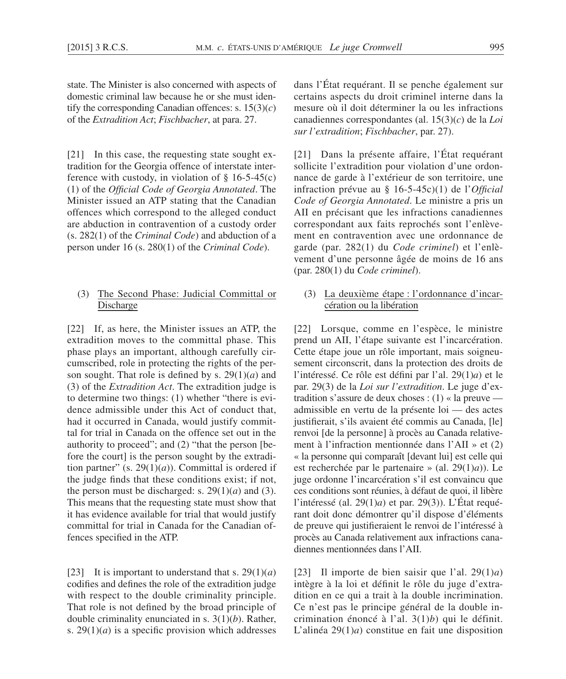state. The Minister is also concerned with aspects of domestic criminal law because he or she must identify the corresponding Canadian offences: s. 15(3)(*c*) of the *Extradition Act*; *Fischbacher*, at para. 27.

[21] In this case, the requesting state sought extradition for the Georgia offence of interstate interference with custody, in violation of  $\S$  16-5-45(c) (1) of the *Official Code of Georgia Annotated*. The Minister issued an ATP stating that the Canadian offences which correspond to the alleged conduct are abduction in contravention of a custody order (s. 282(1) of the *Criminal Code*) and abduction of a person under 16 (s. 280(1) of the *Criminal Code*).

# (3) The Second Phase: Judicial Committal or Discharge

[22] If, as here, the Minister issues an ATP, the extradition moves to the committal phase. This phase plays an important, although carefully circumscribed, role in protecting the rights of the person sought. That role is defined by s. 29(1)(*a*) and (3) of the *Extradition Act*. The extradition judge is to determine two things: (1) whether "there is evidence admissible under this Act of conduct that, had it occurred in Canada, would justify committal for trial in Canada on the offence set out in the authority to proceed"; and (2) "that the person [before the court] is the person sought by the extradition partner" (s. 29(1)(*a*)). Committal is ordered if the judge finds that these conditions exist; if not, the person must be discharged: s.  $29(1)(a)$  and (3). This means that the requesting state must show that it has evidence available for trial that would justify committal for trial in Canada for the Canadian offences specified in the ATP.

[23] It is important to understand that s.  $29(1)(a)$ codifies and defines the role of the extradition judge with respect to the double criminality principle. That role is not defined by the broad principle of double criminality enunciated in s. 3(1)(*b*). Rather, s.  $29(1)(a)$  is a specific provision which addresses dans l'État requérant. Il se penche également sur certains aspects du droit criminel interne dans la mesure où il doit déterminer la ou les infractions canadiennes correspondantes (al. 15(3)(*c*) de la *Loi sur l'extradition*; *Fischbacher*, par. 27).

[21] Dans la présente affaire, l'État requérant sollicite l'extradition pour violation d'une ordonnance de garde à l'extérieur de son territoire, une infraction prévue au § 16-5-45c)(1) de l'*Official Code of Georgia Annotated*. Le ministre a pris un AII en précisant que les infractions canadiennes correspondant aux faits reprochés sont l'enlèvement en contravention avec une ordonnance de garde (par. 282(1) du *Code criminel*) et l'enlèvement d'une personne âgée de moins de 16 ans (par. 280(1) du *Code criminel*).

(3) La deuxième étape : l'ordonnance d'incarcération ou la libération

[22] Lorsque, comme en l'espèce, le ministre prend un AII, l'étape suivante est l'incarcération. Cette étape joue un rôle important, mais soigneusement circonscrit, dans la protection des droits de l'intéressé. Ce rôle est défini par l'al. 29(1)*a*) et le par. 29(3) de la *Loi sur l'extradition*. Le juge d'extradition s'assure de deux choses : (1) « la preuve admissible en vertu de la présente loi — des actes justifierait, s'ils avaient été commis au Canada, [le] renvoi [de la personne] à procès au Canada relativement à l'infraction mentionnée dans l'AII » et (2) « la personne qui comparaît [devant lui] est celle qui est recherchée par le partenaire » (al. 29(1)*a*)). Le juge ordonne l'incarcération s'il est convaincu que ces conditions sont réunies, à défaut de quoi, il libère l'intéressé (al. 29(1)*a*) et par. 29(3)). L'État requérant doit donc démontrer qu'il dispose d'éléments de preuve qui justifieraient le renvoi de l'intéressé à procès au Canada relativement aux infractions canadiennes mentionnées dans l'AII.

[23] Il importe de bien saisir que l'al. 29(1)*a*) intègre à la loi et définit le rôle du juge d'extradition en ce qui a trait à la double incrimination. Ce n'est pas le principe général de la double incrimination énoncé à l'al. 3(1)*b*) qui le définit. L'alinéa 29(1)*a*) constitue en fait une disposition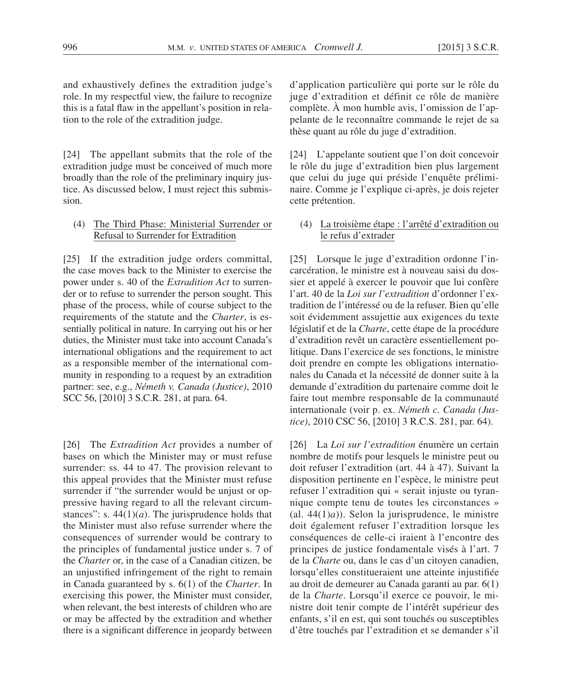and exhaustively defines the extradition judge's role. In my respectful view, the failure to recognize this is a fatal flaw in the appellant's position in relation to the role of the extradition judge.

[24] The appellant submits that the role of the extradition judge must be conceived of much more broadly than the role of the preliminary inquiry justice. As discussed below, I must reject this submission.

(4) The Third Phase: Ministerial Surrender or Refusal to Surrender for Extradition

[25] If the extradition judge orders committal, the case moves back to the Minister to exercise the power under s. 40 of the *Extradition Act* to surrender or to refuse to surrender the person sought. This phase of the process, while of course subject to the requirements of the statute and the *Charter*, is essentially political in nature. In carrying out his or her duties, the Minister must take into account Canada's international obligations and the requirement to act as a responsible member of the international community in responding to a request by an extradition partner: see, e.g., *Németh v. Canada (Justice)*, 2010 SCC 56, [2010] 3 S.C.R. 281, at para. 64.

[26] The *Extradition Act* provides a number of bases on which the Minister may or must refuse surrender: ss. 44 to 47. The provision relevant to this appeal provides that the Minister must refuse surrender if "the surrender would be unjust or oppressive having regard to all the relevant circumstances": s.  $44(1)(a)$ . The jurisprudence holds that the Minister must also refuse surrender where the consequences of surrender would be contrary to the principles of fundamental justice under s. 7 of the *Charter* or, in the case of a Canadian citizen, be an unjustified infringement of the right to remain in Canada guaranteed by s. 6(1) of the *Charter*. In exercising this power, the Minister must consider, when relevant, the best interests of children who are or may be affected by the extradition and whether there is a significant difference in jeopardy between

d'application particulière qui porte sur le rôle du juge d'extradition et définit ce rôle de manière complète. À mon humble avis, l'omission de l'appelante de le reconnaître commande le rejet de sa thèse quant au rôle du juge d'extradition.

[24] L'appelante soutient que l'on doit concevoir le rôle du juge d'extradition bien plus largement que celui du juge qui préside l'enquête préliminaire. Comme je l'explique ci-après, je dois rejeter cette prétention.

(4) La troisième étape : l'arrêté d'extradition ou le refus d'extrader

[25] Lorsque le juge d'extradition ordonne l'incarcération, le ministre est à nouveau saisi du dossier et appelé à exercer le pouvoir que lui confère l'art. 40 de la *Loi sur l'extradition* d'ordonner l'extradition de l'intéressé ou de la refuser. Bien qu'elle soit évidemment assujettie aux exigences du texte législatif et de la *Charte*, cette étape de la procédure d'extradition revêt un caractère essentiellement politique. Dans l'exercice de ses fonctions, le ministre doit prendre en compte les obligations internationales du Canada et la nécessité de donner suite à la demande d'extradition du partenaire comme doit le faire tout membre responsable de la communauté internationale (voir p. ex. *Németh c. Canada (Justice)*, 2010 CSC 56, [2010] 3 R.C.S. 281, par. 64).

[26] La *Loi sur l'extradition* énumère un certain nombre de motifs pour lesquels le ministre peut ou doit refuser l'extradition (art. 44 à 47). Suivant la disposition pertinente en l'espèce, le ministre peut refuser l'extradition qui « serait injuste ou tyrannique compte tenu de toutes les circonstances » (al. 44(1)*a*)). Selon la jurisprudence, le ministre doit également refuser l'extradition lorsque les conséquences de celle-ci iraient à l'encontre des principes de justice fondamentale visés à l'art. 7 de la *Charte* ou, dans le cas d'un citoyen canadien, lorsqu'elles constitueraient une atteinte injustifiée au droit de demeurer au Canada garanti au par. 6(1) de la *Charte*. Lorsqu'il exerce ce pouvoir, le ministre doit tenir compte de l'intérêt supérieur des enfants, s'il en est, qui sont touchés ou susceptibles d'être touchés par l'extradition et se demander s'il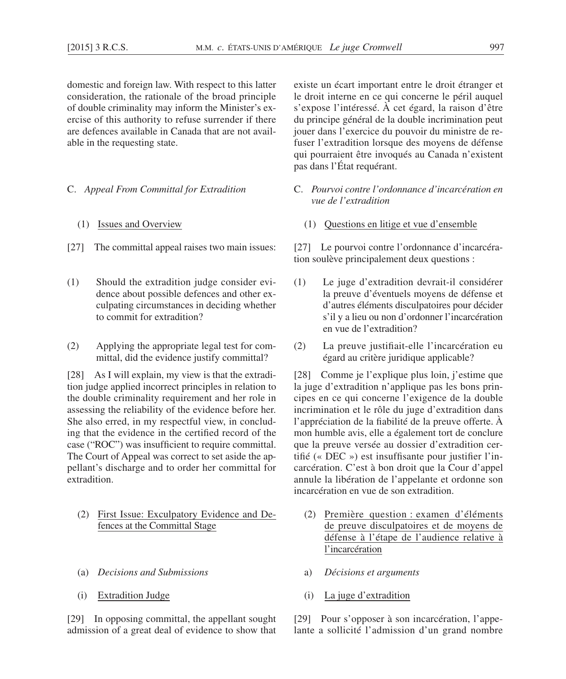C. *Appeal From Committal for Extradition*

(1) Issues and Overview

able in the requesting state.

- [27] The committal appeal raises two main issues:
- (1) Should the extradition judge consider evidence about possible defences and other exculpating circumstances in deciding whether to commit for extradition?
- (2) Applying the appropriate legal test for committal, did the evidence justify committal?

[28] As I will explain, my view is that the extradition judge applied incorrect principles in relation to the double criminality requirement and her role in assessing the reliability of the evidence before her. She also erred, in my respectful view, in concluding that the evidence in the certified record of the case ("ROC") was insufficient to require committal. The Court of Appeal was correct to set aside the appellant's discharge and to order her committal for extradition.

- (2) First Issue: Exculpatory Evidence and Defences at the Committal Stage
- (a) *Decisions and Submissions*
- (i) Extradition Judge

[29] In opposing committal, the appellant sought admission of a great deal of evidence to show that existe un écart important entre le droit étranger et le droit interne en ce qui concerne le péril auquel s'expose l'intéressé. À cet égard, la raison d'être du principe général de la double incrimination peut jouer dans l'exercice du pouvoir du ministre de refuser l'extradition lorsque des moyens de défense qui pourraient être invoqués au Canada n'existent pas dans l'État requérant.

- C. *Pourvoi contre l'ordonnance d'incarcération en vue de l'extradition*
	- (1) Questions en litige et vue d'ensemble

[27] Le pourvoi contre l'ordonnance d'incarcération soulève principalement deux questions :

- (1) Le juge d'extradition devrait-il considérer la preuve d'éventuels moyens de défense et d'autres éléments disculpatoires pour décider s'il y a lieu ou non d'ordonner l'incarcération en vue de l'extradition?
- (2) La preuve justifiait-elle l'incarcération eu égard au critère juridique applicable?

[28] Comme je l'explique plus loin, j'estime que la juge d'extradition n'applique pas les bons principes en ce qui concerne l'exigence de la double incrimination et le rôle du juge d'extradition dans l'appréciation de la fiabilité de la preuve offerte. À mon humble avis, elle a également tort de conclure que la preuve versée au dossier d'extradition certifié (« DEC ») est insuffisante pour justifier l'incarcération. C'est à bon droit que la Cour d'appel annule la libération de l'appelante et ordonne son incarcération en vue de son extradition.

- (2) Première question : examen d'éléments de preuve disculpatoires et de moyens de défense à l'étape de l'audience relative à l'incarcération
- a) *Décisions et arguments*
- (i) La juge d'extradition

[29] Pour s'opposer à son incarcération, l'appelante a sollicité l'admission d'un grand nombre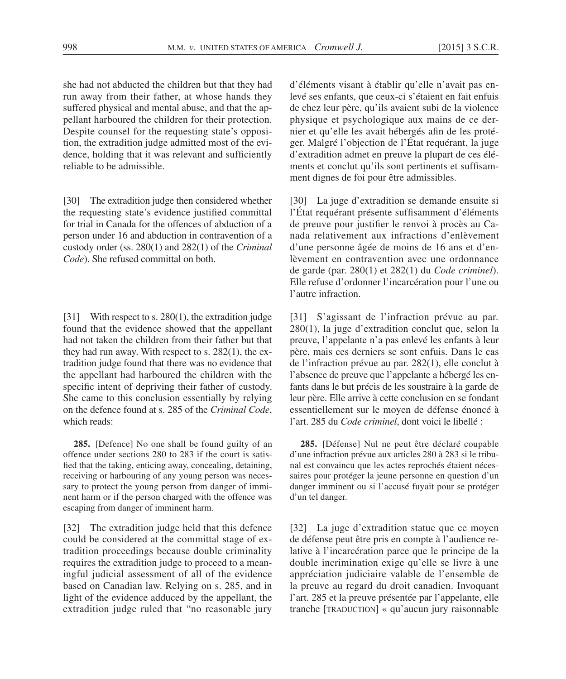she had not abducted the children but that they had run away from their father, at whose hands they suffered physical and mental abuse, and that the appellant harboured the children for their protection. Despite counsel for the requesting state's opposition, the extradition judge admitted most of the evidence, holding that it was relevant and sufficiently reliable to be admissible.

[30] The extradition judge then considered whether the requesting state's evidence justified committal for trial in Canada for the offences of abduction of a person under 16 and abduction in contravention of a custody order (ss. 280(1) and 282(1) of the *Criminal Code*). She refused committal on both.

[31] With respect to s. 280(1), the extradition judge found that the evidence showed that the appellant had not taken the children from their father but that they had run away. With respect to s. 282(1), the extradition judge found that there was no evidence that the appellant had harboured the children with the specific intent of depriving their father of custody. She came to this conclusion essentially by relying on the defence found at s. 285 of the *Criminal Code*, which reads:

**285.** [Defence] No one shall be found guilty of an offence under sections 280 to 283 if the court is satisfied that the taking, enticing away, concealing, detaining, receiving or harbouring of any young person was necessary to protect the young person from danger of imminent harm or if the person charged with the offence was escaping from danger of imminent harm.

[32] The extradition judge held that this defence could be considered at the committal stage of extradition proceedings because double criminality requires the extradition judge to proceed to a meaningful judicial assessment of all of the evidence based on Canadian law. Relying on s. 285, and in light of the evidence adduced by the appellant, the extradition judge ruled that "no reasonable jury

d'éléments visant à établir qu'elle n'avait pas enlevé ses enfants, que ceux-ci s'étaient en fait enfuis de chez leur père, qu'ils avaient subi de la violence physique et psychologique aux mains de ce dernier et qu'elle les avait hébergés afin de les protéger. Malgré l'objection de l'État requérant, la juge d'extradition admet en preuve la plupart de ces éléments et conclut qu'ils sont pertinents et suffisamment dignes de foi pour être admissibles.

[30] La juge d'extradition se demande ensuite si l'État requérant présente suffisamment d'éléments de preuve pour justifier le renvoi à procès au Canada relativement aux infractions d'enlèvement d'une personne âgée de moins de 16 ans et d'enlèvement en contravention avec une ordonnance de garde (par. 280(1) et 282(1) du *Code criminel*). Elle refuse d'ordonner l'incarcération pour l'une ou l'autre infraction.

[31] S'agissant de l'infraction prévue au par. 280(1), la juge d'extradition conclut que, selon la preuve, l'appelante n'a pas enlevé les enfants à leur père, mais ces derniers se sont enfuis. Dans le cas de l'infraction prévue au par. 282(1), elle conclut à l'absence de preuve que l'appelante a hébergé les enfants dans le but précis de les soustraire à la garde de leur père. Elle arrive à cette conclusion en se fondant essentiellement sur le moyen de défense énoncé à l'art. 285 du *Code criminel*, dont voici le libellé :

**285.** [Défense] Nul ne peut être déclaré coupable d'une infraction prévue aux articles 280 à 283 si le tribunal est convaincu que les actes reprochés étaient nécessaires pour protéger la jeune personne en question d'un danger imminent ou si l'accusé fuyait pour se protéger d'un tel danger.

[32] La juge d'extradition statue que ce moyen de défense peut être pris en compte à l'audience relative à l'incarcération parce que le principe de la double incrimination exige qu'elle se livre à une appréciation judiciaire valable de l'ensemble de la preuve au regard du droit canadien. Invoquant l'art. 285 et la preuve présentée par l'appelante, elle tranche [TRADUCTION] « qu'aucun jury raisonnable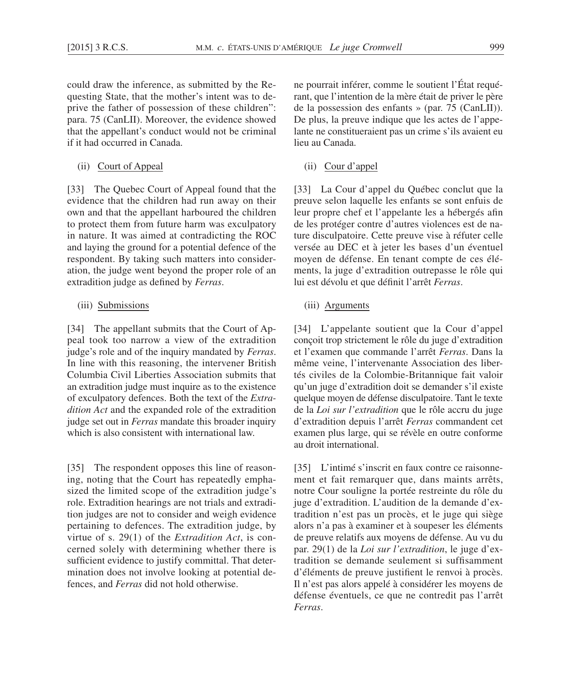could draw the inference, as submitted by the Requesting State, that the mother's intent was to deprive the father of possession of these children": para. 75 (CanLII). Moreover, the evidence showed that the appellant's conduct would not be criminal if it had occurred in Canada.

(ii) Court of Appeal

[33] The Quebec Court of Appeal found that the evidence that the children had run away on their own and that the appellant harboured the children to protect them from future harm was exculpatory in nature. It was aimed at contradicting the ROC and laying the ground for a potential defence of the respondent. By taking such matters into consideration, the judge went beyond the proper role of an extradition judge as defined by *Ferras*.

(iii) Submissions

[34] The appellant submits that the Court of Appeal took too narrow a view of the extradition judge's role and of the inquiry mandated by *Ferras*. In line with this reasoning, the intervener British Columbia Civil Liberties Association submits that an extradition judge must inquire as to the existence of exculpatory defences. Both the text of the *Extradition Act* and the expanded role of the extradition judge set out in *Ferras* mandate this broader inquiry which is also consistent with international law.

[35] The respondent opposes this line of reasoning, noting that the Court has repeatedly emphasized the limited scope of the extradition judge's role. Extradition hearings are not trials and extradition judges are not to consider and weigh evidence pertaining to defences. The extradition judge, by virtue of s. 29(1) of the *Extradition Act*, is concerned solely with determining whether there is sufficient evidence to justify committal. That determination does not involve looking at potential defences, and *Ferras* did not hold otherwise.

ne pourrait inférer, comme le soutient l'État requérant, que l'intention de la mère était de priver le père de la possession des enfants » (par. 75 (CanLII)). De plus, la preuve indique que les actes de l'appelante ne constitueraient pas un crime s'ils avaient eu lieu au Canada.

(ii) Cour d'appel

[33] La Cour d'appel du Québec conclut que la preuve selon laquelle les enfants se sont enfuis de leur propre chef et l'appelante les a hébergés afin de les protéger contre d'autres violences est de nature disculpatoire. Cette preuve vise à réfuter celle versée au DEC et à jeter les bases d'un éventuel moyen de défense. En tenant compte de ces éléments, la juge d'extradition outrepasse le rôle qui lui est dévolu et que définit l'arrêt *Ferras*.

(iii) Arguments

[34] L'appelante soutient que la Cour d'appel conçoit trop strictement le rôle du juge d'extradition et l'examen que commande l'arrêt *Ferras*. Dans la même veine, l'intervenante Association des libertés civiles de la Colombie-Britannique fait valoir qu'un juge d'extradition doit se demander s'il existe quelque moyen de défense disculpatoire. Tant le texte de la *Loi sur l'extradition* que le rôle accru du juge d'extradition depuis l'arrêt *Ferras* commandent cet examen plus large, qui se révèle en outre conforme au droit international.

[35] L'intimé s'inscrit en faux contre ce raisonnement et fait remarquer que, dans maints arrêts, notre Cour souligne la portée restreinte du rôle du juge d'extradition. L'audition de la demande d'extradition n'est pas un procès, et le juge qui siège alors n'a pas à examiner et à soupeser les éléments de preuve relatifs aux moyens de défense. Au vu du par. 29(1) de la *Loi sur l'extradition*, le juge d'extradition se demande seulement si suffisamment d'éléments de preuve justifient le renvoi à procès. Il n'est pas alors appelé à considérer les moyens de défense éventuels, ce que ne contredit pas l'arrêt *Ferras*.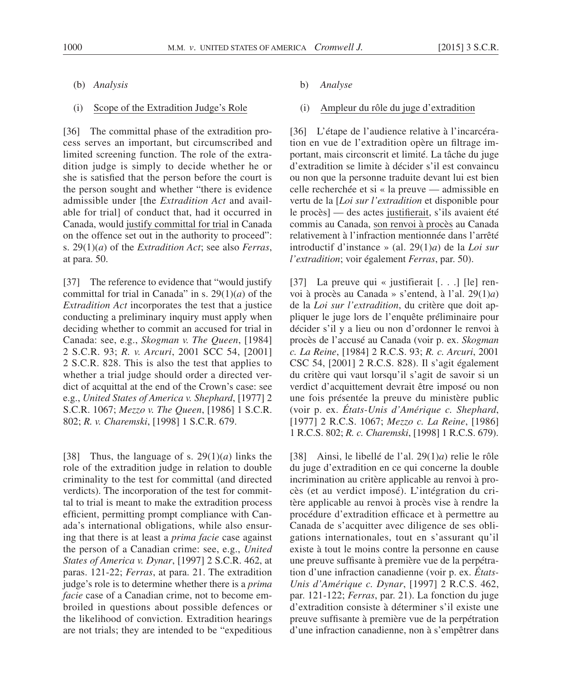(b) *Analysis*

## (i) Scope of the Extradition Judge's Role

[36] The committal phase of the extradition process serves an important, but circumscribed and limited screening function. The role of the extradition judge is simply to decide whether he or she is satisfied that the person before the court is the person sought and whether "there is evidence admissible under [the *Extradition Act* and available for trial] of conduct that, had it occurred in Canada, would justify committal for trial in Canada on the offence set out in the authority to proceed": s. 29(1)(*a*) of the *Extradition Act*; see also *Ferras*, at para. 50.

[37] The reference to evidence that "would justify" committal for trial in Canada" in s.  $29(1)(a)$  of the *Extradition Act* incorporates the test that a justice conducting a preliminary inquiry must apply when deciding whether to commit an accused for trial in Canada: see, e.g., *Skogman v. The Queen*, [1984] 2 S.C.R. 93; *R. v. Arcuri*, 2001 SCC 54, [2001] 2 S.C.R. 828. This is also the test that applies to whether a trial judge should order a directed verdict of acquittal at the end of the Crown's case: see e.g., *United States of America v. Shephard*, [1977] 2 S.C.R. 1067; *Mezzo v. The Queen*, [1986] 1 S.C.R. 802; *R. v. Charemski*, [1998] 1 S.C.R. 679.

[38] Thus, the language of s.  $29(1)(a)$  links the role of the extradition judge in relation to double criminality to the test for committal (and directed verdicts). The incorporation of the test for committal to trial is meant to make the extradition process efficient, permitting prompt compliance with Canada's international obligations, while also ensuring that there is at least a *prima facie* case against the person of a Canadian crime: see, e.g., *United States of America v. Dynar*, [1997] 2 S.C.R. 462, at paras. 121-22; *Ferras*, at para. 21. The extradition judge's role is to determine whether there is a *prima facie* case of a Canadian crime, not to become embroiled in questions about possible defences or the likelihood of conviction. Extradition hearings are not trials; they are intended to be "expeditious

- b) *Analyse*
- (i) Ampleur du rôle du juge d'extradition

[36] L'étape de l'audience relative à l'incarcération en vue de l'extradition opère un filtrage important, mais circonscrit et limité. La tâche du juge d'extradition se limite à décider s'il est convaincu ou non que la personne traduite devant lui est bien celle recherchée et si « la preuve — admissible en vertu de la [*Loi sur l'extradition* et disponible pour le procès] — des actes justifierait, s'ils avaient été commis au Canada, son renvoi à procès au Canada relativement à l'infraction mentionnée dans l'arrêté introductif d'instance » (al. 29(1)*a*) de la *Loi sur l'extradition*; voir également *Ferras*, par. 50).

[37] La preuve qui « justifierait [...] [le] renvoi à procès au Canada » s'entend, à l'al. 29(1)*a*) de la *Loi sur l'extradition*, du critère que doit appliquer le juge lors de l'enquête préliminaire pour décider s'il y a lieu ou non d'ordonner le renvoi à procès de l'accusé au Canada (voir p. ex. *Skogman c. La Reine*, [1984] 2 R.C.S. 93; *R. c. Arcuri*, 2001 CSC 54, [2001] 2 R.C.S. 828). Il s'agit également du critère qui vaut lorsqu'il s'agit de savoir si un verdict d'acquittement devrait être imposé ou non une fois présentée la preuve du ministère public (voir p. ex. *États-Unis d'Amérique c. Shephard*, [1977] 2 R.C.S. 1067; *Mezzo c. La Reine*, [1986] 1 R.C.S. 802; *R. c. Charemski*, [1998] 1 R.C.S. 679).

[38] Ainsi, le libellé de l'al. 29(1)*a*) relie le rôle du juge d'extradition en ce qui concerne la double incrimination au critère applicable au renvoi à procès (et au verdict imposé). L'intégration du critère applicable au renvoi à procès vise à rendre la procédure d'extradition efficace et à permettre au Canada de s'acquitter avec diligence de ses obligations internationales, tout en s'assurant qu'il existe à tout le moins contre la personne en cause une preuve suffisante à première vue de la perpétration d'une infraction canadienne (voir p. ex. *États-Unis d'Amérique c. Dynar*, [1997] 2 R.C.S. 462, par. 121-122; *Ferras*, par. 21). La fonction du juge d'extradition consiste à déterminer s'il existe une preuve suffisante à première vue de la perpétration d'une infraction canadienne, non à s'empêtrer dans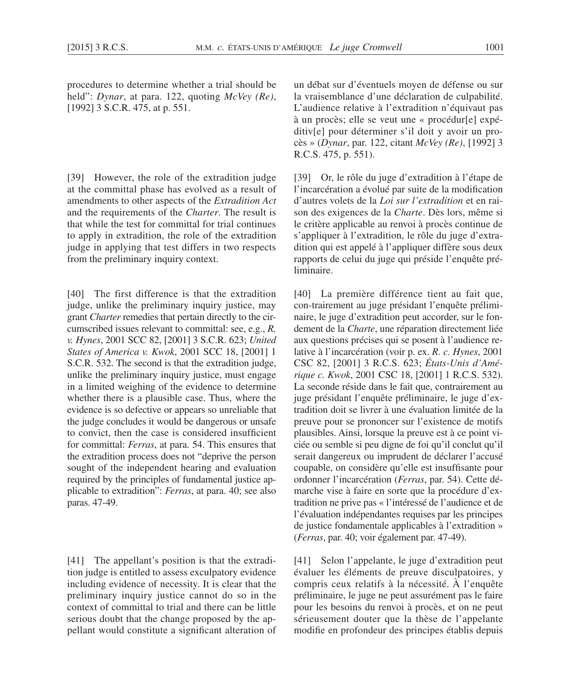procedures to determine whether a trial should be held": *Dynar*, at para. 122, quoting *McVey (Re)*, [1992] 3 S.C.R. 475, at p. 551.

[39] However, the role of the extradition judge at the committal phase has evolved as a result of amendments to other aspects of the *Extradition Act* and the requirements of the *Charter*. The result is that while the test for committal for trial continues to apply in extradition, the role of the extradition judge in applying that test differs in two respects from the preliminary inquiry context.

[40] The first difference is that the extradition judge, unlike the preliminary inquiry justice, may grant *Charter* remedies that pertain directly to the circumscribed issues relevant to committal: see, e.g., *R. v. Hynes*, 2001 SCC 82, [2001] 3 S.C.R. 623; *United States of America v. Kwok*, 2001 SCC 18, [2001] 1 S.C.R. 532. The second is that the extradition judge, unlike the preliminary inquiry justice, must engage in a limited weighing of the evidence to determine whether there is a plausible case. Thus, where the evidence is so defective or appears so unreliable that the judge concludes it would be dangerous or unsafe to convict, then the case is considered insufficient for committal: *Ferras*, at para. 54. This ensures that the extradition process does not "deprive the person sought of the independent hearing and evaluation required by the principles of fundamental justice applicable to extradition": *Ferras*, at para. 40; see also paras. 47-49.

[41] The appellant's position is that the extradition judge is entitled to assess exculpatory evidence including evidence of necessity. It is clear that the preliminary inquiry justice cannot do so in the context of committal to trial and there can be little serious doubt that the change proposed by the appellant would constitute a significant alteration of un débat sur d'éventuels moyen de défense ou sur la vraisemblance d'une déclaration de culpabilité. L'audience relative à l'extradition n'équivaut pas à un procès; elle se veut une « procédur[e] expéditiv[e] pour déterminer s'il doit y avoir un procès » (*Dynar*, par. 122, citant *McVey (Re)*, [1992] 3 R.C.S. 475, p. 551).

[39] Or, le rôle du juge d'extradition à l'étape de l'incarcération a évolué par suite de la modification d'autres volets de la *Loi sur l'extradition* et en raison des exigences de la *Charte*. Dès lors, même si le critère applicable au renvoi à procès continue de s'appliquer à l'extradition, le rôle du juge d'extradition qui est appelé à l'appliquer diffère sous deux rapports de celui du juge qui préside l'enquête préliminaire.

[40] La première différence tient au fait que, con-trairement au juge présidant l'enquête préliminaire, le juge d'extradition peut accorder, sur le fondement de la *Charte*, une réparation directement liée aux questions précises qui se posent à l'audience relative à l'incarcération (voir p. ex. *R. c. Hynes*, 2001 CSC 82, [2001] 3 R.C.S. 623; *États-Unis d'Amérique c. Kwok*, 2001 CSC 18, [2001] 1 R.C.S. 532). La seconde réside dans le fait que, contrairement au juge présidant l'enquête préliminaire, le juge d'extradition doit se livrer à une évaluation limitée de la preuve pour se prononcer sur l'existence de motifs plausibles. Ainsi, lorsque la preuve est à ce point viciée ou semble si peu digne de foi qu'il conclut qu'il serait dangereux ou imprudent de déclarer l'accusé coupable, on considère qu'elle est insuffisante pour ordonner l'incarcération (*Ferras*, par. 54). Cette démarche vise à faire en sorte que la procédure d'extradition ne prive pas « l'intéressé de l'audience et de l'évaluation indépendantes requises par les principes de justice fondamentale applicables à l'extradition » (*Ferras*, par. 40; voir également par. 47-49).

[41] Selon l'appelante, le juge d'extradition peut évaluer les éléments de preuve disculpatoires, y compris ceux relatifs à la nécessité. À l'enquête préliminaire, le juge ne peut assurément pas le faire pour les besoins du renvoi à procès, et on ne peut sérieusement douter que la thèse de l'appelante modifie en profondeur des principes établis depuis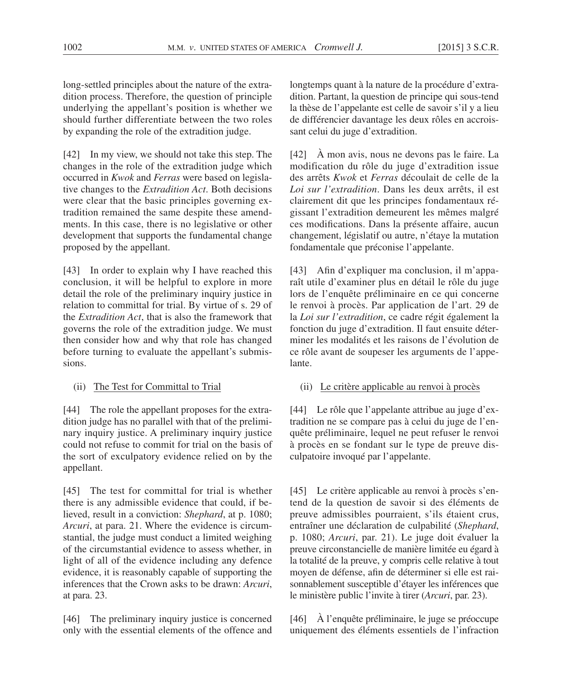long-settled principles about the nature of the extradition process. Therefore, the question of principle underlying the appellant's position is whether we should further differentiate between the two roles by expanding the role of the extradition judge.

[42] In my view, we should not take this step. The changes in the role of the extradition judge which occurred in *Kwok* and *Ferras* were based on legislative changes to the *Extradition Act*. Both decisions were clear that the basic principles governing extradition remained the same despite these amendments. In this case, there is no legislative or other development that supports the fundamental change proposed by the appellant.

[43] In order to explain why I have reached this conclusion, it will be helpful to explore in more detail the role of the preliminary inquiry justice in relation to committal for trial. By virtue of s. 29 of the *Extradition Act*, that is also the framework that governs the role of the extradition judge. We must then consider how and why that role has changed before turning to evaluate the appellant's submissions.

(ii) The Test for Committal to Trial

[44] The role the appellant proposes for the extradition judge has no parallel with that of the preliminary inquiry justice. A preliminary inquiry justice could not refuse to commit for trial on the basis of the sort of exculpatory evidence relied on by the appellant.

[45] The test for committal for trial is whether there is any admissible evidence that could, if believed, result in a conviction: *Shephard*, at p. 1080; *Arcuri*, at para. 21. Where the evidence is circumstantial, the judge must conduct a limited weighing of the circumstantial evidence to assess whether, in light of all of the evidence including any defence evidence, it is reasonably capable of supporting the inferences that the Crown asks to be drawn: *Arcuri*, at para. 23.

[46] The preliminary inquiry justice is concerned only with the essential elements of the offence and

longtemps quant à la nature de la procédure d'extradition. Partant, la question de principe qui sous-tend la thèse de l'appelante est celle de savoir s'il y a lieu de différencier davantage les deux rôles en accroissant celui du juge d'extradition.

[42] À mon avis, nous ne devons pas le faire. La modification du rôle du juge d'extradition issue des arrêts *Kwok* et *Ferras* découlait de celle de la *Loi sur l'extradition*. Dans les deux arrêts, il est clairement dit que les principes fondamentaux régissant l'extradition demeurent les mêmes malgré ces modifications. Dans la présente affaire, aucun changement, législatif ou autre, n'étaye la mutation fondamentale que préconise l'appelante.

[43] Afin d'expliquer ma conclusion, il m'apparaît utile d'examiner plus en détail le rôle du juge lors de l'enquête préliminaire en ce qui concerne le renvoi à procès. Par application de l'art. 29 de la *Loi sur l'extradition*, ce cadre régit également la fonction du juge d'extradition. Il faut ensuite déterminer les modalités et les raisons de l'évolution de ce rôle avant de soupeser les arguments de l'appelante.

# (ii) Le critère applicable au renvoi à procès

[44] Le rôle que l'appelante attribue au juge d'extradition ne se compare pas à celui du juge de l'enquête préliminaire, lequel ne peut refuser le renvoi à procès en se fondant sur le type de preuve disculpatoire invoqué par l'appelante.

[45] Le critère applicable au renvoi à procès s'entend de la question de savoir si des éléments de preuve admissibles pourraient, s'ils étaient crus, entraîner une déclaration de culpabilité (*Shephard*, p. 1080; *Arcuri*, par. 21). Le juge doit évaluer la preuve circonstancielle de manière limitée eu égard à la totalité de la preuve, y compris celle relative à tout moyen de défense, afin de déterminer si elle est raisonnablement susceptible d'étayer les inférences que le ministère public l'invite à tirer (*Arcuri*, par. 23).

[46] À l'enquête préliminaire, le juge se préoccupe uniquement des éléments essentiels de l'infraction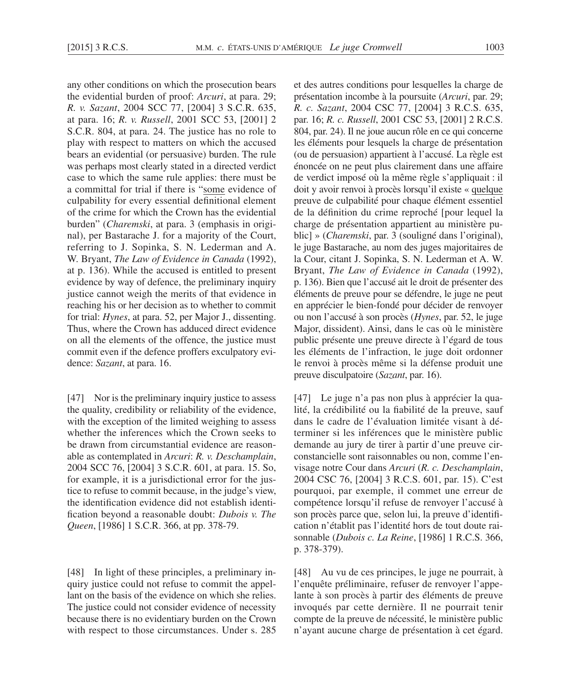any other conditions on which the prosecution bears the evidential burden of proof: *Arcuri*, at para. 29; *R. v. Sazant*, 2004 SCC 77, [2004] 3 S.C.R. 635, at para. 16; *R. v. Russell*, 2001 SCC 53, [2001] 2 S.C.R. 804, at para. 24. The justice has no role to play with respect to matters on which the accused bears an evidential (or persuasive) burden. The rule was perhaps most clearly stated in a directed verdict case to which the same rule applies: there must be a committal for trial if there is "some evidence of culpability for every essential definitional element of the crime for which the Crown has the evidential burden" (*Charemski*, at para. 3 (emphasis in original), per Bastarache J. for a majority of the Court, referring to J. Sopinka, S. N. Lederman and A. W. Bryant, *The Law of Evidence in Canada* (1992), at p. 136). While the accused is entitled to present evidence by way of defence, the preliminary inquiry justice cannot weigh the merits of that evidence in reaching his or her decision as to whether to commit for trial: *Hynes*, at para. 52, per Major J., dissenting. Thus, where the Crown has adduced direct evidence on all the elements of the offence, the justice must commit even if the defence proffers exculpatory evidence: *Sazant*, at para. 16.

[47] Nor is the preliminary inquiry justice to assess the quality, credibility or reliability of the evidence, with the exception of the limited weighing to assess whether the inferences which the Crown seeks to be drawn from circumstantial evidence are reasonable as contemplated in *Arcuri*: *R. v. Deschamplain*, 2004 SCC 76, [2004] 3 S.C.R. 601, at para. 15. So, for example, it is a jurisdictional error for the justice to refuse to commit because, in the judge's view, the identification evidence did not establish identification beyond a reasonable doubt: *Dubois v. The Queen*, [1986] 1 S.C.R. 366, at pp. 378-79.

[48] In light of these principles, a preliminary inquiry justice could not refuse to commit the appellant on the basis of the evidence on which she relies. The justice could not consider evidence of necessity because there is no evidentiary burden on the Crown with respect to those circumstances. Under s. 285 et des autres conditions pour lesquelles la charge de présentation incombe à la poursuite (*Arcuri*, par. 29; *R. c. Sazant*, 2004 CSC 77, [2004] 3 R.C.S. 635, par. 16; *R. c. Russell*, 2001 CSC 53, [2001] 2 R.C.S. 804, par. 24). Il ne joue aucun rôle en ce qui concerne les éléments pour lesquels la charge de présentation (ou de persuasion) appartient à l'accusé. La règle est énoncée on ne peut plus clairement dans une affaire de verdict imposé où la même règle s'appliquait : il doit y avoir renvoi à procès lorsqu'il existe « quelque preuve de culpabilité pour chaque élément essentiel de la définition du crime reproché [pour lequel la charge de présentation appartient au ministère public] » (*Charemski*, par. 3 (souligné dans l'original), le juge Bastarache, au nom des juges majoritaires de la Cour, citant J. Sopinka, S. N. Lederman et A. W. Bryant, *The Law of Evidence in Canada* (1992), p. 136). Bien que l'accusé ait le droit de présenter des éléments de preuve pour se défendre, le juge ne peut en apprécier le bien-fondé pour décider de renvoyer ou non l'accusé à son procès (*Hynes*, par. 52, le juge Major, dissident). Ainsi, dans le cas où le ministère public présente une preuve directe à l'égard de tous les éléments de l'infraction, le juge doit ordonner le renvoi à procès même si la défense produit une preuve disculpatoire (*Sazant*, par. 16).

[47] Le juge n'a pas non plus à apprécier la qualité, la crédibilité ou la fiabilité de la preuve, sauf dans le cadre de l'évaluation limitée visant à déterminer si les inférences que le ministère public demande au jury de tirer à partir d'une preuve circonstancielle sont raisonnables ou non, comme l'envisage notre Cour dans *Arcuri* (*R. c. Deschamplain*, 2004 CSC 76, [2004] 3 R.C.S. 601, par. 15). C'est pourquoi, par exemple, il commet une erreur de compétence lorsqu'il refuse de renvoyer l'accusé à son procès parce que, selon lui, la preuve d'identification n'établit pas l'identité hors de tout doute raisonnable (*Dubois c. La Reine*, [1986] 1 R.C.S. 366, p. 378-379).

[48] Au vu de ces principes, le juge ne pourrait, à l'enquête préliminaire, refuser de renvoyer l'appelante à son procès à partir des éléments de preuve invoqués par cette dernière. Il ne pourrait tenir compte de la preuve de nécessité, le ministère public n'ayant aucune charge de présentation à cet égard.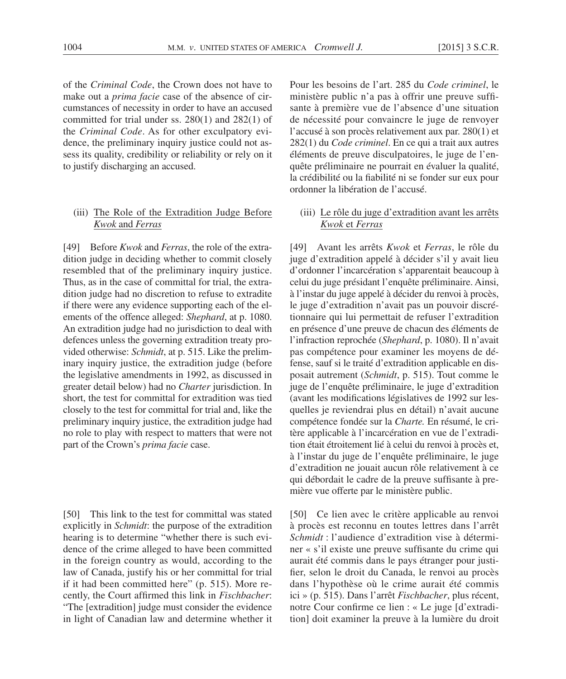of the *Criminal Code*, the Crown does not have to make out a *prima facie* case of the absence of circumstances of necessity in order to have an accused committed for trial under ss. 280(1) and 282(1) of the *Criminal Code*. As for other exculpatory evidence, the preliminary inquiry justice could not assess its quality, credibility or reliability or rely on it to justify discharging an accused.

# (iii) The Role of the Extradition Judge Before *Kwok* and *Ferras*

[49] Before *Kwok* and *Ferras*, the role of the extradition judge in deciding whether to commit closely resembled that of the preliminary inquiry justice. Thus, as in the case of committal for trial, the extradition judge had no discretion to refuse to extradite if there were any evidence supporting each of the elements of the offence alleged: *Shephard*, at p. 1080. An extradition judge had no jurisdiction to deal with defences unless the governing extradition treaty provided otherwise: *Schmidt*, at p. 515. Like the preliminary inquiry justice, the extradition judge (before the legislative amendments in 1992, as discussed in greater detail below) had no *Charter* jurisdiction. In short, the test for committal for extradition was tied closely to the test for committal for trial and, like the preliminary inquiry justice, the extradition judge had no role to play with respect to matters that were not part of the Crown's *prima facie* case.

[50] This link to the test for committal was stated explicitly in *Schmidt*: the purpose of the extradition hearing is to determine "whether there is such evidence of the crime alleged to have been committed in the foreign country as would, according to the law of Canada, justify his or her committal for trial if it had been committed here" (p. 515). More recently, the Court affirmed this link in *Fischbacher*: "The [extradition] judge must consider the evidence in light of Canadian law and determine whether it

Pour les besoins de l'art. 285 du *Code criminel*, le ministère public n'a pas à offrir une preuve suffisante à première vue de l'absence d'une situation de nécessité pour convaincre le juge de renvoyer l'accusé à son procès relativement aux par. 280(1) et 282(1) du *Code criminel*. En ce qui a trait aux autres éléments de preuve disculpatoires, le juge de l'enquête préliminaire ne pourrait en évaluer la qualité, la crédibilité ou la fiabilité ni se fonder sur eux pour ordonner la libération de l'accusé.

(iii) Le rôle du juge d'extradition avant les arrêts *Kwok* et *Ferras*

[49] Avant les arrêts *Kwok* et *Ferras*, le rôle du juge d'extradition appelé à décider s'il y avait lieu d'ordonner l'incarcération s'apparentait beaucoup à celui du juge présidant l'enquête préliminaire. Ainsi, à l'instar du juge appelé à décider du renvoi à procès, le juge d'extradition n'avait pas un pouvoir discrétionnaire qui lui permettait de refuser l'extradition en présence d'une preuve de chacun des éléments de l'infraction reprochée (*Shephard*, p. 1080). Il n'avait pas compétence pour examiner les moyens de défense, sauf si le traité d'extradition applicable en disposait autrement (*Schmidt*, p. 515). Tout comme le juge de l'enquête préliminaire, le juge d'extradition (avant les modifications législatives de 1992 sur lesquelles je reviendrai plus en détail) n'avait aucune compétence fondée sur la *Charte.* En résumé, le critère applicable à l'incarcération en vue de l'extradition était étroitement lié à celui du renvoi à procès et, à l'instar du juge de l'enquête préliminaire, le juge d'extradition ne jouait aucun rôle relativement à ce qui débordait le cadre de la preuve suffisante à première vue offerte par le ministère public.

[50] Ce lien avec le critère applicable au renvoi à procès est reconnu en toutes lettres dans l'arrêt *Schmidt* : l'audience d'extradition vise à déterminer « s'il existe une preuve suffisante du crime qui aurait été commis dans le pays étranger pour justifier, selon le droit du Canada, le renvoi au procès dans l'hypothèse où le crime aurait été commis ici » (p. 515). Dans l'arrêt *Fischbacher*, plus récent, notre Cour confirme ce lien : « Le juge [d'extradition] doit examiner la preuve à la lumière du droit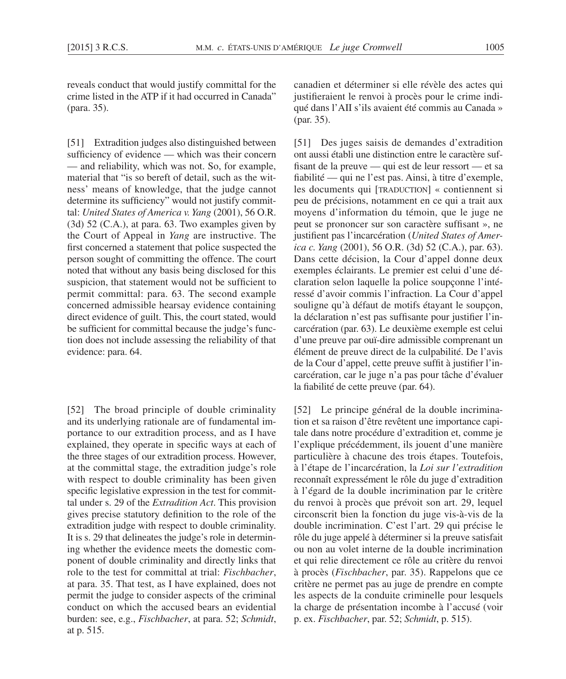reveals conduct that would justify committal for the crime listed in the ATP if it had occurred in Canada" (para. 35).

[51] Extradition judges also distinguished between sufficiency of evidence — which was their concern — and reliability, which was not. So, for example, material that "is so bereft of detail, such as the witness' means of knowledge, that the judge cannot determine its sufficiency" would not justify committal: *United States of America v. Yang* (2001), 56 O.R. (3d) 52 (C.A.), at para. 63. Two examples given by the Court of Appeal in *Yang* are instructive. The first concerned a statement that police suspected the person sought of committing the offence. The court noted that without any basis being disclosed for this suspicion, that statement would not be sufficient to permit committal: para. 63. The second example concerned admissible hearsay evidence containing direct evidence of guilt. This, the court stated, would be sufficient for committal because the judge's function does not include assessing the reliability of that evidence: para. 64.

[52] The broad principle of double criminality and its underlying rationale are of fundamental importance to our extradition process, and as I have explained, they operate in specific ways at each of the three stages of our extradition process. However, at the committal stage, the extradition judge's role with respect to double criminality has been given specific legislative expression in the test for committal under s. 29 of the *Extradition Act*. This provision gives precise statutory definition to the role of the extradition judge with respect to double criminality. It is s. 29 that delineates the judge's role in determining whether the evidence meets the domestic component of double criminality and directly links that role to the test for committal at trial: *Fischbacher*, at para. 35. That test, as I have explained, does not permit the judge to consider aspects of the criminal conduct on which the accused bears an evidential burden: see, e.g., *Fischbacher*, at para. 52; *Schmidt*, at p. 515.

canadien et déterminer si elle révèle des actes qui justifieraient le renvoi à procès pour le crime indiqué dans l'AII s'ils avaient été commis au Canada » (par. 35).

[51] Des juges saisis de demandes d'extradition ont aussi établi une distinction entre le caractère suffisant de la preuve — qui est de leur ressort — et sa fiabilité — qui ne l'est pas. Ainsi, à titre d'exemple, les documents qui [TRADUCTION] « contiennent si peu de précisions, notamment en ce qui a trait aux moyens d'information du témoin, que le juge ne peut se prononcer sur son caractère suffisant », ne justifient pas l'incarcération (*United States of America c. Yang* (2001), 56 O.R. (3d) 52 (C.A.), par. 63). Dans cette décision, la Cour d'appel donne deux exemples éclairants. Le premier est celui d'une déclaration selon laquelle la police soupçonne l'intéressé d'avoir commis l'infraction. La Cour d'appel souligne qu'à défaut de motifs étayant le soupçon, la déclaration n'est pas suffisante pour justifier l'incarcération (par. 63). Le deuxième exemple est celui d'une preuve par ouï-dire admissible comprenant un élément de preuve direct de la culpabilité. De l'avis de la Cour d'appel, cette preuve suffit à justifier l'incarcération, car le juge n'a pas pour tâche d'évaluer la fiabilité de cette preuve (par. 64).

[52] Le principe général de la double incrimination et sa raison d'être revêtent une importance capitale dans notre procédure d'extradition et, comme je l'explique précédemment, ils jouent d'une manière particulière à chacune des trois étapes. Toutefois, à l'étape de l'incarcération, la *Loi sur l'extradition* reconnaît expressément le rôle du juge d'extradition à l'égard de la double incrimination par le critère du renvoi à procès que prévoit son art. 29, lequel circonscrit bien la fonction du juge vis-à-vis de la double incrimination. C'est l'art. 29 qui précise le rôle du juge appelé à déterminer si la preuve satisfait ou non au volet interne de la double incrimination et qui relie directement ce rôle au critère du renvoi à procès (*Fischbacher*, par. 35). Rappelons que ce critère ne permet pas au juge de prendre en compte les aspects de la conduite criminelle pour lesquels la charge de présentation incombe à l'accusé (voir p. ex. *Fischbacher*, par. 52; *Schmidt*, p. 515).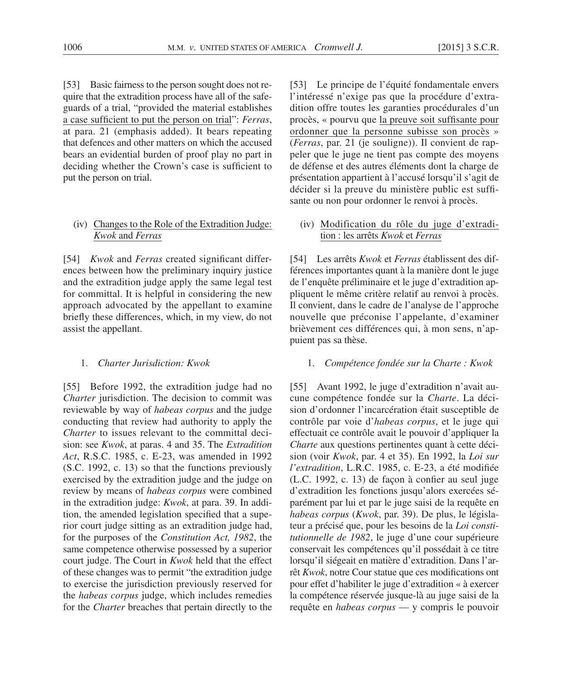[53] Basic fairness to the person sought does not require that the extradition process have all of the safeguards of a trial, "provided the material establishes a case sufficient to put the person on trial": *Ferras*, at para. 21 (emphasis added). It bears repeating that defences and other matters on which the accused bears an evidential burden of proof play no part in deciding whether the Crown's case is sufficient to put the person on trial.

# (iv) Changes to the Role of the Extradition Judge: *Kwok* and *Ferras*

[54] *Kwok* and *Ferras* created significant differences between how the preliminary inquiry justice and the extradition judge apply the same legal test for committal. It is helpful in considering the new approach advocated by the appellant to examine briefly these differences, which, in my view, do not assist the appellant.

### 1. *Charter Jurisdiction: Kwok*

[55] Before 1992, the extradition judge had no *Charter* jurisdiction. The decision to commit was reviewable by way of *habeas corpus* and the judge conducting that review had authority to apply the *Charter* to issues relevant to the committal decision: see *Kwok*, at paras. 4 and 35. The *Extradition Act*, R.S.C. 1985, c. E-23, was amended in 1992 (S.C. 1992, c. 13) so that the functions previously exercised by the extradition judge and the judge on review by means of *habeas corpus* were combined in the extradition judge: *Kwok*, at para. 39. In addition, the amended legislation specified that a superior court judge sitting as an extradition judge had, for the purposes of the *Constitution Act, 1982*, the same competence otherwise possessed by a superior court judge. The Court in *Kwok* held that the effect of these changes was to permit "the extradition judge to exercise the jurisdiction previously reserved for the *habeas corpus* judge, which includes remedies for the *Charter* breaches that pertain directly to the

[53] Le principe de l'équité fondamentale envers l'intéressé n'exige pas que la procédure d'extradition offre toutes les garanties procédurales d'un procès, « pourvu que la preuve soit suffisante pour ordonner que la personne subisse son procès » (*Ferras*, par. 21 (je souligne)). Il convient de rappeler que le juge ne tient pas compte des moyens de défense et des autres éléments dont la charge de présentation appartient à l'accusé lorsqu'il s'agit de décider si la preuve du ministère public est suffisante ou non pour ordonner le renvoi à procès.

(iv) Modification du rôle du juge d'extradition : les arrêts *Kwok* et *Ferras*

[54] Les arrêts *Kwok* et *Ferras* établissent des différences importantes quant à la manière dont le juge de l'enquête préliminaire et le juge d'extradition appliquent le même critère relatif au renvoi à procès. Il convient, dans le cadre de l'analyse de l'approche nouvelle que préconise l'appelante, d'examiner brièvement ces différences qui, à mon sens, n'appuient pas sa thèse.

#### 1. *Compétence fondée sur la Charte : Kwok*

[55] Avant 1992, le juge d'extradition n'avait aucune compétence fondée sur la *Charte*. La décision d'ordonner l'incarcération était susceptible de contrôle par voie d'*habeas corpus*, et le juge qui effectuait ce contrôle avait le pouvoir d'appliquer la *Charte* aux questions pertinentes quant à cette décision (voir *Kwok*, par. 4 et 35). En 1992, la *Loi sur l'extradition*, L.R.C. 1985, c. E-23, a été modifiée (L.C. 1992, c. 13) de façon à confier au seul juge d'extradition les fonctions jusqu'alors exercées séparément par lui et par le juge saisi de la requête en *habeas corpus* (*Kwok*, par. 39). De plus, le législateur a précisé que, pour les besoins de la *Loi constitutionnelle de 1982*, le juge d'une cour supérieure conservait les compétences qu'il possédait à ce titre lorsqu'il siégeait en matière d'extradition. Dans l'arrêt *Kwok*, notre Cour statue que ces modifications ont pour effet d'habiliter le juge d'extradition « à exercer la compétence réservée jusque-là au juge saisi de la requête en *habeas corpus* — y compris le pouvoir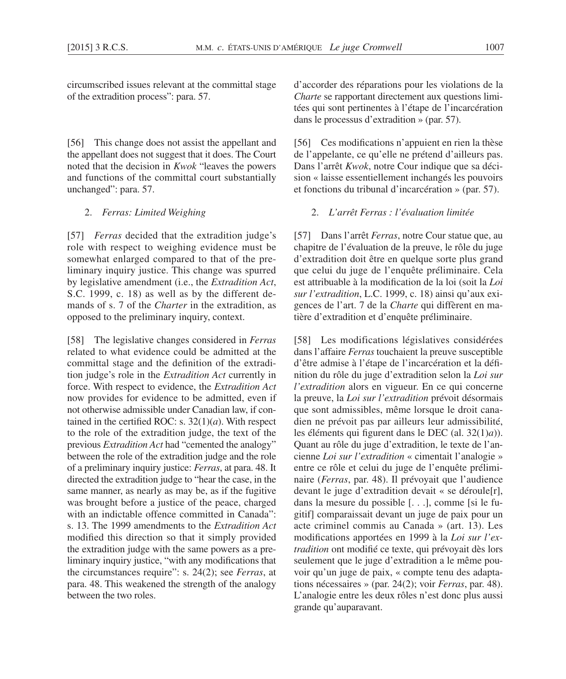circumscribed issues relevant at the committal stage of the extradition process": para. 57.

[56] This change does not assist the appellant and the appellant does not suggest that it does. The Court noted that the decision in *Kwok* "leaves the powers and functions of the committal court substantially unchanged": para. 57.

# 2. *Ferras: Limited Weighing*

[57] *Ferras* decided that the extradition judge's role with respect to weighing evidence must be somewhat enlarged compared to that of the preliminary inquiry justice. This change was spurred by legislative amendment (i.e., the *Extradition Act*, S.C. 1999, c. 18) as well as by the different demands of s. 7 of the *Charter* in the extradition, as opposed to the preliminary inquiry, context.

[58] The legislative changes considered in *Ferras* related to what evidence could be admitted at the committal stage and the definition of the extradition judge's role in the *Extradition Act* currently in force. With respect to evidence, the *Extradition Act* now provides for evidence to be admitted, even if not otherwise admissible under Canadian law, if contained in the certified ROC: s.  $32(1)(a)$ . With respect to the role of the extradition judge, the text of the previous *Extradition Act* had "cemented the analogy" between the role of the extradition judge and the role of a preliminary inquiry justice: *Ferras*, at para. 48. It directed the extradition judge to "hear the case, in the same manner, as nearly as may be, as if the fugitive was brought before a justice of the peace, charged with an indictable offence committed in Canada": s. 13. The 1999 amendments to the *Extradition Act* modified this direction so that it simply provided the extradition judge with the same powers as a preliminary inquiry justice, "with any modifications that the circumstances require": s. 24(2); see *Ferras*, at para. 48. This weakened the strength of the analogy between the two roles.

d'accorder des réparations pour les violations de la *Charte* se rapportant directement aux questions limitées qui sont pertinentes à l'étape de l'incarcération dans le processus d'extradition » (par. 57).

[56] Ces modifications n'appuient en rien la thèse de l'appelante, ce qu'elle ne prétend d'ailleurs pas. Dans l'arrêt *Kwok*, notre Cour indique que sa décision « laisse essentiellement inchangés les pouvoirs et fonctions du tribunal d'incarcération » (par. 57).

## 2. *L'arrêt Ferras : l'évaluation limitée*

[57] Dans l'arrêt *Ferras*, notre Cour statue que, au chapitre de l'évaluation de la preuve, le rôle du juge d'extradition doit être en quelque sorte plus grand que celui du juge de l'enquête préliminaire. Cela est attribuable à la modification de la loi (soit la *Loi sur l'extradition*, L.C. 1999, c. 18) ainsi qu'aux exigences de l'art. 7 de la *Charte* qui diffèrent en matière d'extradition et d'enquête préliminaire.

[58] Les modifications législatives considérées dans l'affaire *Ferras* touchaient la preuve susceptible d'être admise à l'étape de l'incarcération et la définition du rôle du juge d'extradition selon la *Loi sur l'extradition* alors en vigueur. En ce qui concerne la preuve, la *Loi sur l'extradition* prévoit désormais que sont admissibles, même lorsque le droit canadien ne prévoit pas par ailleurs leur admissibilité, les éléments qui figurent dans le DEC (al. 32(1)*a*)). Quant au rôle du juge d'extradition, le texte de l'ancienne *Loi sur l'extradition* « cimentait l'analogie » entre ce rôle et celui du juge de l'enquête préliminaire (*Ferras*, par. 48). Il prévoyait que l'audience devant le juge d'extradition devait « se déroule[r], dans la mesure du possible [. . .], comme [si le fugitif] comparaissait devant un juge de paix pour un acte criminel commis au Canada » (art. 13). Les modifications apportées en 1999 à la *Loi sur l'extradition* ont modifié ce texte, qui prévoyait dès lors seulement que le juge d'extradition a le même pouvoir qu'un juge de paix, « compte tenu des adaptations nécessaires » (par. 24(2); voir *Ferras*, par. 48). L'analogie entre les deux rôles n'est donc plus aussi grande qu'auparavant.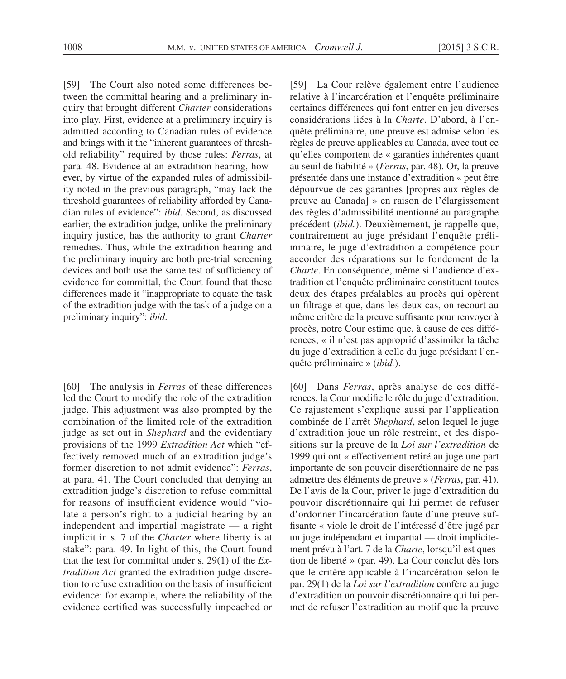[59] The Court also noted some differences between the committal hearing and a preliminary inquiry that brought different *Charter* considerations into play. First, evidence at a preliminary inquiry is admitted according to Canadian rules of evidence and brings with it the "inherent guarantees of threshold reliability" required by those rules: *Ferras*, at para. 48. Evidence at an extradition hearing, however, by virtue of the expanded rules of admissibility noted in the previous paragraph, "may lack the threshold guarantees of reliability afforded by Canadian rules of evidence": *ibid*. Second, as discussed earlier, the extradition judge, unlike the preliminary inquiry justice, has the authority to grant *Charter*  remedies. Thus, while the extradition hearing and the preliminary inquiry are both pre-trial screening devices and both use the same test of sufficiency of evidence for committal, the Court found that these differences made it "inappropriate to equate the task of the extradition judge with the task of a judge on a preliminary inquiry": *ibid*.

[60] The analysis in *Ferras* of these differences led the Court to modify the role of the extradition judge. This adjustment was also prompted by the combination of the limited role of the extradition judge as set out in *Shephard* and the evidentiary provisions of the 1999 *Extradition Act* which "effectively removed much of an extradition judge's former discretion to not admit evidence": *Ferras*, at para. 41. The Court concluded that denying an extradition judge's discretion to refuse committal for reasons of insufficient evidence would "violate a person's right to a judicial hearing by an independent and impartial magistrate — a right implicit in s. 7 of the *Charter* where liberty is at stake": para. 49. In light of this, the Court found that the test for committal under s. 29(1) of the *Extradition Act* granted the extradition judge discretion to refuse extradition on the basis of insufficient evidence: for example, where the reliability of the evidence certified was successfully impeached or [59] La Cour relève également entre l'audience relative à l'incarcération et l'enquête préliminaire certaines différences qui font entrer en jeu diverses considérations liées à la *Charte*. D'abord, à l'enquête préliminaire, une preuve est admise selon les règles de preuve applicables au Canada, avec tout ce qu'elles comportent de « garanties inhérentes quant au seuil de fiabilité » (*Ferras*, par. 48). Or, la preuve présentée dans une instance d'extradition « peut être dépourvue de ces garanties [propres aux règles de preuve au Canada] » en raison de l'élargissement des règles d'admissibilité mentionné au paragraphe précédent (*ibid.*). Deuxièmement, je rappelle que, contrairement au juge présidant l'enquête préliminaire, le juge d'extradition a compétence pour accorder des réparations sur le fondement de la *Charte*. En conséquence, même si l'audience d'extradition et l'enquête préliminaire constituent toutes deux des étapes préalables au procès qui opèrent un filtrage et que, dans les deux cas, on recourt au même critère de la preuve suffisante pour renvoyer à procès, notre Cour estime que, à cause de ces différences, « il n'est pas approprié d'assimiler la tâche du juge d'extradition à celle du juge présidant l'enquête préliminaire » (*ibid.*).

[60] Dans *Ferras*, après analyse de ces différences, la Cour modifie le rôle du juge d'extradition. Ce rajustement s'explique aussi par l'application combinée de l'arrêt *Shephard*, selon lequel le juge d'extradition joue un rôle restreint, et des dispositions sur la preuve de la *Loi sur l'extradition* de 1999 qui ont « effectivement retiré au juge une part importante de son pouvoir discrétionnaire de ne pas admettre des éléments de preuve » (*Ferras*, par. 41). De l'avis de la Cour, priver le juge d'extradition du pouvoir discrétionnaire qui lui permet de refuser d'ordonner l'incarcération faute d'une preuve suffisante « viole le droit de l'intéressé d'être jugé par un juge indépendant et impartial — droit implicitement prévu à l'art. 7 de la *Charte*, lorsqu'il est question de liberté » (par. 49). La Cour conclut dès lors que le critère applicable à l'incarcération selon le par. 29(1) de la *Loi sur l'extradition* confère au juge d'extradition un pouvoir discrétionnaire qui lui permet de refuser l'extradition au motif que la preuve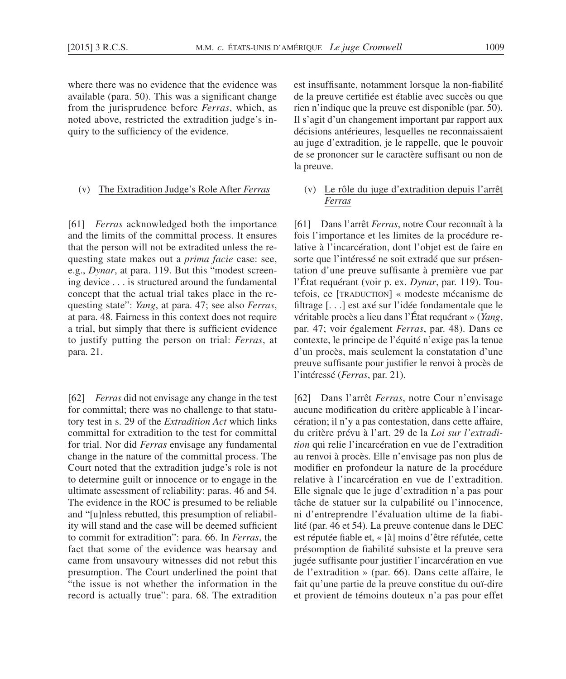where there was no evidence that the evidence was available (para. 50). This was a significant change from the jurisprudence before *Ferras*, which, as noted above, restricted the extradition judge's inquiry to the sufficiency of the evidence.

#### (v) The Extradition Judge's Role After *Ferras*

[61] *Ferras* acknowledged both the importance and the limits of the committal process. It ensures that the person will not be extradited unless the requesting state makes out a *prima facie* case: see, e.g., *Dynar*, at para. 119. But this "modest screening device . . . is structured around the fundamental concept that the actual trial takes place in the requesting state": *Yang*, at para. 47; see also *Ferras*, at para. 48. Fairness in this context does not require a trial, but simply that there is sufficient evidence to justify putting the person on trial: *Ferras*, at para. 21.

[62] *Ferras* did not envisage any change in the test for committal; there was no challenge to that statutory test in s. 29 of the *Extradition Act* which links committal for extradition to the test for committal for trial. Nor did *Ferras* envisage any fundamental change in the nature of the committal process. The Court noted that the extradition judge's role is not to determine guilt or innocence or to engage in the ultimate assessment of reliability: paras. 46 and 54. The evidence in the ROC is presumed to be reliable and "[u]nless rebutted, this presumption of reliability will stand and the case will be deemed sufficient to commit for extradition": para. 66. In *Ferras*, the fact that some of the evidence was hearsay and came from unsavoury witnesses did not rebut this presumption. The Court underlined the point that "the issue is not whether the information in the record is actually true": para. 68. The extradition

est insuffisante, notamment lorsque la non-fiabilité de la preuve certifiée est établie avec succès ou que rien n'indique que la preuve est disponible (par. 50). Il s'agit d'un changement important par rapport aux décisions antérieures, lesquelles ne reconnaissaient au juge d'extradition, je le rappelle, que le pouvoir de se prononcer sur le caractère suffisant ou non de la preuve.

(v) Le rôle du juge d'extradition depuis l'arrêt *Ferras*

[61] Dans l'arrêt *Ferras*, notre Cour reconnaît à la fois l'importance et les limites de la procédure relative à l'incarcération, dont l'objet est de faire en sorte que l'intéressé ne soit extradé que sur présentation d'une preuve suffisante à première vue par l'État requérant (voir p. ex. *Dynar*, par. 119). Toutefois, ce [TRADUCTION] « modeste mécanisme de filtrage [. . .] est axé sur l'idée fondamentale que le véritable procès a lieu dans l'État requérant » (*Yang*, par. 47; voir également *Ferras*, par. 48). Dans ce contexte, le principe de l'équité n'exige pas la tenue d'un procès, mais seulement la constatation d'une preuve suffisante pour justifier le renvoi à procès de l'intéressé (*Ferras*, par. 21).

[62] Dans l'arrêt *Ferras*, notre Cour n'envisage aucune modification du critère applicable à l'incarcération; il n'y a pas contestation, dans cette affaire, du critère prévu à l'art. 29 de la *Loi sur l'extradition* qui relie l'incarcération en vue de l'extradition au renvoi à procès. Elle n'envisage pas non plus de modifier en profondeur la nature de la procédure relative à l'incarcération en vue de l'extradition. Elle signale que le juge d'extradition n'a pas pour tâche de statuer sur la culpabilité ou l'innocence, ni d'entreprendre l'évaluation ultime de la fiabilité (par. 46 et 54). La preuve contenue dans le DEC est réputée fiable et, « [à] moins d'être réfutée, cette présomption de fiabilité subsiste et la preuve sera jugée suffisante pour justifier l'incarcération en vue de l'extradition » (par. 66). Dans cette affaire, le fait qu'une partie de la preuve constitue du ouï-dire et provient de témoins douteux n'a pas pour effet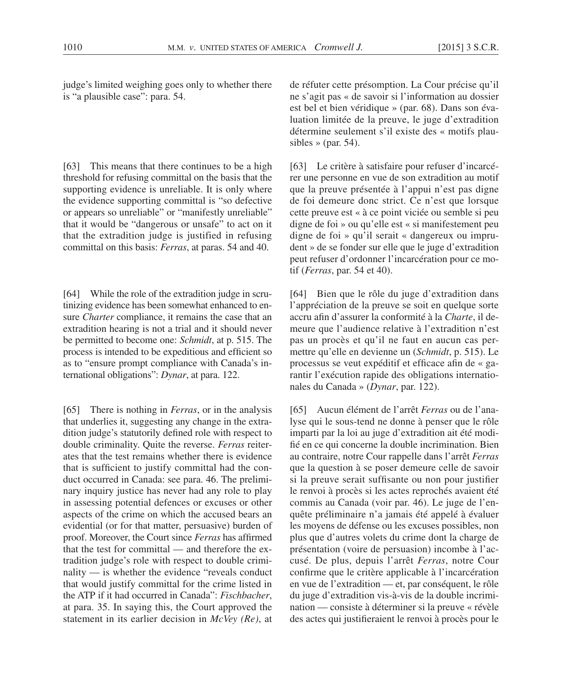judge's limited weighing goes only to whether there is "a plausible case": para. 54.

[63] This means that there continues to be a high threshold for refusing committal on the basis that the supporting evidence is unreliable. It is only where the evidence supporting committal is "so defective or appears so unreliable" or "manifestly unreliable" that it would be "dangerous or unsafe" to act on it that the extradition judge is justified in refusing committal on this basis: *Ferras*, at paras. 54 and 40.

[64] While the role of the extradition judge in scrutinizing evidence has been somewhat enhanced to ensure *Charter* compliance, it remains the case that an extradition hearing is not a trial and it should never be permitted to become one: *Schmidt*, at p. 515. The process is intended to be expeditious and efficient so as to "ensure prompt compliance with Canada's international obligations": *Dynar*, at para. 122.

[65] There is nothing in *Ferras*, or in the analysis that underlies it, suggesting any change in the extradition judge's statutorily defined role with respect to double criminality. Quite the reverse. *Ferras* reiterates that the test remains whether there is evidence that is sufficient to justify committal had the conduct occurred in Canada: see para. 46. The preliminary inquiry justice has never had any role to play in assessing potential defences or excuses or other aspects of the crime on which the accused bears an evidential (or for that matter, persuasive) burden of proof. Moreover, the Court since *Ferras* has affirmed that the test for committal  $-$  and therefore the extradition judge's role with respect to double criminality — is whether the evidence "reveals conduct that would justify committal for the crime listed in the ATP if it had occurred in Canada": *Fischbacher*, at para. 35. In saying this, the Court approved the statement in its earlier decision in *McVey (Re)*, at

de réfuter cette présomption. La Cour précise qu'il ne s'agit pas « de savoir si l'information au dossier est bel et bien véridique » (par. 68). Dans son évaluation limitée de la preuve, le juge d'extradition détermine seulement s'il existe des « motifs plausibles  $\ast$  (par. 54).

[63] Le critère à satisfaire pour refuser d'incarcérer une personne en vue de son extradition au motif que la preuve présentée à l'appui n'est pas digne de foi demeure donc strict. Ce n'est que lorsque cette preuve est « à ce point viciée ou semble si peu digne de foi » ou qu'elle est « si manifestement peu digne de foi » qu'il serait « dangereux ou imprudent » de se fonder sur elle que le juge d'extradition peut refuser d'ordonner l'incarcération pour ce motif (*Ferras*, par. 54 et 40).

[64] Bien que le rôle du juge d'extradition dans l'appréciation de la preuve se soit en quelque sorte accru afin d'assurer la conformité à la *Charte*, il demeure que l'audience relative à l'extradition n'est pas un procès et qu'il ne faut en aucun cas permettre qu'elle en devienne un (*Schmidt*, p. 515). Le processus se veut expéditif et efficace afin de « garantir l'exécution rapide des obligations internationales du Canada » (*Dynar*, par. 122).

[65] Aucun élément de l'arrêt *Ferras* ou de l'analyse qui le sous-tend ne donne à penser que le rôle imparti par la loi au juge d'extradition ait été modifié en ce qui concerne la double incrimination. Bien au contraire, notre Cour rappelle dans l'arrêt *Ferras* que la question à se poser demeure celle de savoir si la preuve serait suffisante ou non pour justifier le renvoi à procès si les actes reprochés avaient été commis au Canada (voir par. 46). Le juge de l'enquête préliminaire n'a jamais été appelé à évaluer les moyens de défense ou les excuses possibles, non plus que d'autres volets du crime dont la charge de présentation (voire de persuasion) incombe à l'accusé. De plus, depuis l'arrêt *Ferras*, notre Cour confirme que le critère applicable à l'incarcération en vue de l'extradition — et, par conséquent, le rôle du juge d'extradition vis-à-vis de la double incrimination — consiste à déterminer si la preuve « révèle des actes qui justifieraient le renvoi à procès pour le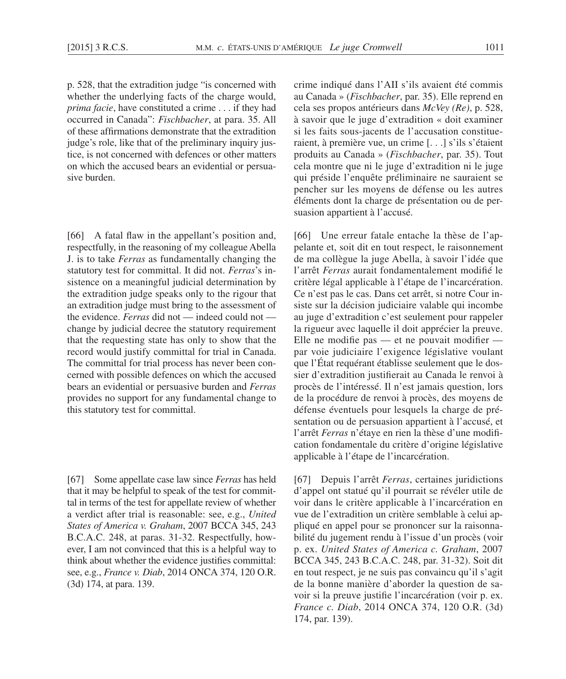p. 528, that the extradition judge "is concerned with whether the underlying facts of the charge would, *prima facie*, have constituted a crime . . . if they had occurred in Canada": *Fischbacher*, at para. 35. All of these affirmations demonstrate that the extradition judge's role, like that of the preliminary inquiry justice, is not concerned with defences or other matters on which the accused bears an evidential or persuasive burden.

[66] A fatal flaw in the appellant's position and, respectfully, in the reasoning of my colleague Abella J. is to take *Ferras* as fundamentally changing the statutory test for committal. It did not. *Ferras*'s insistence on a meaningful judicial determination by the extradition judge speaks only to the rigour that an extradition judge must bring to the assessment of the evidence. *Ferras* did not — indeed could not change by judicial decree the statutory requirement that the requesting state has only to show that the record would justify committal for trial in Canada. The committal for trial process has never been concerned with possible defences on which the accused bears an evidential or persuasive burden and *Ferras* provides no support for any fundamental change to this statutory test for committal.

[67] Some appellate case law since *Ferras* has held that it may be helpful to speak of the test for committal in terms of the test for appellate review of whether a verdict after trial is reasonable: see, e.g., *United States of America v. Graham*, 2007 BCCA 345, 243 B.C.A.C. 248, at paras. 31-32. Respectfully, however, I am not convinced that this is a helpful way to think about whether the evidence justifies committal: see, e.g., *France v. Diab*, 2014 ONCA 374, 120 O.R. (3d) 174, at para. 139.

crime indiqué dans l'AII s'ils avaient été commis au Canada » (*Fischbacher*, par. 35). Elle reprend en cela ses propos antérieurs dans *McVey (Re)*, p. 528, à savoir que le juge d'extradition « doit examiner si les faits sous-jacents de l'accusation constitueraient, à première vue, un crime [. . .] s'ils s'étaient produits au Canada » (*Fischbacher*, par. 35). Tout cela montre que ni le juge d'extradition ni le juge qui préside l'enquête préliminaire ne sauraient se pencher sur les moyens de défense ou les autres éléments dont la charge de présentation ou de persuasion appartient à l'accusé.

[66] Une erreur fatale entache la thèse de l'appelante et, soit dit en tout respect, le raisonnement de ma collègue la juge Abella, à savoir l'idée que l'arrêt *Ferras* aurait fondamentalement modifié le critère légal applicable à l'étape de l'incarcération. Ce n'est pas le cas. Dans cet arrêt, si notre Cour insiste sur la décision judiciaire valable qui incombe au juge d'extradition c'est seulement pour rappeler la rigueur avec laquelle il doit apprécier la preuve. Elle ne modifie pas — et ne pouvait modifier par voie judiciaire l'exigence législative voulant que l'État requérant établisse seulement que le dossier d'extradition justifierait au Canada le renvoi à procès de l'intéressé. Il n'est jamais question, lors de la procédure de renvoi à procès, des moyens de défense éventuels pour lesquels la charge de présentation ou de persuasion appartient à l'accusé, et l'arrêt *Ferras* n'étaye en rien la thèse d'une modification fondamentale du critère d'origine législative applicable à l'étape de l'incarcération.

[67] Depuis l'arrêt *Ferras*, certaines juridictions d'appel ont statué qu'il pourrait se révéler utile de voir dans le critère applicable à l'incarcération en vue de l'extradition un critère semblable à celui appliqué en appel pour se prononcer sur la raisonnabilité du jugement rendu à l'issue d'un procès (voir p. ex. *United States of America c. Graham*, 2007 BCCA 345, 243 B.C.A.C. 248, par. 31-32). Soit dit en tout respect, je ne suis pas convaincu qu'il s'agit de la bonne manière d'aborder la question de savoir si la preuve justifie l'incarcération (voir p. ex. *France c. Diab*, 2014 ONCA 374, 120 O.R. (3d) 174, par. 139).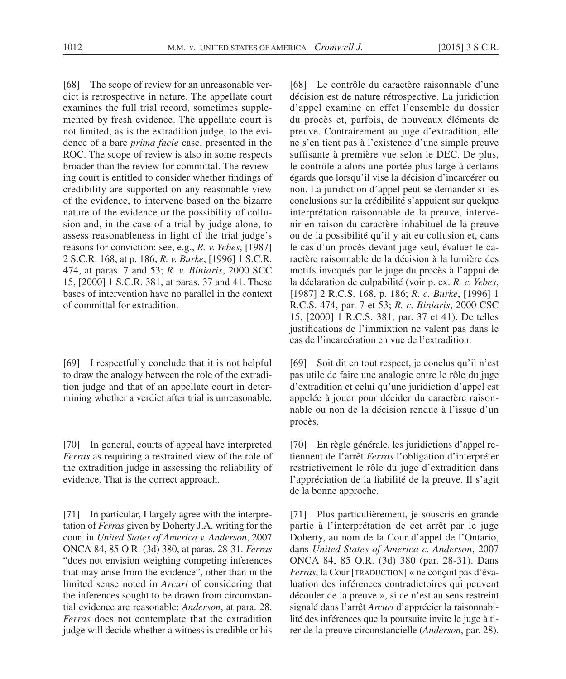[68] The scope of review for an unreasonable verdict is retrospective in nature. The appellate court examines the full trial record, sometimes supplemented by fresh evidence. The appellate court is not limited, as is the extradition judge, to the evidence of a bare *prima facie* case, presented in the ROC. The scope of review is also in some respects broader than the review for committal. The reviewing court is entitled to consider whether findings of credibility are supported on any reasonable view of the evidence, to intervene based on the bizarre nature of the evidence or the possibility of collusion and, in the case of a trial by judge alone, to assess reasonableness in light of the trial judge's reasons for conviction: see, e.g., *R. v. Yebes*, [1987] 2 S.C.R. 168, at p. 186; *R. v. Burke*, [1996] 1 S.C.R. 474, at paras. 7 and 53; *R. v. Biniaris*, 2000 SCC 15, [2000] 1 S.C.R. 381, at paras. 37 and 41. These bases of intervention have no parallel in the context of committal for extradition.

[69] I respectfully conclude that it is not helpful to draw the analogy between the role of the extradition judge and that of an appellate court in determining whether a verdict after trial is unreasonable.

[70] In general, courts of appeal have interpreted *Ferras* as requiring a restrained view of the role of the extradition judge in assessing the reliability of evidence. That is the correct approach.

[71] In particular, I largely agree with the interpretation of *Ferras* given by Doherty J.A. writing for the court in *United States of America v. Anderson*, 2007 ONCA 84, 85 O.R. (3d) 380, at paras. 28-31. *Ferras* "does not envision weighing competing inferences that may arise from the evidence", other than in the limited sense noted in *Arcuri* of considering that the inferences sought to be drawn from circumstantial evidence are reasonable: *Anderson*, at para. 28. *Ferras* does not contemplate that the extradition judge will decide whether a witness is credible or his

[68] Le contrôle du caractère raisonnable d'une décision est de nature rétrospective. La juridiction d'appel examine en effet l'ensemble du dossier du procès et, parfois, de nouveaux éléments de preuve. Contrairement au juge d'extradition, elle ne s'en tient pas à l'existence d'une simple preuve suffisante à première vue selon le DEC. De plus, le contrôle a alors une portée plus large à certains égards que lorsqu'il vise la décision d'incarcérer ou non. La juridiction d'appel peut se demander si les conclusions sur la crédibilité s'appuient sur quelque interprétation raisonnable de la preuve, intervenir en raison du caractère inhabituel de la preuve ou de la possibilité qu'il y ait eu collusion et, dans le cas d'un procès devant juge seul, évaluer le caractère raisonnable de la décision à la lumière des motifs invoqués par le juge du procès à l'appui de la déclaration de culpabilité (voir p. ex. *R. c. Yebes*, [1987] 2 R.C.S. 168, p. 186; *R. c. Burke*, [1996] 1 R.C.S. 474, par. 7 et 53; *R. c. Biniaris*, 2000 CSC 15, [2000] 1 R.C.S. 381, par. 37 et 41). De telles justifications de l'immixtion ne valent pas dans le cas de l'incarcération en vue de l'extradition.

[69] Soit dit en tout respect, je conclus qu'il n'est pas utile de faire une analogie entre le rôle du juge d'extradition et celui qu'une juridiction d'appel est appelée à jouer pour décider du caractère raisonnable ou non de la décision rendue à l'issue d'un procès.

[70] En règle générale, les juridictions d'appel retiennent de l'arrêt *Ferras* l'obligation d'interpréter restrictivement le rôle du juge d'extradition dans l'appréciation de la fiabilité de la preuve. Il s'agit de la bonne approche.

[71] Plus particulièrement, je souscris en grande partie à l'interprétation de cet arrêt par le juge Doherty, au nom de la Cour d'appel de l'Ontario, dans *United States of America c. Anderson*, 2007 ONCA 84, 85 O.R. (3d) 380 (par. 28-31). Dans *Ferras*, la Cour [TRADUCTION] « ne conçoit pas d'évaluation des inférences contradictoires qui peuvent découler de la preuve », si ce n'est au sens restreint signalé dans l'arrêt *Arcuri* d'apprécier la raisonnabilité des inférences que la poursuite invite le juge à tirer de la preuve circonstancielle (*Anderson*, par. 28).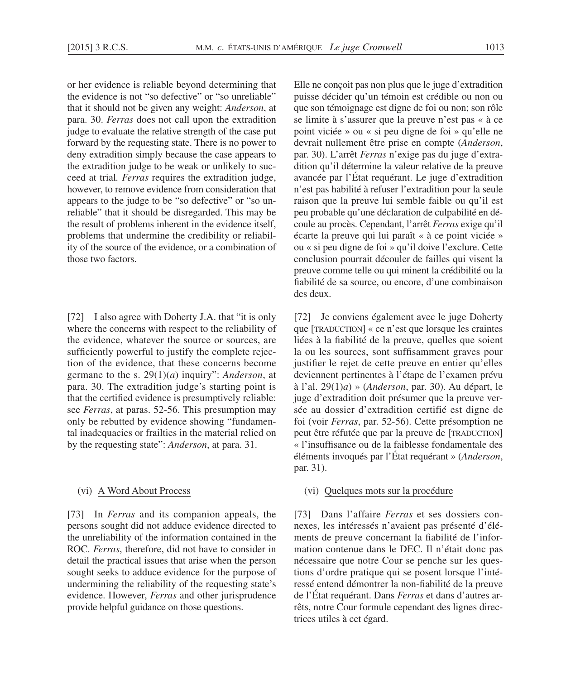or her evidence is reliable beyond determining that the evidence is not "so defective" or "so unreliable" that it should not be given any weight: *Anderson*, at para. 30. *Ferras* does not call upon the extradition judge to evaluate the relative strength of the case put forward by the requesting state. There is no power to deny extradition simply because the case appears to the extradition judge to be weak or unlikely to succeed at trial*. Ferras* requires the extradition judge, however, to remove evidence from consideration that appears to the judge to be "so defective" or "so unreliable" that it should be disregarded. This may be the result of problems inherent in the evidence itself, problems that undermine the credibility or reliability of the source of the evidence, or a combination of those two factors.

[72] I also agree with Doherty J.A. that "it is only where the concerns with respect to the reliability of the evidence, whatever the source or sources, are sufficiently powerful to justify the complete rejection of the evidence, that these concerns become germane to the s. 29(1)(*a*) inquiry": *Anderson*, at para. 30. The extradition judge's starting point is that the certified evidence is presumptively reliable: see *Ferras*, at paras. 52-56. This presumption may only be rebutted by evidence showing "fundamental inadequacies or frailties in the material relied on by the requesting state": *Anderson*, at para. 31.

#### (vi) A Word About Process

[73] In *Ferras* and its companion appeals, the persons sought did not adduce evidence directed to the unreliability of the information contained in the ROC. *Ferras*, therefore, did not have to consider in detail the practical issues that arise when the person sought seeks to adduce evidence for the purpose of undermining the reliability of the requesting state's evidence. However, *Ferras* and other jurisprudence provide helpful guidance on those questions.

Elle ne conçoit pas non plus que le juge d'extradition puisse décider qu'un témoin est crédible ou non ou que son témoignage est digne de foi ou non; son rôle se limite à s'assurer que la preuve n'est pas « à ce point viciée » ou « si peu digne de foi » qu'elle ne devrait nullement être prise en compte (*Anderson*, par. 30). L'arrêt *Ferras* n'exige pas du juge d'extradition qu'il détermine la valeur relative de la preuve avancée par l'État requérant. Le juge d'extradition n'est pas habilité à refuser l'extradition pour la seule raison que la preuve lui semble faible ou qu'il est peu probable qu'une déclaration de culpabilité en découle au procès. Cependant, l'arrêt *Ferras* exige qu'il écarte la preuve qui lui paraît « à ce point viciée » ou « si peu digne de foi » qu'il doive l'exclure. Cette conclusion pourrait découler de failles qui visent la preuve comme telle ou qui minent la crédibilité ou la fiabilité de sa source, ou encore, d'une combinaison des deux.

[72] Je conviens également avec le juge Doherty que [TRADUCTION] « ce n'est que lorsque les craintes liées à la fiabilité de la preuve, quelles que soient la ou les sources, sont suffisamment graves pour justifier le rejet de cette preuve en entier qu'elles deviennent pertinentes à l'étape de l'examen prévu à l'al. 29(1)*a*) » (*Anderson*, par. 30). Au départ, le juge d'extradition doit présumer que la preuve versée au dossier d'extradition certifié est digne de foi (voir *Ferras*, par. 52-56). Cette présomption ne peut être réfutée que par la preuve de [TRADUCTION] « l'insuffisance ou de la faiblesse fondamentale des éléments invoqués par l'État requérant » (*Anderson*, par. 31).

# (vi) Quelques mots sur la procédure

[73] Dans l'affaire *Ferras* et ses dossiers connexes, les intéressés n'avaient pas présenté d'éléments de preuve concernant la fiabilité de l'information contenue dans le DEC. Il n'était donc pas nécessaire que notre Cour se penche sur les questions d'ordre pratique qui se posent lorsque l'intéressé entend démontrer la non-fiabilité de la preuve de l'État requérant. Dans *Ferras* et dans d'autres arrêts, notre Cour formule cependant des lignes directrices utiles à cet égard.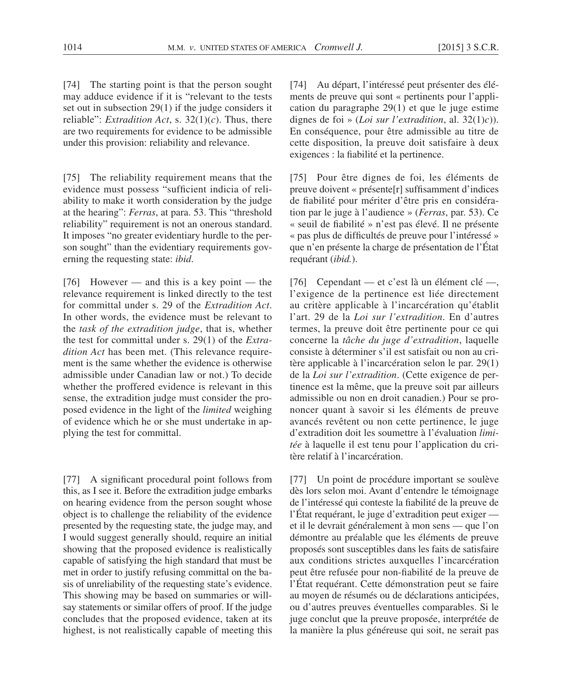[74] The starting point is that the person sought may adduce evidence if it is "relevant to the tests set out in subsection 29(1) if the judge considers it reliable": *Extradition Act*, s.  $32(1)(c)$ . Thus, there are two requirements for evidence to be admissible under this provision: reliability and relevance.

[75] The reliability requirement means that the evidence must possess "sufficient indicia of reliability to make it worth consideration by the judge at the hearing": *Ferras*, at para. 53. This "threshold reliability" requirement is not an onerous standard. It imposes "no greater evidentiary hurdle to the person sought" than the evidentiary requirements governing the requesting state: *ibid*.

[76] However — and this is a key point — the relevance requirement is linked directly to the test for committal under s. 29 of the *Extradition Act*. In other words, the evidence must be relevant to the *task of the extradition judge*, that is, whether the test for committal under s. 29(1) of the *Extradition Act* has been met. (This relevance requirement is the same whether the evidence is otherwise admissible under Canadian law or not.) To decide whether the proffered evidence is relevant in this sense, the extradition judge must consider the proposed evidence in the light of the *limited* weighing of evidence which he or she must undertake in applying the test for committal.

[77] A significant procedural point follows from this, as I see it. Before the extradition judge embarks on hearing evidence from the person sought whose object is to challenge the reliability of the evidence presented by the requesting state, the judge may, and I would suggest generally should, require an initial showing that the proposed evidence is realistically capable of satisfying the high standard that must be met in order to justify refusing committal on the basis of unreliability of the requesting state's evidence. This showing may be based on summaries or willsay statements or similar offers of proof. If the judge concludes that the proposed evidence, taken at its highest, is not realistically capable of meeting this [74] Au départ, l'intéressé peut présenter des éléments de preuve qui sont « pertinents pour l'application du paragraphe 29(1) et que le juge estime dignes de foi » (*Loi sur l'extradition*, al. 32(1)*c*)). En conséquence, pour être admissible au titre de cette disposition, la preuve doit satisfaire à deux exigences : la fiabilité et la pertinence.

[75] Pour être dignes de foi, les éléments de preuve doivent « présente[r] suffisamment d'indices de fiabilité pour mériter d'être pris en considération par le juge à l'audience » (*Ferras*, par. 53). Ce « seuil de fiabilité » n'est pas élevé. Il ne présente « pas plus de difficultés de preuve pour l'intéressé » que n'en présente la charge de présentation de l'État requérant (*ibid.*).

[76] Cependant — et c'est là un élément clé —, l'exigence de la pertinence est liée directement au critère applicable à l'incarcération qu'établit l'art. 29 de la *Loi sur l'extradition*. En d'autres termes, la preuve doit être pertinente pour ce qui concerne la *tâche du juge d'extradition*, laquelle consiste à déterminer s'il est satisfait ou non au critère applicable à l'incarcération selon le par. 29(1) de la *Loi sur l'extradition*. (Cette exigence de pertinence est la même, que la preuve soit par ailleurs admissible ou non en droit canadien.) Pour se prononcer quant à savoir si les éléments de preuve avancés revêtent ou non cette pertinence, le juge d'extradition doit les soumettre à l'évaluation *limitée* à laquelle il est tenu pour l'application du critère relatif à l'incarcération.

[77] Un point de procédure important se soulève dès lors selon moi. Avant d'entendre le témoignage de l'intéressé qui conteste la fiabilité de la preuve de l'État requérant, le juge d'extradition peut exiger et il le devrait généralement à mon sens — que l'on démontre au préalable que les éléments de preuve proposés sont susceptibles dans les faits de satisfaire aux conditions strictes auxquelles l'incarcération peut être refusée pour non-fiabilité de la preuve de l'État requérant. Cette démonstration peut se faire au moyen de résumés ou de déclarations anticipées, ou d'autres preuves éventuelles comparables. Si le juge conclut que la preuve proposée, interprétée de la manière la plus généreuse qui soit, ne serait pas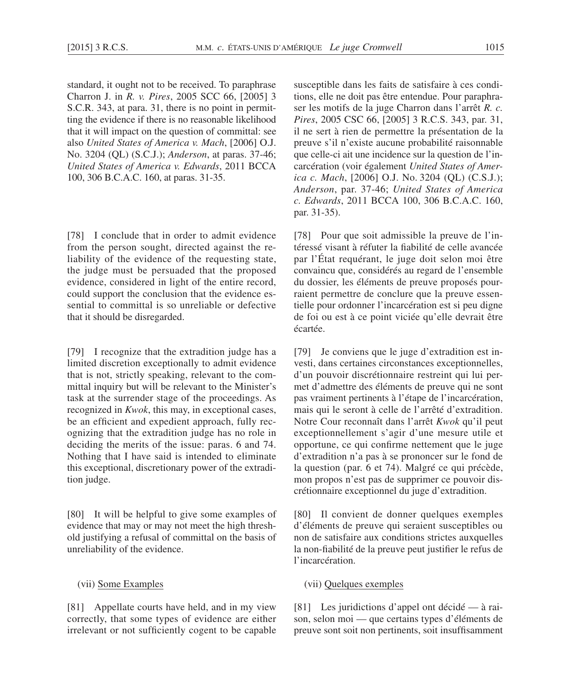standard, it ought not to be received. To paraphrase Charron J. in *R. v. Pires*, 2005 SCC 66, [2005] 3 S.C.R. 343, at para. 31, there is no point in permitting the evidence if there is no reasonable likelihood that it will impact on the question of committal: see also *United States of America v. Mach*, [2006] O.J. No. 3204 (QL) (S.C.J.); *Anderson*, at paras. 37-46; *United States of America v. Edwards*, 2011 BCCA 100, 306 B.C.A.C. 160, at paras. 31-35.

[78] I conclude that in order to admit evidence from the person sought, directed against the reliability of the evidence of the requesting state, the judge must be persuaded that the proposed evidence, considered in light of the entire record, could support the conclusion that the evidence essential to committal is so unreliable or defective that it should be disregarded.

[79] I recognize that the extradition judge has a limited discretion exceptionally to admit evidence that is not, strictly speaking, relevant to the committal inquiry but will be relevant to the Minister's task at the surrender stage of the proceedings. As recognized in *Kwok*, this may, in exceptional cases, be an efficient and expedient approach, fully recognizing that the extradition judge has no role in deciding the merits of the issue: paras. 6 and 74. Nothing that I have said is intended to eliminate this exceptional, discretionary power of the extradition judge.

[80] It will be helpful to give some examples of evidence that may or may not meet the high threshold justifying a refusal of committal on the basis of unreliability of the evidence.

### (vii) Some Examples

[81] Appellate courts have held, and in my view correctly, that some types of evidence are either irrelevant or not sufficiently cogent to be capable susceptible dans les faits de satisfaire à ces conditions, elle ne doit pas être entendue. Pour paraphraser les motifs de la juge Charron dans l'arrêt *R. c. Pires*, 2005 CSC 66, [2005] 3 R.C.S. 343, par. 31, il ne sert à rien de permettre la présentation de la preuve s'il n'existe aucune probabilité raisonnable que celle-ci ait une incidence sur la question de l'incarcération (voir également *United States of America c. Mach*, [2006] O.J. No. 3204 (QL) (C.S.J.); *Anderson*, par. 37-46; *United States of America c. Edwards*, 2011 BCCA 100, 306 B.C.A.C. 160, par. 31-35).

[78] Pour que soit admissible la preuve de l'intéressé visant à réfuter la fiabilité de celle avancée par l'État requérant, le juge doit selon moi être convaincu que, considérés au regard de l'ensemble du dossier, les éléments de preuve proposés pourraient permettre de conclure que la preuve essentielle pour ordonner l'incarcération est si peu digne de foi ou est à ce point viciée qu'elle devrait être écartée.

[79] Je conviens que le juge d'extradition est investi, dans certaines circonstances exceptionnelles, d'un pouvoir discrétionnaire restreint qui lui permet d'admettre des éléments de preuve qui ne sont pas vraiment pertinents à l'étape de l'incarcération, mais qui le seront à celle de l'arrêté d'extradition. Notre Cour reconnaît dans l'arrêt *Kwok* qu'il peut exceptionnellement s'agir d'une mesure utile et opportune, ce qui confirme nettement que le juge d'extradition n'a pas à se prononcer sur le fond de la question (par. 6 et 74). Malgré ce qui précède, mon propos n'est pas de supprimer ce pouvoir discrétionnaire exceptionnel du juge d'extradition.

[80] Il convient de donner quelques exemples d'éléments de preuve qui seraient susceptibles ou non de satisfaire aux conditions strictes auxquelles la non-fiabilité de la preuve peut justifier le refus de l'incarcération.

#### (vii) Quelques exemples

[81] Les juridictions d'appel ont décidé — à raison, selon moi — que certains types d'éléments de preuve sont soit non pertinents, soit insuffisamment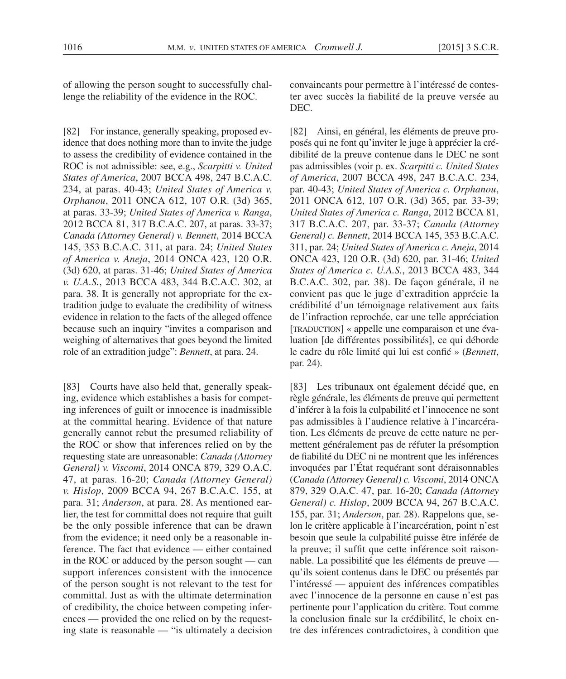of allowing the person sought to successfully challenge the reliability of the evidence in the ROC.

[82] For instance, generally speaking, proposed evidence that does nothing more than to invite the judge to assess the credibility of evidence contained in the ROC is not admissible: see, e.g., *Scarpitti v. United States of America*, 2007 BCCA 498, 247 B.C.A.C. 234, at paras. 40-43; *United States of America v. Orphanou*, 2011 ONCA 612, 107 O.R. (3d) 365, at paras. 33-39; *United States of America v. Ranga*, 2012 BCCA 81, 317 B.C.A.C. 207, at paras. 33-37; *Canada (Attorney General) v. Bennett*, 2014 BCCA 145, 353 B.C.A.C. 311, at para. 24; *United States of America v. Aneja*, 2014 ONCA 423, 120 O.R. (3d) 620, at paras. 31-46; *United States of America v. U.A.S.*, 2013 BCCA 483, 344 B.C.A.C. 302, at para. 38. It is generally not appropriate for the extradition judge to evaluate the credibility of witness evidence in relation to the facts of the alleged offence because such an inquiry "invites a comparison and weighing of alternatives that goes beyond the limited role of an extradition judge": *Bennett*, at para. 24.

[83] Courts have also held that, generally speaking, evidence which establishes a basis for competing inferences of guilt or innocence is inadmissible at the committal hearing. Evidence of that nature generally cannot rebut the presumed reliability of the ROC or show that inferences relied on by the requesting state are unreasonable: *Canada (Attorney General) v. Viscomi*, 2014 ONCA 879, 329 O.A.C. 47, at paras. 16-20; *Canada (Attorney General) v. Hislop*, 2009 BCCA 94, 267 B.C.A.C. 155, at para. 31; *Anderson*, at para. 28. As mentioned earlier, the test for committal does not require that guilt be the only possible inference that can be drawn from the evidence; it need only be a reasonable inference. The fact that evidence — either contained in the ROC or adduced by the person sought — can support inferences consistent with the innocence of the person sought is not relevant to the test for committal. Just as with the ultimate determination of credibility, the choice between competing inferences — provided the one relied on by the requesting state is reasonable — "is ultimately a decision convaincants pour permettre à l'intéressé de contester avec succès la fiabilité de la preuve versée au DEC.

[82] Ainsi, en général, les éléments de preuve proposés qui ne font qu'inviter le juge à apprécier la crédibilité de la preuve contenue dans le DEC ne sont pas admissibles (voir p. ex. *Scarpitti c. United States of America*, 2007 BCCA 498, 247 B.C.A.C. 234, par. 40-43; *United States of America c. Orphanou*, 2011 ONCA 612, 107 O.R. (3d) 365, par. 33-39; *United States of America c. Ranga*, 2012 BCCA 81, 317 B.C.A.C. 207, par. 33-37; *Canada (Attorney General) c. Bennett*, 2014 BCCA 145, 353 B.C.A.C. 311, par. 24; *United States of America c. Aneja*, 2014 ONCA 423, 120 O.R. (3d) 620, par. 31-46; *United States of America c. U.A.S.*, 2013 BCCA 483, 344 B.C.A.C. 302, par. 38). De façon générale, il ne convient pas que le juge d'extradition apprécie la crédibilité d'un témoignage relativement aux faits de l'infraction reprochée, car une telle appréciation [TRADUCTION] « appelle une comparaison et une évaluation [de différentes possibilités], ce qui déborde le cadre du rôle limité qui lui est confié » (*Bennett*, par. 24).

[83] Les tribunaux ont également décidé que, en règle générale, les éléments de preuve qui permettent d'inférer à la fois la culpabilité et l'innocence ne sont pas admissibles à l'audience relative à l'incarcération. Les éléments de preuve de cette nature ne permettent généralement pas de réfuter la présomption de fiabilité du DEC ni ne montrent que les inférences invoquées par l'État requérant sont déraisonnables (*Canada (Attorney General) c. Viscomi*, 2014 ONCA 879, 329 O.A.C. 47, par. 16-20; *Canada (Attorney General) c. Hislop*, 2009 BCCA 94, 267 B.C.A.C. 155, par. 31; *Anderson*, par. 28). Rappelons que, selon le critère applicable à l'incarcération, point n'est besoin que seule la culpabilité puisse être inférée de la preuve; il suffit que cette inférence soit raisonnable. La possibilité que les éléments de preuve qu'ils soient contenus dans le DEC ou présentés par l'intéressé — appuient des inférences compatibles avec l'innocence de la personne en cause n'est pas pertinente pour l'application du critère. Tout comme la conclusion finale sur la crédibilité, le choix entre des inférences contradictoires, à condition que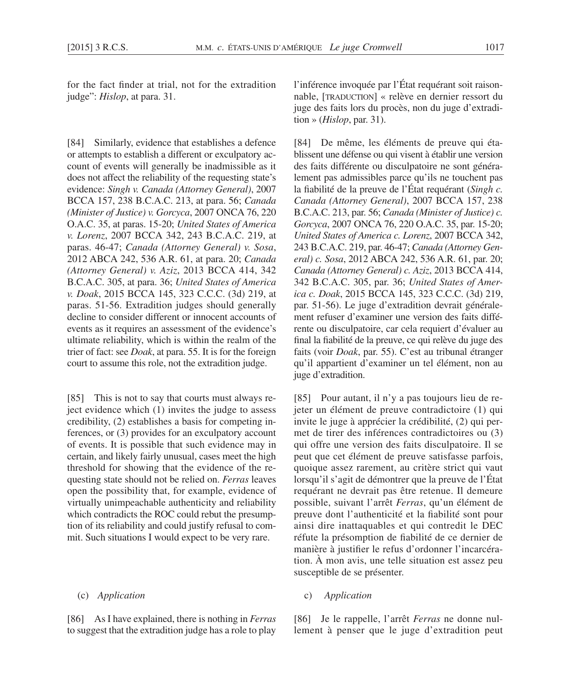for the fact finder at trial, not for the extradition judge": *Hislop*, at para. 31.

[84] Similarly, evidence that establishes a defence or attempts to establish a different or exculpatory account of events will generally be inadmissible as it does not affect the reliability of the requesting state's evidence: *Singh v. Canada (Attorney General)*, 2007 BCCA 157, 238 B.C.A.C. 213, at para. 56; *Canada (Minister of Justice) v. Gorcyca*, 2007 ONCA 76, 220 O.A.C. 35, at paras. 15-20; *United States of America v. Lorenz*, 2007 BCCA 342, 243 B.C.A.C. 219, at paras. 46-47; *Canada (Attorney General) v. Sosa*, 2012 ABCA 242, 536 A.R. 61, at para. 20; *Canada (Attorney General) v. Aziz*, 2013 BCCA 414, 342 B.C.A.C. 305, at para. 36; *United States of America v. Doak*, 2015 BCCA 145, 323 C.C.C. (3d) 219, at paras. 51-56. Extradition judges should generally decline to consider different or innocent accounts of events as it requires an assessment of the evidence's ultimate reliability, which is within the realm of the trier of fact: see *Doak*, at para. 55. It is for the foreign court to assume this role, not the extradition judge.

[85] This is not to say that courts must always reject evidence which (1) invites the judge to assess credibility, (2) establishes a basis for competing inferences, or (3) provides for an exculpatory account of events. It is possible that such evidence may in certain, and likely fairly unusual, cases meet the high threshold for showing that the evidence of the requesting state should not be relied on. *Ferras* leaves open the possibility that, for example, evidence of virtually unimpeachable authenticity and reliability which contradicts the ROC could rebut the presumption of its reliability and could justify refusal to commit. Such situations I would expect to be very rare.

### (c) *Application*

[86] As I have explained, there is nothing in *Ferras*  to suggest that the extradition judge has a role to play

l'inférence invoquée par l'État requérant soit raisonnable, [TRADUCTION] « relève en dernier ressort du juge des faits lors du procès, non du juge d'extradi- $\text{tion} \times \text{(Hislop, par. 31)}.$ 

[84] De même, les éléments de preuve qui établissent une défense ou qui visent à établir une version des faits différente ou disculpatoire ne sont généralement pas admissibles parce qu'ils ne touchent pas la fiabilité de la preuve de l'État requérant (*Singh c. Canada (Attorney General)*, 2007 BCCA 157, 238 B.C.A.C. 213, par. 56; *Canada (Minister of Justice) c. Gorcyca*, 2007 ONCA 76, 220 O.A.C. 35, par. 15-20; *United States of America c. Lorenz*, 2007 BCCA 342, 243 B.C.A.C. 219, par. 46-47; *Canada (Attorney General) c. Sosa*, 2012 ABCA 242, 536 A.R. 61, par. 20; *Canada (Attorney General) c. Aziz*, 2013 BCCA 414, 342 B.C.A.C. 305, par. 36; *United States of America c. Doak*, 2015 BCCA 145, 323 C.C.C. (3d) 219, par. 51-56). Le juge d'extradition devrait généralement refuser d'examiner une version des faits différente ou disculpatoire, car cela requiert d'évaluer au final la fiabilité de la preuve, ce qui relève du juge des faits (voir *Doak*, par. 55). C'est au tribunal étranger qu'il appartient d'examiner un tel élément, non au juge d'extradition.

[85] Pour autant, il n'y a pas toujours lieu de rejeter un élément de preuve contradictoire (1) qui invite le juge à apprécier la crédibilité, (2) qui permet de tirer des inférences contradictoires ou (3) qui offre une version des faits disculpatoire. Il se peut que cet élément de preuve satisfasse parfois, quoique assez rarement, au critère strict qui vaut lorsqu'il s'agit de démontrer que la preuve de l'État requérant ne devrait pas être retenue. Il demeure possible, suivant l'arrêt *Ferras*, qu'un élément de preuve dont l'authenticité et la fiabilité sont pour ainsi dire inattaquables et qui contredit le DEC réfute la présomption de fiabilité de ce dernier de manière à justifier le refus d'ordonner l'incarcération. À mon avis, une telle situation est assez peu susceptible de se présenter.

# c) *Application*

[86] Je le rappelle, l'arrêt *Ferras* ne donne nullement à penser que le juge d'extradition peut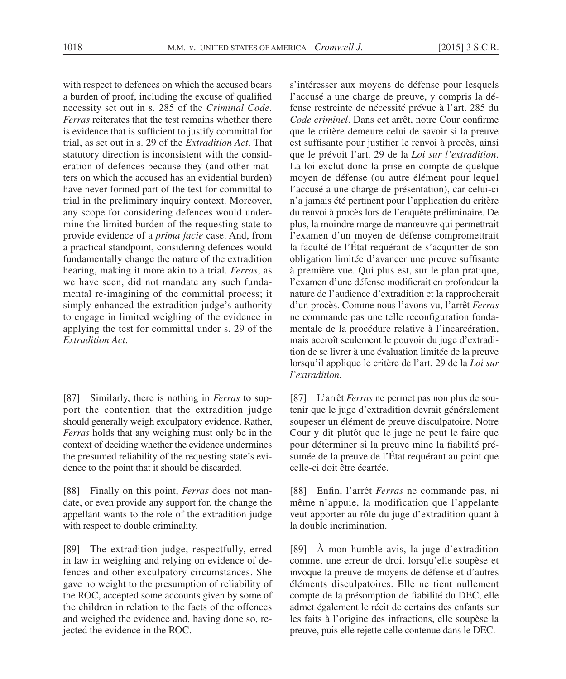with respect to defences on which the accused bears a burden of proof, including the excuse of qualified necessity set out in s. 285 of the *Criminal Code*. *Ferras* reiterates that the test remains whether there is evidence that is sufficient to justify committal for trial, as set out in s. 29 of the *Extradition Act*. That statutory direction is inconsistent with the consideration of defences because they (and other matters on which the accused has an evidential burden) have never formed part of the test for committal to trial in the preliminary inquiry context. Moreover, any scope for considering defences would undermine the limited burden of the requesting state to provide evidence of a *prima facie* case. And, from a practical standpoint, considering defences would fundamentally change the nature of the extradition hearing, making it more akin to a trial. *Ferras*, as we have seen, did not mandate any such fundamental re-imagining of the committal process; it simply enhanced the extradition judge's authority to engage in limited weighing of the evidence in applying the test for committal under s. 29 of the *Extradition Act*.

[87] Similarly, there is nothing in *Ferras* to support the contention that the extradition judge should generally weigh exculpatory evidence. Rather, *Ferras* holds that any weighing must only be in the context of deciding whether the evidence undermines the presumed reliability of the requesting state's evidence to the point that it should be discarded.

[88] Finally on this point, *Ferras* does not mandate, or even provide any support for, the change the appellant wants to the role of the extradition judge with respect to double criminality.

[89] The extradition judge, respectfully, erred in law in weighing and relying on evidence of defences and other exculpatory circumstances. She gave no weight to the presumption of reliability of the ROC, accepted some accounts given by some of the children in relation to the facts of the offences and weighed the evidence and, having done so, rejected the evidence in the ROC.

s'intéresser aux moyens de défense pour lesquels l'accusé a une charge de preuve, y compris la défense restreinte de nécessité prévue à l'art. 285 du *Code criminel*. Dans cet arrêt, notre Cour confirme que le critère demeure celui de savoir si la preuve est suffisante pour justifier le renvoi à procès, ainsi que le prévoit l'art. 29 de la *Loi sur l'extradition*. La loi exclut donc la prise en compte de quelque moyen de défense (ou autre élément pour lequel l'accusé a une charge de présentation), car celui-ci n'a jamais été pertinent pour l'application du critère du renvoi à procès lors de l'enquête préliminaire. De plus, la moindre marge de manœuvre qui permettrait l'examen d'un moyen de défense compromettrait la faculté de l'État requérant de s'acquitter de son obligation limitée d'avancer une preuve suffisante à première vue. Qui plus est, sur le plan pratique, l'examen d'une défense modifierait en profondeur la nature de l'audience d'extradition et la rapprocherait d'un procès. Comme nous l'avons vu, l'arrêt *Ferras* ne commande pas une telle reconfiguration fondamentale de la procédure relative à l'incarcération, mais accroît seulement le pouvoir du juge d'extradition de se livrer à une évaluation limitée de la preuve lorsqu'il applique le critère de l'art. 29 de la *Loi sur l'extradition*.

[87] L'arrêt *Ferras* ne permet pas non plus de soutenir que le juge d'extradition devrait généralement soupeser un élément de preuve disculpatoire. Notre Cour y dit plutôt que le juge ne peut le faire que pour déterminer si la preuve mine la fiabilité présumée de la preuve de l'État requérant au point que celle-ci doit être écartée.

[88] Enfin, l'arrêt *Ferras* ne commande pas, ni même n'appuie, la modification que l'appelante veut apporter au rôle du juge d'extradition quant à la double incrimination.

[89] À mon humble avis, la juge d'extradition commet une erreur de droit lorsqu'elle soupèse et invoque la preuve de moyens de défense et d'autres éléments disculpatoires. Elle ne tient nullement compte de la présomption de fiabilité du DEC, elle admet également le récit de certains des enfants sur les faits à l'origine des infractions, elle soupèse la preuve, puis elle rejette celle contenue dans le DEC.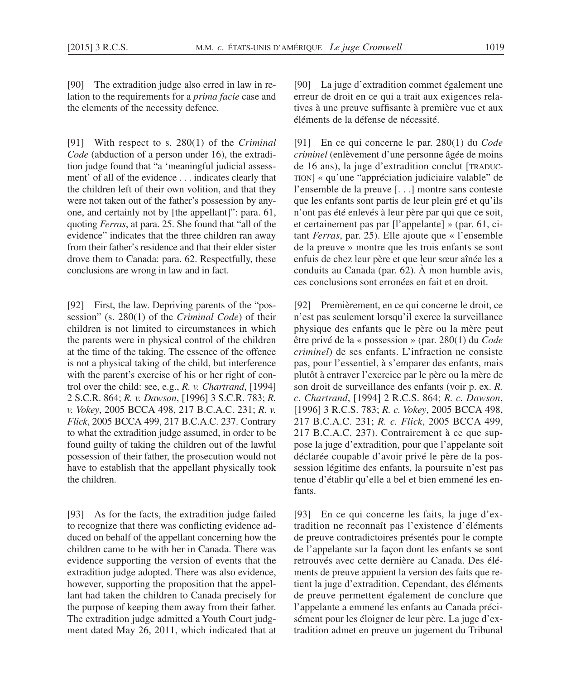[90] The extradition judge also erred in law in relation to the requirements for a *prima facie* case and the elements of the necessity defence.

[91] With respect to s. 280(1) of the *Criminal Code* (abduction of a person under 16), the extradition judge found that "a 'meaningful judicial assessment' of all of the evidence . . . indicates clearly that the children left of their own volition, and that they were not taken out of the father's possession by anyone, and certainly not by [the appellant]": para. 61, quoting *Ferras*, at para. 25. She found that "all of the evidence" indicates that the three children ran away from their father's residence and that their elder sister drove them to Canada: para. 62. Respectfully, these conclusions are wrong in law and in fact.

[92] First, the law. Depriving parents of the "possession" (s. 280(1) of the *Criminal Code*) of their children is not limited to circumstances in which the parents were in physical control of the children at the time of the taking. The essence of the offence is not a physical taking of the child, but interference with the parent's exercise of his or her right of control over the child: see, e.g., *R. v. Chartrand*, [1994] 2 S.C.R. 864; *R. v. Dawson*, [1996] 3 S.C.R. 783; *R. v. Vokey*, 2005 BCCA 498, 217 B.C.A.C. 231; *R. v. Flick*, 2005 BCCA 499, 217 B.C.A.C. 237. Contrary to what the extradition judge assumed, in order to be found guilty of taking the children out of the lawful possession of their father, the prosecution would not have to establish that the appellant physically took the children.

[93] As for the facts, the extradition judge failed to recognize that there was conflicting evidence adduced on behalf of the appellant concerning how the children came to be with her in Canada. There was evidence supporting the version of events that the extradition judge adopted. There was also evidence, however, supporting the proposition that the appellant had taken the children to Canada precisely for the purpose of keeping them away from their father. The extradition judge admitted a Youth Court judgment dated May 26, 2011, which indicated that at [90] La juge d'extradition commet également une erreur de droit en ce qui a trait aux exigences relatives à une preuve suffisante à première vue et aux éléments de la défense de nécessité.

[91] En ce qui concerne le par. 280(1) du *Code criminel* (enlèvement d'une personne âgée de moins de 16 ans), la juge d'extradition conclut [TRADUC-TION] « qu'une "appréciation judiciaire valable" de l'ensemble de la preuve [. . .] montre sans conteste que les enfants sont partis de leur plein gré et qu'ils n'ont pas été enlevés à leur père par qui que ce soit, et certainement pas par [l'appelante] » (par. 61, citant *Ferras*, par. 25). Elle ajoute que « l'ensemble de la preuve » montre que les trois enfants se sont enfuis de chez leur père et que leur sœur aînée les a conduits au Canada (par. 62). À mon humble avis, ces conclusions sont erronées en fait et en droit.

[92] Premièrement, en ce qui concerne le droit, ce n'est pas seulement lorsqu'il exerce la surveillance physique des enfants que le père ou la mère peut être privé de la « possession » (par. 280(1) du *Code criminel*) de ses enfants. L'infraction ne consiste pas, pour l'essentiel, à s'emparer des enfants, mais plutôt à entraver l'exercice par le père ou la mère de son droit de surveillance des enfants (voir p. ex. *R. c. Chartrand*, [1994] 2 R.C.S. 864; *R. c. Dawson*, [1996] 3 R.C.S. 783; *R. c. Vokey*, 2005 BCCA 498, 217 B.C.A.C. 231; *R. c. Flick*, 2005 BCCA 499, 217 B.C.A.C. 237). Contrairement à ce que suppose la juge d'extradition, pour que l'appelante soit déclarée coupable d'avoir privé le père de la possession légitime des enfants, la poursuite n'est pas tenue d'établir qu'elle a bel et bien emmené les enfants.

[93] En ce qui concerne les faits, la juge d'extradition ne reconnaît pas l'existence d'éléments de preuve contradictoires présentés pour le compte de l'appelante sur la façon dont les enfants se sont retrouvés avec cette dernière au Canada. Des éléments de preuve appuient la version des faits que retient la juge d'extradition. Cependant, des éléments de preuve permettent également de conclure que l'appelante a emmené les enfants au Canada précisément pour les éloigner de leur père. La juge d'extradition admet en preuve un jugement du Tribunal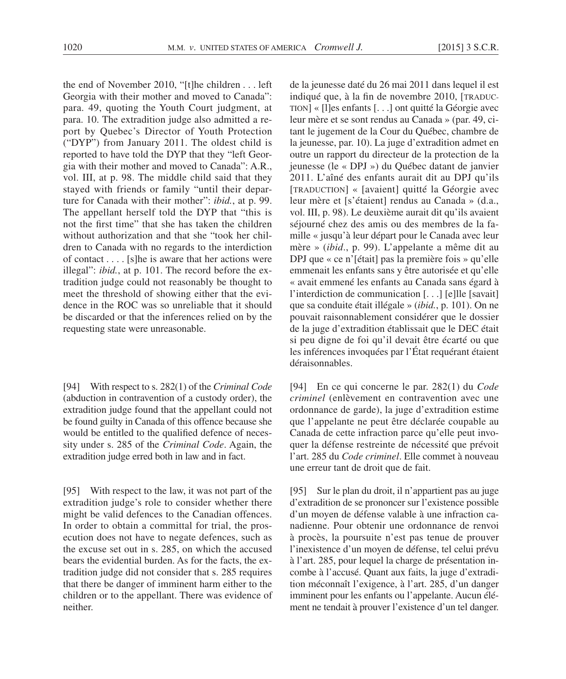the end of November 2010, "[t]he children . . . left Georgia with their mother and moved to Canada": para. 49, quoting the Youth Court judgment, at para. 10. The extradition judge also admitted a report by Quebec's Director of Youth Protection ("DYP") from January 2011. The oldest child is reported to have told the DYP that they "left Georgia with their mother and moved to Canada": A.R., vol. III, at p. 98. The middle child said that they stayed with friends or family "until their departure for Canada with their mother": *ibid.*, at p. 99. The appellant herself told the DYP that "this is not the first time" that she has taken the children without authorization and that she "took her children to Canada with no regards to the interdiction of contact . . . . [s]he is aware that her actions were illegal": *ibid.*, at p. 101. The record before the extradition judge could not reasonably be thought to meet the threshold of showing either that the evidence in the ROC was so unreliable that it should be discarded or that the inferences relied on by the requesting state were unreasonable.

[94] With respect to s. 282(1) of the *Criminal Code* (abduction in contravention of a custody order), the extradition judge found that the appellant could not be found guilty in Canada of this offence because she would be entitled to the qualified defence of necessity under s. 285 of the *Criminal Code*. Again, the extradition judge erred both in law and in fact.

[95] With respect to the law, it was not part of the extradition judge's role to consider whether there might be valid defences to the Canadian offences. In order to obtain a committal for trial, the prosecution does not have to negate defences, such as the excuse set out in s. 285, on which the accused bears the evidential burden. As for the facts, the extradition judge did not consider that s. 285 requires that there be danger of imminent harm either to the children or to the appellant. There was evidence of neither.

de la jeunesse daté du 26 mai 2011 dans lequel il est indiqué que, à la fin de novembre 2010, [TRADUC-TION] « [l]es enfants [. . .] ont quitté la Géorgie avec leur mère et se sont rendus au Canada » (par. 49, citant le jugement de la Cour du Québec, chambre de la jeunesse, par. 10). La juge d'extradition admet en outre un rapport du directeur de la protection de la jeunesse (le « DPJ ») du Québec datant de janvier 2011. L'aîné des enfants aurait dit au DPJ qu'ils [TRADUCTION] « [avaient] quitté la Géorgie avec leur mère et [s'étaient] rendus au Canada » (d.a., vol. III, p. 98). Le deuxième aurait dit qu'ils avaient séjourné chez des amis ou des membres de la famille « jusqu'à leur départ pour le Canada avec leur mère » (*ibid*., p. 99). L'appelante a même dit au DPJ que « ce n'[était] pas la première fois » qu'elle emmenait les enfants sans y être autorisée et qu'elle « avait emmené les enfants au Canada sans égard à l'interdiction de communication [. . .] [e]lle [savait] que sa conduite était illégale » (*ibid.*, p. 101). On ne pouvait raisonnablement considérer que le dossier de la juge d'extradition établissait que le DEC était si peu digne de foi qu'il devait être écarté ou que les inférences invoquées par l'État requérant étaient déraisonnables.

[94] En ce qui concerne le par. 282(1) du *Code criminel* (enlèvement en contravention avec une ordonnance de garde), la juge d'extradition estime que l'appelante ne peut être déclarée coupable au Canada de cette infraction parce qu'elle peut invoquer la défense restreinte de nécessité que prévoit l'art. 285 du *Code criminel*. Elle commet à nouveau une erreur tant de droit que de fait.

[95] Sur le plan du droit, il n'appartient pas au juge d'extradition de se prononcer sur l'existence possible d'un moyen de défense valable à une infraction canadienne. Pour obtenir une ordonnance de renvoi à procès, la poursuite n'est pas tenue de prouver l'inexistence d'un moyen de défense, tel celui prévu à l'art. 285, pour lequel la charge de présentation incombe à l'accusé. Quant aux faits, la juge d'extradition méconnaît l'exigence, à l'art. 285, d'un danger imminent pour les enfants ou l'appelante. Aucun élément ne tendait à prouver l'existence d'un tel danger.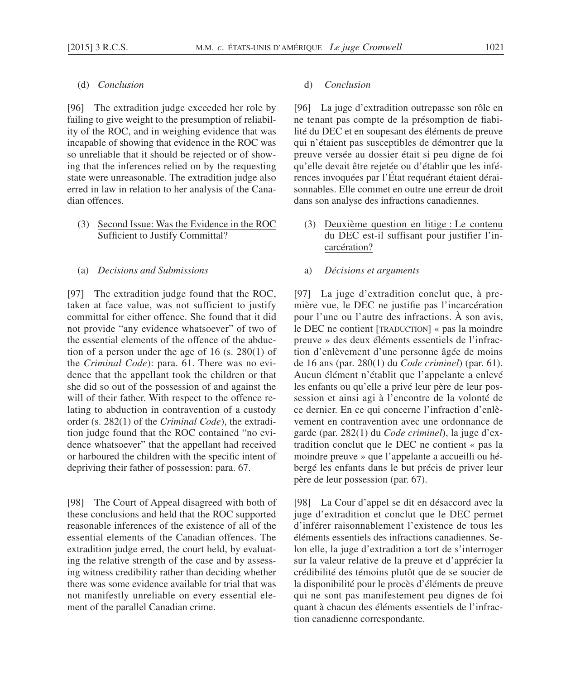### (d) *Conclusion*

[96] The extradition judge exceeded her role by failing to give weight to the presumption of reliability of the ROC, and in weighing evidence that was incapable of showing that evidence in the ROC was so unreliable that it should be rejected or of showing that the inferences relied on by the requesting state were unreasonable. The extradition judge also erred in law in relation to her analysis of the Canadian offences.

# (3) Second Issue: Was the Evidence in the ROC Sufficient to Justify Committal?

### (a) *Decisions and Submissions*

[97] The extradition judge found that the ROC, taken at face value, was not sufficient to justify committal for either offence. She found that it did not provide "any evidence whatsoever" of two of the essential elements of the offence of the abduction of a person under the age of 16 (s. 280(1) of the *Criminal Code*): para. 61. There was no evidence that the appellant took the children or that she did so out of the possession of and against the will of their father. With respect to the offence relating to abduction in contravention of a custody order (s. 282(1) of the *Criminal Code*), the extradition judge found that the ROC contained "no evidence whatsoever" that the appellant had received or harboured the children with the specific intent of depriving their father of possession: para. 67.

[98] The Court of Appeal disagreed with both of these conclusions and held that the ROC supported reasonable inferences of the existence of all of the essential elements of the Canadian offences. The extradition judge erred, the court held, by evaluating the relative strength of the case and by assessing witness credibility rather than deciding whether there was some evidence available for trial that was not manifestly unreliable on every essential element of the parallel Canadian crime.

#### d) *Conclusion*

[96] La juge d'extradition outrepasse son rôle en ne tenant pas compte de la présomption de fiabilité du DEC et en soupesant des éléments de preuve qui n'étaient pas susceptibles de démontrer que la preuve versée au dossier était si peu digne de foi qu'elle devait être rejetée ou d'établir que les inférences invoquées par l'État requérant étaient déraisonnables. Elle commet en outre une erreur de droit dans son analyse des infractions canadiennes.

(3) Deuxième question en litige : Le contenu du DEC est-il suffisant pour justifier l'incarcération?

#### a) *Décisions et arguments*

[97] La juge d'extradition conclut que, à première vue, le DEC ne justifie pas l'incarcération pour l'une ou l'autre des infractions. À son avis, le DEC ne contient [TRADUCTION] « pas la moindre preuve » des deux éléments essentiels de l'infraction d'enlèvement d'une personne âgée de moins de 16 ans (par. 280(1) du *Code criminel*) (par. 61). Aucun élément n'établit que l'appelante a enlevé les enfants ou qu'elle a privé leur père de leur possession et ainsi agi à l'encontre de la volonté de ce dernier. En ce qui concerne l'infraction d'enlèvement en contravention avec une ordonnance de garde (par. 282(1) du *Code criminel*), la juge d'extradition conclut que le DEC ne contient « pas la moindre preuve » que l'appelante a accueilli ou hébergé les enfants dans le but précis de priver leur père de leur possession (par. 67).

[98] La Cour d'appel se dit en désaccord avec la juge d'extradition et conclut que le DEC permet d'inférer raisonnablement l'existence de tous les éléments essentiels des infractions canadiennes. Selon elle, la juge d'extradition a tort de s'interroger sur la valeur relative de la preuve et d'apprécier la crédibilité des témoins plutôt que de se soucier de la disponibilité pour le procès d'éléments de preuve qui ne sont pas manifestement peu dignes de foi quant à chacun des éléments essentiels de l'infraction canadienne correspondante.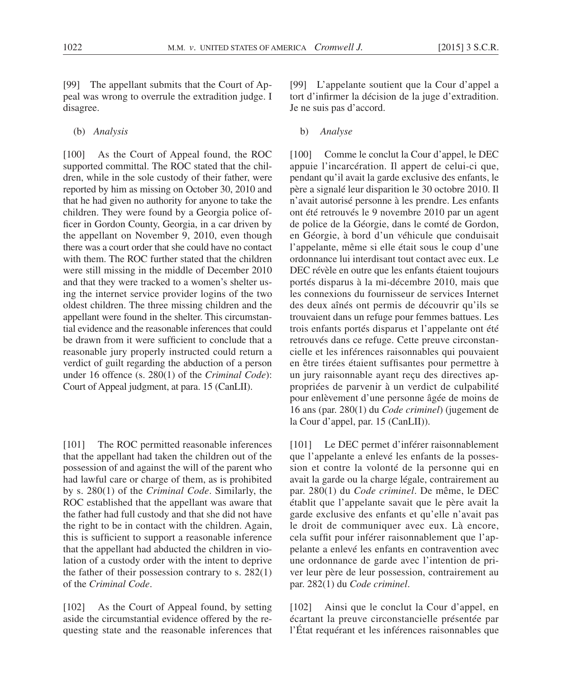[99] The appellant submits that the Court of Appeal was wrong to overrule the extradition judge. I disagree.

(b) *Analysis*

[100] As the Court of Appeal found, the ROC supported committal. The ROC stated that the children, while in the sole custody of their father, were reported by him as missing on October 30, 2010 and that he had given no authority for anyone to take the children. They were found by a Georgia police officer in Gordon County, Georgia, in a car driven by the appellant on November 9, 2010, even though there was a court order that she could have no contact with them. The ROC further stated that the children were still missing in the middle of December 2010 and that they were tracked to a women's shelter using the internet service provider logins of the two oldest children. The three missing children and the appellant were found in the shelter. This circumstantial evidence and the reasonable inferences that could be drawn from it were sufficient to conclude that a reasonable jury properly instructed could return a verdict of guilt regarding the abduction of a person under 16 offence (s. 280(1) of the *Criminal Code*): Court of Appeal judgment, at para. 15 (CanLII).

[101] The ROC permitted reasonable inferences that the appellant had taken the children out of the possession of and against the will of the parent who had lawful care or charge of them, as is prohibited by s. 280(1) of the *Criminal Code*. Similarly, the ROC established that the appellant was aware that the father had full custody and that she did not have the right to be in contact with the children. Again, this is sufficient to support a reasonable inference that the appellant had abducted the children in violation of a custody order with the intent to deprive the father of their possession contrary to s.  $282(1)$ of the *Criminal Code*.

[102] As the Court of Appeal found, by setting aside the circumstantial evidence offered by the requesting state and the reasonable inferences that [99] L'appelante soutient que la Cour d'appel a tort d'infirmer la décision de la juge d'extradition. Je ne suis pas d'accord.

b) *Analyse*

[100] Comme le conclut la Cour d'appel, le DEC appuie l'incarcération. Il appert de celui-ci que, pendant qu'il avait la garde exclusive des enfants, le père a signalé leur disparition le 30 octobre 2010. Il n'avait autorisé personne à les prendre. Les enfants ont été retrouvés le 9 novembre 2010 par un agent de police de la Géorgie, dans le comté de Gordon, en Géorgie, à bord d'un véhicule que conduisait l'appelante, même si elle était sous le coup d'une ordonnance lui interdisant tout contact avec eux. Le DEC révèle en outre que les enfants étaient toujours portés disparus à la mi-décembre 2010, mais que les connexions du fournisseur de services Internet des deux aînés ont permis de découvrir qu'ils se trouvaient dans un refuge pour femmes battues. Les trois enfants portés disparus et l'appelante ont été retrouvés dans ce refuge. Cette preuve circonstancielle et les inférences raisonnables qui pouvaient en être tirées étaient suffisantes pour permettre à un jury raisonnable ayant reçu des directives appropriées de parvenir à un verdict de culpabilité pour enlèvement d'une personne âgée de moins de 16 ans (par. 280(1) du *Code criminel*) (jugement de la Cour d'appel, par. 15 (CanLII)).

[101] Le DEC permet d'inférer raisonnablement que l'appelante a enlevé les enfants de la possession et contre la volonté de la personne qui en avait la garde ou la charge légale, contrairement au par. 280(1) du *Code criminel*. De même, le DEC établit que l'appelante savait que le père avait la garde exclusive des enfants et qu'elle n'avait pas le droit de communiquer avec eux. Là encore, cela suffit pour inférer raisonnablement que l'appelante a enlevé les enfants en contravention avec une ordonnance de garde avec l'intention de priver leur père de leur possession, contrairement au par. 282(1) du *Code criminel*.

[102] Ainsi que le conclut la Cour d'appel, en écartant la preuve circonstancielle présentée par l'État requérant et les inférences raisonnables que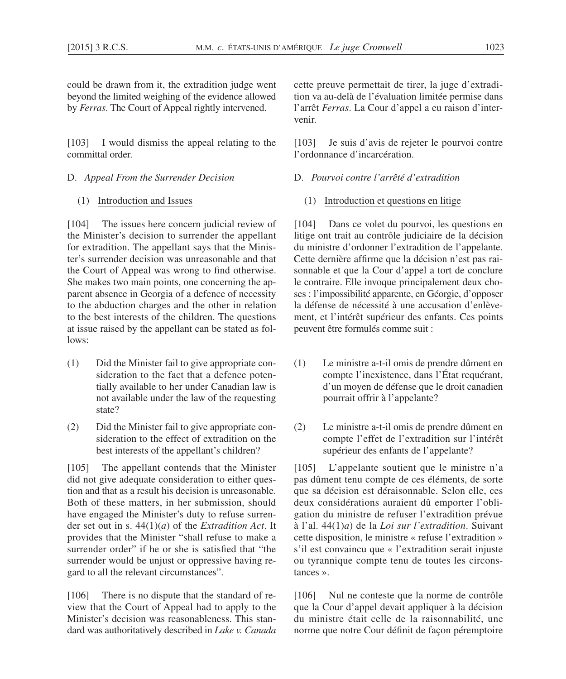could be drawn from it, the extradition judge went beyond the limited weighing of the evidence allowed by *Ferras*. The Court of Appeal rightly intervened.

[103] I would dismiss the appeal relating to the committal order.

- D. *Appeal From the Surrender Decision*
	- (1) Introduction and Issues

[104] The issues here concern judicial review of the Minister's decision to surrender the appellant for extradition. The appellant says that the Minister's surrender decision was unreasonable and that the Court of Appeal was wrong to find otherwise. She makes two main points, one concerning the apparent absence in Georgia of a defence of necessity to the abduction charges and the other in relation to the best interests of the children. The questions at issue raised by the appellant can be stated as fol $lows$ 

- (1) Did the Minister fail to give appropriate consideration to the fact that a defence potentially available to her under Canadian law is not available under the law of the requesting state?
- (2) Did the Minister fail to give appropriate consideration to the effect of extradition on the best interests of the appellant's children?

[105] The appellant contends that the Minister did not give adequate consideration to either question and that as a result his decision is unreasonable. Both of these matters, in her submission, should have engaged the Minister's duty to refuse surrender set out in s. 44(1)(*a*) of the *Extradition Act*. It provides that the Minister "shall refuse to make a surrender order" if he or she is satisfied that "the surrender would be unjust or oppressive having regard to all the relevant circumstances".

[106] There is no dispute that the standard of review that the Court of Appeal had to apply to the Minister's decision was reasonableness. This standard was authoritatively described in *Lake v. Canada*  cette preuve permettait de tirer, la juge d'extradition va au-delà de l'évaluation limitée permise dans l'arrêt *Ferras*. La Cour d'appel a eu raison d'intervenir.

[103] Je suis d'avis de rejeter le pourvoi contre l'ordonnance d'incarcération.

D. *Pourvoi contre l'arrêté d'extradition*

(1) Introduction et questions en litige

[104] Dans ce volet du pourvoi, les questions en litige ont trait au contrôle judiciaire de la décision du ministre d'ordonner l'extradition de l'appelante. Cette dernière affirme que la décision n'est pas raisonnable et que la Cour d'appel a tort de conclure le contraire. Elle invoque principalement deux choses : l'impossibilité apparente, en Géorgie, d'opposer la défense de nécessité à une accusation d'enlèvement, et l'intérêt supérieur des enfants. Ces points peuvent être formulés comme suit :

- (1) Le ministre a-t-il omis de prendre dûment en compte l'inexistence, dans l'État requérant, d'un moyen de défense que le droit canadien pourrait offrir à l'appelante?
- (2) Le ministre a-t-il omis de prendre dûment en compte l'effet de l'extradition sur l'intérêt supérieur des enfants de l'appelante?

[105] L'appelante soutient que le ministre n'a pas dûment tenu compte de ces éléments, de sorte que sa décision est déraisonnable. Selon elle, ces deux considérations auraient dû emporter l'obligation du ministre de refuser l'extradition prévue à l'al. 44(1)*a*) de la *Loi sur l'extradition*. Suivant cette disposition, le ministre « refuse l'extradition » s'il est convaincu que « l'extradition serait injuste ou tyrannique compte tenu de toutes les circonstances ».

[106] Nul ne conteste que la norme de contrôle que la Cour d'appel devait appliquer à la décision du ministre était celle de la raisonnabilité, une norme que notre Cour définit de façon péremptoire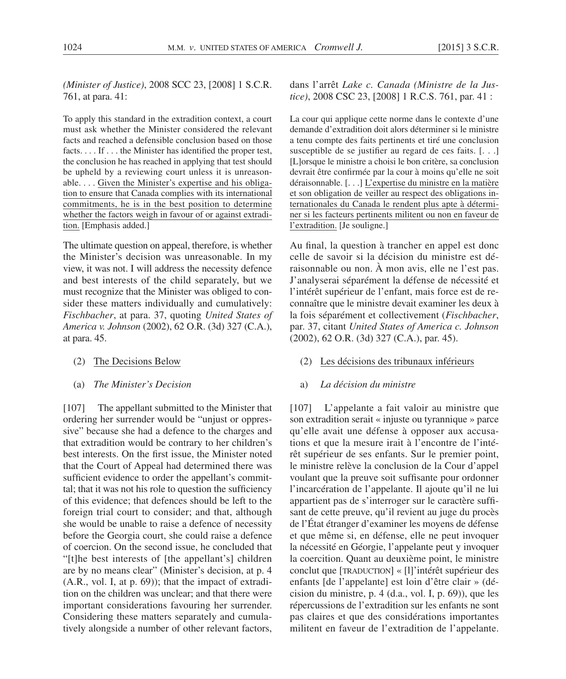*(Minister of Justice)*, 2008 SCC 23, [2008] 1 S.C.R. 761, at para. 41:

To apply this standard in the extradition context, a court must ask whether the Minister considered the relevant facts and reached a defensible conclusion based on those facts. . . . If . . . the Minister has identified the proper test, the conclusion he has reached in applying that test should be upheld by a reviewing court unless it is unreasonable. . . . Given the Minister's expertise and his obligation to ensure that Canada complies with its international commitments, he is in the best position to determine whether the factors weigh in favour of or against extradition. [Emphasis added.]

The ultimate question on appeal, therefore, is whether the Minister's decision was unreasonable. In my view, it was not. I will address the necessity defence and best interests of the child separately, but we must recognize that the Minister was obliged to consider these matters individually and cumulatively: *Fischbacher*, at para. 37, quoting *United States of America v. Johnson* (2002), 62 O.R. (3d) 327 (C.A.), at para. 45.

- (2) The Decisions Below
- (a) *The Minister's Decision*

[107] The appellant submitted to the Minister that ordering her surrender would be "unjust or oppressive" because she had a defence to the charges and that extradition would be contrary to her children's best interests. On the first issue, the Minister noted that the Court of Appeal had determined there was sufficient evidence to order the appellant's committal; that it was not his role to question the sufficiency of this evidence; that defences should be left to the foreign trial court to consider; and that, although she would be unable to raise a defence of necessity before the Georgia court, she could raise a defence of coercion. On the second issue, he concluded that "[t]he best interests of [the appellant's] children are by no means clear" (Minister's decision, at p. 4 (A.R., vol. I, at p. 69)); that the impact of extradition on the children was unclear; and that there were important considerations favouring her surrender. Considering these matters separately and cumulatively alongside a number of other relevant factors, dans l'arrêt *Lake c. Canada (Ministre de la Justice)*, 2008 CSC 23, [2008] 1 R.C.S. 761, par. 41 :

La cour qui applique cette norme dans le contexte d'une demande d'extradition doit alors déterminer si le ministre a tenu compte des faits pertinents et tiré une conclusion susceptible de se justifier au regard de ces faits. [. . .] [L]orsque le ministre a choisi le bon critère, sa conclusion devrait être confirmée par la cour à moins qu'elle ne soit déraisonnable. [. . .] L'expertise du ministre en la matière et son obligation de veiller au respect des obligations internationales du Canada le rendent plus apte à déterminer si les facteurs pertinents militent ou non en faveur de l'extradition. [Je souligne.]

Au final, la question à trancher en appel est donc celle de savoir si la décision du ministre est déraisonnable ou non. À mon avis, elle ne l'est pas. J'analyserai séparément la défense de nécessité et l'intérêt supérieur de l'enfant, mais force est de reconnaître que le ministre devait examiner les deux à la fois séparément et collectivement (*Fischbacher*, par. 37, citant *United States of America c. Johnson*  (2002), 62 O.R. (3d) 327 (C.A.), par. 45).

(2) Les décisions des tribunaux inférieurs

#### a) *La décision du ministre*

[107] L'appelante a fait valoir au ministre que son extradition serait « injuste ou tyrannique » parce qu'elle avait une défense à opposer aux accusations et que la mesure irait à l'encontre de l'intérêt supérieur de ses enfants. Sur le premier point, le ministre relève la conclusion de la Cour d'appel voulant que la preuve soit suffisante pour ordonner l'incarcération de l'appelante. Il ajoute qu'il ne lui appartient pas de s'interroger sur le caractère suffisant de cette preuve, qu'il revient au juge du procès de l'État étranger d'examiner les moyens de défense et que même si, en défense, elle ne peut invoquer la nécessité en Géorgie, l'appelante peut y invoquer la coercition. Quant au deuxième point, le ministre conclut que [TRADUCTION] « [l]'intérêt supérieur des enfants [de l'appelante] est loin d'être clair » (décision du ministre, p. 4 (d.a., vol. I, p. 69)), que les répercussions de l'extradition sur les enfants ne sont pas claires et que des considérations importantes militent en faveur de l'extradition de l'appelante.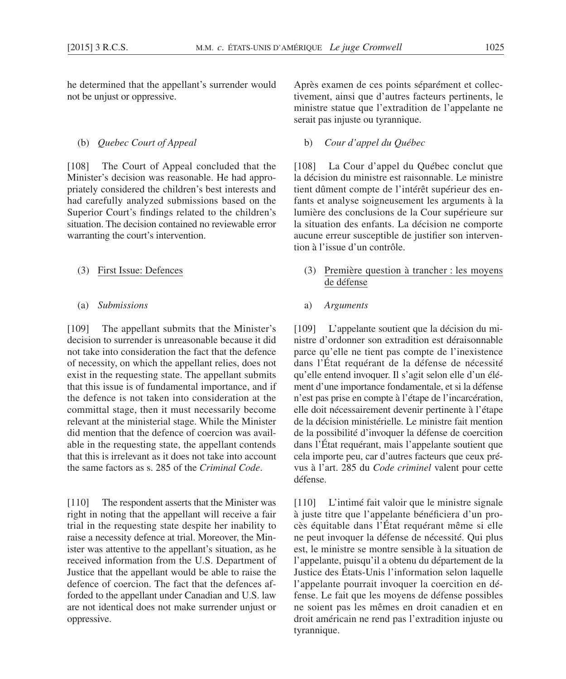he determined that the appellant's surrender would not be unjust or oppressive.

### (b) *Quebec Court of Appeal*

[108] The Court of Appeal concluded that the Minister's decision was reasonable. He had appropriately considered the children's best interests and had carefully analyzed submissions based on the Superior Court's findings related to the children's situation. The decision contained no reviewable error warranting the court's intervention.

(3) First Issue: Defences

### (a) *Submissions*

[109] The appellant submits that the Minister's decision to surrender is unreasonable because it did not take into consideration the fact that the defence of necessity, on which the appellant relies, does not exist in the requesting state. The appellant submits that this issue is of fundamental importance, and if the defence is not taken into consideration at the committal stage, then it must necessarily become relevant at the ministerial stage. While the Minister did mention that the defence of coercion was available in the requesting state, the appellant contends that this is irrelevant as it does not take into account the same factors as s. 285 of the *Criminal Code*.

[110] The respondent asserts that the Minister was right in noting that the appellant will receive a fair trial in the requesting state despite her inability to raise a necessity defence at trial. Moreover, the Minister was attentive to the appellant's situation, as he received information from the U.S. Department of Justice that the appellant would be able to raise the defence of coercion. The fact that the defences afforded to the appellant under Canadian and U.S. law are not identical does not make surrender unjust or oppressive.

Après examen de ces points séparément et collectivement, ainsi que d'autres facteurs pertinents, le ministre statue que l'extradition de l'appelante ne serait pas injuste ou tyrannique.

b) *Cour d'appel du Québec*

[108] La Cour d'appel du Québec conclut que la décision du ministre est raisonnable. Le ministre tient dûment compte de l'intérêt supérieur des enfants et analyse soigneusement les arguments à la lumière des conclusions de la Cour supérieure sur la situation des enfants. La décision ne comporte aucune erreur susceptible de justifier son intervention à l'issue d'un contrôle.

- (3) Première question à trancher : les moyens de défense
- a) *Arguments*

[109] L'appelante soutient que la décision du ministre d'ordonner son extradition est déraisonnable parce qu'elle ne tient pas compte de l'inexistence dans l'État requérant de la défense de nécessité qu'elle entend invoquer. Il s'agit selon elle d'un élément d'une importance fondamentale, et si la défense n'est pas prise en compte à l'étape de l'incarcération, elle doit nécessairement devenir pertinente à l'étape de la décision ministérielle. Le ministre fait mention de la possibilité d'invoquer la défense de coercition dans l'État requérant, mais l'appelante soutient que cela importe peu, car d'autres facteurs que ceux prévus à l'art. 285 du *Code criminel* valent pour cette défense.

[110] L'intimé fait valoir que le ministre signale à juste titre que l'appelante bénéficiera d'un procès équitable dans l'État requérant même si elle ne peut invoquer la défense de nécessité. Qui plus est, le ministre se montre sensible à la situation de l'appelante, puisqu'il a obtenu du département de la Justice des États-Unis l'information selon laquelle l'appelante pourrait invoquer la coercition en défense. Le fait que les moyens de défense possibles ne soient pas les mêmes en droit canadien et en droit américain ne rend pas l'extradition injuste ou tyrannique.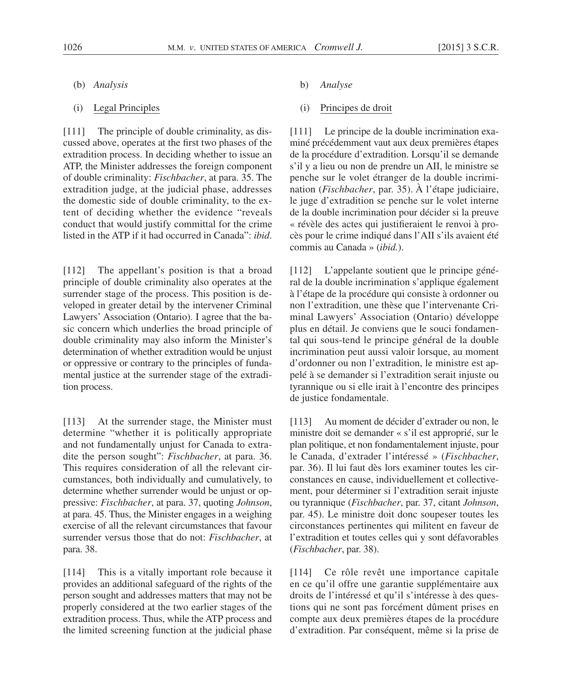(b) *Analysis*

### (i) Legal Principles

[111] The principle of double criminality, as discussed above, operates at the first two phases of the extradition process. In deciding whether to issue an ATP, the Minister addresses the foreign component of double criminality: *Fischbacher*, at para. 35. The extradition judge, at the judicial phase, addresses the domestic side of double criminality, to the extent of deciding whether the evidence "reveals conduct that would justify committal for the crime listed in the ATP if it had occurred in Canada": *ibid*.

[112] The appellant's position is that a broad principle of double criminality also operates at the surrender stage of the process. This position is developed in greater detail by the intervener Criminal Lawyers' Association (Ontario). I agree that the basic concern which underlies the broad principle of double criminality may also inform the Minister's determination of whether extradition would be unjust or oppressive or contrary to the principles of fundamental justice at the surrender stage of the extradition process.

[113] At the surrender stage, the Minister must determine "whether it is politically appropriate and not fundamentally unjust for Canada to extradite the person sought": *Fischbacher*, at para. 36. This requires consideration of all the relevant circumstances, both individually and cumulatively, to determine whether surrender would be unjust or oppressive: *Fischbacher*, at para. 37, quoting *Johnson*, at para. 45. Thus, the Minister engages in a weighing exercise of all the relevant circumstances that favour surrender versus those that do not: *Fischbacher*, at para. 38.

[114] This is a vitally important role because it provides an additional safeguard of the rights of the person sought and addresses matters that may not be properly considered at the two earlier stages of the extradition process. Thus, while the ATP process and the limited screening function at the judicial phase

### b) *Analyse*

(i) Principes de droit

[111] Le principe de la double incrimination examiné précédemment vaut aux deux premières étapes de la procédure d'extradition. Lorsqu'il se demande s'il y a lieu ou non de prendre un AII, le ministre se penche sur le volet étranger de la double incrimination (*Fischbacher*, par. 35). À l'étape judiciaire, le juge d'extradition se penche sur le volet interne de la double incrimination pour décider si la preuve « révèle des actes qui justifieraient le renvoi à procès pour le crime indiqué dans l'AII s'ils avaient été commis au Canada » (*ibid.*).

[112] L'appelante soutient que le principe général de la double incrimination s'applique également à l'étape de la procédure qui consiste à ordonner ou non l'extradition, une thèse que l'intervenante Criminal Lawyers' Association (Ontario) développe plus en détail. Je conviens que le souci fondamental qui sous-tend le principe général de la double incrimination peut aussi valoir lorsque, au moment d'ordonner ou non l'extradition, le ministre est appelé à se demander si l'extradition serait injuste ou tyrannique ou si elle irait à l'encontre des principes de justice fondamentale.

[113] Au moment de décider d'extrader ou non, le ministre doit se demander « s'il est approprié, sur le plan politique, et non fondamentalement injuste, pour le Canada, d'extrader l'intéressé » (*Fischbacher*, par. 36). Il lui faut dès lors examiner toutes les circonstances en cause, individuellement et collectivement, pour déterminer si l'extradition serait injuste ou tyrannique (*Fischbacher*, par. 37, citant *Johnson*, par. 45). Le ministre doit donc soupeser toutes les circonstances pertinentes qui militent en faveur de l'extradition et toutes celles qui y sont défavorables (*Fischbacher*, par. 38).

[114] Ce rôle revêt une importance capitale en ce qu'il offre une garantie supplémentaire aux droits de l'intéressé et qu'il s'intéresse à des questions qui ne sont pas forcément dûment prises en compte aux deux premières étapes de la procédure d'extradition. Par conséquent, même si la prise de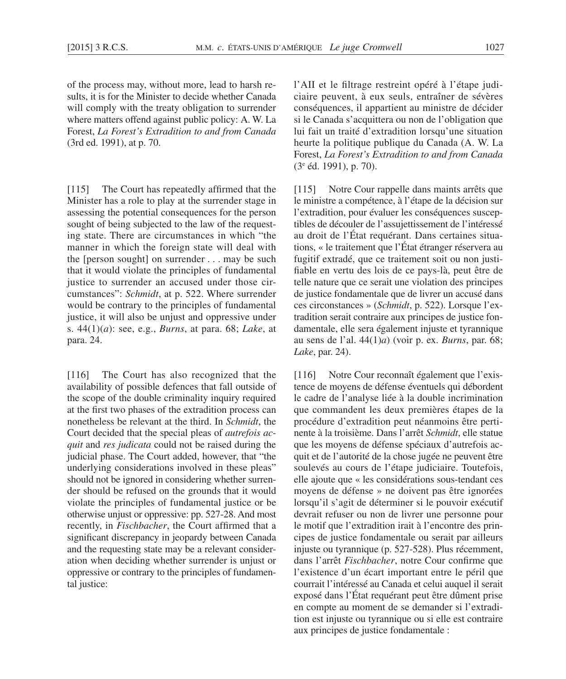of the process may, without more, lead to harsh results, it is for the Minister to decide whether Canada will comply with the treaty obligation to surrender where matters offend against public policy: A. W. La Forest, *La Forest's Extradition to and from Canada*  (3rd ed. 1991), at p. 70.

[115] The Court has repeatedly affirmed that the Minister has a role to play at the surrender stage in assessing the potential consequences for the person sought of being subjected to the law of the requesting state. There are circumstances in which "the manner in which the foreign state will deal with the [person sought] on surrender . . . may be such that it would violate the principles of fundamental justice to surrender an accused under those circumstances": *Schmidt*, at p. 522. Where surrender would be contrary to the principles of fundamental justice, it will also be unjust and oppressive under s. 44(1)(*a*): see, e.g., *Burns*, at para. 68; *Lake*, at para. 24.

[116] The Court has also recognized that the availability of possible defences that fall outside of the scope of the double criminality inquiry required at the first two phases of the extradition process can nonetheless be relevant at the third. In *Schmidt*, the Court decided that the special pleas of *autrefois acquit* and *res judicata* could not be raised during the judicial phase. The Court added, however, that "the underlying considerations involved in these pleas" should not be ignored in considering whether surrender should be refused on the grounds that it would violate the principles of fundamental justice or be otherwise unjust or oppressive: pp. 527-28. And most recently, in *Fischbacher*, the Court affirmed that a significant discrepancy in jeopardy between Canada and the requesting state may be a relevant consideration when deciding whether surrender is unjust or oppressive or contrary to the principles of fundamental justice:

l'AII et le filtrage restreint opéré à l'étape judiciaire peuvent, à eux seuls, entraîner de sévères conséquences, il appartient au ministre de décider si le Canada s'acquittera ou non de l'obligation que lui fait un traité d'extradition lorsqu'une situation heurte la politique publique du Canada (A. W. La Forest, *La Forest's Extradition to and from Canada*  (3e éd. 1991), p. 70).

[115] Notre Cour rappelle dans maints arrêts que le ministre a compétence, à l'étape de la décision sur l'extradition, pour évaluer les conséquences susceptibles de découler de l'assujettissement de l'intéressé au droit de l'État requérant. Dans certaines situations, « le traitement que l'État étranger réservera au fugitif extradé, que ce traitement soit ou non justifiable en vertu des lois de ce pays-là, peut être de telle nature que ce serait une violation des principes de justice fondamentale que de livrer un accusé dans ces circonstances » (*Schmidt*, p. 522). Lorsque l'extradition serait contraire aux principes de justice fondamentale, elle sera également injuste et tyrannique au sens de l'al. 44(1)*a*) (voir p. ex. *Burns*, par. 68; *Lake*, par. 24).

[116] Notre Cour reconnaît également que l'existence de moyens de défense éventuels qui débordent le cadre de l'analyse liée à la double incrimination que commandent les deux premières étapes de la procédure d'extradition peut néanmoins être pertinente à la troisième. Dans l'arrêt *Schmidt*, elle statue que les moyens de défense spéciaux d'autrefois acquit et de l'autorité de la chose jugée ne peuvent être soulevés au cours de l'étape judiciaire. Toutefois, elle ajoute que « les considérations sous-tendant ces moyens de défense » ne doivent pas être ignorées lorsqu'il s'agit de déterminer si le pouvoir exécutif devrait refuser ou non de livrer une personne pour le motif que l'extradition irait à l'encontre des principes de justice fondamentale ou serait par ailleurs injuste ou tyrannique (p. 527-528). Plus récemment, dans l'arrêt *Fischbacher*, notre Cour confirme que l'existence d'un écart important entre le péril que courrait l'intéressé au Canada et celui auquel il serait exposé dans l'État requérant peut être dûment prise en compte au moment de se demander si l'extradition est injuste ou tyrannique ou si elle est contraire aux principes de justice fondamentale :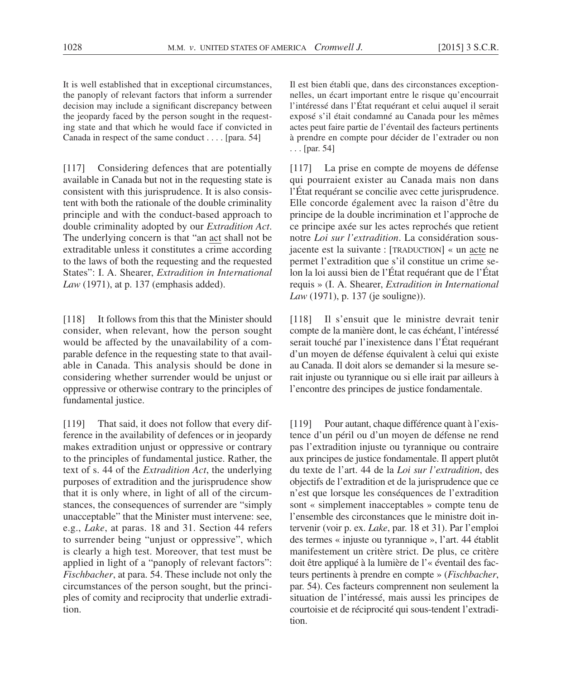It is well established that in exceptional circumstances, the panoply of relevant factors that inform a surrender decision may include a significant discrepancy between the jeopardy faced by the person sought in the requesting state and that which he would face if convicted in Canada in respect of the same conduct . . . . [para. 54]

[117] Considering defences that are potentially available in Canada but not in the requesting state is consistent with this jurisprudence. It is also consistent with both the rationale of the double criminality principle and with the conduct-based approach to double criminality adopted by our *Extradition Act*. The underlying concern is that "an act shall not be extraditable unless it constitutes a crime according to the laws of both the requesting and the requested States": I. A. Shearer, *Extradition in International Law* (1971), at p. 137 (emphasis added).

[118] It follows from this that the Minister should consider, when relevant, how the person sought would be affected by the unavailability of a comparable defence in the requesting state to that available in Canada. This analysis should be done in considering whether surrender would be unjust or oppressive or otherwise contrary to the principles of fundamental justice.

[119] That said, it does not follow that every difference in the availability of defences or in jeopardy makes extradition unjust or oppressive or contrary to the principles of fundamental justice. Rather, the text of s. 44 of the *Extradition Act*, the underlying purposes of extradition and the jurisprudence show that it is only where, in light of all of the circumstances, the consequences of surrender are "simply unacceptable" that the Minister must intervene: see, e.g., *Lake*, at paras. 18 and 31. Section 44 refers to surrender being "unjust or oppressive", which is clearly a high test. Moreover, that test must be applied in light of a "panoply of relevant factors": *Fischbacher*, at para. 54. These include not only the circumstances of the person sought, but the principles of comity and reciprocity that underlie extradition.

Il est bien établi que, dans des circonstances exceptionnelles, un écart important entre le risque qu'encourrait l'intéressé dans l'État requérant et celui auquel il serait exposé s'il était condamné au Canada pour les mêmes actes peut faire partie de l'éventail des facteurs pertinents à prendre en compte pour décider de l'extrader ou non . . . [par. 54]

[117] La prise en compte de moyens de défense qui pourraient exister au Canada mais non dans l'État requérant se concilie avec cette jurisprudence. Elle concorde également avec la raison d'être du principe de la double incrimination et l'approche de ce principe axée sur les actes reprochés que retient notre *Loi sur l'extradition*. La considération sousjacente est la suivante : [TRADUCTION] « un acte ne permet l'extradition que s'il constitue un crime selon la loi aussi bien de l'État requérant que de l'État requis » (I. A. Shearer, *Extradition in International Law* (1971), p. 137 (je souligne)).

[118] Il s'ensuit que le ministre devrait tenir compte de la manière dont, le cas échéant, l'intéressé serait touché par l'inexistence dans l'État requérant d'un moyen de défense équivalent à celui qui existe au Canada. Il doit alors se demander si la mesure serait injuste ou tyrannique ou si elle irait par ailleurs à l'encontre des principes de justice fondamentale.

[119] Pour autant, chaque différence quant à l'existence d'un péril ou d'un moyen de défense ne rend pas l'extradition injuste ou tyrannique ou contraire aux principes de justice fondamentale. Il appert plutôt du texte de l'art. 44 de la *Loi sur l'extradition*, des objectifs de l'extradition et de la jurisprudence que ce n'est que lorsque les conséquences de l'extradition sont « simplement inacceptables » compte tenu de l'ensemble des circonstances que le ministre doit intervenir (voir p. ex. *Lake*, par. 18 et 31). Par l'emploi des termes « injuste ou tyrannique », l'art. 44 établit manifestement un critère strict. De plus, ce critère doit être appliqué à la lumière de l'« éventail des facteurs pertinents à prendre en compte » (*Fischbacher*, par. 54). Ces facteurs comprennent non seulement la situation de l'intéressé, mais aussi les principes de courtoisie et de réciprocité qui sous-tendent l'extradition.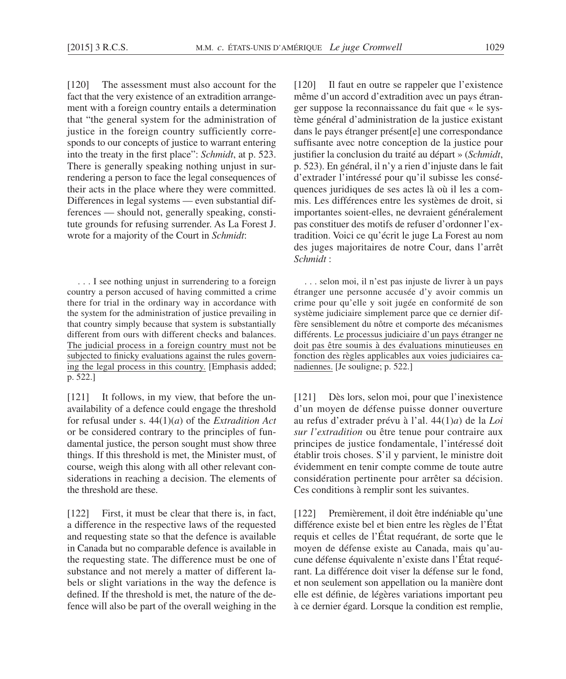[120] The assessment must also account for the fact that the very existence of an extradition arrangement with a foreign country entails a determination that "the general system for the administration of justice in the foreign country sufficiently corresponds to our concepts of justice to warrant entering into the treaty in the first place": *Schmidt*, at p. 523. There is generally speaking nothing unjust in surrendering a person to face the legal consequences of their acts in the place where they were committed. Differences in legal systems — even substantial differences — should not, generally speaking, constitute grounds for refusing surrender. As La Forest J. wrote for a majority of the Court in *Schmidt*:

. . . I see nothing unjust in surrendering to a foreign country a person accused of having committed a crime there for trial in the ordinary way in accordance with the system for the administration of justice prevailing in that country simply because that system is substantially different from ours with different checks and balances. The judicial process in a foreign country must not be subjected to finicky evaluations against the rules governing the legal process in this country. [Emphasis added; p. 522.]

[121] It follows, in my view, that before the unavailability of a defence could engage the threshold for refusal under s. 44(1)(*a*) of the *Extradition Act* or be considered contrary to the principles of fundamental justice, the person sought must show three things. If this threshold is met, the Minister must, of course, weigh this along with all other relevant considerations in reaching a decision. The elements of the threshold are these.

[122] First, it must be clear that there is, in fact, a difference in the respective laws of the requested and requesting state so that the defence is available in Canada but no comparable defence is available in the requesting state. The difference must be one of substance and not merely a matter of different labels or slight variations in the way the defence is defined. If the threshold is met, the nature of the defence will also be part of the overall weighing in the [120] Il faut en outre se rappeler que l'existence même d'un accord d'extradition avec un pays étranger suppose la reconnaissance du fait que « le système général d'administration de la justice existant dans le pays étranger présent[e] une correspondance suffisante avec notre conception de la justice pour justifier la conclusion du traité au départ » (*Schmidt*, p. 523). En général, il n'y a rien d'injuste dans le fait d'extrader l'intéressé pour qu'il subisse les conséquences juridiques de ses actes là où il les a commis. Les différences entre les systèmes de droit, si importantes soient-elles, ne devraient généralement pas constituer des motifs de refuser d'ordonner l'extradition. Voici ce qu'écrit le juge La Forest au nom des juges majoritaires de notre Cour, dans l'arrêt *Schmidt* :

. . . selon moi, il n'est pas injuste de livrer à un pays étranger une personne accusée d'y avoir commis un crime pour qu'elle y soit jugée en conformité de son système judiciaire simplement parce que ce dernier diffère sensiblement du nôtre et comporte des mécanismes différents. Le processus judiciaire d'un pays étranger ne doit pas être soumis à des évaluations minutieuses en fonction des règles applicables aux voies judiciaires canadiennes. [Je souligne; p. 522.]

[121] Dès lors, selon moi, pour que l'inexistence d'un moyen de défense puisse donner ouverture au refus d'extrader prévu à l'al. 44(1)*a*) de la *Loi sur l'extradition* ou être tenue pour contraire aux principes de justice fondamentale, l'intéressé doit établir trois choses. S'il y parvient, le ministre doit évidemment en tenir compte comme de toute autre considération pertinente pour arrêter sa décision. Ces conditions à remplir sont les suivantes.

[122] Premièrement, il doit être indéniable qu'une différence existe bel et bien entre les règles de l'État requis et celles de l'État requérant, de sorte que le moyen de défense existe au Canada, mais qu'aucune défense équivalente n'existe dans l'État requérant. La différence doit viser la défense sur le fond, et non seulement son appellation ou la manière dont elle est définie, de légères variations important peu à ce dernier égard. Lorsque la condition est remplie,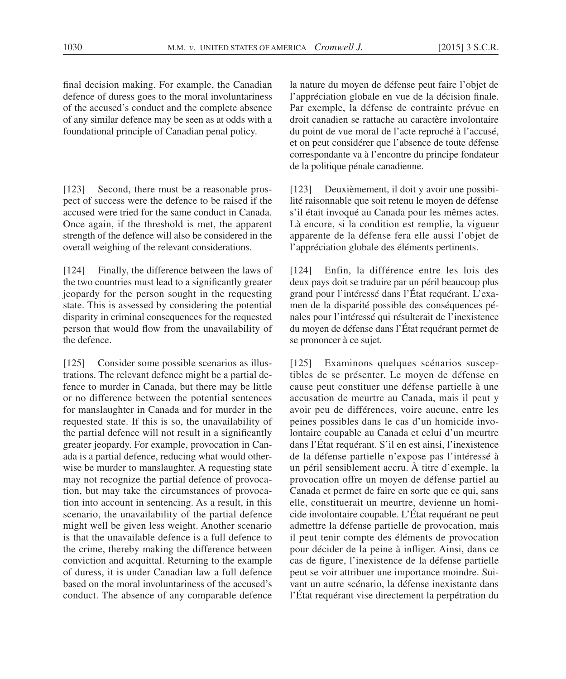final decision making. For example, the Canadian defence of duress goes to the moral involuntariness of the accused's conduct and the complete absence of any similar defence may be seen as at odds with a foundational principle of Canadian penal policy.

[123] Second, there must be a reasonable prospect of success were the defence to be raised if the accused were tried for the same conduct in Canada. Once again, if the threshold is met, the apparent strength of the defence will also be considered in the overall weighing of the relevant considerations.

[124] Finally, the difference between the laws of the two countries must lead to a significantly greater jeopardy for the person sought in the requesting state. This is assessed by considering the potential disparity in criminal consequences for the requested person that would flow from the unavailability of the defence.

[125] Consider some possible scenarios as illustrations. The relevant defence might be a partial defence to murder in Canada, but there may be little or no difference between the potential sentences for manslaughter in Canada and for murder in the requested state. If this is so, the unavailability of the partial defence will not result in a significantly greater jeopardy. For example, provocation in Canada is a partial defence, reducing what would otherwise be murder to manslaughter. A requesting state may not recognize the partial defence of provocation, but may take the circumstances of provocation into account in sentencing. As a result, in this scenario, the unavailability of the partial defence might well be given less weight. Another scenario is that the unavailable defence is a full defence to the crime, thereby making the difference between conviction and acquittal. Returning to the example of duress, it is under Canadian law a full defence based on the moral involuntariness of the accused's conduct. The absence of any comparable defence

la nature du moyen de défense peut faire l'objet de l'appréciation globale en vue de la décision finale. Par exemple, la défense de contrainte prévue en droit canadien se rattache au caractère involontaire du point de vue moral de l'acte reproché à l'accusé, et on peut considérer que l'absence de toute défense correspondante va à l'encontre du principe fondateur de la politique pénale canadienne.

[123] Deuxièmement, il doit y avoir une possibilité raisonnable que soit retenu le moyen de défense s'il était invoqué au Canada pour les mêmes actes. Là encore, si la condition est remplie, la vigueur apparente de la défense fera elle aussi l'objet de l'appréciation globale des éléments pertinents.

[124] Enfin, la différence entre les lois des deux pays doit se traduire par un péril beaucoup plus grand pour l'intéressé dans l'État requérant. L'examen de la disparité possible des conséquences pénales pour l'intéressé qui résulterait de l'inexistence du moyen de défense dans l'État requérant permet de se prononcer à ce sujet.

[125] Examinons quelques scénarios susceptibles de se présenter. Le moyen de défense en cause peut constituer une défense partielle à une accusation de meurtre au Canada, mais il peut y avoir peu de différences, voire aucune, entre les peines possibles dans le cas d'un homicide involontaire coupable au Canada et celui d'un meurtre dans l'État requérant. S'il en est ainsi, l'inexistence de la défense partielle n'expose pas l'intéressé à un péril sensiblement accru. À titre d'exemple, la provocation offre un moyen de défense partiel au Canada et permet de faire en sorte que ce qui, sans elle, constituerait un meurtre, devienne un homicide involontaire coupable. L'État requérant ne peut admettre la défense partielle de provocation, mais il peut tenir compte des éléments de provocation pour décider de la peine à infliger. Ainsi, dans ce cas de figure, l'inexistence de la défense partielle peut se voir attribuer une importance moindre. Suivant un autre scénario, la défense inexistante dans l'État requérant vise directement la perpétration du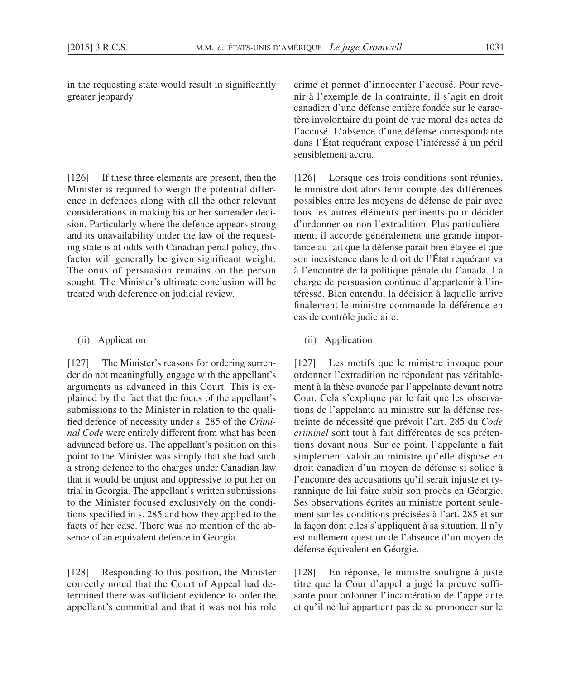in the requesting state would result in significantly greater jeopardy.

[126] If these three elements are present, then the Minister is required to weigh the potential difference in defences along with all the other relevant considerations in making his or her surrender decision. Particularly where the defence appears strong and its unavailability under the law of the requesting state is at odds with Canadian penal policy, this factor will generally be given significant weight. The onus of persuasion remains on the person sought. The Minister's ultimate conclusion will be treated with deference on judicial review.

### (ii) Application

[127] The Minister's reasons for ordering surrender do not meaningfully engage with the appellant's arguments as advanced in this Court. This is explained by the fact that the focus of the appellant's submissions to the Minister in relation to the qualified defence of necessity under s. 285 of the *Criminal Code* were entirely different from what has been advanced before us. The appellant's position on this point to the Minister was simply that she had such a strong defence to the charges under Canadian law that it would be unjust and oppressive to put her on trial in Georgia. The appellant's written submissions to the Minister focused exclusively on the conditions specified in s. 285 and how they applied to the facts of her case. There was no mention of the absence of an equivalent defence in Georgia.

[128] Responding to this position, the Minister correctly noted that the Court of Appeal had determined there was sufficient evidence to order the appellant's committal and that it was not his role crime et permet d'innocenter l'accusé. Pour revenir à l'exemple de la contrainte, il s'agit en droit canadien d'une défense entière fondée sur le caractère involontaire du point de vue moral des actes de l'accusé. L'absence d'une défense correspondante dans l'État requérant expose l'intéressé à un péril sensiblement accru.

[126] Lorsque ces trois conditions sont réunies, le ministre doit alors tenir compte des différences possibles entre les moyens de défense de pair avec tous les autres éléments pertinents pour décider d'ordonner ou non l'extradition. Plus particulièrement, il accorde généralement une grande importance au fait que la défense paraît bien étayée et que son inexistence dans le droit de l'État requérant va à l'encontre de la politique pénale du Canada. La charge de persuasion continue d'appartenir à l'intéressé. Bien entendu, la décision à laquelle arrive finalement le ministre commande la déférence en cas de contrôle judiciaire.

(ii) Application

[127] Les motifs que le ministre invoque pour ordonner l'extradition ne répondent pas véritablement à la thèse avancée par l'appelante devant notre Cour. Cela s'explique par le fait que les observations de l'appelante au ministre sur la défense restreinte de nécessité que prévoit l'art. 285 du *Code criminel* sont tout à fait différentes de ses prétentions devant nous. Sur ce point, l'appelante a fait simplement valoir au ministre qu'elle dispose en droit canadien d'un moyen de défense si solide à l'encontre des accusations qu'il serait injuste et tyrannique de lui faire subir son procès en Géorgie. Ses observations écrites au ministre portent seulement sur les conditions précisées à l'art. 285 et sur la façon dont elles s'appliquent à sa situation. Il n'y est nullement question de l'absence d'un moyen de défense équivalent en Géorgie.

[128] En réponse, le ministre souligne à juste titre que la Cour d'appel a jugé la preuve suffisante pour ordonner l'incarcération de l'appelante et qu'il ne lui appartient pas de se prononcer sur le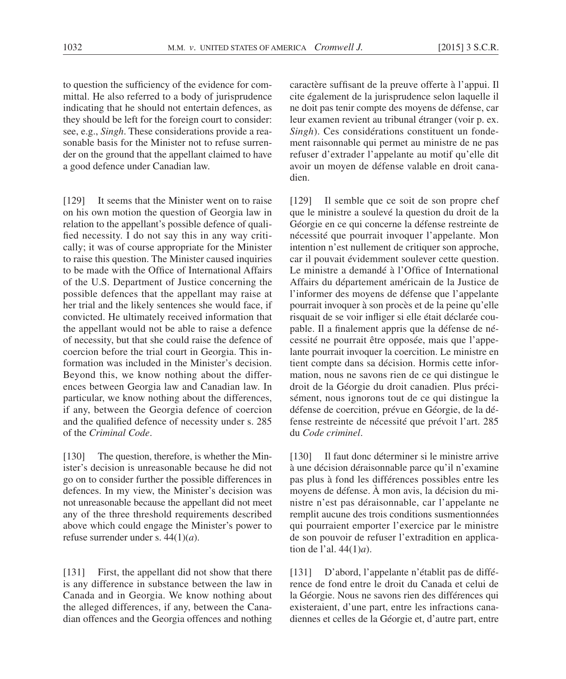to question the sufficiency of the evidence for committal. He also referred to a body of jurisprudence indicating that he should not entertain defences, as they should be left for the foreign court to consider: see, e.g., *Singh*. These considerations provide a reasonable basis for the Minister not to refuse surrender on the ground that the appellant claimed to have a good defence under Canadian law.

[129] It seems that the Minister went on to raise on his own motion the question of Georgia law in relation to the appellant's possible defence of qualified necessity. I do not say this in any way critically; it was of course appropriate for the Minister to raise this question. The Minister caused inquiries to be made with the Office of International Affairs of the U.S. Department of Justice concerning the possible defences that the appellant may raise at her trial and the likely sentences she would face, if convicted. He ultimately received information that the appellant would not be able to raise a defence of necessity, but that she could raise the defence of coercion before the trial court in Georgia. This information was included in the Minister's decision. Beyond this, we know nothing about the differences between Georgia law and Canadian law. In particular, we know nothing about the differences, if any, between the Georgia defence of coercion and the qualified defence of necessity under s. 285 of the *Criminal Code*.

[130] The question, therefore, is whether the Minister's decision is unreasonable because he did not go on to consider further the possible differences in defences. In my view, the Minister's decision was not unreasonable because the appellant did not meet any of the three threshold requirements described above which could engage the Minister's power to refuse surrender under s.  $44(1)(a)$ .

[131] First, the appellant did not show that there is any difference in substance between the law in Canada and in Georgia. We know nothing about the alleged differences, if any, between the Canadian offences and the Georgia offences and nothing caractère suffisant de la preuve offerte à l'appui. Il cite également de la jurisprudence selon laquelle il ne doit pas tenir compte des moyens de défense, car leur examen revient au tribunal étranger (voir p. ex. *Singh*). Ces considérations constituent un fondement raisonnable qui permet au ministre de ne pas refuser d'extrader l'appelante au motif qu'elle dit avoir un moyen de défense valable en droit canadien.

[129] Il semble que ce soit de son propre chef que le ministre a soulevé la question du droit de la Géorgie en ce qui concerne la défense restreinte de nécessité que pourrait invoquer l'appelante. Mon intention n'est nullement de critiquer son approche, car il pouvait évidemment soulever cette question. Le ministre a demandé à l'Office of International Affairs du département américain de la Justice de l'informer des moyens de défense que l'appelante pourrait invoquer à son procès et de la peine qu'elle risquait de se voir infliger si elle était déclarée coupable. Il a finalement appris que la défense de nécessité ne pourrait être opposée, mais que l'appelante pourrait invoquer la coercition. Le ministre en tient compte dans sa décision. Hormis cette information, nous ne savons rien de ce qui distingue le droit de la Géorgie du droit canadien. Plus précisément, nous ignorons tout de ce qui distingue la défense de coercition, prévue en Géorgie, de la défense restreinte de nécessité que prévoit l'art. 285 du *Code criminel*.

[130] Il faut donc déterminer si le ministre arrive à une décision déraisonnable parce qu'il n'examine pas plus à fond les différences possibles entre les moyens de défense. À mon avis, la décision du ministre n'est pas déraisonnable, car l'appelante ne remplit aucune des trois conditions susmentionnées qui pourraient emporter l'exercice par le ministre de son pouvoir de refuser l'extradition en application de l'al. 44(1)*a*).

[131] D'abord, l'appelante n'établit pas de différence de fond entre le droit du Canada et celui de la Géorgie. Nous ne savons rien des différences qui existeraient, d'une part, entre les infractions canadiennes et celles de la Géorgie et, d'autre part, entre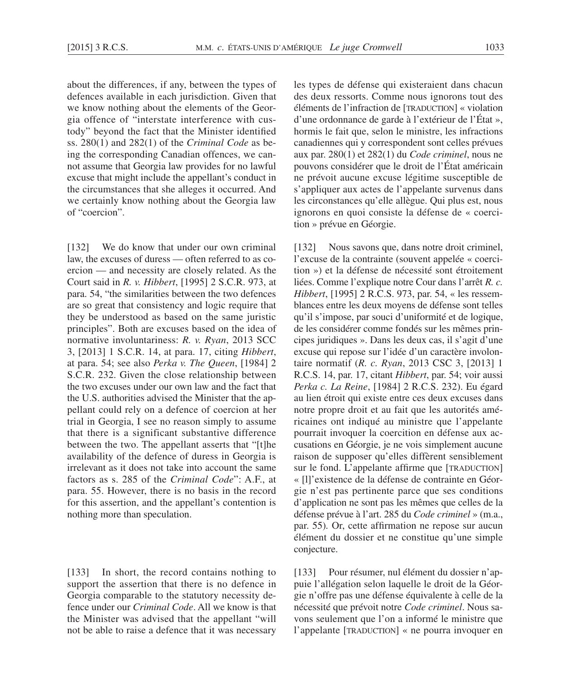about the differences, if any, between the types of defences available in each jurisdiction. Given that we know nothing about the elements of the Georgia offence of "interstate interference with custody" beyond the fact that the Minister identified ss. 280(1) and 282(1) of the *Criminal Code* as being the corresponding Canadian offences, we cannot assume that Georgia law provides for no lawful excuse that might include the appellant's conduct in the circumstances that she alleges it occurred. And we certainly know nothing about the Georgia law of "coercion".

[132] We do know that under our own criminal law, the excuses of duress — often referred to as coercion — and necessity are closely related. As the Court said in *R. v. Hibbert*, [1995] 2 S.C.R. 973, at para. 54, "the similarities between the two defences are so great that consistency and logic require that they be understood as based on the same juristic principles". Both are excuses based on the idea of normative involuntariness: *R. v. Ryan*, 2013 SCC 3, [2013] 1 S.C.R. 14, at para. 17, citing *Hibbert*, at para. 54; see also *Perka v. The Queen*, [1984] 2 S.C.R. 232. Given the close relationship between the two excuses under our own law and the fact that the U.S. authorities advised the Minister that the appellant could rely on a defence of coercion at her trial in Georgia, I see no reason simply to assume that there is a significant substantive difference between the two. The appellant asserts that "[t]he availability of the defence of duress in Georgia is irrelevant as it does not take into account the same factors as s. 285 of the *Criminal Code*": A.F., at para. 55. However, there is no basis in the record for this assertion, and the appellant's contention is nothing more than speculation.

[133] In short, the record contains nothing to support the assertion that there is no defence in Georgia comparable to the statutory necessity defence under our *Criminal Code*. All we know is that the Minister was advised that the appellant "will not be able to raise a defence that it was necessary les types de défense qui existeraient dans chacun des deux ressorts. Comme nous ignorons tout des éléments de l'infraction de [TRADUCTION] « violation d'une ordonnance de garde à l'extérieur de l'État », hormis le fait que, selon le ministre, les infractions canadiennes qui y correspondent sont celles prévues aux par. 280(1) et 282(1) du *Code criminel*, nous ne pouvons considérer que le droit de l'État américain ne prévoit aucune excuse légitime susceptible de s'appliquer aux actes de l'appelante survenus dans les circonstances qu'elle allègue. Qui plus est, nous ignorons en quoi consiste la défense de « coercition » prévue en Géorgie.

[132] Nous savons que, dans notre droit criminel, l'excuse de la contrainte (souvent appelée « coercition ») et la défense de nécessité sont étroitement liées. Comme l'explique notre Cour dans l'arrêt *R. c. Hibbert*, [1995] 2 R.C.S. 973, par. 54, « les ressemblances entre les deux moyens de défense sont telles qu'il s'impose, par souci d'uniformité et de logique, de les considérer comme fondés sur les mêmes principes juridiques ». Dans les deux cas, il s'agit d'une excuse qui repose sur l'idée d'un caractère involontaire normatif (*R. c. Ryan*, 2013 CSC 3, [2013] 1 R.C.S. 14, par. 17, citant *Hibbert*, par. 54; voir aussi *Perka c. La Reine*, [1984] 2 R.C.S. 232). Eu égard au lien étroit qui existe entre ces deux excuses dans notre propre droit et au fait que les autorités américaines ont indiqué au ministre que l'appelante pourrait invoquer la coercition en défense aux accusations en Géorgie, je ne vois simplement aucune raison de supposer qu'elles diffèrent sensiblement sur le fond. L'appelante affirme que [TRADUCTION] « [l]'existence de la défense de contrainte en Géorgie n'est pas pertinente parce que ses conditions d'application ne sont pas les mêmes que celles de la défense prévue à l'art. 285 du *Code criminel* » (m.a., par. 55)*.* Or, cette affirmation ne repose sur aucun élément du dossier et ne constitue qu'une simple conjecture.

[133] Pour résumer, nul élément du dossier n'appuie l'allégation selon laquelle le droit de la Géorgie n'offre pas une défense équivalente à celle de la nécessité que prévoit notre *Code criminel*. Nous savons seulement que l'on a informé le ministre que l'appelante [TRADUCTION] « ne pourra invoquer en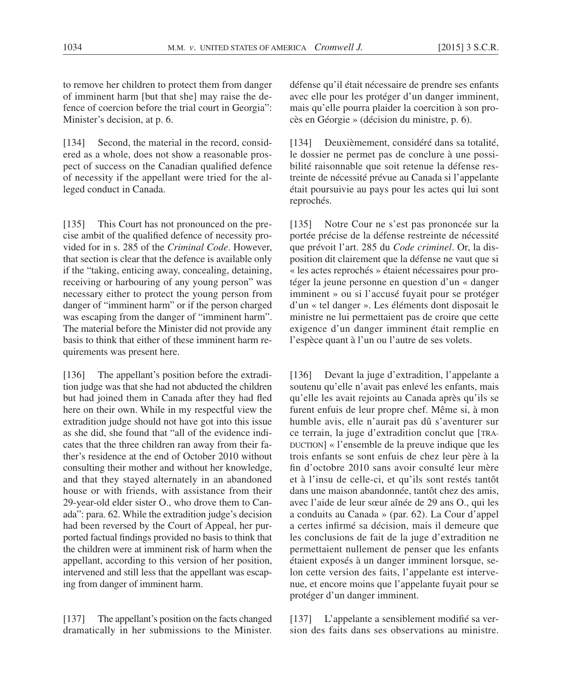to remove her children to protect them from danger of imminent harm [but that she] may raise the defence of coercion before the trial court in Georgia": Minister's decision, at p. 6.

[134] Second, the material in the record, considered as a whole, does not show a reasonable prospect of success on the Canadian qualified defence of necessity if the appellant were tried for the alleged conduct in Canada.

[135] This Court has not pronounced on the precise ambit of the qualified defence of necessity provided for in s. 285 of the *Criminal Code*. However, that section is clear that the defence is available only if the "taking, enticing away, concealing, detaining, receiving or harbouring of any young person" was necessary either to protect the young person from danger of "imminent harm" or if the person charged was escaping from the danger of "imminent harm". The material before the Minister did not provide any basis to think that either of these imminent harm requirements was present here.

[136] The appellant's position before the extradition judge was that she had not abducted the children but had joined them in Canada after they had fled here on their own. While in my respectful view the extradition judge should not have got into this issue as she did, she found that "all of the evidence indicates that the three children ran away from their father's residence at the end of October 2010 without consulting their mother and without her knowledge, and that they stayed alternately in an abandoned house or with friends, with assistance from their 29-year-old elder sister O., who drove them to Canada": para. 62. While the extradition judge's decision had been reversed by the Court of Appeal, her purported factual findings provided no basis to think that the children were at imminent risk of harm when the appellant, according to this version of her position, intervened and still less that the appellant was escaping from danger of imminent harm.

[137] The appellant's position on the facts changed dramatically in her submissions to the Minister. défense qu'il était nécessaire de prendre ses enfants avec elle pour les protéger d'un danger imminent, mais qu'elle pourra plaider la coercition à son procès en Géorgie » (décision du ministre, p. 6).

[134] Deuxièmement, considéré dans sa totalité, le dossier ne permet pas de conclure à une possibilité raisonnable que soit retenue la défense restreinte de nécessité prévue au Canada si l'appelante était poursuivie au pays pour les actes qui lui sont reprochés.

[135] Notre Cour ne s'est pas prononcée sur la portée précise de la défense restreinte de nécessité que prévoit l'art. 285 du *Code criminel*. Or, la disposition dit clairement que la défense ne vaut que si « les actes reprochés » étaient nécessaires pour protéger la jeune personne en question d'un « danger imminent » ou si l'accusé fuyait pour se protéger d'un « tel danger ». Les éléments dont disposait le ministre ne lui permettaient pas de croire que cette exigence d'un danger imminent était remplie en l'espèce quant à l'un ou l'autre de ses volets.

[136] Devant la juge d'extradition, l'appelante a soutenu qu'elle n'avait pas enlevé les enfants, mais qu'elle les avait rejoints au Canada après qu'ils se furent enfuis de leur propre chef. Même si, à mon humble avis, elle n'aurait pas dû s'aventurer sur ce terrain, la juge d'extradition conclut que [TRA-DUCTION] « l'ensemble de la preuve indique que les trois enfants se sont enfuis de chez leur père à la fin d'octobre 2010 sans avoir consulté leur mère et à l'insu de celle-ci, et qu'ils sont restés tantôt dans une maison abandonnée, tantôt chez des amis, avec l'aide de leur sœur aînée de 29 ans O., qui les a conduits au Canada » (par. 62). La Cour d'appel a certes infirmé sa décision, mais il demeure que les conclusions de fait de la juge d'extradition ne permettaient nullement de penser que les enfants étaient exposés à un danger imminent lorsque, selon cette version des faits, l'appelante est intervenue, et encore moins que l'appelante fuyait pour se protéger d'un danger imminent.

[137] L'appelante a sensiblement modifié sa version des faits dans ses observations au ministre.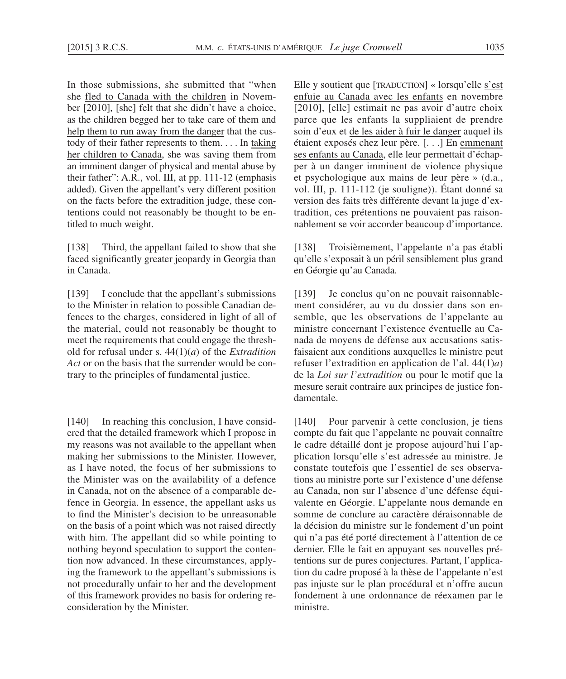In those submissions, she submitted that "when she fled to Canada with the children in November [2010], [she] felt that she didn't have a choice, as the children begged her to take care of them and help them to run away from the danger that the custody of their father represents to them. . . . In taking her children to Canada, she was saving them from an imminent danger of physical and mental abuse by their father": A.R., vol. III, at pp. 111-12 (emphasis added). Given the appellant's very different position on the facts before the extradition judge, these contentions could not reasonably be thought to be entitled to much weight.

[138] Third, the appellant failed to show that she faced significantly greater jeopardy in Georgia than in Canada.

[139] I conclude that the appellant's submissions to the Minister in relation to possible Canadian defences to the charges, considered in light of all of the material, could not reasonably be thought to meet the requirements that could engage the threshold for refusal under s. 44(1)(*a*) of the *Extradition Act* or on the basis that the surrender would be contrary to the principles of fundamental justice.

[140] In reaching this conclusion, I have considered that the detailed framework which I propose in my reasons was not available to the appellant when making her submissions to the Minister. However, as I have noted, the focus of her submissions to the Minister was on the availability of a defence in Canada, not on the absence of a comparable defence in Georgia. In essence, the appellant asks us to find the Minister's decision to be unreasonable on the basis of a point which was not raised directly with him. The appellant did so while pointing to nothing beyond speculation to support the contention now advanced. In these circumstances, applying the framework to the appellant's submissions is not procedurally unfair to her and the development of this framework provides no basis for ordering reconsideration by the Minister.

Elle y soutient que [TRADUCTION] « lorsqu'elle s'est enfuie au Canada avec les enfants en novembre [2010], [elle] estimait ne pas avoir d'autre choix parce que les enfants la suppliaient de prendre soin d'eux et de les aider à fuir le danger auquel ils étaient exposés chez leur père. [. . .] En emmenant ses enfants au Canada, elle leur permettait d'échapper à un danger imminent de violence physique et psychologique aux mains de leur père » (d.a., vol. III, p. 111-112 (je souligne)). Étant donné sa version des faits très différente devant la juge d'extradition, ces prétentions ne pouvaient pas raisonnablement se voir accorder beaucoup d'importance.

[138] Troisièmement, l'appelante n'a pas établi qu'elle s'exposait à un péril sensiblement plus grand en Géorgie qu'au Canada.

[139] Je conclus qu'on ne pouvait raisonnablement considérer, au vu du dossier dans son ensemble, que les observations de l'appelante au ministre concernant l'existence éventuelle au Canada de moyens de défense aux accusations satisfaisaient aux conditions auxquelles le ministre peut refuser l'extradition en application de l'al. 44(1)*a*) de la *Loi sur l'extradition* ou pour le motif que la mesure serait contraire aux principes de justice fondamentale.

[140] Pour parvenir à cette conclusion, je tiens compte du fait que l'appelante ne pouvait connaître le cadre détaillé dont je propose aujourd'hui l'application lorsqu'elle s'est adressée au ministre. Je constate toutefois que l'essentiel de ses observations au ministre porte sur l'existence d'une défense au Canada, non sur l'absence d'une défense équivalente en Géorgie. L'appelante nous demande en somme de conclure au caractère déraisonnable de la décision du ministre sur le fondement d'un point qui n'a pas été porté directement à l'attention de ce dernier. Elle le fait en appuyant ses nouvelles prétentions sur de pures conjectures. Partant, l'application du cadre proposé à la thèse de l'appelante n'est pas injuste sur le plan procédural et n'offre aucun fondement à une ordonnance de réexamen par le ministre.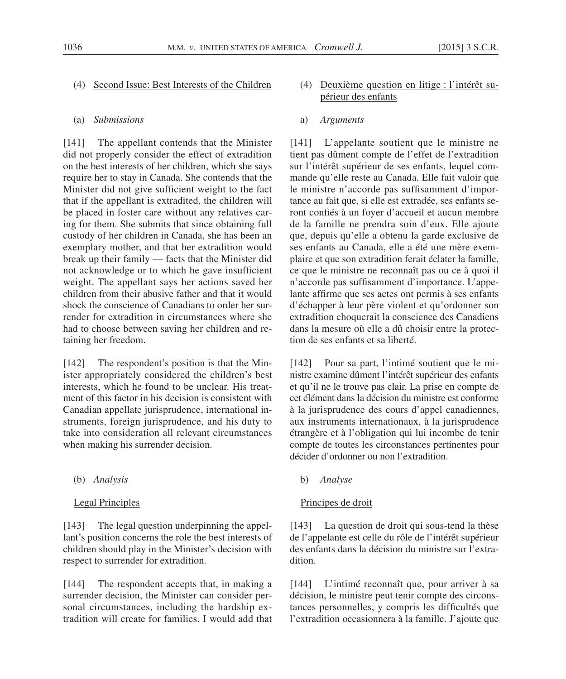# (4) Second Issue: Best Interests of the Children

### (a) *Submissions*

[141] The appellant contends that the Minister did not properly consider the effect of extradition on the best interests of her children, which she says require her to stay in Canada. She contends that the Minister did not give sufficient weight to the fact that if the appellant is extradited, the children will be placed in foster care without any relatives caring for them. She submits that since obtaining full custody of her children in Canada, she has been an exemplary mother, and that her extradition would break up their family — facts that the Minister did not acknowledge or to which he gave insufficient weight. The appellant says her actions saved her children from their abusive father and that it would shock the conscience of Canadians to order her surrender for extradition in circumstances where she had to choose between saving her children and retaining her freedom.

[142] The respondent's position is that the Minister appropriately considered the children's best interests, which he found to be unclear. His treatment of this factor in his decision is consistent with Canadian appellate jurisprudence, international instruments, foreign jurisprudence, and his duty to take into consideration all relevant circumstances when making his surrender decision.

(b) *Analysis*

#### Legal Principles

[143] The legal question underpinning the appellant's position concerns the role the best interests of children should play in the Minister's decision with respect to surrender for extradition.

[144] The respondent accepts that, in making a surrender decision, the Minister can consider personal circumstances, including the hardship extradition will create for families. I would add that

- (4) Deuxième question en litige : l'intérêt supérieur des enfants
- a) *Arguments*

[141] L'appelante soutient que le ministre ne tient pas dûment compte de l'effet de l'extradition sur l'intérêt supérieur de ses enfants, lequel commande qu'elle reste au Canada. Elle fait valoir que le ministre n'accorde pas suffisamment d'importance au fait que, si elle est extradée, ses enfants seront confiés à un foyer d'accueil et aucun membre de la famille ne prendra soin d'eux. Elle ajoute que, depuis qu'elle a obtenu la garde exclusive de ses enfants au Canada, elle a été une mère exemplaire et que son extradition ferait éclater la famille, ce que le ministre ne reconnaît pas ou ce à quoi il n'accorde pas suffisamment d'importance. L'appelante affirme que ses actes ont permis à ses enfants d'échapper à leur père violent et qu'ordonner son extradition choquerait la conscience des Canadiens dans la mesure où elle a dû choisir entre la protection de ses enfants et sa liberté.

[142] Pour sa part, l'intimé soutient que le ministre examine dûment l'intérêt supérieur des enfants et qu'il ne le trouve pas clair. La prise en compte de cet élément dans la décision du ministre est conforme à la jurisprudence des cours d'appel canadiennes, aux instruments internationaux, à la jurisprudence étrangère et à l'obligation qui lui incombe de tenir compte de toutes les circonstances pertinentes pour décider d'ordonner ou non l'extradition.

b) *Analyse*

# Principes de droit

[143] La question de droit qui sous-tend la thèse de l'appelante est celle du rôle de l'intérêt supérieur des enfants dans la décision du ministre sur l'extradition.

[144] L'intimé reconnaît que, pour arriver à sa décision, le ministre peut tenir compte des circonstances personnelles, y compris les difficultés que l'extradition occasionnera à la famille. J'ajoute que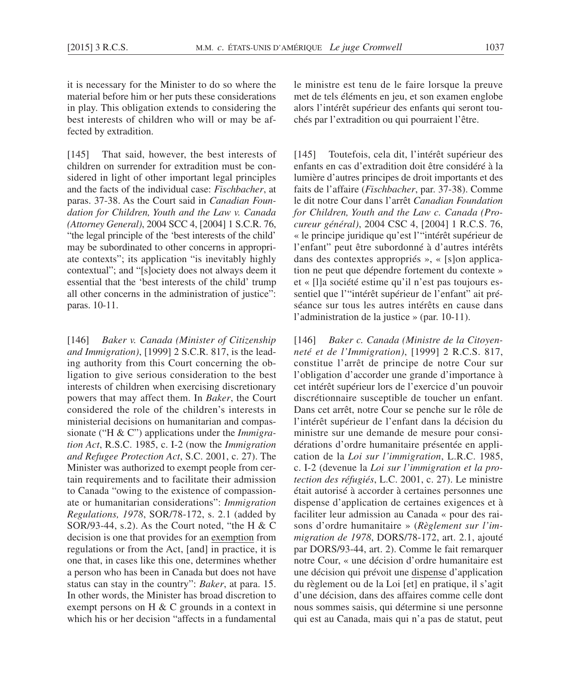it is necessary for the Minister to do so where the material before him or her puts these considerations in play. This obligation extends to considering the best interests of children who will or may be affected by extradition.

[145] That said, however, the best interests of children on surrender for extradition must be considered in light of other important legal principles and the facts of the individual case: *Fischbacher*, at paras. 37-38. As the Court said in *Canadian Foundation for Children, Youth and the Law v. Canada (Attorney General)*, 2004 SCC 4, [2004] 1 S.C.R. 76, "the legal principle of the 'best interests of the child' may be subordinated to other concerns in appropriate contexts"; its application "is inevitably highly contextual"; and "[s]ociety does not always deem it essential that the 'best interests of the child' trump all other concerns in the administration of justice": paras. 10-11.

[146] *Baker v. Canada (Minister of Citizenship and Immigration)*, [1999] 2 S.C.R. 817, is the leading authority from this Court concerning the obligation to give serious consideration to the best interests of children when exercising discretionary powers that may affect them. In *Baker*, the Court considered the role of the children's interests in ministerial decisions on humanitarian and compassionate ("H & C") applications under the *Immigration Act*, R.S.C. 1985, c. I-2 (now the *Immigration and Refugee Protection Act*, S.C. 2001, c. 27). The Minister was authorized to exempt people from certain requirements and to facilitate their admission to Canada "owing to the existence of compassionate or humanitarian considerations": *Immigration Regulations, 1978*, SOR/78-172, s. 2.1 (added by SOR/93-44, s.2). As the Court noted, "the H  $&$  C decision is one that provides for an exemption from regulations or from the Act, [and] in practice, it is one that, in cases like this one, determines whether a person who has been in Canada but does not have status can stay in the country": *Baker*, at para. 15. In other words, the Minister has broad discretion to exempt persons on H & C grounds in a context in which his or her decision "affects in a fundamental le ministre est tenu de le faire lorsque la preuve met de tels éléments en jeu, et son examen englobe alors l'intérêt supérieur des enfants qui seront touchés par l'extradition ou qui pourraient l'être.

[145] Toutefois, cela dit, l'intérêt supérieur des enfants en cas d'extradition doit être considéré à la lumière d'autres principes de droit importants et des faits de l'affaire (*Fischbacher*, par. 37-38). Comme le dit notre Cour dans l'arrêt *Canadian Foundation for Children, Youth and the Law c. Canada (Procureur général)*, 2004 CSC 4, [2004] 1 R.C.S. 76, « le principe juridique qu'est l'"intérêt supérieur de l'enfant" peut être subordonné à d'autres intérêts dans des contextes appropriés », « [s]on application ne peut que dépendre fortement du contexte » et « [l]a société estime qu'il n'est pas toujours essentiel que l'"intérêt supérieur de l'enfant" ait préséance sur tous les autres intérêts en cause dans l'administration de la justice » (par. 10-11).

[146] *Baker c. Canada (Ministre de la Citoyenneté et de l'Immigration)*, [1999] 2 R.C.S. 817, constitue l'arrêt de principe de notre Cour sur l'obligation d'accorder une grande d'importance à cet intérêt supérieur lors de l'exercice d'un pouvoir discrétionnaire susceptible de toucher un enfant. Dans cet arrêt, notre Cour se penche sur le rôle de l'intérêt supérieur de l'enfant dans la décision du ministre sur une demande de mesure pour considérations d'ordre humanitaire présentée en application de la *Loi sur l'immigration*, L.R.C. 1985, c. I-2 (devenue la *Loi sur l'immigration et la protection des réfugiés*, L.C. 2001, c. 27). Le ministre était autorisé à accorder à certaines personnes une dispense d'application de certaines exigences et à faciliter leur admission au Canada « pour des raisons d'ordre humanitaire » (*Règlement sur l'immigration de 1978*, DORS/78-172, art. 2.1, ajouté par DORS/93-44, art. 2). Comme le fait remarquer notre Cour, « une décision d'ordre humanitaire est une décision qui prévoit une dispense d'application du règlement ou de la Loi [et] en pratique, il s'agit d'une décision, dans des affaires comme celle dont nous sommes saisis, qui détermine si une personne qui est au Canada, mais qui n'a pas de statut, peut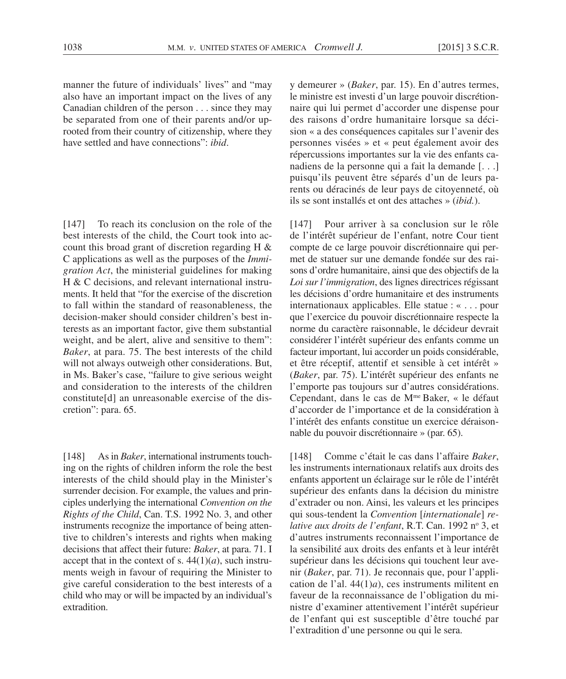manner the future of individuals' lives" and "may also have an important impact on the lives of any Canadian children of the person . . . since they may be separated from one of their parents and/or uprooted from their country of citizenship, where they have settled and have connections": *ibid*.

[147] To reach its conclusion on the role of the best interests of the child, the Court took into account this broad grant of discretion regarding H & C applications as well as the purposes of the *Immigration Act*, the ministerial guidelines for making  $H \& C$  decisions, and relevant international instruments. It held that "for the exercise of the discretion to fall within the standard of reasonableness, the decision-maker should consider children's best interests as an important factor, give them substantial weight, and be alert, alive and sensitive to them": *Baker*, at para. 75. The best interests of the child will not always outweigh other considerations. But, in Ms. Baker's case, "failure to give serious weight and consideration to the interests of the children constitute[d] an unreasonable exercise of the discretion": para. 65.

[148] As in *Baker*, international instruments touching on the rights of children inform the role the best interests of the child should play in the Minister's surrender decision. For example, the values and principles underlying the international *Convention on the Rights of the Child*, Can. T.S. 1992 No. 3, and other instruments recognize the importance of being attentive to children's interests and rights when making decisions that affect their future: *Baker*, at para. 71. I accept that in the context of s.  $44(1)(a)$ , such instruments weigh in favour of requiring the Minister to give careful consideration to the best interests of a child who may or will be impacted by an individual's extradition.

y demeurer » (*Baker*, par. 15). En d'autres termes, le ministre est investi d'un large pouvoir discrétionnaire qui lui permet d'accorder une dispense pour des raisons d'ordre humanitaire lorsque sa décision « a des conséquences capitales sur l'avenir des personnes visées » et « peut également avoir des répercussions importantes sur la vie des enfants canadiens de la personne qui a fait la demande [. . .] puisqu'ils peuvent être séparés d'un de leurs parents ou déracinés de leur pays de citoyenneté, où ils se sont installés et ont des attaches » (*ibid.*).

[147] Pour arriver à sa conclusion sur le rôle de l'intérêt supérieur de l'enfant, notre Cour tient compte de ce large pouvoir discrétionnaire qui permet de statuer sur une demande fondée sur des raisons d'ordre humanitaire, ainsi que des objectifs de la *Loi sur l'immigration*, des lignes directrices régissant les décisions d'ordre humanitaire et des instruments internationaux applicables. Elle statue : « . . . pour que l'exercice du pouvoir discrétionnaire respecte la norme du caractère raisonnable, le décideur devrait considérer l'intérêt supérieur des enfants comme un facteur important, lui accorder un poids considérable, et être réceptif, attentif et sensible à cet intérêt » (*Baker*, par. 75). L'intérêt supérieur des enfants ne l'emporte pas toujours sur d'autres considérations. Cependant, dans le cas de Mme Baker, « le défaut d'accorder de l'importance et de la considération à l'intérêt des enfants constitue un exercice déraisonnable du pouvoir discrétionnaire » (par. 65).

[148] Comme c'était le cas dans l'affaire *Baker*, les instruments internationaux relatifs aux droits des enfants apportent un éclairage sur le rôle de l'intérêt supérieur des enfants dans la décision du ministre d'extrader ou non. Ainsi, les valeurs et les principes qui sous-tendent la *Convention* [*internationale*] *re*lative aux droits de l'enfant, R.T. Can. 1992 nº 3, et d'autres instruments reconnaissent l'importance de la sensibilité aux droits des enfants et à leur intérêt supérieur dans les décisions qui touchent leur avenir (*Baker*, par. 71). Je reconnais que, pour l'application de l'al.  $44(1)a$ , ces instruments militent en faveur de la reconnaissance de l'obligation du ministre d'examiner attentivement l'intérêt supérieur de l'enfant qui est susceptible d'être touché par l'extradition d'une personne ou qui le sera.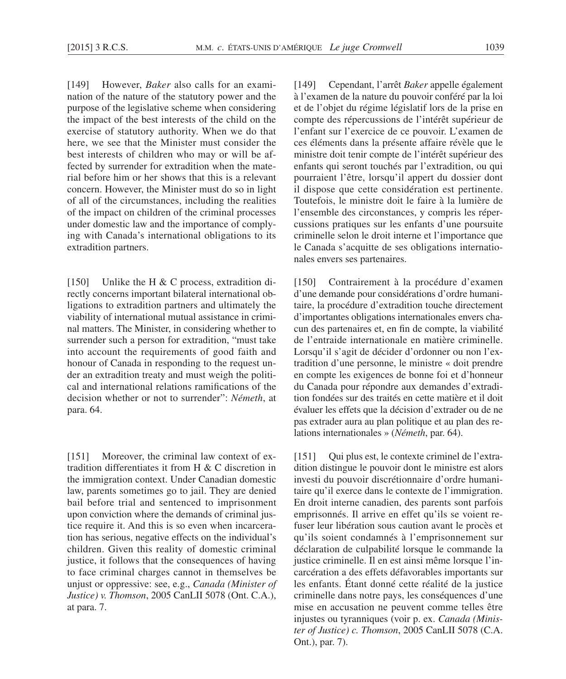[149] However, *Baker* also calls for an examination of the nature of the statutory power and the purpose of the legislative scheme when considering the impact of the best interests of the child on the exercise of statutory authority. When we do that here, we see that the Minister must consider the best interests of children who may or will be affected by surrender for extradition when the material before him or her shows that this is a relevant concern. However, the Minister must do so in light of all of the circumstances, including the realities of the impact on children of the criminal processes under domestic law and the importance of complying with Canada's international obligations to its extradition partners.

[150] Unlike the H  $&$  C process, extradition directly concerns important bilateral international obligations to extradition partners and ultimately the viability of international mutual assistance in criminal matters. The Minister, in considering whether to surrender such a person for extradition, "must take into account the requirements of good faith and honour of Canada in responding to the request under an extradition treaty and must weigh the political and international relations ramifications of the decision whether or not to surrender": *Németh*, at para. 64.

[151] Moreover, the criminal law context of extradition differentiates it from H & C discretion in the immigration context. Under Canadian domestic law, parents sometimes go to jail. They are denied bail before trial and sentenced to imprisonment upon conviction where the demands of criminal justice require it. And this is so even when incarceration has serious, negative effects on the individual's children. Given this reality of domestic criminal justice, it follows that the consequences of having to face criminal charges cannot in themselves be unjust or oppressive: see, e.g., *Canada (Minister of Justice) v. Thomson*, 2005 CanLII 5078 (Ont. C.A.), at para. 7.

[149] Cependant, l'arrêt *Baker* appelle également à l'examen de la nature du pouvoir conféré par la loi et de l'objet du régime législatif lors de la prise en compte des répercussions de l'intérêt supérieur de l'enfant sur l'exercice de ce pouvoir. L'examen de ces éléments dans la présente affaire révèle que le ministre doit tenir compte de l'intérêt supérieur des enfants qui seront touchés par l'extradition, ou qui pourraient l'être, lorsqu'il appert du dossier dont il dispose que cette considération est pertinente. Toutefois, le ministre doit le faire à la lumière de l'ensemble des circonstances, y compris les répercussions pratiques sur les enfants d'une poursuite criminelle selon le droit interne et l'importance que le Canada s'acquitte de ses obligations internationales envers ses partenaires.

[150] Contrairement à la procédure d'examen d'une demande pour considérations d'ordre humanitaire, la procédure d'extradition touche directement d'importantes obligations internationales envers chacun des partenaires et, en fin de compte, la viabilité de l'entraide internationale en matière criminelle. Lorsqu'il s'agit de décider d'ordonner ou non l'extradition d'une personne, le ministre « doit prendre en compte les exigences de bonne foi et d'honneur du Canada pour répondre aux demandes d'extradition fondées sur des traités en cette matière et il doit évaluer les effets que la décision d'extrader ou de ne pas extrader aura au plan politique et au plan des relations internationales » (*Németh*, par. 64).

[151] Oui plus est, le contexte criminel de l'extradition distingue le pouvoir dont le ministre est alors investi du pouvoir discrétionnaire d'ordre humanitaire qu'il exerce dans le contexte de l'immigration. En droit interne canadien, des parents sont parfois emprisonnés. Il arrive en effet qu'ils se voient refuser leur libération sous caution avant le procès et qu'ils soient condamnés à l'emprisonnement sur déclaration de culpabilité lorsque le commande la justice criminelle. Il en est ainsi même lorsque l'incarcération a des effets défavorables importants sur les enfants. Étant donné cette réalité de la justice criminelle dans notre pays, les conséquences d'une mise en accusation ne peuvent comme telles être injustes ou tyranniques (voir p. ex. *Canada (Minister of Justice) c. Thomson*, 2005 CanLII 5078 (C.A. Ont.), par. 7).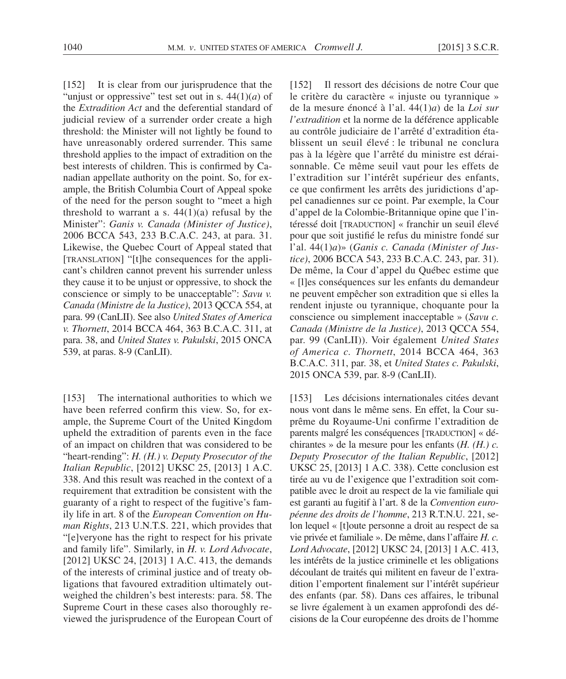[152] It is clear from our jurisprudence that the "unjust or oppressive" test set out in s.  $44(1)(a)$  of the *Extradition Act* and the deferential standard of judicial review of a surrender order create a high threshold: the Minister will not lightly be found to have unreasonably ordered surrender. This same threshold applies to the impact of extradition on the best interests of children. This is confirmed by Canadian appellate authority on the point. So, for example, the British Columbia Court of Appeal spoke of the need for the person sought to "meet a high threshold to warrant a s.  $44(1)(a)$  refusal by the Minister": *Ganis v. Canada (Minister of Justice)*, 2006 BCCA 543, 233 B.C.A.C. 243, at para. 31. Likewise, the Quebec Court of Appeal stated that [TRANSLATION] "[t]he consequences for the applicant's children cannot prevent his surrender unless they cause it to be unjust or oppressive, to shock the conscience or simply to be unacceptable": *Savu v. Canada (Ministre de la Justice)*, 2013 QCCA 554, at para. 99 (CanLII). See also *United States of America v. Thornett*, 2014 BCCA 464, 363 B.C.A.C. 311, at para. 38, and *United States v. Pakulski*, 2015 ONCA 539, at paras. 8-9 (CanLII).

[153] The international authorities to which we have been referred confirm this view. So, for example, the Supreme Court of the United Kingdom upheld the extradition of parents even in the face of an impact on children that was considered to be "heart-rending": *H. (H.) v. Deputy Prosecutor of the Italian Republic*, [2012] UKSC 25, [2013] 1 A.C. 338. And this result was reached in the context of a requirement that extradition be consistent with the guaranty of a right to respect of the fugitive's family life in art. 8 of the *European Convention on Human Rights*, 213 U.N.T.S. 221, which provides that "[e]veryone has the right to respect for his private and family life". Similarly, in *H. v. Lord Advocate*, [2012] UKSC 24, [2013] 1 A.C. 413, the demands of the interests of criminal justice and of treaty obligations that favoured extradition ultimately outweighed the children's best interests: para. 58. The Supreme Court in these cases also thoroughly reviewed the jurisprudence of the European Court of [152] Il ressort des décisions de notre Cour que le critère du caractère « injuste ou tyrannique » de la mesure énoncé à l'al. 44(1)*a*) de la *Loi sur l'extradition* et la norme de la déférence applicable au contrôle judiciaire de l'arrêté d'extradition établissent un seuil élevé : le tribunal ne conclura pas à la légère que l'arrêté du ministre est déraisonnable. Ce même seuil vaut pour les effets de l'extradition sur l'intérêt supérieur des enfants, ce que confirment les arrêts des juridictions d'appel canadiennes sur ce point. Par exemple, la Cour d'appel de la Colombie-Britannique opine que l'intéressé doit [TRADUCTION] « franchir un seuil élevé pour que soit justifié le refus du ministre fondé sur l'al. 44(1)*a*)» (*Ganis c. Canada (Minister of Justice)*, 2006 BCCA 543, 233 B.C.A.C. 243, par. 31). De même, la Cour d'appel du Québec estime que « [l]es conséquences sur les enfants du demandeur ne peuvent empêcher son extradition que si elles la rendent injuste ou tyrannique, choquante pour la conscience ou simplement inacceptable » (*Savu c. Canada (Ministre de la Justice)*, 2013 QCCA 554, par. 99 (CanLII)). Voir également *United States of America c. Thornett*, 2014 BCCA 464, 363 B.C.A.C. 311, par. 38, et *United States c. Pakulski*, 2015 ONCA 539, par. 8-9 (CanLII).

[153] Les décisions internationales citées devant nous vont dans le même sens. En effet, la Cour suprême du Royaume-Uni confirme l'extradition de parents malgré les conséquences [TRADUCTION] « déchirantes » de la mesure pour les enfants (*H. (H.) c. Deputy Prosecutor of the Italian Republic*, [2012] UKSC 25, [2013] 1 A.C. 338). Cette conclusion est tirée au vu de l'exigence que l'extradition soit compatible avec le droit au respect de la vie familiale qui est garanti au fugitif à l'art. 8 de la *Convention européenne des droits de l'homme*, 213 R.T.N.U. 221, selon lequel « [t]oute personne a droit au respect de sa vie privée et familiale ». De même, dans l'affaire *H. c. Lord Advocate*, [2012] UKSC 24, [2013] 1 A.C. 413, les intérêts de la justice criminelle et les obligations découlant de traités qui militent en faveur de l'extradition l'emportent finalement sur l'intérêt supérieur des enfants (par. 58). Dans ces affaires, le tribunal se livre également à un examen approfondi des décisions de la Cour européenne des droits de l'homme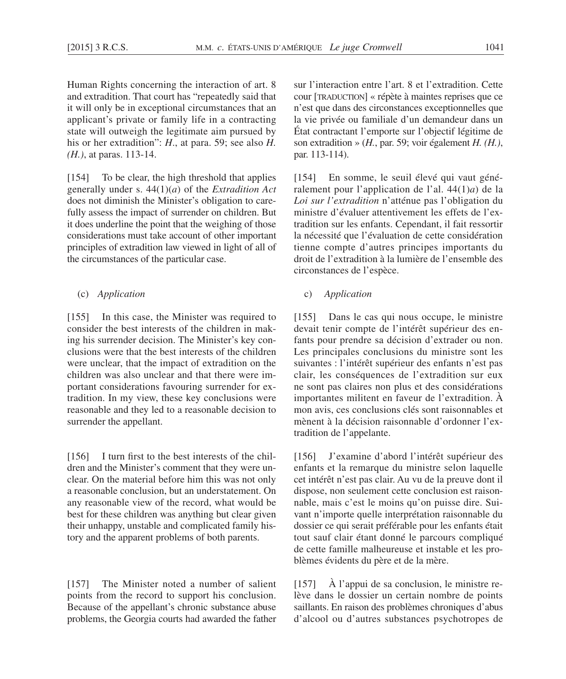Human Rights concerning the interaction of art. 8 and extradition. That court has "repeatedly said that it will only be in exceptional circumstances that an applicant's private or family life in a contracting state will outweigh the legitimate aim pursued by his or her extradition": *H*., at para. 59; see also *H*. *(H.)*, at paras. 113-14.

[154] To be clear, the high threshold that applies generally under s. 44(1)(*a*) of the *Extradition Act*  does not diminish the Minister's obligation to carefully assess the impact of surrender on children. But it does underline the point that the weighing of those considerations must take account of other important principles of extradition law viewed in light of all of the circumstances of the particular case.

### (c) *Application*

[155] In this case, the Minister was required to consider the best interests of the children in making his surrender decision. The Minister's key conclusions were that the best interests of the children were unclear, that the impact of extradition on the children was also unclear and that there were important considerations favouring surrender for extradition. In my view, these key conclusions were reasonable and they led to a reasonable decision to surrender the appellant.

[156] I turn first to the best interests of the children and the Minister's comment that they were unclear. On the material before him this was not only a reasonable conclusion, but an understatement. On any reasonable view of the record, what would be best for these children was anything but clear given their unhappy, unstable and complicated family history and the apparent problems of both parents.

[157] The Minister noted a number of salient points from the record to support his conclusion. Because of the appellant's chronic substance abuse problems, the Georgia courts had awarded the father sur l'interaction entre l'art. 8 et l'extradition. Cette cour [TRADUCTION] « répète à maintes reprises que ce n'est que dans des circonstances exceptionnelles que la vie privée ou familiale d'un demandeur dans un État contractant l'emporte sur l'objectif légitime de son extradition » (*H.*, par. 59; voir également *H. (H.)*, par. 113-114).

[154] En somme, le seuil élevé qui vaut généralement pour l'application de l'al. 44(1)*a*) de la *Loi sur l'extradition* n'atténue pas l'obligation du ministre d'évaluer attentivement les effets de l'extradition sur les enfants. Cependant, il fait ressortir la nécessité que l'évaluation de cette considération tienne compte d'autres principes importants du droit de l'extradition à la lumière de l'ensemble des circonstances de l'espèce.

c) *Application*

[155] Dans le cas qui nous occupe, le ministre devait tenir compte de l'intérêt supérieur des enfants pour prendre sa décision d'extrader ou non. Les principales conclusions du ministre sont les suivantes : l'intérêt supérieur des enfants n'est pas clair, les conséquences de l'extradition sur eux ne sont pas claires non plus et des considérations importantes militent en faveur de l'extradition. À mon avis, ces conclusions clés sont raisonnables et mènent à la décision raisonnable d'ordonner l'extradition de l'appelante.

[156] J'examine d'abord l'intérêt supérieur des enfants et la remarque du ministre selon laquelle cet intérêt n'est pas clair. Au vu de la preuve dont il dispose, non seulement cette conclusion est raisonnable, mais c'est le moins qu'on puisse dire. Suivant n'importe quelle interprétation raisonnable du dossier ce qui serait préférable pour les enfants était tout sauf clair étant donné le parcours compliqué de cette famille malheureuse et instable et les problèmes évidents du père et de la mère.

[157] À l'appui de sa conclusion, le ministre relève dans le dossier un certain nombre de points saillants. En raison des problèmes chroniques d'abus d'alcool ou d'autres substances psychotropes de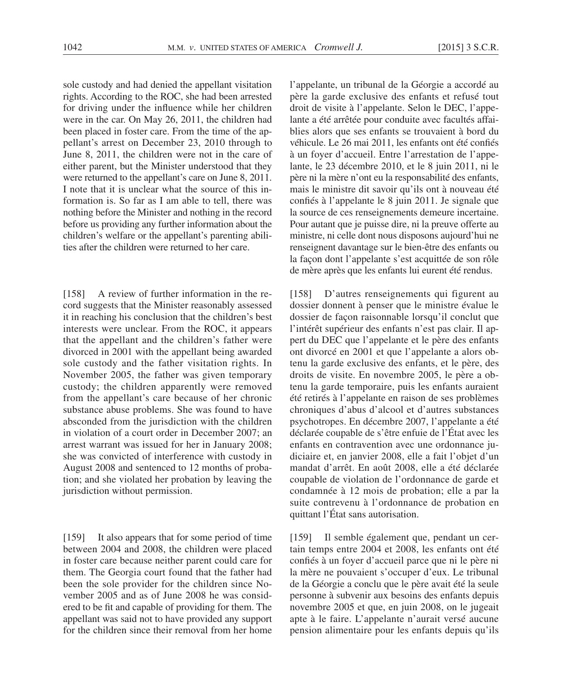sole custody and had denied the appellant visitation rights. According to the ROC, she had been arrested for driving under the influence while her children were in the car. On May 26, 2011, the children had been placed in foster care. From the time of the appellant's arrest on December 23, 2010 through to June 8, 2011, the children were not in the care of either parent, but the Minister understood that they were returned to the appellant's care on June 8, 2011. I note that it is unclear what the source of this information is. So far as I am able to tell, there was nothing before the Minister and nothing in the record before us providing any further information about the children's welfare or the appellant's parenting abilities after the children were returned to her care.

[158] A review of further information in the record suggests that the Minister reasonably assessed it in reaching his conclusion that the children's best interests were unclear. From the ROC, it appears that the appellant and the children's father were divorced in 2001 with the appellant being awarded sole custody and the father visitation rights. In November 2005, the father was given temporary custody; the children apparently were removed from the appellant's care because of her chronic substance abuse problems. She was found to have absconded from the jurisdiction with the children in violation of a court order in December 2007; an arrest warrant was issued for her in January 2008; she was convicted of interference with custody in August 2008 and sentenced to 12 months of probation; and she violated her probation by leaving the jurisdiction without permission.

[159] It also appears that for some period of time between 2004 and 2008, the children were placed in foster care because neither parent could care for them. The Georgia court found that the father had been the sole provider for the children since November 2005 and as of June 2008 he was considered to be fit and capable of providing for them. The appellant was said not to have provided any support for the children since their removal from her home l'appelante, un tribunal de la Géorgie a accordé au père la garde exclusive des enfants et refusé tout droit de visite à l'appelante. Selon le DEC, l'appelante a été arrêtée pour conduite avec facultés affaiblies alors que ses enfants se trouvaient à bord du véhicule. Le 26 mai 2011, les enfants ont été confiés à un foyer d'accueil. Entre l'arrestation de l'appelante, le 23 décembre 2010, et le 8 juin 2011, ni le père ni la mère n'ont eu la responsabilité des enfants, mais le ministre dit savoir qu'ils ont à nouveau été confiés à l'appelante le 8 juin 2011. Je signale que la source de ces renseignements demeure incertaine. Pour autant que je puisse dire, ni la preuve offerte au ministre, ni celle dont nous disposons aujourd'hui ne renseignent davantage sur le bien-être des enfants ou la façon dont l'appelante s'est acquittée de son rôle de mère après que les enfants lui eurent été rendus.

[158] D'autres renseignements qui figurent au dossier donnent à penser que le ministre évalue le dossier de façon raisonnable lorsqu'il conclut que l'intérêt supérieur des enfants n'est pas clair. Il appert du DEC que l'appelante et le père des enfants ont divorcé en 2001 et que l'appelante a alors obtenu la garde exclusive des enfants, et le père, des droits de visite. En novembre 2005, le père a obtenu la garde temporaire, puis les enfants auraient été retirés à l'appelante en raison de ses problèmes chroniques d'abus d'alcool et d'autres substances psychotropes. En décembre 2007, l'appelante a été déclarée coupable de s'être enfuie de l'État avec les enfants en contravention avec une ordonnance judiciaire et, en janvier 2008, elle a fait l'objet d'un mandat d'arrêt. En août 2008, elle a été déclarée coupable de violation de l'ordonnance de garde et condamnée à 12 mois de probation; elle a par la suite contrevenu à l'ordonnance de probation en quittant l'État sans autorisation.

[159] Il semble également que, pendant un certain temps entre 2004 et 2008, les enfants ont été confiés à un foyer d'accueil parce que ni le père ni la mère ne pouvaient s'occuper d'eux. Le tribunal de la Géorgie a conclu que le père avait été la seule personne à subvenir aux besoins des enfants depuis novembre 2005 et que, en juin 2008, on le jugeait apte à le faire. L'appelante n'aurait versé aucune pension alimentaire pour les enfants depuis qu'ils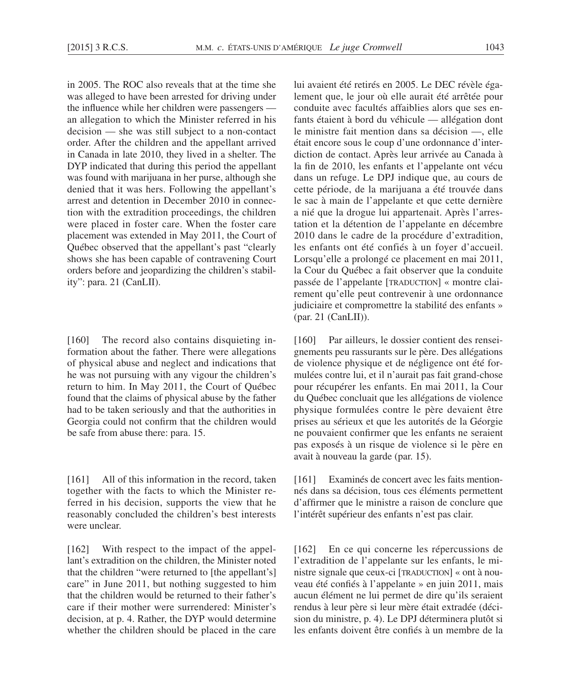in 2005. The ROC also reveals that at the time she was alleged to have been arrested for driving under the influence while her children were passengers an allegation to which the Minister referred in his decision — she was still subject to a non-contact order. After the children and the appellant arrived in Canada in late 2010, they lived in a shelter. The DYP indicated that during this period the appellant was found with marijuana in her purse, although she denied that it was hers. Following the appellant's arrest and detention in December 2010 in connection with the extradition proceedings, the children were placed in foster care. When the foster care placement was extended in May 2011, the Court of Québec observed that the appellant's past "clearly shows she has been capable of contravening Court orders before and jeopardizing the children's stability": para. 21 (CanLII).

[160] The record also contains disquieting information about the father. There were allegations of physical abuse and neglect and indications that he was not pursuing with any vigour the children's return to him. In May 2011, the Court of Québec found that the claims of physical abuse by the father had to be taken seriously and that the authorities in Georgia could not confirm that the children would be safe from abuse there: para. 15.

[161] All of this information in the record, taken together with the facts to which the Minister referred in his decision, supports the view that he reasonably concluded the children's best interests were unclear.

[162] With respect to the impact of the appellant's extradition on the children, the Minister noted that the children "were returned to [the appellant's] care" in June 2011, but nothing suggested to him that the children would be returned to their father's care if their mother were surrendered: Minister's decision, at p. 4. Rather, the DYP would determine whether the children should be placed in the care lui avaient été retirés en 2005. Le DEC révèle également que, le jour où elle aurait été arrêtée pour conduite avec facultés affaiblies alors que ses enfants étaient à bord du véhicule — allégation dont le ministre fait mention dans sa décision —, elle était encore sous le coup d'une ordonnance d'interdiction de contact. Après leur arrivée au Canada à la fin de 2010, les enfants et l'appelante ont vécu dans un refuge. Le DPJ indique que, au cours de cette période, de la marijuana a été trouvée dans le sac à main de l'appelante et que cette dernière a nié que la drogue lui appartenait. Après l'arrestation et la détention de l'appelante en décembre 2010 dans le cadre de la procédure d'extradition, les enfants ont été confiés à un foyer d'accueil. Lorsqu'elle a prolongé ce placement en mai 2011, la Cour du Québec a fait observer que la conduite passée de l'appelante [TRADUCTION] « montre clairement qu'elle peut contrevenir à une ordonnance judiciaire et compromettre la stabilité des enfants » (par. 21 (CanLII)).

[160] Par ailleurs, le dossier contient des renseignements peu rassurants sur le père. Des allégations de violence physique et de négligence ont été formulées contre lui, et il n'aurait pas fait grand-chose pour récupérer les enfants. En mai 2011, la Cour du Québec concluait que les allégations de violence physique formulées contre le père devaient être prises au sérieux et que les autorités de la Géorgie ne pouvaient confirmer que les enfants ne seraient pas exposés à un risque de violence si le père en avait à nouveau la garde (par. 15).

[161] Examinés de concert avec les faits mentionnés dans sa décision, tous ces éléments permettent d'affirmer que le ministre a raison de conclure que l'intérêt supérieur des enfants n'est pas clair.

[162] En ce qui concerne les répercussions de l'extradition de l'appelante sur les enfants, le ministre signale que ceux-ci [TRADUCTION] « ont à nouveau été confiés à l'appelante » en juin 2011, mais aucun élément ne lui permet de dire qu'ils seraient rendus à leur père si leur mère était extradée (décision du ministre, p. 4). Le DPJ déterminera plutôt si les enfants doivent être confiés à un membre de la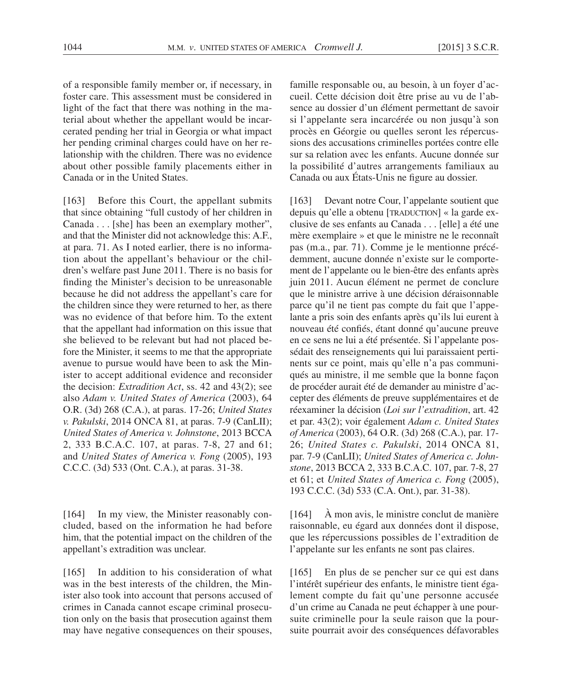of a responsible family member or, if necessary, in foster care. This assessment must be considered in light of the fact that there was nothing in the material about whether the appellant would be incarcerated pending her trial in Georgia or what impact her pending criminal charges could have on her relationship with the children. There was no evidence about other possible family placements either in Canada or in the United States.

[163] Before this Court, the appellant submits that since obtaining "full custody of her children in Canada . . . [she] has been an exemplary mother", and that the Minister did not acknowledge this: A.F., at para. 71. As I noted earlier, there is no information about the appellant's behaviour or the children's welfare past June 2011. There is no basis for finding the Minister's decision to be unreasonable because he did not address the appellant's care for the children since they were returned to her, as there was no evidence of that before him. To the extent that the appellant had information on this issue that she believed to be relevant but had not placed before the Minister, it seems to me that the appropriate avenue to pursue would have been to ask the Minister to accept additional evidence and reconsider the decision: *Extradition Act*, ss. 42 and 43(2); see also *Adam v. United States of America* (2003), 64 O.R. (3d) 268 (C.A.), at paras. 17-26; *United States v. Pakulski*, 2014 ONCA 81, at paras. 7-9 (CanLII); *United States of America v. Johnstone*, 2013 BCCA 2, 333 B.C.A.C. 107, at paras. 7-8, 27 and 61; and *United States of America v. Fong* (2005), 193 C.C.C. (3d) 533 (Ont. C.A.), at paras. 31-38.

[164] In my view, the Minister reasonably concluded, based on the information he had before him, that the potential impact on the children of the appellant's extradition was unclear.

[165] In addition to his consideration of what was in the best interests of the children, the Minister also took into account that persons accused of crimes in Canada cannot escape criminal prosecution only on the basis that prosecution against them may have negative consequences on their spouses,

famille responsable ou, au besoin, à un foyer d'accueil. Cette décision doit être prise au vu de l'absence au dossier d'un élément permettant de savoir si l'appelante sera incarcérée ou non jusqu'à son procès en Géorgie ou quelles seront les répercussions des accusations criminelles portées contre elle sur sa relation avec les enfants. Aucune donnée sur la possibilité d'autres arrangements familiaux au Canada ou aux États-Unis ne figure au dossier.

[163] Devant notre Cour, l'appelante soutient que depuis qu'elle a obtenu [TRADUCTION] « la garde exclusive de ses enfants au Canada . . . [elle] a été une mère exemplaire » et que le ministre ne le reconnaît pas (m.a., par. 71). Comme je le mentionne précédemment, aucune donnée n'existe sur le comportement de l'appelante ou le bien-être des enfants après juin 2011. Aucun élément ne permet de conclure que le ministre arrive à une décision déraisonnable parce qu'il ne tient pas compte du fait que l'appelante a pris soin des enfants après qu'ils lui eurent à nouveau été confiés, étant donné qu'aucune preuve en ce sens ne lui a été présentée. Si l'appelante possédait des renseignements qui lui paraissaient pertinents sur ce point, mais qu'elle n'a pas communiqués au ministre, il me semble que la bonne façon de procéder aurait été de demander au ministre d'accepter des éléments de preuve supplémentaires et de réexaminer la décision (*Loi sur l'extradition*, art. 42 et par. 43(2); voir également *Adam c. United States of America* (2003), 64 O.R. (3d) 268 (C.A.), par. 17-26; *United States c. Pakulski*, 2014 ONCA 81, par. 7-9 (CanLII); *United States of America c. Johnstone*, 2013 BCCA 2, 333 B.C.A.C. 107, par. 7-8, 27 et 61; et *United States of America c. Fong* (2005), 193 C.C.C. (3d) 533 (C.A. Ont.), par. 31-38).

[164] À mon avis, le ministre conclut de manière raisonnable, eu égard aux données dont il dispose, que les répercussions possibles de l'extradition de l'appelante sur les enfants ne sont pas claires.

[165] En plus de se pencher sur ce qui est dans l'intérêt supérieur des enfants, le ministre tient également compte du fait qu'une personne accusée d'un crime au Canada ne peut échapper à une poursuite criminelle pour la seule raison que la poursuite pourrait avoir des conséquences défavorables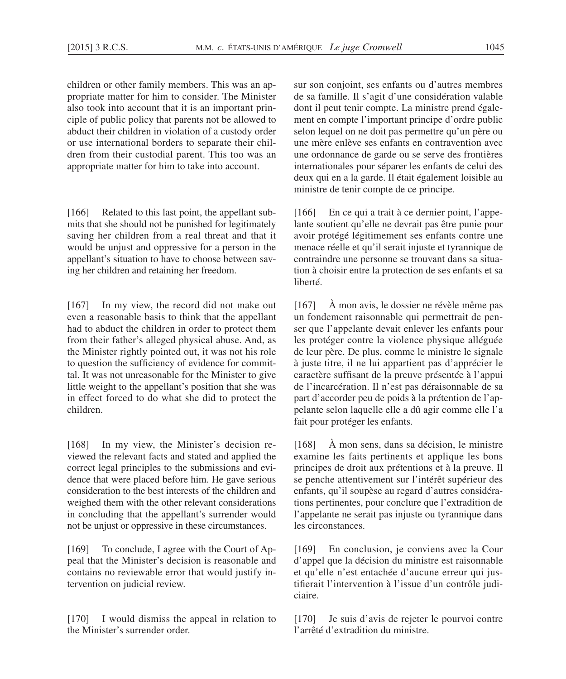children or other family members. This was an appropriate matter for him to consider. The Minister also took into account that it is an important principle of public policy that parents not be allowed to abduct their children in violation of a custody order or use international borders to separate their children from their custodial parent. This too was an appropriate matter for him to take into account.

[166] Related to this last point, the appellant submits that she should not be punished for legitimately saving her children from a real threat and that it would be unjust and oppressive for a person in the appellant's situation to have to choose between saving her children and retaining her freedom.

[167] In my view, the record did not make out even a reasonable basis to think that the appellant had to abduct the children in order to protect them from their father's alleged physical abuse. And, as the Minister rightly pointed out, it was not his role to question the sufficiency of evidence for committal. It was not unreasonable for the Minister to give little weight to the appellant's position that she was in effect forced to do what she did to protect the children.

[168] In my view, the Minister's decision reviewed the relevant facts and stated and applied the correct legal principles to the submissions and evidence that were placed before him. He gave serious consideration to the best interests of the children and weighed them with the other relevant considerations in concluding that the appellant's surrender would not be unjust or oppressive in these circumstances.

[169] To conclude, I agree with the Court of Appeal that the Minister's decision is reasonable and contains no reviewable error that would justify intervention on judicial review.

[170] I would dismiss the appeal in relation to the Minister's surrender order.

sur son conjoint, ses enfants ou d'autres membres de sa famille. Il s'agit d'une considération valable dont il peut tenir compte. La ministre prend également en compte l'important principe d'ordre public selon lequel on ne doit pas permettre qu'un père ou une mère enlève ses enfants en contravention avec une ordonnance de garde ou se serve des frontières internationales pour séparer les enfants de celui des deux qui en a la garde. Il était également loisible au ministre de tenir compte de ce principe.

[166] En ce qui a trait à ce dernier point, l'appelante soutient qu'elle ne devrait pas être punie pour avoir protégé légitimement ses enfants contre une menace réelle et qu'il serait injuste et tyrannique de contraindre une personne se trouvant dans sa situation à choisir entre la protection de ses enfants et sa liberté.

[167] À mon avis, le dossier ne révèle même pas un fondement raisonnable qui permettrait de penser que l'appelante devait enlever les enfants pour les protéger contre la violence physique alléguée de leur père. De plus, comme le ministre le signale à juste titre, il ne lui appartient pas d'apprécier le caractère suffisant de la preuve présentée à l'appui de l'incarcération. Il n'est pas déraisonnable de sa part d'accorder peu de poids à la prétention de l'appelante selon laquelle elle a dû agir comme elle l'a fait pour protéger les enfants.

[168] À mon sens, dans sa décision, le ministre examine les faits pertinents et applique les bons principes de droit aux prétentions et à la preuve. Il se penche attentivement sur l'intérêt supérieur des enfants, qu'il soupèse au regard d'autres considérations pertinentes, pour conclure que l'extradition de l'appelante ne serait pas injuste ou tyrannique dans les circonstances.

[169] En conclusion, je conviens avec la Cour d'appel que la décision du ministre est raisonnable et qu'elle n'est entachée d'aucune erreur qui justifierait l'intervention à l'issue d'un contrôle judiciaire.

[170] Je suis d'avis de rejeter le pourvoi contre l'arrêté d'extradition du ministre.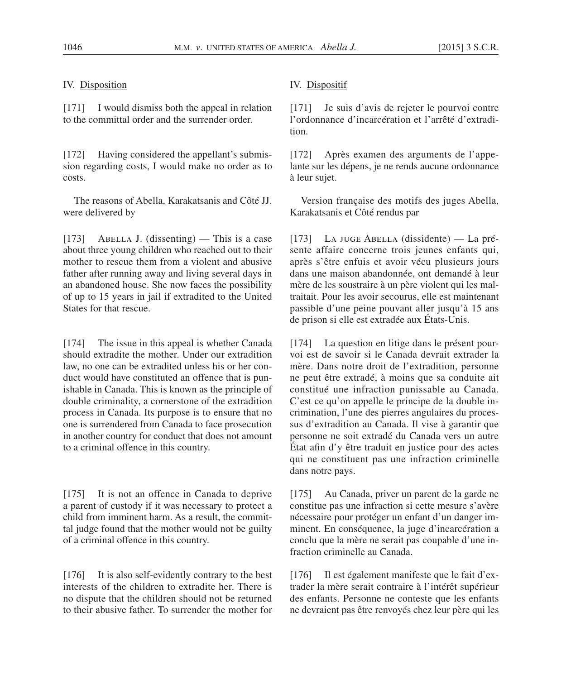## IV. Disposition

[171] I would dismiss both the appeal in relation to the committal order and the surrender order.

[172] Having considered the appellant's submission regarding costs, I would make no order as to costs.

The reasons of Abella, Karakatsanis and Côté JJ. were delivered by

[173] Abella J. (dissenting) — This is a case about three young children who reached out to their mother to rescue them from a violent and abusive father after running away and living several days in an abandoned house. She now faces the possibility of up to 15 years in jail if extradited to the United States for that rescue.

[174] The issue in this appeal is whether Canada should extradite the mother. Under our extradition law, no one can be extradited unless his or her conduct would have constituted an offence that is punishable in Canada. This is known as the principle of double criminality, a cornerstone of the extradition process in Canada. Its purpose is to ensure that no one is surrendered from Canada to face prosecution in another country for conduct that does not amount to a criminal offence in this country.

[175] It is not an offence in Canada to deprive a parent of custody if it was necessary to protect a child from imminent harm. As a result, the committal judge found that the mother would not be guilty of a criminal offence in this country.

[176] It is also self-evidently contrary to the best interests of the children to extradite her. There is no dispute that the children should not be returned to their abusive father. To surrender the mother for

# IV. Dispositif

[171] Je suis d'avis de rejeter le pourvoi contre l'ordonnance d'incarcération et l'arrêté d'extradition.

[172] Après examen des arguments de l'appelante sur les dépens, je ne rends aucune ordonnance à leur sujet.

Version française des motifs des juges Abella, Karakatsanis et Côté rendus par

[173] La juge Abella (dissidente) — La présente affaire concerne trois jeunes enfants qui, après s'être enfuis et avoir vécu plusieurs jours dans une maison abandonnée, ont demandé à leur mère de les soustraire à un père violent qui les maltraitait. Pour les avoir secourus, elle est maintenant passible d'une peine pouvant aller jusqu'à 15 ans de prison si elle est extradée aux États-Unis.

[174] La question en litige dans le présent pourvoi est de savoir si le Canada devrait extrader la mère. Dans notre droit de l'extradition, personne ne peut être extradé, à moins que sa conduite ait constitué une infraction punissable au Canada. C'est ce qu'on appelle le principe de la double incrimination, l'une des pierres angulaires du processus d'extradition au Canada. Il vise à garantir que personne ne soit extradé du Canada vers un autre État afin d'y être traduit en justice pour des actes qui ne constituent pas une infraction criminelle dans notre pays.

[175] Au Canada, priver un parent de la garde ne constitue pas une infraction si cette mesure s'avère nécessaire pour protéger un enfant d'un danger imminent. En conséquence, la juge d'incarcération a conclu que la mère ne serait pas coupable d'une infraction criminelle au Canada.

[176] Il est également manifeste que le fait d'extrader la mère serait contraire à l'intérêt supérieur des enfants. Personne ne conteste que les enfants ne devraient pas être renvoyés chez leur père qui les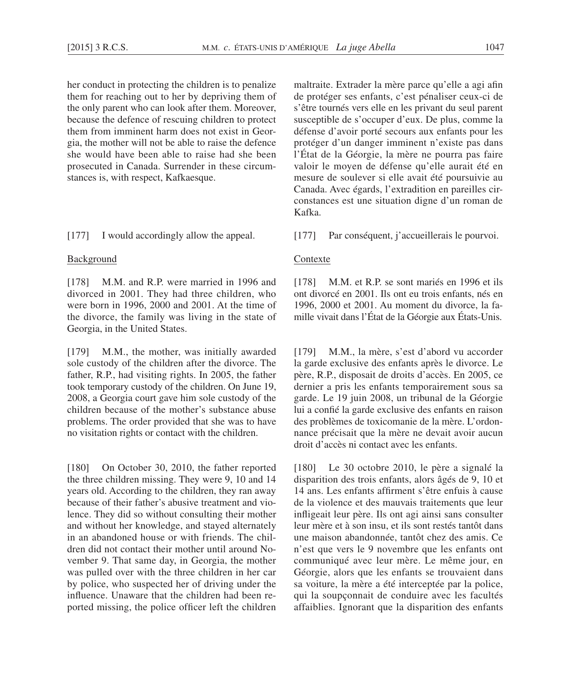her conduct in protecting the children is to penalize them for reaching out to her by depriving them of the only parent who can look after them. Moreover, because the defence of rescuing children to protect them from imminent harm does not exist in Georgia, the mother will not be able to raise the defence she would have been able to raise had she been prosecuted in Canada. Surrender in these circumstances is, with respect, Kafkaesque.

## [177] I would accordingly allow the appeal.

### Background

[178] M.M. and R.P. were married in 1996 and divorced in 2001. They had three children, who were born in 1996, 2000 and 2001. At the time of the divorce, the family was living in the state of Georgia, in the United States.

[179] M.M., the mother, was initially awarded sole custody of the children after the divorce. The father, R.P., had visiting rights. In 2005, the father took temporary custody of the children. On June 19, 2008, a Georgia court gave him sole custody of the children because of the mother's substance abuse problems. The order provided that she was to have no visitation rights or contact with the children.

[180] On October 30, 2010, the father reported the three children missing. They were 9, 10 and 14 years old. According to the children, they ran away because of their father's abusive treatment and violence. They did so without consulting their mother and without her knowledge, and stayed alternately in an abandoned house or with friends. The children did not contact their mother until around November 9. That same day, in Georgia, the mother was pulled over with the three children in her car by police, who suspected her of driving under the influence. Unaware that the children had been reported missing, the police officer left the children maltraite. Extrader la mère parce qu'elle a agi afin de protéger ses enfants, c'est pénaliser ceux-ci de s'être tournés vers elle en les privant du seul parent susceptible de s'occuper d'eux. De plus, comme la défense d'avoir porté secours aux enfants pour les protéger d'un danger imminent n'existe pas dans l'État de la Géorgie, la mère ne pourra pas faire valoir le moyen de défense qu'elle aurait été en mesure de soulever si elle avait été poursuivie au Canada. Avec égards, l'extradition en pareilles circonstances est une situation digne d'un roman de Kafka.

### [177] Par conséquent, j'accueillerais le pourvoi.

### Contexte

[178] M.M. et R.P. se sont mariés en 1996 et ils ont divorcé en 2001. Ils ont eu trois enfants, nés en 1996, 2000 et 2001. Au moment du divorce, la famille vivait dans l'État de la Géorgie aux États-Unis.

[179] M.M., la mère, s'est d'abord vu accorder la garde exclusive des enfants après le divorce. Le père, R.P., disposait de droits d'accès. En 2005, ce dernier a pris les enfants temporairement sous sa garde. Le 19 juin 2008, un tribunal de la Géorgie lui a confié la garde exclusive des enfants en raison des problèmes de toxicomanie de la mère. L'ordonnance précisait que la mère ne devait avoir aucun droit d'accès ni contact avec les enfants.

[180] Le 30 octobre 2010, le père a signalé la disparition des trois enfants, alors âgés de 9, 10 et 14 ans. Les enfants affirment s'être enfuis à cause de la violence et des mauvais traitements que leur infligeait leur père. Ils ont agi ainsi sans consulter leur mère et à son insu, et ils sont restés tantôt dans une maison abandonnée, tantôt chez des amis. Ce n'est que vers le 9 novembre que les enfants ont communiqué avec leur mère. Le même jour, en Géorgie, alors que les enfants se trouvaient dans sa voiture, la mère a été interceptée par la police, qui la soupçonnait de conduire avec les facultés affaiblies. Ignorant que la disparition des enfants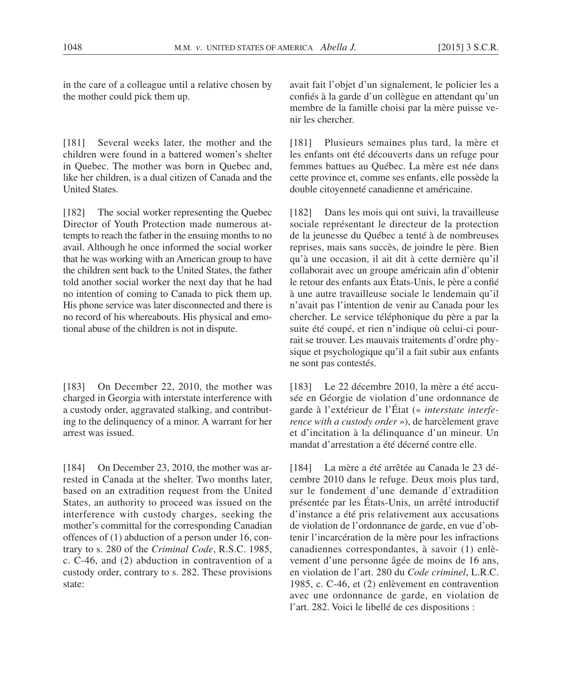in the care of a colleague until a relative chosen by the mother could pick them up.

[181] Several weeks later, the mother and the children were found in a battered women's shelter in Quebec. The mother was born in Quebec and, like her children, is a dual citizen of Canada and the United States.

[182] The social worker representing the Quebec Director of Youth Protection made numerous attempts to reach the father in the ensuing months to no avail. Although he once informed the social worker that he was working with an American group to have the children sent back to the United States, the father told another social worker the next day that he had no intention of coming to Canada to pick them up. His phone service was later disconnected and there is no record of his whereabouts. His physical and emotional abuse of the children is not in dispute.

[183] On December 22, 2010, the mother was charged in Georgia with interstate interference with a custody order, aggravated stalking, and contributing to the delinquency of a minor. A warrant for her arrest was issued.

[184] On December 23, 2010, the mother was arrested in Canada at the shelter. Two months later, based on an extradition request from the United States, an authority to proceed was issued on the interference with custody charges, seeking the mother's committal for the corresponding Canadian offences of (1) abduction of a person under 16, contrary to s. 280 of the *Criminal Code*, R.S.C. 1985, c. C-46, and (2) abduction in contravention of a custody order, contrary to s. 282. These provisions state:

avait fait l'objet d'un signalement, le policier les a confiés à la garde d'un collègue en attendant qu'un membre de la famille choisi par la mère puisse venir les chercher.

[181] Plusieurs semaines plus tard, la mère et les enfants ont été découverts dans un refuge pour femmes battues au Québec. La mère est née dans cette province et, comme ses enfants, elle possède la double citoyenneté canadienne et américaine.

[182] Dans les mois qui ont suivi, la travailleuse sociale représentant le directeur de la protection de la jeunesse du Québec a tenté à de nombreuses reprises, mais sans succès, de joindre le père. Bien qu'à une occasion, il ait dit à cette dernière qu'il collaborait avec un groupe américain afin d'obtenir le retour des enfants aux États-Unis, le père a confié à une autre travailleuse sociale le lendemain qu'il n'avait pas l'intention de venir au Canada pour les chercher. Le service téléphonique du père a par la suite été coupé, et rien n'indique où celui-ci pourrait se trouver. Les mauvais traitements d'ordre physique et psychologique qu'il a fait subir aux enfants ne sont pas contestés.

[183] Le 22 décembre 2010, la mère a été accusée en Géorgie de violation d'une ordonnance de garde à l'extérieur de l'État (« *interstate interference with a custody order* »), de harcèlement grave et d'incitation à la délinquance d'un mineur. Un mandat d'arrestation a été décerné contre elle.

[184] La mère a été arrêtée au Canada le 23 décembre 2010 dans le refuge. Deux mois plus tard, sur le fondement d'une demande d'extradition présentée par les États-Unis, un arrêté introductif d'instance a été pris relativement aux accusations de violation de l'ordonnance de garde, en vue d'obtenir l'incarcération de la mère pour les infractions canadiennes correspondantes, à savoir (1) enlèvement d'une personne âgée de moins de 16 ans, en violation de l'art. 280 du *Code criminel*, L.R.C. 1985, c. C-46, et (2) enlèvement en contravention avec une ordonnance de garde, en violation de l'art. 282. Voici le libellé de ces dispositions :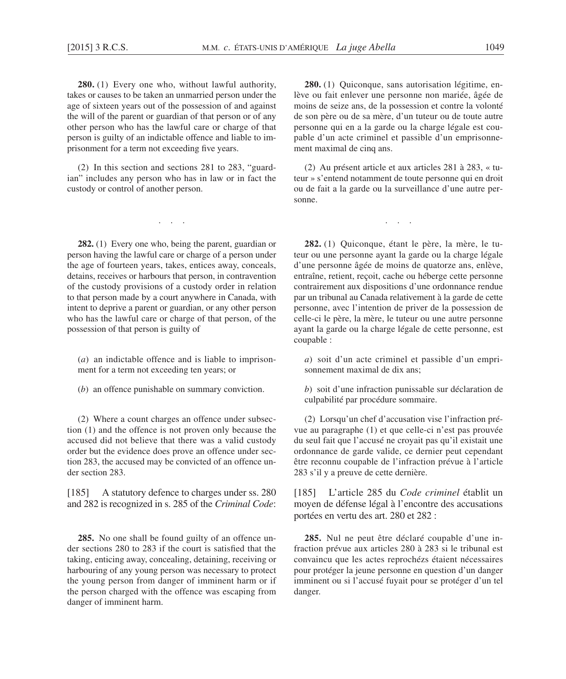**280.** (1) Every one who, without lawful authority, takes or causes to be taken an unmarried person under the age of sixteen years out of the possession of and against the will of the parent or guardian of that person or of any other person who has the lawful care or charge of that person is guilty of an indictable offence and liable to imprisonment for a term not exceeding five years.

(2) In this section and sections 281 to 283, "guardian" includes any person who has in law or in fact the custody or control of another person.

. . .

**282.** (1) Every one who, being the parent, guardian or person having the lawful care or charge of a person under the age of fourteen years, takes, entices away, conceals, detains, receives or harbours that person, in contravention of the custody provisions of a custody order in relation to that person made by a court anywhere in Canada, with intent to deprive a parent or guardian, or any other person who has the lawful care or charge of that person, of the possession of that person is guilty of

(*a*) an indictable offence and is liable to imprisonment for a term not exceeding ten years; or

(*b*) an offence punishable on summary conviction.

(2) Where a count charges an offence under subsection (1) and the offence is not proven only because the accused did not believe that there was a valid custody order but the evidence does prove an offence under section 283, the accused may be convicted of an offence under section 283.

[185] A statutory defence to charges under ss. 280 and 282 is recognized in s. 285 of the *Criminal Code*:

**285.** No one shall be found guilty of an offence under sections 280 to 283 if the court is satisfied that the taking, enticing away, concealing, detaining, receiving or harbouring of any young person was necessary to protect the young person from danger of imminent harm or if the person charged with the offence was escaping from danger of imminent harm.

**280.** (1) Quiconque, sans autorisation légitime, enlève ou fait enlever une personne non mariée, âgée de moins de seize ans, de la possession et contre la volonté de son père ou de sa mère, d'un tuteur ou de toute autre personne qui en a la garde ou la charge légale est coupable d'un acte criminel et passible d'un emprisonnement maximal de cinq ans.

(2) Au présent article et aux articles 281 à 283, « tuteur » s'entend notamment de toute personne qui en droit ou de fait a la garde ou la surveillance d'une autre personne.

. . .

**282.** (1) Quiconque, étant le père, la mère, le tuteur ou une personne ayant la garde ou la charge légale d'une personne âgée de moins de quatorze ans, enlève, entraîne, retient, reçoit, cache ou héberge cette personne contrairement aux dispositions d'une ordonnance rendue par un tribunal au Canada relativement à la garde de cette personne, avec l'intention de priver de la possession de celle-ci le père, la mère, le tuteur ou une autre personne ayant la garde ou la charge légale de cette personne, est coupable :

*a*) soit d'un acte criminel et passible d'un emprisonnement maximal de dix ans;

*b*) soit d'une infraction punissable sur déclaration de culpabilité par procédure sommaire.

(2) Lorsqu'un chef d'accusation vise l'infraction prévue au paragraphe (1) et que celle-ci n'est pas prouvée du seul fait que l'accusé ne croyait pas qu'il existait une ordonnance de garde valide, ce dernier peut cependant être reconnu coupable de l'infraction prévue à l'article 283 s'il y a preuve de cette dernière.

[185] L'article 285 du *Code criminel* établit un moyen de défense légal à l'encontre des accusations portées en vertu des art. 280 et 282 :

**285.** Nul ne peut être déclaré coupable d'une infraction prévue aux articles 280 à 283 si le tribunal est convaincu que les actes reprochézs étaient nécessaires pour protéger la jeune personne en question d'un danger imminent ou si l'accusé fuyait pour se protéger d'un tel danger.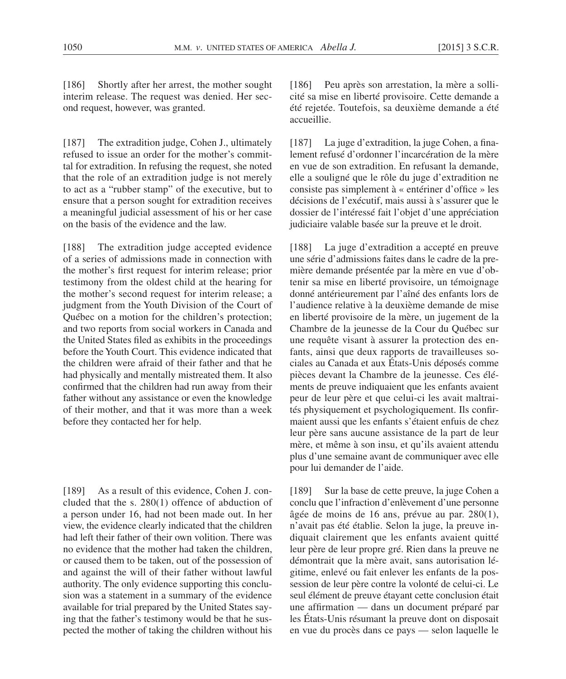[186] Shortly after her arrest, the mother sought interim release. The request was denied. Her second request, however, was granted.

[187] The extradition judge, Cohen J., ultimately refused to issue an order for the mother's committal for extradition. In refusing the request, she noted that the role of an extradition judge is not merely to act as a "rubber stamp" of the executive, but to ensure that a person sought for extradition receives a meaningful judicial assessment of his or her case on the basis of the evidence and the law.

[188] The extradition judge accepted evidence of a series of admissions made in connection with the mother's first request for interim release; prior testimony from the oldest child at the hearing for the mother's second request for interim release; a judgment from the Youth Division of the Court of Québec on a motion for the children's protection; and two reports from social workers in Canada and the United States filed as exhibits in the proceedings before the Youth Court. This evidence indicated that the children were afraid of their father and that he had physically and mentally mistreated them. It also confirmed that the children had run away from their father without any assistance or even the knowledge of their mother, and that it was more than a week before they contacted her for help.

[189] As a result of this evidence, Cohen J. concluded that the s. 280(1) offence of abduction of a person under 16, had not been made out. In her view, the evidence clearly indicated that the children had left their father of their own volition. There was no evidence that the mother had taken the children, or caused them to be taken, out of the possession of and against the will of their father without lawful authority. The only evidence supporting this conclusion was a statement in a summary of the evidence available for trial prepared by the United States saying that the father's testimony would be that he suspected the mother of taking the children without his [186] Peu après son arrestation, la mère a sollicité sa mise en liberté provisoire. Cette demande a été rejetée. Toutefois, sa deuxième demande a été accueillie.

[187] La juge d'extradition, la juge Cohen, a finalement refusé d'ordonner l'incarcération de la mère en vue de son extradition. En refusant la demande, elle a souligné que le rôle du juge d'extradition ne consiste pas simplement à « entériner d'office » les décisions de l'exécutif, mais aussi à s'assurer que le dossier de l'intéressé fait l'objet d'une appréciation judiciaire valable basée sur la preuve et le droit.

[188] La juge d'extradition a accepté en preuve une série d'admissions faites dans le cadre de la première demande présentée par la mère en vue d'obtenir sa mise en liberté provisoire, un témoignage donné antérieurement par l'aîné des enfants lors de l'audience relative à la deuxième demande de mise en liberté provisoire de la mère, un jugement de la Chambre de la jeunesse de la Cour du Québec sur une requête visant à assurer la protection des enfants, ainsi que deux rapports de travailleuses sociales au Canada et aux États-Unis déposés comme pièces devant la Chambre de la jeunesse. Ces éléments de preuve indiquaient que les enfants avaient peur de leur père et que celui-ci les avait maltraités physiquement et psychologiquement. Ils confirmaient aussi que les enfants s'étaient enfuis de chez leur père sans aucune assistance de la part de leur mère, et même à son insu, et qu'ils avaient attendu plus d'une semaine avant de communiquer avec elle pour lui demander de l'aide.

[189] Sur la base de cette preuve, la juge Cohen a conclu que l'infraction d'enlèvement d'une personne âgée de moins de 16 ans, prévue au par. 280(1), n'avait pas été établie. Selon la juge, la preuve indiquait clairement que les enfants avaient quitté leur père de leur propre gré. Rien dans la preuve ne démontrait que la mère avait, sans autorisation légitime, enlevé ou fait enlever les enfants de la possession de leur père contre la volonté de celui-ci. Le seul élément de preuve étayant cette conclusion était une affirmation — dans un document préparé par les États-Unis résumant la preuve dont on disposait en vue du procès dans ce pays — selon laquelle le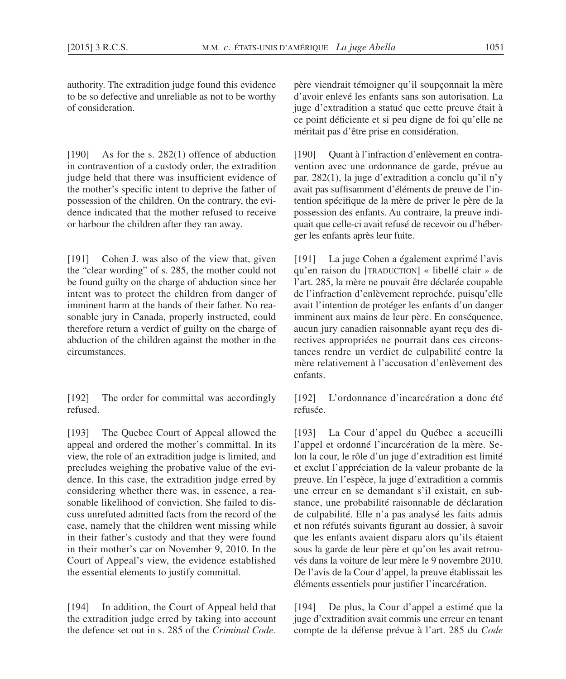authority. The extradition judge found this evidence to be so defective and unreliable as not to be worthy of consideration.

[190] As for the s. 282(1) offence of abduction in contravention of a custody order, the extradition judge held that there was insufficient evidence of the mother's specific intent to deprive the father of possession of the children. On the contrary, the evidence indicated that the mother refused to receive or harbour the children after they ran away.

[191] Cohen J. was also of the view that, given the "clear wording" of s. 285, the mother could not be found guilty on the charge of abduction since her intent was to protect the children from danger of imminent harm at the hands of their father. No reasonable jury in Canada, properly instructed, could therefore return a verdict of guilty on the charge of abduction of the children against the mother in the circumstances.

[192] The order for committal was accordingly refused.

[193] The Quebec Court of Appeal allowed the appeal and ordered the mother's committal. In its view, the role of an extradition judge is limited, and precludes weighing the probative value of the evidence. In this case, the extradition judge erred by considering whether there was, in essence, a reasonable likelihood of conviction. She failed to discuss unrefuted admitted facts from the record of the case, namely that the children went missing while in their father's custody and that they were found in their mother's car on November 9, 2010. In the Court of Appeal's view, the evidence established the essential elements to justify committal.

[194] In addition, the Court of Appeal held that the extradition judge erred by taking into account the defence set out in s. 285 of the *Criminal Code*. père viendrait témoigner qu'il soupçonnait la mère d'avoir enlevé les enfants sans son autorisation. La juge d'extradition a statué que cette preuve était à ce point déficiente et si peu digne de foi qu'elle ne méritait pas d'être prise en considération.

[190] Quant à l'infraction d'enlèvement en contravention avec une ordonnance de garde, prévue au par. 282(1), la juge d'extradition a conclu qu'il n'y avait pas suffisamment d'éléments de preuve de l'intention spécifique de la mère de priver le père de la possession des enfants. Au contraire, la preuve indiquait que celle-ci avait refusé de recevoir ou d'héberger les enfants après leur fuite.

[191] La juge Cohen a également exprimé l'avis qu'en raison du [TRADUCTION] « libellé clair » de l'art. 285, la mère ne pouvait être déclarée coupable de l'infraction d'enlèvement reprochée, puisqu'elle avait l'intention de protéger les enfants d'un danger imminent aux mains de leur père. En conséquence, aucun jury canadien raisonnable ayant reçu des directives appropriées ne pourrait dans ces circonstances rendre un verdict de culpabilité contre la mère relativement à l'accusation d'enlèvement des enfants.

[192] L'ordonnance d'incarcération a donc été refusée.

[193] La Cour d'appel du Québec a accueilli l'appel et ordonné l'incarcération de la mère. Selon la cour, le rôle d'un juge d'extradition est limité et exclut l'appréciation de la valeur probante de la preuve. En l'espèce, la juge d'extradition a commis une erreur en se demandant s'il existait, en substance, une probabilité raisonnable de déclaration de culpabilité. Elle n'a pas analysé les faits admis et non réfutés suivants figurant au dossier, à savoir que les enfants avaient disparu alors qu'ils étaient sous la garde de leur père et qu'on les avait retrouvés dans la voiture de leur mère le 9 novembre 2010. De l'avis de la Cour d'appel, la preuve établissait les éléments essentiels pour justifier l'incarcération.

[194] De plus, la Cour d'appel a estimé que la juge d'extradition avait commis une erreur en tenant compte de la défense prévue à l'art. 285 du *Code*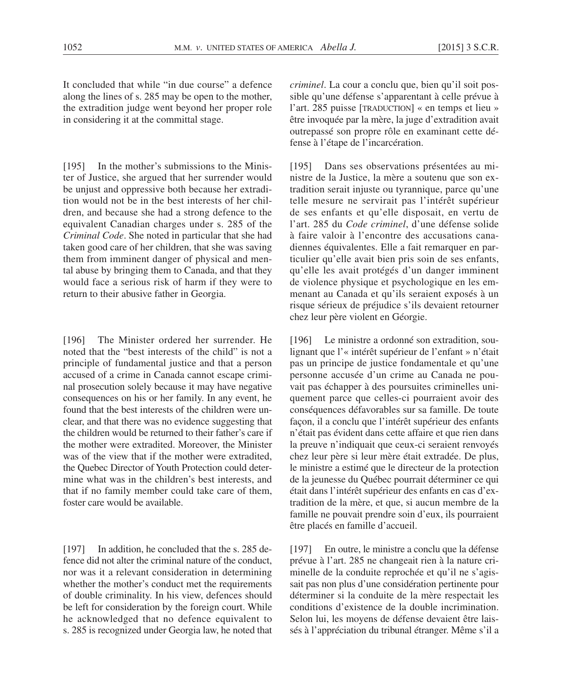It concluded that while "in due course" a defence along the lines of s. 285 may be open to the mother, the extradition judge went beyond her proper role in considering it at the committal stage.

[195] In the mother's submissions to the Minister of Justice, she argued that her surrender would be unjust and oppressive both because her extradition would not be in the best interests of her children, and because she had a strong defence to the equivalent Canadian charges under s. 285 of the *Criminal Code*. She noted in particular that she had taken good care of her children, that she was saving them from imminent danger of physical and mental abuse by bringing them to Canada, and that they would face a serious risk of harm if they were to return to their abusive father in Georgia.

[196] The Minister ordered her surrender. He noted that the "best interests of the child" is not a principle of fundamental justice and that a person accused of a crime in Canada cannot escape criminal prosecution solely because it may have negative consequences on his or her family. In any event, he found that the best interests of the children were unclear, and that there was no evidence suggesting that the children would be returned to their father's care if the mother were extradited. Moreover, the Minister was of the view that if the mother were extradited, the Quebec Director of Youth Protection could determine what was in the children's best interests, and that if no family member could take care of them, foster care would be available.

[197] In addition, he concluded that the s. 285 defence did not alter the criminal nature of the conduct, nor was it a relevant consideration in determining whether the mother's conduct met the requirements of double criminality. In his view, defences should be left for consideration by the foreign court. While he acknowledged that no defence equivalent to s. 285 is recognized under Georgia law, he noted that

*criminel*. La cour a conclu que, bien qu'il soit possible qu'une défense s'apparentant à celle prévue à l'art. 285 puisse [TRADUCTION] « en temps et lieu » être invoquée par la mère, la juge d'extradition avait outrepassé son propre rôle en examinant cette défense à l'étape de l'incarcération.

[195] Dans ses observations présentées au ministre de la Justice, la mère a soutenu que son extradition serait injuste ou tyrannique, parce qu'une telle mesure ne servirait pas l'intérêt supérieur de ses enfants et qu'elle disposait, en vertu de l'art. 285 du *Code criminel*, d'une défense solide à faire valoir à l'encontre des accusations canadiennes équivalentes. Elle a fait remarquer en particulier qu'elle avait bien pris soin de ses enfants, qu'elle les avait protégés d'un danger imminent de violence physique et psychologique en les emmenant au Canada et qu'ils seraient exposés à un risque sérieux de préjudice s'ils devaient retourner chez leur père violent en Géorgie.

[196] Le ministre a ordonné son extradition, soulignant que l'« intérêt supérieur de l'enfant » n'était pas un principe de justice fondamentale et qu'une personne accusée d'un crime au Canada ne pouvait pas échapper à des poursuites criminelles uniquement parce que celles-ci pourraient avoir des conséquences défavorables sur sa famille. De toute façon, il a conclu que l'intérêt supérieur des enfants n'était pas évident dans cette affaire et que rien dans la preuve n'indiquait que ceux-ci seraient renvoyés chez leur père si leur mère était extradée. De plus, le ministre a estimé que le directeur de la protection de la jeunesse du Québec pourrait déterminer ce qui était dans l'intérêt supérieur des enfants en cas d'extradition de la mère, et que, si aucun membre de la famille ne pouvait prendre soin d'eux, ils pourraient être placés en famille d'accueil.

[197] En outre, le ministre a conclu que la défense prévue à l'art. 285 ne changeait rien à la nature criminelle de la conduite reprochée et qu'il ne s'agissait pas non plus d'une considération pertinente pour déterminer si la conduite de la mère respectait les conditions d'existence de la double incrimination. Selon lui, les moyens de défense devaient être laissés à l'appréciation du tribunal étranger. Même s'il a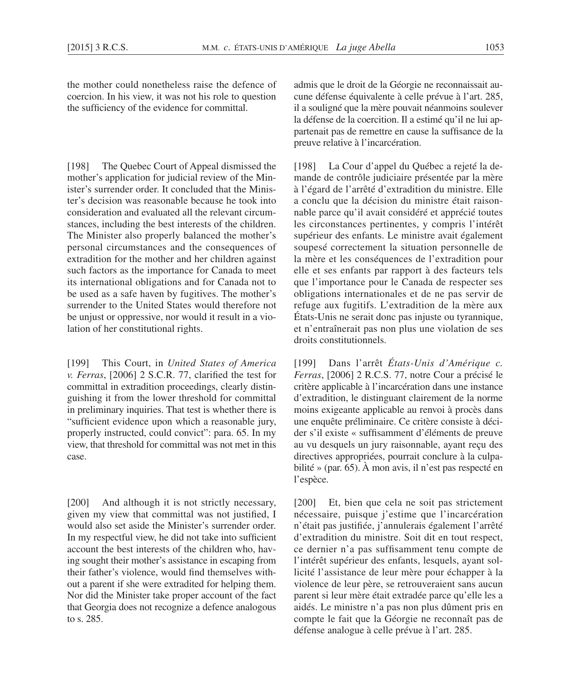the mother could nonetheless raise the defence of coercion. In his view, it was not his role to question the sufficiency of the evidence for committal.

[198] The Quebec Court of Appeal dismissed the mother's application for judicial review of the Minister's surrender order. It concluded that the Minister's decision was reasonable because he took into consideration and evaluated all the relevant circumstances, including the best interests of the children. The Minister also properly balanced the mother's personal circumstances and the consequences of extradition for the mother and her children against such factors as the importance for Canada to meet its international obligations and for Canada not to be used as a safe haven by fugitives. The mother's surrender to the United States would therefore not be unjust or oppressive, nor would it result in a violation of her constitutional rights.

[199] This Court, in *United States of America v. Ferras*, [2006] 2 S.C.R. 77, clarified the test for committal in extradition proceedings, clearly distinguishing it from the lower threshold for committal in preliminary inquiries. That test is whether there is "sufficient evidence upon which a reasonable jury, properly instructed, could convict": para. 65. In my view, that threshold for committal was not met in this case.

[200] And although it is not strictly necessary, given my view that committal was not justified, I would also set aside the Minister's surrender order. In my respectful view, he did not take into sufficient account the best interests of the children who, having sought their mother's assistance in escaping from their father's violence, would find themselves without a parent if she were extradited for helping them. Nor did the Minister take proper account of the fact that Georgia does not recognize a defence analogous to s. 285.

admis que le droit de la Géorgie ne reconnaissait aucune défense équivalente à celle prévue à l'art. 285, il a souligné que la mère pouvait néanmoins soulever la défense de la coercition. Il a estimé qu'il ne lui appartenait pas de remettre en cause la suffisance de la preuve relative à l'incarcération.

[198] La Cour d'appel du Québec a rejeté la demande de contrôle judiciaire présentée par la mère à l'égard de l'arrêté d'extradition du ministre. Elle a conclu que la décision du ministre était raisonnable parce qu'il avait considéré et apprécié toutes les circonstances pertinentes, y compris l'intérêt supérieur des enfants. Le ministre avait également soupesé correctement la situation personnelle de la mère et les conséquences de l'extradition pour elle et ses enfants par rapport à des facteurs tels que l'importance pour le Canada de respecter ses obligations internationales et de ne pas servir de refuge aux fugitifs. L'extradition de la mère aux États-Unis ne serait donc pas injuste ou tyrannique, et n'entraînerait pas non plus une violation de ses droits constitutionnels.

[199] Dans l'arrêt *États-Unis d'Amérique c. Ferras*, [2006] 2 R.C.S. 77, notre Cour a précisé le critère applicable à l'incarcération dans une instance d'extradition, le distinguant clairement de la norme moins exigeante applicable au renvoi à procès dans une enquête préliminaire. Ce critère consiste à décider s'il existe « suffisamment d'éléments de preuve au vu desquels un jury raisonnable, ayant reçu des directives appropriées, pourrait conclure à la culpabilité » (par. 65). À mon avis, il n'est pas respecté en l'espèce.

[200] Et, bien que cela ne soit pas strictement nécessaire, puisque j'estime que l'incarcération n'était pas justifiée, j'annulerais également l'arrêté d'extradition du ministre. Soit dit en tout respect, ce dernier n'a pas suffisamment tenu compte de l'intérêt supérieur des enfants, lesquels, ayant sollicité l'assistance de leur mère pour échapper à la violence de leur père, se retrouveraient sans aucun parent si leur mère était extradée parce qu'elle les a aidés. Le ministre n'a pas non plus dûment pris en compte le fait que la Géorgie ne reconnaît pas de défense analogue à celle prévue à l'art. 285.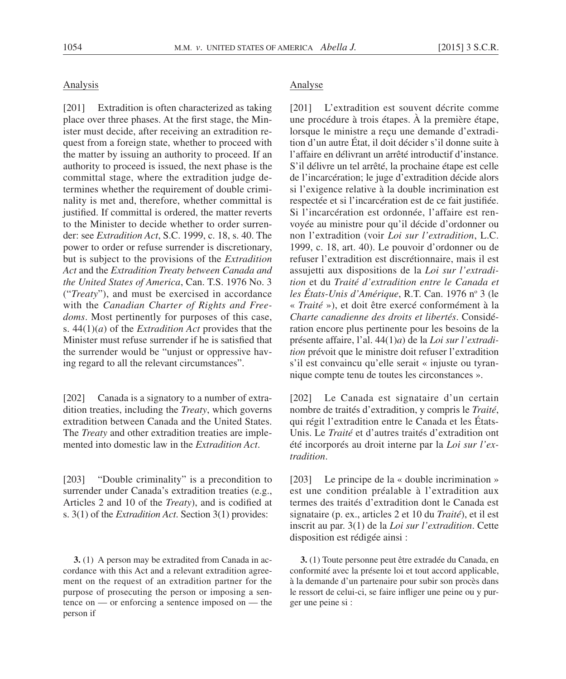#### Analysis

[201] Extradition is often characterized as taking place over three phases. At the first stage, the Minister must decide, after receiving an extradition request from a foreign state, whether to proceed with the matter by issuing an authority to proceed. If an authority to proceed is issued, the next phase is the committal stage, where the extradition judge determines whether the requirement of double criminality is met and, therefore, whether committal is justified. If committal is ordered, the matter reverts to the Minister to decide whether to order surrender: see *Extradition Act*, S.C. 1999, c. 18, s. 40. The power to order or refuse surrender is discretionary, but is subject to the provisions of the *Extradition Act* and the *Extradition Treaty between Canada and the United States of America*, Can. T.S. 1976 No. 3 ("*Treaty*"), and must be exercised in accordance with the *Canadian Charter of Rights and Freedoms*. Most pertinently for purposes of this case, s. 44(1)(*a*) of the *Extradition Act* provides that the Minister must refuse surrender if he is satisfied that the surrender would be "unjust or oppressive having regard to all the relevant circumstances".

[202] Canada is a signatory to a number of extradition treaties, including the *Treaty*, which governs extradition between Canada and the United States. The *Treaty* and other extradition treaties are implemented into domestic law in the *Extradition Act*.

[203] "Double criminality" is a precondition to surrender under Canada's extradition treaties (e.g., Articles 2 and 10 of the *Treaty*), and is codified at s. 3(1) of the *Extradition Act*. Section 3(1) provides:

**3.** (1) A person may be extradited from Canada in accordance with this Act and a relevant extradition agreement on the request of an extradition partner for the purpose of prosecuting the person or imposing a sentence on — or enforcing a sentence imposed on — the person if

### Analyse

[201] L'extradition est souvent décrite comme une procédure à trois étapes. À la première étape, lorsque le ministre a reçu une demande d'extradition d'un autre État, il doit décider s'il donne suite à l'affaire en délivrant un arrêté introductif d'instance. S'il délivre un tel arrêté, la prochaine étape est celle de l'incarcération; le juge d'extradition décide alors si l'exigence relative à la double incrimination est respectée et si l'incarcération est de ce fait justifiée. Si l'incarcération est ordonnée, l'affaire est renvoyée au ministre pour qu'il décide d'ordonner ou non l'extradition (voir *Loi sur l'extradition*, L.C. 1999, c. 18, art. 40). Le pouvoir d'ordonner ou de refuser l'extradition est discrétionnaire, mais il est assujetti aux dispositions de la *Loi sur l'extradition* et du *Traité d'extradition entre le Canada et*  les États-Unis d'Amérique, R.T. Can. 1976 nº 3 (le « *Traité* »), et doit être exercé conformément à la *Charte canadienne des droits et libertés*. Considération encore plus pertinente pour les besoins de la présente affaire, l'al. 44(1)*a*) de la *Loi sur l'extradition* prévoit que le ministre doit refuser l'extradition s'il est convaincu qu'elle serait « injuste ou tyrannique compte tenu de toutes les circonstances ».

[202] Le Canada est signataire d'un certain nombre de traités d'extradition, y compris le *Traité*, qui régit l'extradition entre le Canada et les États-Unis. Le *Traité* et d'autres traités d'extradition ont été incorporés au droit interne par la *Loi sur l'extradition*.

[203] Le principe de la « double incrimination » est une condition préalable à l'extradition aux termes des traités d'extradition dont le Canada est signataire (p. ex., articles 2 et 10 du *Traité*), et il est inscrit au par. 3(1) de la *Loi sur l'extradition*. Cette disposition est rédigée ainsi :

**3.** (1) Toute personne peut être extradée du Canada, en conformité avec la présente loi et tout accord applicable, à la demande d'un partenaire pour subir son procès dans le ressort de celui-ci, se faire infliger une peine ou y purger une peine si :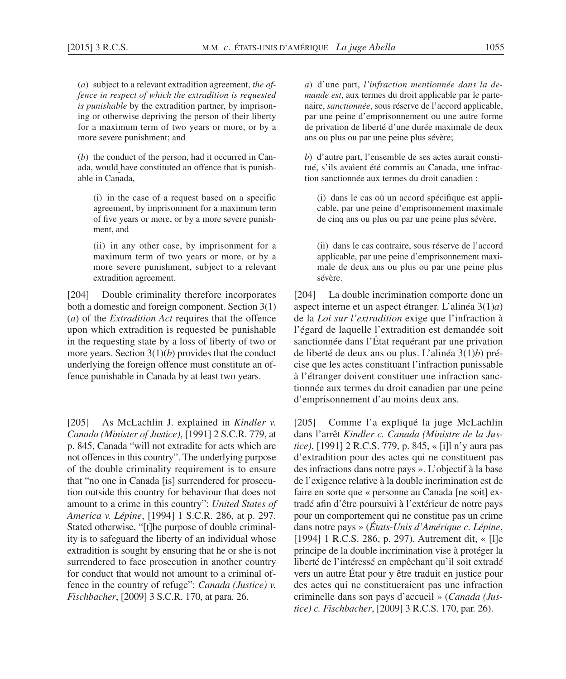(*a*) subject to a relevant extradition agreement, *the offence in respect of which the extradition is requested is punishable* by the extradition partner, by imprisoning or otherwise depriving the person of their liberty for a maximum term of two years or more, or by a more severe punishment; and

(*b*) the conduct of the person, had it occurred in Canada, would have constituted an offence that is punishable in Canada,

(i) in the case of a request based on a specific agreement, by imprisonment for a maximum term of five years or more, or by a more severe punishment, and

(ii) in any other case, by imprisonment for a maximum term of two years or more, or by a more severe punishment, subject to a relevant extradition agreement.

[204] Double criminality therefore incorporates both a domestic and foreign component. Section 3(1) (*a*) of the *Extradition Act* requires that the offence upon which extradition is requested be punishable in the requesting state by a loss of liberty of two or more years. Section 3(1)(*b*) provides that the conduct underlying the foreign offence must constitute an offence punishable in Canada by at least two years.

[205] As McLachlin J. explained in *Kindler v. Canada (Minister of Justice)*, [1991] 2 S.C.R. 779, at p. 845, Canada "will not extradite for acts which are not offences in this country". The underlying purpose of the double criminality requirement is to ensure that "no one in Canada [is] surrendered for prosecution outside this country for behaviour that does not amount to a crime in this country": *United States of America v. Lépine*, [1994] 1 S.C.R. 286, at p. 297. Stated otherwise, "[t]he purpose of double criminality is to safeguard the liberty of an individual whose extradition is sought by ensuring that he or she is not surrendered to face prosecution in another country for conduct that would not amount to a criminal offence in the country of refuge": *Canada (Justice) v. Fischbacher*, [2009] 3 S.C.R. 170, at para. 26.

*a*) d'une part, *l'infraction mentionnée dans la demande est*, aux termes du droit applicable par le partenaire, *sanctionnée*, sous réserve de l'accord applicable, par une peine d'emprisonnement ou une autre forme de privation de liberté d'une durée maximale de deux ans ou plus ou par une peine plus sévère;

*b*) d'autre part, l'ensemble de ses actes aurait constitué, s'ils avaient été commis au Canada, une infraction sanctionnée aux termes du droit canadien :

(i) dans le cas où un accord spécifique est applicable, par une peine d'emprisonnement maximale de cinq ans ou plus ou par une peine plus sévère,

(ii) dans le cas contraire, sous réserve de l'accord applicable, par une peine d'emprisonnement maximale de deux ans ou plus ou par une peine plus sévère.

[204] La double incrimination comporte donc un aspect interne et un aspect étranger. L'alinéa 3(1)*a*) de la *Loi sur l'extradition* exige que l'infraction à l'égard de laquelle l'extradition est demandée soit sanctionnée dans l'État requérant par une privation de liberté de deux ans ou plus. L'alinéa 3(1)*b*) précise que les actes constituant l'infraction punissable à l'étranger doivent constituer une infraction sanctionnée aux termes du droit canadien par une peine d'emprisonnement d'au moins deux ans.

[205] Comme l'a expliqué la juge McLachlin dans l'arrêt *Kindler c. Canada (Ministre de la Justice)*, [1991] 2 R.C.S. 779, p. 845, « [i]l n'y aura pas d'extradition pour des actes qui ne constituent pas des infractions dans notre pays ». L'objectif à la base de l'exigence relative à la double incrimination est de faire en sorte que « personne au Canada [ne soit] extradé afin d'être poursuivi à l'extérieur de notre pays pour un comportement qui ne constitue pas un crime dans notre pays » (*États-Unis d'Amérique c. Lépine*, [1994] 1 R.C.S. 286, p. 297). Autrement dit, « [1]e principe de la double incrimination vise à protéger la liberté de l'intéressé en empêchant qu'il soit extradé vers un autre État pour y être traduit en justice pour des actes qui ne constitueraient pas une infraction criminelle dans son pays d'accueil » (*Canada (Justice) c. Fischbacher*, [2009] 3 R.C.S. 170, par. 26).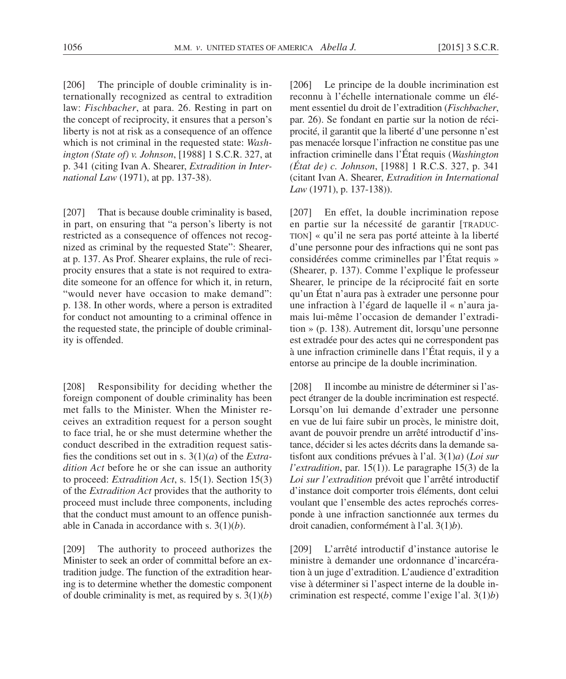[206] The principle of double criminality is internationally recognized as central to extradition law: *Fischbacher*, at para. 26. Resting in part on the concept of reciprocity, it ensures that a person's liberty is not at risk as a consequence of an offence which is not criminal in the requested state: *Washington (State of) v. Johnson*, [1988] 1 S.C.R. 327, at p. 341 (citing Ivan A. Shearer, *Extradition in International Law* (1971), at pp. 137-38).

[207] That is because double criminality is based, in part, on ensuring that "a person's liberty is not restricted as a consequence of offences not recognized as criminal by the requested State": Shearer, at p. 137. As Prof. Shearer explains, the rule of reciprocity ensures that a state is not required to extradite someone for an offence for which it, in return, "would never have occasion to make demand": p. 138. In other words, where a person is extradited for conduct not amounting to a criminal offence in the requested state, the principle of double criminality is offended.

[208] Responsibility for deciding whether the foreign component of double criminality has been met falls to the Minister. When the Minister receives an extradition request for a person sought to face trial, he or she must determine whether the conduct described in the extradition request satisfies the conditions set out in s. 3(1)(*a*) of the *Extradition Act* before he or she can issue an authority to proceed: *Extradition Act*, s. 15(1). Section 15(3) of the *Extradition Act* provides that the authority to proceed must include three components, including that the conduct must amount to an offence punishable in Canada in accordance with s. 3(1)(*b*).

[209] The authority to proceed authorizes the Minister to seek an order of committal before an extradition judge. The function of the extradition hearing is to determine whether the domestic component of double criminality is met, as required by s. 3(1)(*b*) [206] Le principe de la double incrimination est reconnu à l'échelle internationale comme un élément essentiel du droit de l'extradition (*Fischbacher*, par. 26). Se fondant en partie sur la notion de réciprocité, il garantit que la liberté d'une personne n'est pas menacée lorsque l'infraction ne constitue pas une infraction criminelle dans l'État requis (*Washington (État de) c. Johnson*, [1988] 1 R.C.S. 327, p. 341 (citant Ivan A. Shearer, *Extradition in International Law* (1971), p. 137-138)).

[207] En effet, la double incrimination repose en partie sur la nécessité de garantir [TRADUC-TION] « qu'il ne sera pas porté atteinte à la liberté d'une personne pour des infractions qui ne sont pas considérées comme criminelles par l'État requis » (Shearer, p. 137). Comme l'explique le professeur Shearer, le principe de la réciprocité fait en sorte qu'un État n'aura pas à extrader une personne pour une infraction à l'égard de laquelle il « n'aura jamais lui-même l'occasion de demander l'extradition » (p. 138). Autrement dit, lorsqu'une personne est extradée pour des actes qui ne correspondent pas à une infraction criminelle dans l'État requis, il y a entorse au principe de la double incrimination.

[208] Il incombe au ministre de déterminer si l'aspect étranger de la double incrimination est respecté. Lorsqu'on lui demande d'extrader une personne en vue de lui faire subir un procès, le ministre doit, avant de pouvoir prendre un arrêté introductif d'instance, décider si les actes décrits dans la demande satisfont aux conditions prévues à l'al. 3(1)*a*) (*Loi sur l'extradition*, par. 15(1)). Le paragraphe 15(3) de la *Loi sur l'extradition* prévoit que l'arrêté introductif d'instance doit comporter trois éléments, dont celui voulant que l'ensemble des actes reprochés corresponde à une infraction sanctionnée aux termes du droit canadien, conformément à l'al. 3(1)*b*).

[209] L'arrêté introductif d'instance autorise le ministre à demander une ordonnance d'incarcération à un juge d'extradition. L'audience d'extradition vise à déterminer si l'aspect interne de la double incrimination est respecté, comme l'exige l'al. 3(1)*b*)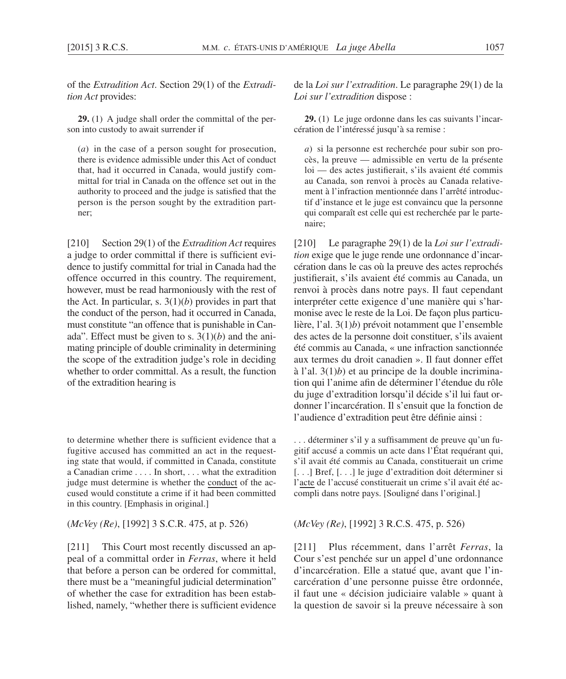of the *Extradition Act*. Section 29(1) of the *Extradition Act* provides:

**29.** (1) A judge shall order the committal of the person into custody to await surrender if

(*a*) in the case of a person sought for prosecution, there is evidence admissible under this Act of conduct that, had it occurred in Canada, would justify committal for trial in Canada on the offence set out in the authority to proceed and the judge is satisfied that the person is the person sought by the extradition partner;

[210] Section 29(1) of the *Extradition Act* requires a judge to order committal if there is sufficient evidence to justify committal for trial in Canada had the offence occurred in this country. The requirement, however, must be read harmoniously with the rest of the Act. In particular, s.  $3(1)(b)$  provides in part that the conduct of the person, had it occurred in Canada, must constitute "an offence that is punishable in Canada". Effect must be given to s. 3(1)(*b*) and the animating principle of double criminality in determining the scope of the extradition judge's role in deciding whether to order committal. As a result, the function of the extradition hearing is

to determine whether there is sufficient evidence that a fugitive accused has committed an act in the requesting state that would, if committed in Canada, constitute a Canadian crime . . . . In short, . . . what the extradition judge must determine is whether the conduct of the accused would constitute a crime if it had been committed in this country. [Emphasis in original.]

(*McVey (Re)*, [1992] 3 S.C.R. 475, at p. 526)

[211] This Court most recently discussed an appeal of a committal order in *Ferras*, where it held that before a person can be ordered for committal, there must be a "meaningful judicial determination" of whether the case for extradition has been established, namely, "whether there is sufficient evidence de la *Loi sur l'extradition*. Le paragraphe 29(1) de la *Loi sur l'extradition* dispose :

**29.** (1) Le juge ordonne dans les cas suivants l'incarcération de l'intéressé jusqu'à sa remise :

*a*) si la personne est recherchée pour subir son procès, la preuve — admissible en vertu de la présente loi — des actes justifierait, s'ils avaient été commis au Canada, son renvoi à procès au Canada relativement à l'infraction mentionnée dans l'arrêté introductif d'instance et le juge est convaincu que la personne qui comparaît est celle qui est recherchée par le partenaire;

[210] Le paragraphe 29(1) de la *Loi sur l'extradition* exige que le juge rende une ordonnance d'incarcération dans le cas où la preuve des actes reprochés justifierait, s'ils avaient été commis au Canada, un renvoi à procès dans notre pays. Il faut cependant interpréter cette exigence d'une manière qui s'harmonise avec le reste de la Loi. De façon plus particulière, l'al. 3(1)*b*) prévoit notamment que l'ensemble des actes de la personne doit constituer, s'ils avaient été commis au Canada, « une infraction sanctionnée aux termes du droit canadien ». Il faut donner effet à l'al. 3(1)*b*) et au principe de la double incrimination qui l'anime afin de déterminer l'étendue du rôle du juge d'extradition lorsqu'il décide s'il lui faut ordonner l'incarcération. Il s'ensuit que la fonction de l'audience d'extradition peut être définie ainsi :

. . . déterminer s'il y a suffisamment de preuve qu'un fugitif accusé a commis un acte dans l'État requérant qui, s'il avait été commis au Canada, constituerait un crime [...] Bref, [...] le juge d'extradition doit déterminer si l'acte de l'accusé constituerait un crime s'il avait été accompli dans notre pays. [Souligné dans l'original.]

(*McVey (Re)*, [1992] 3 R.C.S. 475, p. 526)

[211] Plus récemment, dans l'arrêt *Ferras*, la Cour s'est penchée sur un appel d'une ordonnance d'incarcération. Elle a statué que, avant que l'incarcération d'une personne puisse être ordonnée, il faut une « décision judiciaire valable » quant à la question de savoir si la preuve nécessaire à son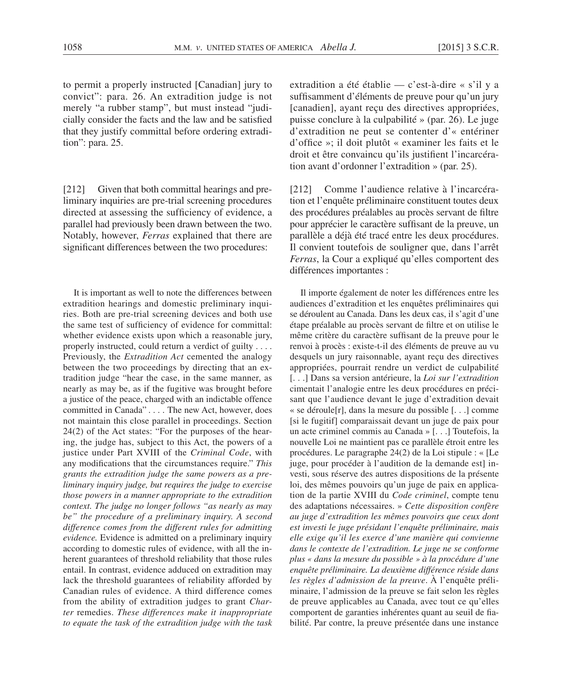to permit a properly instructed [Canadian] jury to convict": para. 26. An extradition judge is not merely "a rubber stamp", but must instead "judicially consider the facts and the law and be satisfied that they justify committal before ordering extradition": para. 25.

[212] Given that both committal hearings and preliminary inquiries are pre-trial screening procedures directed at assessing the sufficiency of evidence, a parallel had previously been drawn between the two. Notably, however, *Ferras* explained that there are significant differences between the two procedures:

It is important as well to note the differences between extradition hearings and domestic preliminary inquiries. Both are pre-trial screening devices and both use the same test of sufficiency of evidence for committal: whether evidence exists upon which a reasonable jury, properly instructed, could return a verdict of guilty . . . . Previously, the *Extradition Act* cemented the analogy between the two proceedings by directing that an extradition judge "hear the case, in the same manner, as nearly as may be, as if the fugitive was brought before a justice of the peace, charged with an indictable offence committed in Canada" *. . . .* The new Act, however, does not maintain this close parallel in proceedings. Section 24(2) of the Act states: "For the purposes of the hearing, the judge has, subject to this Act, the powers of a justice under Part XVIII of the *Criminal Code*, with any modifications that the circumstances require." *This grants the extradition judge the same powers as a preliminary inquiry judge, but requires the judge to exercise those powers in a manner appropriate to the extradition context. The judge no longer follows "as nearly as may be" the procedure of a preliminary inquiry. A second difference comes from the different rules for admitting evidence.* Evidence is admitted on a preliminary inquiry according to domestic rules of evidence, with all the inherent guarantees of threshold reliability that those rules entail. In contrast, evidence adduced on extradition may lack the threshold guarantees of reliability afforded by Canadian rules of evidence. A third difference comes from the ability of extradition judges to grant *Charter* remedies. *These differences make it inappropriate to equate the task of the extradition judge with the task*  extradition a été établie — c'est-à-dire « s'il y a suffisamment d'éléments de preuve pour qu'un jury [canadien], ayant reçu des directives appropriées, puisse conclure à la culpabilité » (par. 26). Le juge d'extradition ne peut se contenter d'« entériner d'office »; il doit plutôt « examiner les faits et le droit et être convaincu qu'ils justifient l'incarcération avant d'ordonner l'extradition » (par. 25).

[212] Comme l'audience relative à l'incarcération et l'enquête préliminaire constituent toutes deux des procédures préalables au procès servant de filtre pour apprécier le caractère suffisant de la preuve, un parallèle a déjà été tracé entre les deux procédures. Il convient toutefois de souligner que, dans l'arrêt *Ferras*, la Cour a expliqué qu'elles comportent des différences importantes :

Il importe également de noter les différences entre les audiences d'extradition et les enquêtes préliminaires qui se déroulent au Canada. Dans les deux cas, il s'agit d'une étape préalable au procès servant de filtre et on utilise le même critère du caractère suffisant de la preuve pour le renvoi à procès : existe-t-il des éléments de preuve au vu desquels un jury raisonnable, ayant reçu des directives appropriées, pourrait rendre un verdict de culpabilité [. . .] Dans sa version antérieure, la *Loi sur l'extradition*  cimentait l'analogie entre les deux procédures en précisant que l'audience devant le juge d'extradition devait « se déroule[r], dans la mesure du possible [. . .] comme [si le fugitif] comparaissait devant un juge de paix pour un acte criminel commis au Canada » [. . .] Toutefois, la nouvelle Loi ne maintient pas ce parallèle étroit entre les procédures. Le paragraphe 24(2) de la Loi stipule : « [Le juge, pour procéder à l'audition de la demande est] investi, sous réserve des autres dispositions de la présente loi, des mêmes pouvoirs qu'un juge de paix en application de la partie XVIII du *Code criminel*, compte tenu des adaptations nécessaires. » *Cette disposition confère au juge d'extradition les mêmes pouvoirs que ceux dont est investi le juge présidant l'enquête préliminaire, mais elle exige qu'il les exerce d'une manière qui convienne dans le contexte de l'extradition. Le juge ne se conforme plus « dans la mesure du possible » à la procédure d'une enquête préliminaire. La deuxième différence réside dans les règles d'admission de la preuve*. À l'enquête préliminaire, l'admission de la preuve se fait selon les règles de preuve applicables au Canada, avec tout ce qu'elles comportent de garanties inhérentes quant au seuil de fiabilité. Par contre, la preuve présentée dans une instance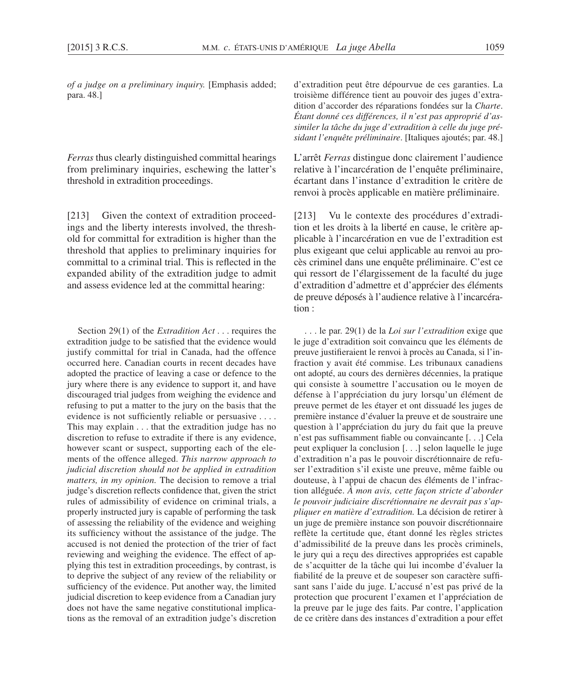*of a judge on a preliminary inquiry.* [Emphasis added; para. 48.]

*Ferras* thus clearly distinguished committal hearings from preliminary inquiries, eschewing the latter's threshold in extradition proceedings.

[213] Given the context of extradition proceedings and the liberty interests involved, the threshold for committal for extradition is higher than the threshold that applies to preliminary inquiries for committal to a criminal trial. This is reflected in the expanded ability of the extradition judge to admit and assess evidence led at the committal hearing:

Section 29(1) of the *Extradition Act* . . . requires the extradition judge to be satisfied that the evidence would justify committal for trial in Canada, had the offence occurred here. Canadian courts in recent decades have adopted the practice of leaving a case or defence to the jury where there is any evidence to support it, and have discouraged trial judges from weighing the evidence and refusing to put a matter to the jury on the basis that the evidence is not sufficiently reliable or persuasive . . . . This may explain . . . that the extradition judge has no discretion to refuse to extradite if there is any evidence, however scant or suspect, supporting each of the elements of the offence alleged. *This narrow approach to judicial discretion should not be applied in extradition matters, in my opinion.* The decision to remove a trial judge's discretion reflects confidence that, given the strict rules of admissibility of evidence on criminal trials, a properly instructed jury is capable of performing the task of assessing the reliability of the evidence and weighing its sufficiency without the assistance of the judge. The accused is not denied the protection of the trier of fact reviewing and weighing the evidence. The effect of applying this test in extradition proceedings, by contrast, is to deprive the subject of any review of the reliability or sufficiency of the evidence. Put another way, the limited judicial discretion to keep evidence from a Canadian jury does not have the same negative constitutional implications as the removal of an extradition judge's discretion d'extradition peut être dépourvue de ces garanties. La troisième différence tient au pouvoir des juges d'extradition d'accorder des réparations fondées sur la *Charte*. *Étant donné ces différences, il n'est pas approprié d'assimiler la tâche du juge d'extradition à celle du juge présidant l'enquête préliminaire*. [Italiques ajoutés; par. 48.]

L'arrêt *Ferras* distingue donc clairement l'audience relative à l'incarcération de l'enquête préliminaire, écartant dans l'instance d'extradition le critère de renvoi à procès applicable en matière préliminaire.

[213] Vu le contexte des procédures d'extradition et les droits à la liberté en cause, le critère applicable à l'incarcération en vue de l'extradition est plus exigeant que celui applicable au renvoi au procès criminel dans une enquête préliminaire. C'est ce qui ressort de l'élargissement de la faculté du juge d'extradition d'admettre et d'apprécier des éléments de preuve déposés à l'audience relative à l'incarcération :

. . . le par. 29(1) de la *Loi sur l'extradition* exige que le juge d'extradition soit convaincu que les éléments de preuve justifieraient le renvoi à procès au Canada, si l'infraction y avait été commise. Les tribunaux canadiens ont adopté, au cours des dernières décennies, la pratique qui consiste à soumettre l'accusation ou le moyen de défense à l'appréciation du jury lorsqu'un élément de preuve permet de les étayer et ont dissuadé les juges de première instance d'évaluer la preuve et de soustraire une question à l'appréciation du jury du fait que la preuve n'est pas suffisamment fiable ou convaincante [. . .] Cela peut expliquer la conclusion [. . .] selon laquelle le juge d'extradition n'a pas le pouvoir discrétionnaire de refuser l'extradition s'il existe une preuve, même faible ou douteuse, à l'appui de chacun des éléments de l'infraction alléguée. *À mon avis, cette façon stricte d'aborder le pouvoir judiciaire discrétionnaire ne devrait pas s'appliquer en matière d'extradition.* La décision de retirer à un juge de première instance son pouvoir discrétionnaire reflète la certitude que, étant donné les règles strictes d'admissibilité de la preuve dans les procès criminels, le jury qui a reçu des directives appropriées est capable de s'acquitter de la tâche qui lui incombe d'évaluer la fiabilité de la preuve et de soupeser son caractère suffisant sans l'aide du juge. L'accusé n'est pas privé de la protection que procurent l'examen et l'appréciation de la preuve par le juge des faits. Par contre, l'application de ce critère dans des instances d'extradition a pour effet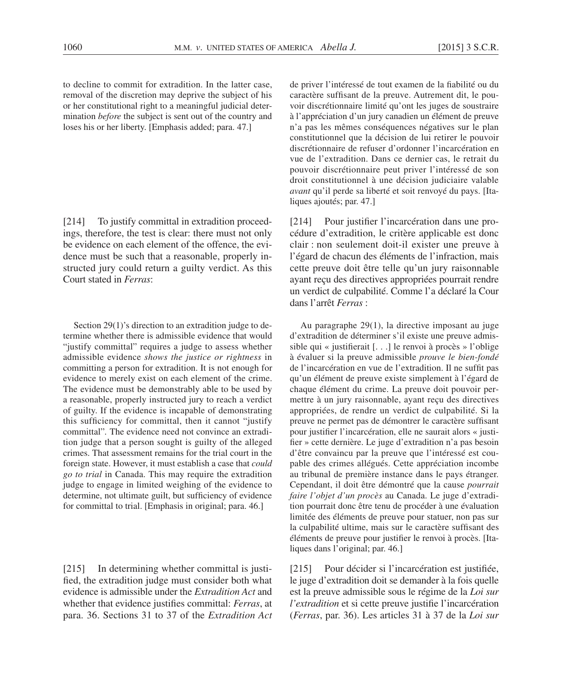to decline to commit for extradition. In the latter case, removal of the discretion may deprive the subject of his or her constitutional right to a meaningful judicial determination *before* the subject is sent out of the country and loses his or her liberty. [Emphasis added; para. 47.]

[214] To justify committal in extradition proceedings, therefore, the test is clear: there must not only be evidence on each element of the offence, the evidence must be such that a reasonable, properly instructed jury could return a guilty verdict. As this Court stated in *Ferras*:

Section 29(1)'s direction to an extradition judge to determine whether there is admissible evidence that would "justify committal" requires a judge to assess whether admissible evidence *shows the justice or rightness* in committing a person for extradition. It is not enough for evidence to merely exist on each element of the crime. The evidence must be demonstrably able to be used by a reasonable, properly instructed jury to reach a verdict of guilty. If the evidence is incapable of demonstrating this sufficiency for committal, then it cannot "justify committal"*.* The evidence need not convince an extradition judge that a person sought is guilty of the alleged crimes. That assessment remains for the trial court in the foreign state. However, it must establish a case that *could go to trial* in Canada. This may require the extradition judge to engage in limited weighing of the evidence to determine, not ultimate guilt, but sufficiency of evidence for committal to trial. [Emphasis in original; para. 46.]

[215] In determining whether committal is justified, the extradition judge must consider both what evidence is admissible under the *Extradition Act* and whether that evidence justifies committal: *Ferras*, at para. 36. Sections 31 to 37 of the *Extradition Act*

de priver l'intéressé de tout examen de la fiabilité ou du caractère suffisant de la preuve. Autrement dit, le pouvoir discrétionnaire limité qu'ont les juges de soustraire à l'appréciation d'un jury canadien un élément de preuve n'a pas les mêmes conséquences négatives sur le plan constitutionnel que la décision de lui retirer le pouvoir discrétionnaire de refuser d'ordonner l'incarcération en vue de l'extradition. Dans ce dernier cas, le retrait du pouvoir discrétionnaire peut priver l'intéressé de son droit constitutionnel à une décision judiciaire valable *avant* qu'il perde sa liberté et soit renvoyé du pays. [Italiques ajoutés; par. 47.]

[214] Pour justifier l'incarcération dans une procédure d'extradition, le critère applicable est donc clair : non seulement doit-il exister une preuve à l'égard de chacun des éléments de l'infraction, mais cette preuve doit être telle qu'un jury raisonnable ayant reçu des directives appropriées pourrait rendre un verdict de culpabilité. Comme l'a déclaré la Cour dans l'arrêt *Ferras* :

Au paragraphe 29(1), la directive imposant au juge d'extradition de déterminer s'il existe une preuve admissible qui « justifierait [. . .] le renvoi à procès » l'oblige à évaluer si la preuve admissible *prouve le bien-fondé* de l'incarcération en vue de l'extradition. Il ne suffit pas qu'un élément de preuve existe simplement à l'égard de chaque élément du crime. La preuve doit pouvoir permettre à un jury raisonnable, ayant reçu des directives appropriées, de rendre un verdict de culpabilité. Si la preuve ne permet pas de démontrer le caractère suffisant pour justifier l'incarcération, elle ne saurait alors « justifier » cette dernière. Le juge d'extradition n'a pas besoin d'être convaincu par la preuve que l'intéressé est coupable des crimes allégués. Cette appréciation incombe au tribunal de première instance dans le pays étranger. Cependant, il doit être démontré que la cause *pourrait faire l'objet d'un procès* au Canada. Le juge d'extradition pourrait donc être tenu de procéder à une évaluation limitée des éléments de preuve pour statuer, non pas sur la culpabilité ultime, mais sur le caractère suffisant des éléments de preuve pour justifier le renvoi à procès. [Italiques dans l'original; par. 46.]

[215] Pour décider si l'incarcération est justifiée, le juge d'extradition doit se demander à la fois quelle est la preuve admissible sous le régime de la *Loi sur l'extradition* et si cette preuve justifie l'incarcération (*Ferras*, par. 36). Les articles 31 à 37 de la *Loi sur*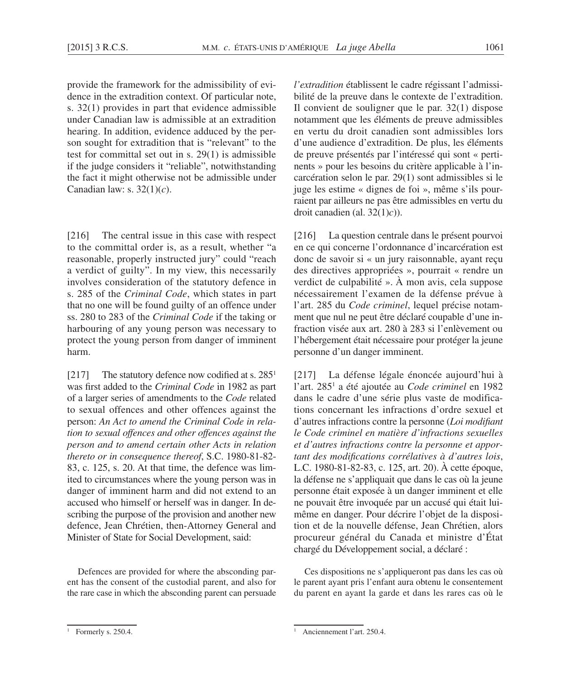provide the framework for the admissibility of evidence in the extradition context. Of particular note, s. 32(1) provides in part that evidence admissible under Canadian law is admissible at an extradition hearing. In addition, evidence adduced by the person sought for extradition that is "relevant" to the test for committal set out in s. 29(1) is admissible if the judge considers it "reliable", notwithstanding the fact it might otherwise not be admissible under Canadian law: s. 32(1)(*c*).

[216] The central issue in this case with respect to the committal order is, as a result, whether "a reasonable, properly instructed jury" could "reach a verdict of guilty". In my view, this necessarily involves consideration of the statutory defence in s. 285 of the *Criminal Code*, which states in part that no one will be found guilty of an offence under ss. 280 to 283 of the *Criminal Code* if the taking or harbouring of any young person was necessary to protect the young person from danger of imminent harm.

[217] The statutory defence now codified at s.  $285<sup>1</sup>$ was first added to the *Criminal Code* in 1982 as part of a larger series of amendments to the *Code* related to sexual offences and other offences against the person: *An Act to amend the Criminal Code in relation to sexual offences and other offences against the person and to amend certain other Acts in relation thereto or in consequence thereof*, S.C. 1980-81-82-83, c. 125, s. 20. At that time, the defence was limited to circumstances where the young person was in danger of imminent harm and did not extend to an accused who himself or herself was in danger. In describing the purpose of the provision and another new defence, Jean Chrétien, then-Attorney General and Minister of State for Social Development, said:

Defences are provided for where the absconding parent has the consent of the custodial parent, and also for the rare case in which the absconding parent can persuade *l'extradition* établissent le cadre régissant l'admissibilité de la preuve dans le contexte de l'extradition. Il convient de souligner que le par. 32(1) dispose notamment que les éléments de preuve admissibles en vertu du droit canadien sont admissibles lors d'une audience d'extradition. De plus, les éléments de preuve présentés par l'intéressé qui sont « pertinents » pour les besoins du critère applicable à l'incarcération selon le par. 29(1) sont admissibles si le juge les estime « dignes de foi », même s'ils pourraient par ailleurs ne pas être admissibles en vertu du droit canadien (al. 32(1)*c*)).

[216] La question centrale dans le présent pourvoi en ce qui concerne l'ordonnance d'incarcération est donc de savoir si « un jury raisonnable, ayant reçu des directives appropriées », pourrait « rendre un verdict de culpabilité ». À mon avis, cela suppose nécessairement l'examen de la défense prévue à l'art. 285 du *Code criminel*, lequel précise notamment que nul ne peut être déclaré coupable d'une infraction visée aux art. 280 à 283 si l'enlèvement ou l'hébergement était nécessaire pour protéger la jeune personne d'un danger imminent.

[217] La défense légale énoncée aujourd'hui à l'art. 285<sup>1</sup> a été ajoutée au *Code criminel* en 1982 dans le cadre d'une série plus vaste de modifications concernant les infractions d'ordre sexuel et d'autres infractions contre la personne (*Loi modifiant le Code criminel en matière d'infractions sexuelles et d'autres infractions contre la personne et apportant des modifications corrélatives à d'autres lois*, L.C. 1980-81-82-83, c. 125, art. 20). À cette époque, la défense ne s'appliquait que dans le cas où la jeune personne était exposée à un danger imminent et elle ne pouvait être invoquée par un accusé qui était luimême en danger. Pour décrire l'objet de la disposition et de la nouvelle défense, Jean Chrétien, alors procureur général du Canada et ministre d'État chargé du Développement social, a déclaré :

Ces dispositions ne s'appliqueront pas dans les cas où le parent ayant pris l'enfant aura obtenu le consentement du parent en ayant la garde et dans les rares cas où le

<sup>1</sup> Formerly s. 250.4.

Anciennement l'art. 250.4.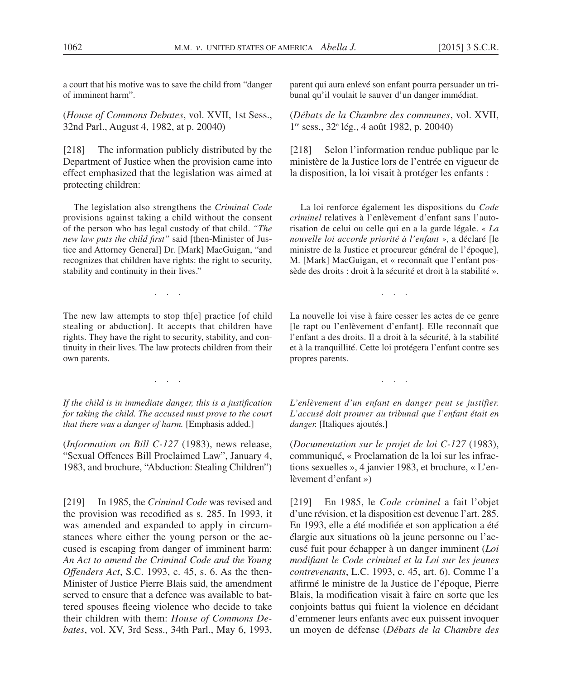a court that his motive was to save the child from "danger of imminent harm".

(*House of Commons Debates*, vol. XVII, 1st Sess., 32nd Parl., August 4, 1982, at p. 20040)

[218] The information publicly distributed by the Department of Justice when the provision came into effect emphasized that the legislation was aimed at protecting children:

The legislation also strengthens the *Criminal Code* provisions against taking a child without the consent of the person who has legal custody of that child. *"The new law puts the child first"* said [then-Minister of Justice and Attorney General] Dr. [Mark] MacGuigan, "and recognizes that children have rights: the right to security, stability and continuity in their lives."

. . .

The new law attempts to stop th[e] practice [of child stealing or abduction]. It accepts that children have rights. They have the right to security, stability, and continuity in their lives. The law protects children from their own parents.

*If the child is in immediate danger, this is a justification for taking the child. The accused must prove to the court that there was a danger of harm.* [Emphasis added.]

. . .

(*Information on Bill C-127* (1983), news release, "Sexual Offences Bill Proclaimed Law", January 4, 1983, and brochure, "Abduction: Stealing Children")

[219] In 1985, the *Criminal Code* was revised and the provision was recodified as s. 285. In 1993, it was amended and expanded to apply in circumstances where either the young person or the accused is escaping from danger of imminent harm: *An Act to amend the Criminal Code and the Young Offenders Act*, S.C. 1993, c. 45, s. 6. As the then-Minister of Justice Pierre Blais said, the amendment served to ensure that a defence was available to battered spouses fleeing violence who decide to take their children with them: *House of Commons Debates*, vol. XV, 3rd Sess., 34th Parl., May 6, 1993,

parent qui aura enlevé son enfant pourra persuader un tribunal qu'il voulait le sauver d'un danger immédiat.

(*Débats de la Chambre des communes*, vol. XVII, 1re sess., 32e lég., 4 août 1982, p. 20040)

[218] Selon l'information rendue publique par le ministère de la Justice lors de l'entrée en vigueur de la disposition, la loi visait à protéger les enfants :

La loi renforce également les dispositions du *Code criminel* relatives à l'enlèvement d'enfant sans l'autorisation de celui ou celle qui en a la garde légale. *« La nouvelle loi accorde priorité à l'enfant »*, a déclaré [le ministre de la Justice et procureur général de l'époque], M. [Mark] MacGuigan, et « reconnaît que l'enfant possède des droits : droit à la sécurité et droit à la stabilité ».

. . .

La nouvelle loi vise à faire cesser les actes de ce genre [le rapt ou l'enlèvement d'enfant]. Elle reconnaît que l'enfant a des droits. Il a droit à la sécurité, à la stabilité et à la tranquillité. Cette loi protégera l'enfant contre ses propres parents.

. . .

*L'enlèvement d'un enfant en danger peut se justifier. L'accusé doit prouver au tribunal que l'enfant était en danger.* [Italiques ajoutés.]

(*Documentation sur le projet de loi C-127* (1983), communiqué, « Proclamation de la loi sur les infractions sexuelles », 4 janvier 1983, et brochure, « L'enlèvement d'enfant »)

[219] En 1985, le *Code criminel* a fait l'objet d'une révision, et la disposition est devenue l'art. 285. En 1993, elle a été modifiée et son application a été élargie aux situations où la jeune personne ou l'accusé fuit pour échapper à un danger imminent (*Loi modifiant le Code criminel et la Loi sur les jeunes contrevenants*, L.C. 1993, c. 45, art. 6). Comme l'a affirmé le ministre de la Justice de l'époque, Pierre Blais, la modification visait à faire en sorte que les conjoints battus qui fuient la violence en décidant d'emmener leurs enfants avec eux puissent invoquer un moyen de défense (*Débats de la Chambre des*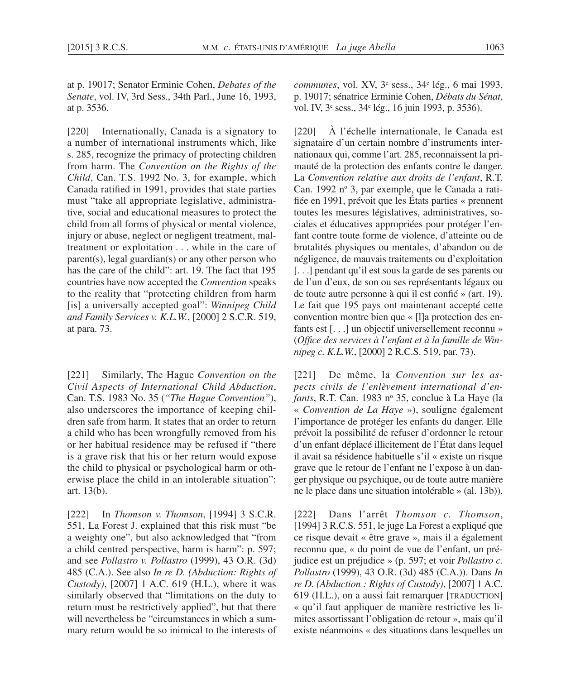at p. 19017; Senator Erminie Cohen, *Debates of the Senate*, vol. IV, 3rd Sess., 34th Parl., June 16, 1993, at p. 3536.

[220] Internationally, Canada is a signatory to a number of international instruments which, like s. 285, recognize the primacy of protecting children from harm. The *Convention on the Rights of the Child*, Can. T.S. 1992 No. 3, for example, which Canada ratified in 1991, provides that state parties must "take all appropriate legislative, administrative, social and educational measures to protect the child from all forms of physical or mental violence, injury or abuse, neglect or negligent treatment, maltreatment or exploitation . . . while in the care of parent(s), legal guardian(s) or any other person who has the care of the child": art. 19. The fact that 195 countries have now accepted the *Convention* speaks to the reality that "protecting children from harm [is] a universally accepted goal": *Winnipeg Child and Family Services v. K.L.W.*, [2000] 2 S.C.R. 519, at para. 73.

[221] Similarly, The Hague *Convention on the Civil Aspects of International Child Abduction*, Can. T.S. 1983 No. 35 (*"The Hague Convention"*), also underscores the importance of keeping children safe from harm. It states that an order to return a child who has been wrongfully removed from his or her habitual residence may be refused if "there is a grave risk that his or her return would expose the child to physical or psychological harm or otherwise place the child in an intolerable situation": art. 13(b).

[222] In *Thomson v. Thomson*, [1994] 3 S.C.R. 551, La Forest J. explained that this risk must "be a weighty one", but also acknowledged that "from a child centred perspective, harm is harm": p. 597; and see *Pollastro v. Pollastro* (1999), 43 O.R. (3d) 485 (C.A.). See also *In re D. (Abduction: Rights of Custody)*, [2007] 1 A.C. 619 (H.L.), where it was similarly observed that "limitations on the duty to return must be restrictively applied", but that there will nevertheless be "circumstances in which a summary return would be so inimical to the interests of

communes, vol. XV, 3<sup>e</sup> sess., 34<sup>e</sup> lég., 6 mai 1993, p. 19017; sénatrice Erminie Cohen, *Débats du Sénat*, vol. IV, 3<sup>e</sup> sess., 34<sup>e</sup> lég., 16 juin 1993, p. 3536).

[220] À l'échelle internationale, le Canada est signataire d'un certain nombre d'instruments internationaux qui, comme l'art. 285, reconnaissent la primauté de la protection des enfants contre le danger. La *Convention relative aux droits de l'enfant*, R.T. Can. 1992 nº 3, par exemple, que le Canada a ratifiée en 1991, prévoit que les États parties « prennent toutes les mesures législatives, administratives, sociales et éducatives appropriées pour protéger l'enfant contre toute forme de violence, d'atteinte ou de brutalités physiques ou mentales, d'abandon ou de négligence, de mauvais traitements ou d'exploitation [...] pendant qu'il est sous la garde de ses parents ou de l'un d'eux, de son ou ses représentants légaux ou de toute autre personne à qui il est confié » (art. 19). Le fait que 195 pays ont maintenant accepté cette convention montre bien que « [l]a protection des enfants est [. . .] un objectif universellement reconnu » (*Office des services à l'enfant et à la famille de Winnipeg c. K.L.W.*, [2000] 2 R.C.S. 519, par. 73).

[221] De même, la *Convention sur les aspects civils de l'enlèvement international d'en*fants, R.T. Can. 1983 nº 35, conclue à La Haye (la « *Convention de La Haye* »), souligne également l'importance de protéger les enfants du danger. Elle prévoit la possibilité de refuser d'ordonner le retour d'un enfant déplacé illicitement de l'État dans lequel il avait sa résidence habituelle s'il « existe un risque grave que le retour de l'enfant ne l'expose à un danger physique ou psychique, ou de toute autre manière ne le place dans une situation intolérable » (al. 13b)).

[222] Dans l'arrêt *Thomson c. Thomson*, [1994] 3 R.C.S. 551, le juge La Forest a expliqué que ce risque devait « être grave », mais il a également reconnu que, « du point de vue de l'enfant, un préjudice est un préjudice » (p. 597; et voir *Pollastro c. Pollastro* (1999), 43 O.R. (3d) 485 (C.A.)). Dans *In re D. (Abduction : Rights of Custody)*, [2007] 1 A.C. 619 (H.L.), on a aussi fait remarquer [TRADUCTION] « qu'il faut appliquer de manière restrictive les limites assortissant l'obligation de retour », mais qu'il existe néanmoins « des situations dans lesquelles un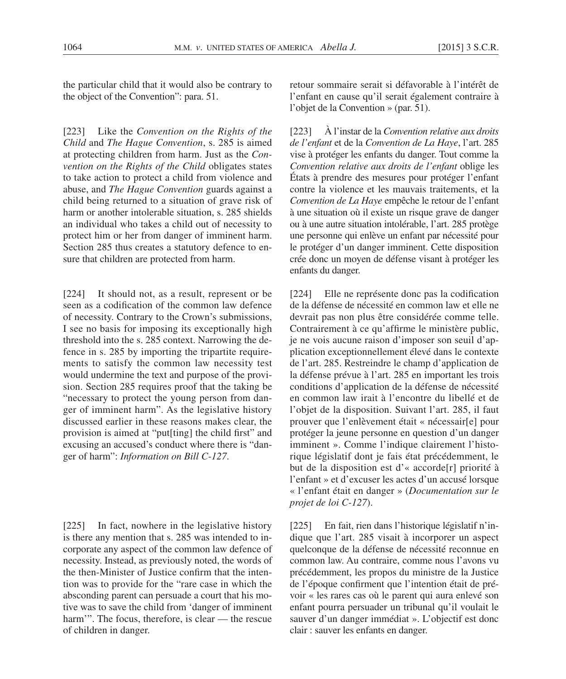the particular child that it would also be contrary to the object of the Convention": para. 51.

[223] Like the *Convention on the Rights of the Child* and *The Hague Convention*, s. 285 is aimed at protecting children from harm. Just as the *Convention on the Rights of the Child* obligates states to take action to protect a child from violence and abuse, and *The Hague Convention* guards against a child being returned to a situation of grave risk of harm or another intolerable situation, s. 285 shields an individual who takes a child out of necessity to protect him or her from danger of imminent harm. Section 285 thus creates a statutory defence to ensure that children are protected from harm.

[224] It should not, as a result, represent or be seen as a codification of the common law defence of necessity. Contrary to the Crown's submissions, I see no basis for imposing its exceptionally high threshold into the s. 285 context. Narrowing the defence in s. 285 by importing the tripartite requirements to satisfy the common law necessity test would undermine the text and purpose of the provision. Section 285 requires proof that the taking be "necessary to protect the young person from danger of imminent harm". As the legislative history discussed earlier in these reasons makes clear, the provision is aimed at "put[ting] the child first" and excusing an accused's conduct where there is "danger of harm": *Information on Bill C-127*.

[225] In fact, nowhere in the legislative history is there any mention that s. 285 was intended to incorporate any aspect of the common law defence of necessity. Instead, as previously noted, the words of the then-Minister of Justice confirm that the intention was to provide for the "rare case in which the absconding parent can persuade a court that his motive was to save the child from 'danger of imminent harm'". The focus, therefore, is clear — the rescue of children in danger.

retour sommaire serait si défavorable à l'intérêt de l'enfant en cause qu'il serait également contraire à l'objet de la Convention » (par. 51).

[223] À l'instar de la *Convention relative aux droits de l'enfant* et de la *Convention de La Haye*, l'art. 285 vise à protéger les enfants du danger. Tout comme la *Convention relative aux droits de l'enfant* oblige les États à prendre des mesures pour protéger l'enfant contre la violence et les mauvais traitements, et la *Convention de La Haye* empêche le retour de l'enfant à une situation où il existe un risque grave de danger ou à une autre situation intolérable, l'art. 285 protège une personne qui enlève un enfant par nécessité pour le protéger d'un danger imminent. Cette disposition crée donc un moyen de défense visant à protéger les enfants du danger.

[224] Elle ne représente donc pas la codification de la défense de nécessité en common law et elle ne devrait pas non plus être considérée comme telle. Contrairement à ce qu'affirme le ministère public, je ne vois aucune raison d'imposer son seuil d'application exceptionnellement élevé dans le contexte de l'art. 285. Restreindre le champ d'application de la défense prévue à l'art. 285 en important les trois conditions d'application de la défense de nécessité en common law irait à l'encontre du libellé et de l'objet de la disposition. Suivant l'art. 285, il faut prouver que l'enlèvement était « nécessair[e] pour protéger la jeune personne en question d'un danger imminent ». Comme l'indique clairement l'historique législatif dont je fais état précédemment, le but de la disposition est d'« accorde[r] priorité à l'enfant » et d'excuser les actes d'un accusé lorsque « l'enfant était en danger » (*Documentation sur le projet de loi C-127*).

[225] En fait, rien dans l'historique législatif n'indique que l'art. 285 visait à incorporer un aspect quelconque de la défense de nécessité reconnue en common law. Au contraire, comme nous l'avons vu précédemment, les propos du ministre de la Justice de l'époque confirment que l'intention était de prévoir « les rares cas où le parent qui aura enlevé son enfant pourra persuader un tribunal qu'il voulait le sauver d'un danger immédiat ». L'objectif est donc clair : sauver les enfants en danger.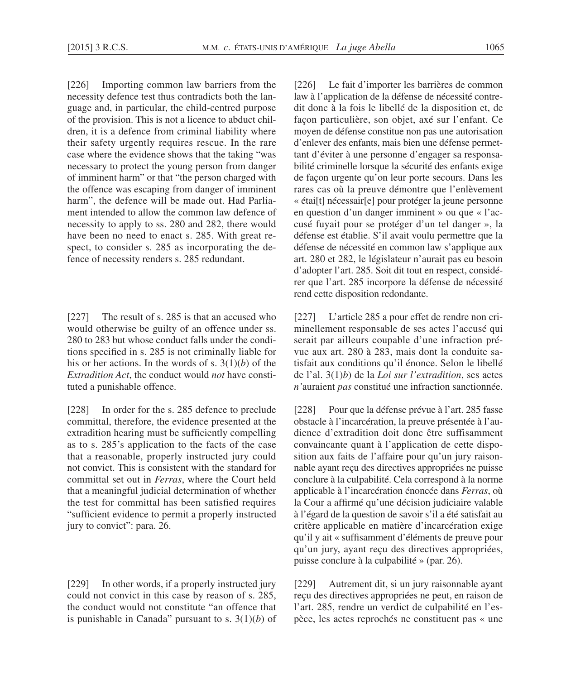[226] Importing common law barriers from the necessity defence test thus contradicts both the language and, in particular, the child-centred purpose of the provision. This is not a licence to abduct children, it is a defence from criminal liability where their safety urgently requires rescue. In the rare case where the evidence shows that the taking "was necessary to protect the young person from danger of imminent harm" or that "the person charged with the offence was escaping from danger of imminent harm", the defence will be made out. Had Parliament intended to allow the common law defence of necessity to apply to ss. 280 and 282, there would have been no need to enact s. 285. With great respect, to consider s. 285 as incorporating the defence of necessity renders s. 285 redundant.

[227] The result of s. 285 is that an accused who would otherwise be guilty of an offence under ss. 280 to 283 but whose conduct falls under the conditions specified in s. 285 is not criminally liable for his or her actions. In the words of s.  $3(1)(b)$  of the *Extradition Act*, the conduct would *not* have constituted a punishable offence.

[228] In order for the s. 285 defence to preclude committal, therefore, the evidence presented at the extradition hearing must be sufficiently compelling as to s. 285's application to the facts of the case that a reasonable, properly instructed jury could not convict. This is consistent with the standard for committal set out in *Ferras*, where the Court held that a meaningful judicial determination of whether the test for committal has been satisfied requires "sufficient evidence to permit a properly instructed jury to convict": para. 26.

[229] In other words, if a properly instructed jury could not convict in this case by reason of s. 285, the conduct would not constitute "an offence that is punishable in Canada" pursuant to s. 3(1)(*b*) of [226] Le fait d'importer les barrières de common law à l'application de la défense de nécessité contredit donc à la fois le libellé de la disposition et, de façon particulière, son objet, axé sur l'enfant. Ce moyen de défense constitue non pas une autorisation d'enlever des enfants, mais bien une défense permettant d'éviter à une personne d'engager sa responsabilité criminelle lorsque la sécurité des enfants exige de façon urgente qu'on leur porte secours. Dans les rares cas où la preuve démontre que l'enlèvement « étai[t] nécessair[e] pour protéger la jeune personne en question d'un danger imminent » ou que « l'accusé fuyait pour se protéger d'un tel danger », la défense est établie. S'il avait voulu permettre que la défense de nécessité en common law s'applique aux art. 280 et 282, le législateur n'aurait pas eu besoin d'adopter l'art. 285. Soit dit tout en respect, considérer que l'art. 285 incorpore la défense de nécessité rend cette disposition redondante.

[227] L'article 285 a pour effet de rendre non criminellement responsable de ses actes l'accusé qui serait par ailleurs coupable d'une infraction prévue aux art. 280 à 283, mais dont la conduite satisfait aux conditions qu'il énonce. Selon le libellé de l'al. 3(1)*b*) de la *Loi sur l'extradition*, ses actes *n'*auraient *pas* constitué une infraction sanctionnée.

[228] Pour que la défense prévue à l'art. 285 fasse obstacle à l'incarcération, la preuve présentée à l'audience d'extradition doit donc être suffisamment convaincante quant à l'application de cette disposition aux faits de l'affaire pour qu'un jury raisonnable ayant reçu des directives appropriées ne puisse conclure à la culpabilité. Cela correspond à la norme applicable à l'incarcération énoncée dans *Ferras*, où la Cour a affirmé qu'une décision judiciaire valable à l'égard de la question de savoir s'il a été satisfait au critère applicable en matière d'incarcération exige qu'il y ait « suffisamment d'éléments de preuve pour qu'un jury, ayant reçu des directives appropriées, puisse conclure à la culpabilité » (par. 26).

[229] Autrement dit, si un jury raisonnable ayant reçu des directives appropriées ne peut, en raison de l'art. 285, rendre un verdict de culpabilité en l'espèce, les actes reprochés ne constituent pas « une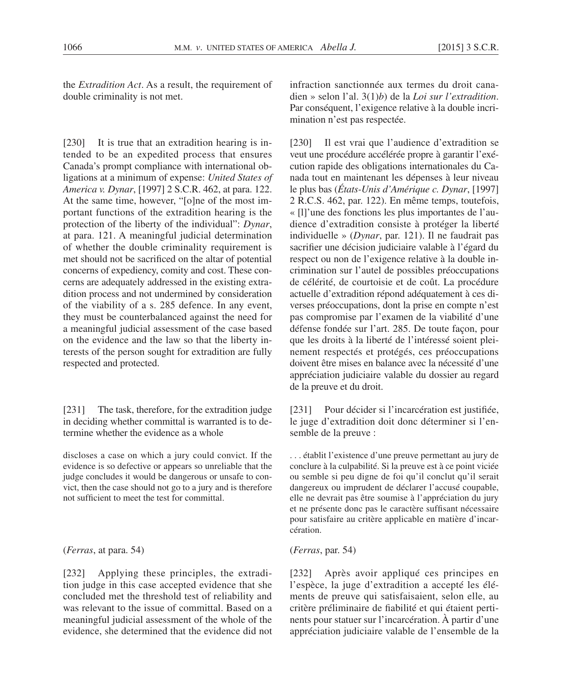the *Extradition Act*. As a result, the requirement of double criminality is not met.

[230] It is true that an extradition hearing is intended to be an expedited process that ensures Canada's prompt compliance with international obligations at a minimum of expense: *United States of America v. Dynar*, [1997] 2 S.C.R. 462, at para. 122. At the same time, however, "[o]ne of the most important functions of the extradition hearing is the protection of the liberty of the individual": *Dynar*, at para. 121. A meaningful judicial determination of whether the double criminality requirement is met should not be sacrificed on the altar of potential concerns of expediency, comity and cost. These concerns are adequately addressed in the existing extradition process and not undermined by consideration of the viability of a s. 285 defence. In any event, they must be counterbalanced against the need for a meaningful judicial assessment of the case based on the evidence and the law so that the liberty interests of the person sought for extradition are fully respected and protected.

[231] The task, therefore, for the extradition judge in deciding whether committal is warranted is to determine whether the evidence as a whole

discloses a case on which a jury could convict. If the evidence is so defective or appears so unreliable that the judge concludes it would be dangerous or unsafe to convict, then the case should not go to a jury and is therefore not sufficient to meet the test for committal.

(*Ferras*, at para. 54)

[232] Applying these principles, the extradition judge in this case accepted evidence that she concluded met the threshold test of reliability and was relevant to the issue of committal. Based on a meaningful judicial assessment of the whole of the evidence, she determined that the evidence did not infraction sanctionnée aux termes du droit canadien » selon l'al. 3(1)*b*) de la *Loi sur l'extradition*. Par conséquent, l'exigence relative à la double incrimination n'est pas respectée.

[230] Il est vrai que l'audience d'extradition se veut une procédure accélérée propre à garantir l'exécution rapide des obligations internationales du Canada tout en maintenant les dépenses à leur niveau le plus bas (*États-Unis d'Amérique c. Dynar*, [1997] 2 R.C.S. 462, par. 122). En même temps, toutefois, « [l]'une des fonctions les plus importantes de l'audience d'extradition consiste à protéger la liberté individuelle » (*Dynar*, par. 121). Il ne faudrait pas sacrifier une décision judiciaire valable à l'égard du respect ou non de l'exigence relative à la double incrimination sur l'autel de possibles préoccupations de célérité, de courtoisie et de coût. La procédure actuelle d'extradition répond adéquatement à ces diverses préoccupations, dont la prise en compte n'est pas compromise par l'examen de la viabilité d'une défense fondée sur l'art. 285. De toute façon, pour que les droits à la liberté de l'intéressé soient pleinement respectés et protégés, ces préoccupations doivent être mises en balance avec la nécessité d'une appréciation judiciaire valable du dossier au regard de la preuve et du droit.

[231] Pour décider si l'incarcération est justifiée, le juge d'extradition doit donc déterminer si l'ensemble de la preuve :

. . . établit l'existence d'une preuve permettant au jury de conclure à la culpabilité. Si la preuve est à ce point viciée ou semble si peu digne de foi qu'il conclut qu'il serait dangereux ou imprudent de déclarer l'accusé coupable, elle ne devrait pas être soumise à l'appréciation du jury et ne présente donc pas le caractère suffisant nécessaire pour satisfaire au critère applicable en matière d'incarcération.

#### (*Ferras*, par. 54)

[232] Après avoir appliqué ces principes en l'espèce, la juge d'extradition a accepté les éléments de preuve qui satisfaisaient, selon elle, au critère préliminaire de fiabilité et qui étaient pertinents pour statuer sur l'incarcération. À partir d'une appréciation judiciaire valable de l'ensemble de la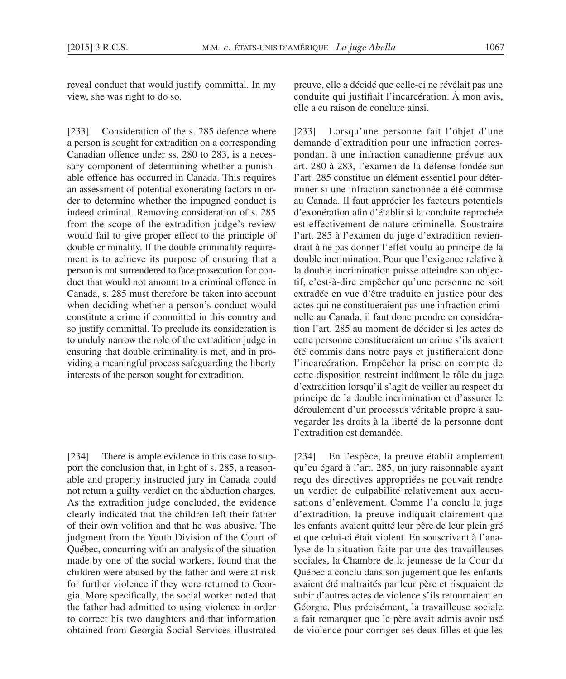reveal conduct that would justify committal. In my view, she was right to do so.

[233] Consideration of the s. 285 defence where a person is sought for extradition on a corresponding Canadian offence under ss. 280 to 283, is a necessary component of determining whether a punishable offence has occurred in Canada. This requires an assessment of potential exonerating factors in order to determine whether the impugned conduct is indeed criminal. Removing consideration of s. 285 from the scope of the extradition judge's review would fail to give proper effect to the principle of double criminality. If the double criminality requirement is to achieve its purpose of ensuring that a person is not surrendered to face prosecution for conduct that would not amount to a criminal offence in Canada, s. 285 must therefore be taken into account when deciding whether a person's conduct would constitute a crime if committed in this country and so justify committal. To preclude its consideration is to unduly narrow the role of the extradition judge in ensuring that double criminality is met, and in providing a meaningful process safeguarding the liberty interests of the person sought for extradition.

[234] There is ample evidence in this case to support the conclusion that, in light of s. 285, a reasonable and properly instructed jury in Canada could not return a guilty verdict on the abduction charges. As the extradition judge concluded, the evidence clearly indicated that the children left their father of their own volition and that he was abusive. The judgment from the Youth Division of the Court of Québec, concurring with an analysis of the situation made by one of the social workers, found that the children were abused by the father and were at risk for further violence if they were returned to Georgia. More specifically, the social worker noted that the father had admitted to using violence in order to correct his two daughters and that information obtained from Georgia Social Services illustrated preuve, elle a décidé que celle-ci ne révélait pas une conduite qui justifiait l'incarcération. À mon avis, elle a eu raison de conclure ainsi.

[233] Lorsqu'une personne fait l'objet d'une demande d'extradition pour une infraction correspondant à une infraction canadienne prévue aux art. 280 à 283, l'examen de la défense fondée sur l'art. 285 constitue un élément essentiel pour déterminer si une infraction sanctionnée a été commise au Canada. Il faut apprécier les facteurs potentiels d'exonération afin d'établir si la conduite reprochée est effectivement de nature criminelle. Soustraire l'art. 285 à l'examen du juge d'extradition reviendrait à ne pas donner l'effet voulu au principe de la double incrimination. Pour que l'exigence relative à la double incrimination puisse atteindre son objectif, c'est-à-dire empêcher qu'une personne ne soit extradée en vue d'être traduite en justice pour des actes qui ne constitueraient pas une infraction criminelle au Canada, il faut donc prendre en considération l'art. 285 au moment de décider si les actes de cette personne constitueraient un crime s'ils avaient été commis dans notre pays et justifieraient donc l'incarcération. Empêcher la prise en compte de cette disposition restreint indûment le rôle du juge d'extradition lorsqu'il s'agit de veiller au respect du principe de la double incrimination et d'assurer le déroulement d'un processus véritable propre à sauvegarder les droits à la liberté de la personne dont l'extradition est demandée.

[234] En l'espèce, la preuve établit amplement qu'eu égard à l'art. 285, un jury raisonnable ayant reçu des directives appropriées ne pouvait rendre un verdict de culpabilité relativement aux accusations d'enlèvement. Comme l'a conclu la juge d'extradition, la preuve indiquait clairement que les enfants avaient quitté leur père de leur plein gré et que celui-ci était violent. En souscrivant à l'analyse de la situation faite par une des travailleuses sociales, la Chambre de la jeunesse de la Cour du Québec a conclu dans son jugement que les enfants avaient été maltraités par leur père et risquaient de subir d'autres actes de violence s'ils retournaient en Géorgie. Plus précisément, la travailleuse sociale a fait remarquer que le père avait admis avoir usé de violence pour corriger ses deux filles et que les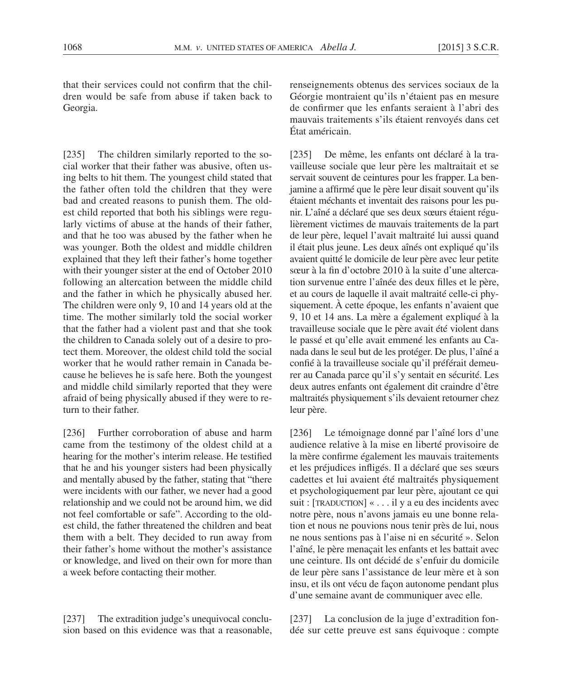that their services could not confirm that the children would be safe from abuse if taken back to Georgia.

[235] The children similarly reported to the social worker that their father was abusive, often using belts to hit them. The youngest child stated that the father often told the children that they were bad and created reasons to punish them. The oldest child reported that both his siblings were regularly victims of abuse at the hands of their father, and that he too was abused by the father when he was younger. Both the oldest and middle children explained that they left their father's home together with their younger sister at the end of October 2010 following an altercation between the middle child and the father in which he physically abused her. The children were only 9, 10 and 14 years old at the time. The mother similarly told the social worker that the father had a violent past and that she took the children to Canada solely out of a desire to protect them. Moreover, the oldest child told the social worker that he would rather remain in Canada because he believes he is safe here. Both the youngest and middle child similarly reported that they were afraid of being physically abused if they were to return to their father.

[236] Further corroboration of abuse and harm came from the testimony of the oldest child at a hearing for the mother's interim release. He testified that he and his younger sisters had been physically and mentally abused by the father, stating that "there were incidents with our father, we never had a good relationship and we could not be around him, we did not feel comfortable or safe". According to the oldest child, the father threatened the children and beat them with a belt. They decided to run away from their father's home without the mother's assistance or knowledge, and lived on their own for more than a week before contacting their mother.

[237] The extradition judge's unequivocal conclusion based on this evidence was that a reasonable,

renseignements obtenus des services sociaux de la Géorgie montraient qu'ils n'étaient pas en mesure de confirmer que les enfants seraient à l'abri des mauvais traitements s'ils étaient renvoyés dans cet État américain.

[235] De même, les enfants ont déclaré à la travailleuse sociale que leur père les maltraitait et se servait souvent de ceintures pour les frapper. La benjamine a affirmé que le père leur disait souvent qu'ils étaient méchants et inventait des raisons pour les punir. L'aîné a déclaré que ses deux sœurs étaient régulièrement victimes de mauvais traitements de la part de leur père, lequel l'avait maltraité lui aussi quand il était plus jeune. Les deux aînés ont expliqué qu'ils avaient quitté le domicile de leur père avec leur petite sœur à la fin d'octobre 2010 à la suite d'une altercation survenue entre l'aînée des deux filles et le père, et au cours de laquelle il avait maltraité celle-ci physiquement. À cette époque, les enfants n'avaient que 9, 10 et 14 ans. La mère a également expliqué à la travailleuse sociale que le père avait été violent dans le passé et qu'elle avait emmené les enfants au Canada dans le seul but de les protéger. De plus, l'aîné a confié à la travailleuse sociale qu'il préférait demeurer au Canada parce qu'il s'y sentait en sécurité. Les deux autres enfants ont également dit craindre d'être maltraités physiquement s'ils devaient retourner chez leur père.

[236] Le témoignage donné par l'aîné lors d'une audience relative à la mise en liberté provisoire de la mère confirme également les mauvais traitements et les préjudices infligés. Il a déclaré que ses sœurs cadettes et lui avaient été maltraités physiquement et psychologiquement par leur père, ajoutant ce qui suit : [TRADUCTION] « . . . il y a eu des incidents avec notre père, nous n'avons jamais eu une bonne relation et nous ne pouvions nous tenir près de lui, nous ne nous sentions pas à l'aise ni en sécurité ». Selon l'aîné, le père menaçait les enfants et les battait avec une ceinture. Ils ont décidé de s'enfuir du domicile de leur père sans l'assistance de leur mère et à son insu, et ils ont vécu de façon autonome pendant plus d'une semaine avant de communiquer avec elle.

[237] La conclusion de la juge d'extradition fondée sur cette preuve est sans équivoque : compte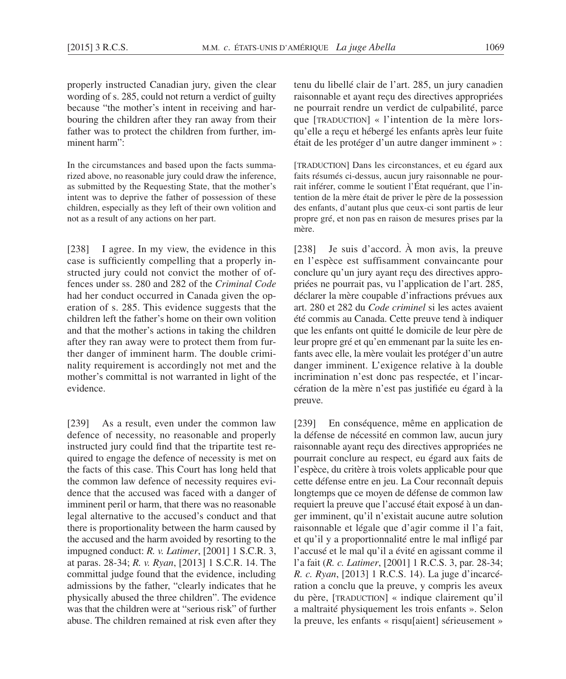properly instructed Canadian jury, given the clear wording of s. 285, could not return a verdict of guilty because "the mother's intent in receiving and harbouring the children after they ran away from their father was to protect the children from further, imminent harm":

In the circumstances and based upon the facts summarized above, no reasonable jury could draw the inference, as submitted by the Requesting State, that the mother's intent was to deprive the father of possession of these children, especially as they left of their own volition and not as a result of any actions on her part.

[238] I agree. In my view, the evidence in this case is sufficiently compelling that a properly instructed jury could not convict the mother of offences under ss. 280 and 282 of the *Criminal Code* had her conduct occurred in Canada given the operation of s. 285. This evidence suggests that the children left the father's home on their own volition and that the mother's actions in taking the children after they ran away were to protect them from further danger of imminent harm. The double criminality requirement is accordingly not met and the mother's committal is not warranted in light of the evidence.

[239] As a result, even under the common law defence of necessity, no reasonable and properly instructed jury could find that the tripartite test required to engage the defence of necessity is met on the facts of this case. This Court has long held that the common law defence of necessity requires evidence that the accused was faced with a danger of imminent peril or harm, that there was no reasonable legal alternative to the accused's conduct and that there is proportionality between the harm caused by the accused and the harm avoided by resorting to the impugned conduct: *R. v. Latimer*, [2001] 1 S.C.R. 3, at paras. 28-34; *R. v. Ryan*, [2013] 1 S.C.R. 14. The committal judge found that the evidence, including admissions by the father, "clearly indicates that he physically abused the three children". The evidence was that the children were at "serious risk" of further abuse. The children remained at risk even after they tenu du libellé clair de l'art. 285, un jury canadien raisonnable et ayant reçu des directives appropriées ne pourrait rendre un verdict de culpabilité, parce que [TRADUCTION] « l'intention de la mère lorsqu'elle a reçu et hébergé les enfants après leur fuite était de les protéger d'un autre danger imminent » :

[TRADUCTION] Dans les circonstances, et eu égard aux faits résumés ci-dessus, aucun jury raisonnable ne pourrait inférer, comme le soutient l'État requérant, que l'intention de la mère était de priver le père de la possession des enfants, d'autant plus que ceux-ci sont partis de leur propre gré, et non pas en raison de mesures prises par la mère.

[238] Je suis d'accord. À mon avis, la preuve en l'espèce est suffisamment convaincante pour conclure qu'un jury ayant reçu des directives appropriées ne pourrait pas, vu l'application de l'art. 285, déclarer la mère coupable d'infractions prévues aux art. 280 et 282 du *Code criminel* si les actes avaient été commis au Canada. Cette preuve tend à indiquer que les enfants ont quitté le domicile de leur père de leur propre gré et qu'en emmenant par la suite les enfants avec elle, la mère voulait les protéger d'un autre danger imminent. L'exigence relative à la double incrimination n'est donc pas respectée, et l'incarcération de la mère n'est pas justifiée eu égard à la preuve.

[239] En conséquence, même en application de la défense de nécessité en common law, aucun jury raisonnable ayant reçu des directives appropriées ne pourrait conclure au respect, eu égard aux faits de l'espèce, du critère à trois volets applicable pour que cette défense entre en jeu. La Cour reconnaît depuis longtemps que ce moyen de défense de common law requiert la preuve que l'accusé était exposé à un danger imminent, qu'il n'existait aucune autre solution raisonnable et légale que d'agir comme il l'a fait, et qu'il y a proportionnalité entre le mal infligé par l'accusé et le mal qu'il a évité en agissant comme il l'a fait (*R. c. Latimer*, [2001] 1 R.C.S. 3, par. 28-34; *R. c. Ryan*, [2013] 1 R.C.S. 14). La juge d'incarcération a conclu que la preuve, y compris les aveux du père, [TRADUCTION] « indique clairement qu'il a maltraité physiquement les trois enfants ». Selon la preuve, les enfants « risqu[aient] sérieusement »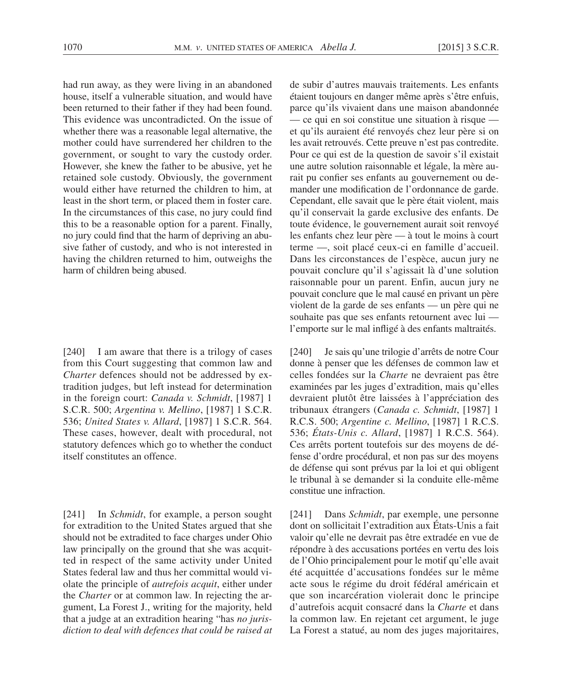had run away, as they were living in an abandoned house, itself a vulnerable situation, and would have been returned to their father if they had been found. This evidence was uncontradicted. On the issue of whether there was a reasonable legal alternative, the mother could have surrendered her children to the government, or sought to vary the custody order. However, she knew the father to be abusive, yet he retained sole custody. Obviously, the government would either have returned the children to him, at least in the short term, or placed them in foster care. In the circumstances of this case, no jury could find this to be a reasonable option for a parent. Finally, no jury could find that the harm of depriving an abusive father of custody, and who is not interested in having the children returned to him, outweighs the harm of children being abused.

[240] I am aware that there is a trilogy of cases from this Court suggesting that common law and *Charter* defences should not be addressed by extradition judges, but left instead for determination in the foreign court: *Canada v. Schmidt*, [1987] 1 S.C.R. 500; *Argentina v. Mellino*, [1987] 1 S.C.R. 536; *United States v. Allard*, [1987] 1 S.C.R. 564. These cases, however, dealt with procedural, not statutory defences which go to whether the conduct itself constitutes an offence.

[241] In *Schmidt*, for example, a person sought for extradition to the United States argued that she should not be extradited to face charges under Ohio law principally on the ground that she was acquitted in respect of the same activity under United States federal law and thus her committal would violate the principle of *autrefois acquit*, either under the *Charter* or at common law. In rejecting the argument, La Forest J., writing for the majority, held that a judge at an extradition hearing "has *no jurisdiction to deal with defences that could be raised at*  de subir d'autres mauvais traitements. Les enfants étaient toujours en danger même après s'être enfuis, parce qu'ils vivaient dans une maison abandonnée — ce qui en soi constitue une situation à risque et qu'ils auraient été renvoyés chez leur père si on les avait retrouvés. Cette preuve n'est pas contredite. Pour ce qui est de la question de savoir s'il existait une autre solution raisonnable et légale, la mère aurait pu confier ses enfants au gouvernement ou demander une modification de l'ordonnance de garde. Cependant, elle savait que le père était violent, mais qu'il conservait la garde exclusive des enfants. De toute évidence, le gouvernement aurait soit renvoyé les enfants chez leur père — à tout le moins à court terme —, soit placé ceux-ci en famille d'accueil. Dans les circonstances de l'espèce, aucun jury ne pouvait conclure qu'il s'agissait là d'une solution raisonnable pour un parent. Enfin, aucun jury ne pouvait conclure que le mal causé en privant un père violent de la garde de ses enfants — un père qui ne souhaite pas que ses enfants retournent avec lui l'emporte sur le mal infligé à des enfants maltraités.

[240] Je sais qu'une trilogie d'arrêts de notre Cour donne à penser que les défenses de common law et celles fondées sur la *Charte* ne devraient pas être examinées par les juges d'extradition, mais qu'elles devraient plutôt être laissées à l'appréciation des tribunaux étrangers (*Canada c. Schmidt*, [1987] 1 R.C.S. 500; *Argentine c. Mellino*, [1987] 1 R.C.S. 536; *États-Unis c. Allard*, [1987] 1 R.C.S. 564). Ces arrêts portent toutefois sur des moyens de défense d'ordre procédural, et non pas sur des moyens de défense qui sont prévus par la loi et qui obligent le tribunal à se demander si la conduite elle-même constitue une infraction.

[241] Dans *Schmidt*, par exemple, une personne dont on sollicitait l'extradition aux États-Unis a fait valoir qu'elle ne devrait pas être extradée en vue de répondre à des accusations portées en vertu des lois de l'Ohio principalement pour le motif qu'elle avait été acquittée d'accusations fondées sur le même acte sous le régime du droit fédéral américain et que son incarcération violerait donc le principe d'autrefois acquit consacré dans la *Charte* et dans la common law. En rejetant cet argument, le juge La Forest a statué, au nom des juges majoritaires,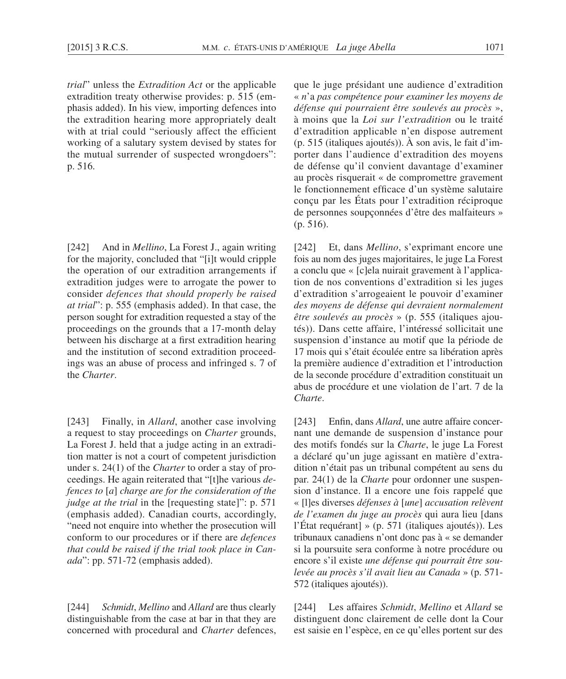*trial*" unless the *Extradition Act* or the applicable extradition treaty otherwise provides: p. 515 (emphasis added). In his view, importing defences into the extradition hearing more appropriately dealt with at trial could "seriously affect the efficient working of a salutary system devised by states for the mutual surrender of suspected wrongdoers": p. 516.

[242] And in *Mellino*, La Forest J., again writing for the majority, concluded that "[i]t would cripple the operation of our extradition arrangements if extradition judges were to arrogate the power to consider *defences that should properly be raised at trial*": p. 555 (emphasis added). In that case, the person sought for extradition requested a stay of the proceedings on the grounds that a 17-month delay between his discharge at a first extradition hearing and the institution of second extradition proceedings was an abuse of process and infringed s. 7 of the *Charter*.

[243] Finally, in *Allard*, another case involving a request to stay proceedings on *Charter* grounds, La Forest J. held that a judge acting in an extradition matter is not a court of competent jurisdiction under s. 24(1) of the *Charter* to order a stay of proceedings. He again reiterated that "[t]he various *defences to* [*a*] *charge are for the consideration of the judge at the trial* in the [requesting state]": p. 571 (emphasis added). Canadian courts, accordingly, "need not enquire into whether the prosecution will conform to our procedures or if there are *defences that could be raised if the trial took place in Canada*": pp. 571-72 (emphasis added).

[244] *Schmidt*, *Mellino* and *Allard* are thus clearly distinguishable from the case at bar in that they are concerned with procedural and *Charter* defences, que le juge présidant une audience d'extradition « *n*'a *pas compétence pour examiner les moyens de défense qui pourraient être soulevés au procès* », à moins que la *Loi sur l'extradition* ou le traité d'extradition applicable n'en dispose autrement (p. 515 (italiques ajoutés)). À son avis, le fait d'importer dans l'audience d'extradition des moyens de défense qu'il convient davantage d'examiner au procès risquerait « de compromettre gravement le fonctionnement efficace d'un système salutaire conçu par les États pour l'extradition réciproque de personnes soupçonnées d'être des malfaiteurs » (p. 516).

[242] Et, dans *Mellino*, s'exprimant encore une fois au nom des juges majoritaires, le juge La Forest a conclu que « [c]ela nuirait gravement à l'application de nos conventions d'extradition si les juges d'extradition s'arrogeaient le pouvoir d'examiner *des moyens de défense qui devraient normalement être soulevés au procès* » (p. 555 (italiques ajoutés)). Dans cette affaire, l'intéressé sollicitait une suspension d'instance au motif que la période de 17 mois qui s'était écoulée entre sa libération après la première audience d'extradition et l'introduction de la seconde procédure d'extradition constituait un abus de procédure et une violation de l'art. 7 de la *Charte*.

[243] Enfin, dans *Allard*, une autre affaire concernant une demande de suspension d'instance pour des motifs fondés sur la *Charte*, le juge La Forest a déclaré qu'un juge agissant en matière d'extradition n'était pas un tribunal compétent au sens du par. 24(1) de la *Charte* pour ordonner une suspension d'instance. Il a encore une fois rappelé que « [l]es diverses *défenses à* [*une*] *accusation relèvent de l'examen du juge au procès* qui aura lieu [dans l'État requérant] » (p. 571 (italiques ajoutés)). Les tribunaux canadiens n'ont donc pas à « se demander si la poursuite sera conforme à notre procédure ou encore s'il existe *une défense qui pourrait être soulevée au procès s'il avait lieu au Canada* » (p. 571-572 (italiques ajoutés)).

[244] Les affaires *Schmidt*, *Mellino* et *Allard* se distinguent donc clairement de celle dont la Cour est saisie en l'espèce, en ce qu'elles portent sur des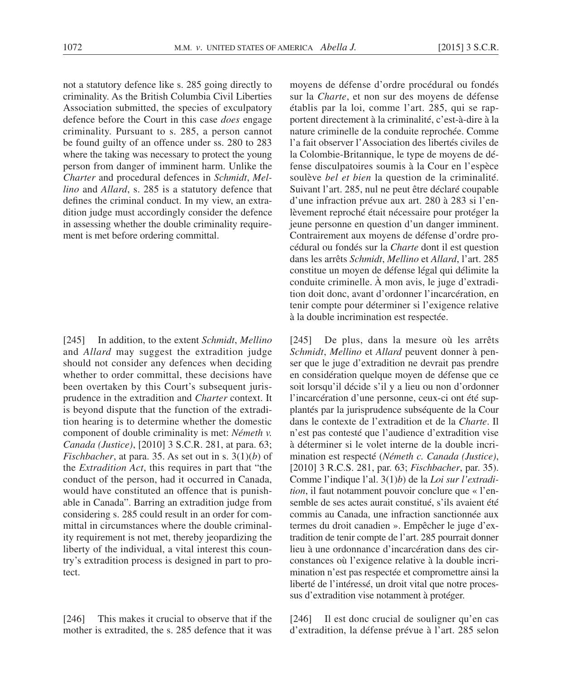not a statutory defence like s. 285 going directly to criminality. As the British Columbia Civil Liberties Association submitted, the species of exculpatory defence before the Court in this case *does* engage criminality. Pursuant to s. 285, a person cannot be found guilty of an offence under ss. 280 to 283 where the taking was necessary to protect the young person from danger of imminent harm. Unlike the *Charter* and procedural defences in *Schmidt*, *Mellino* and *Allard*, s. 285 is a statutory defence that defines the criminal conduct. In my view, an extradition judge must accordingly consider the defence in assessing whether the double criminality requirement is met before ordering committal.

[245] In addition, to the extent *Schmidt*, *Mellino*  and *Allard* may suggest the extradition judge should not consider any defences when deciding whether to order committal, these decisions have been overtaken by this Court's subsequent jurisprudence in the extradition and *Charter* context. It is beyond dispute that the function of the extradition hearing is to determine whether the domestic component of double criminality is met: *Németh v. Canada (Justice)*, [2010] 3 S.C.R. 281, at para. 63; *Fischbacher*, at para. 35. As set out in s. 3(1)(*b*) of the *Extradition Act*, this requires in part that "the conduct of the person, had it occurred in Canada, would have constituted an offence that is punishable in Canada". Barring an extradition judge from considering s. 285 could result in an order for committal in circumstances where the double criminality requirement is not met, thereby jeopardizing the liberty of the individual, a vital interest this country's extradition process is designed in part to protect.

[246] This makes it crucial to observe that if the mother is extradited, the s. 285 defence that it was

moyens de défense d'ordre procédural ou fondés sur la *Charte*, et non sur des moyens de défense établis par la loi, comme l'art. 285, qui se rapportent directement à la criminalité, c'est-à-dire à la nature criminelle de la conduite reprochée. Comme l'a fait observer l'Association des libertés civiles de la Colombie-Britannique, le type de moyens de défense disculpatoires soumis à la Cour en l'espèce soulève *bel et bien* la question de la criminalité. Suivant l'art. 285, nul ne peut être déclaré coupable d'une infraction prévue aux art. 280 à 283 si l'enlèvement reproché était nécessaire pour protéger la jeune personne en question d'un danger imminent. Contrairement aux moyens de défense d'ordre procédural ou fondés sur la *Charte* dont il est question dans les arrêts *Schmidt*, *Mellino* et *Allard*, l'art. 285 constitue un moyen de défense légal qui délimite la conduite criminelle. À mon avis, le juge d'extradition doit donc, avant d'ordonner l'incarcération, en tenir compte pour déterminer si l'exigence relative à la double incrimination est respectée.

[245] De plus, dans la mesure où les arrêts *Schmidt*, *Mellino* et *Allard* peuvent donner à penser que le juge d'extradition ne devrait pas prendre en considération quelque moyen de défense que ce soit lorsqu'il décide s'il y a lieu ou non d'ordonner l'incarcération d'une personne, ceux-ci ont été supplantés par la jurisprudence subséquente de la Cour dans le contexte de l'extradition et de la *Charte*. Il n'est pas contesté que l'audience d'extradition vise à déterminer si le volet interne de la double incrimination est respecté (*Németh c. Canada (Justice)*, [2010] 3 R.C.S. 281, par. 63; *Fischbacher*, par. 35). Comme l'indique l'al. 3(1)*b*) de la *Loi sur l'extradition*, il faut notamment pouvoir conclure que « l'ensemble de ses actes aurait constitué, s'ils avaient été commis au Canada, une infraction sanctionnée aux termes du droit canadien ». Empêcher le juge d'extradition de tenir compte de l'art. 285 pourrait donner lieu à une ordonnance d'incarcération dans des circonstances où l'exigence relative à la double incrimination n'est pas respectée et compromettre ainsi la liberté de l'intéressé, un droit vital que notre processus d'extradition vise notamment à protéger.

[246] Il est donc crucial de souligner qu'en cas d'extradition, la défense prévue à l'art. 285 selon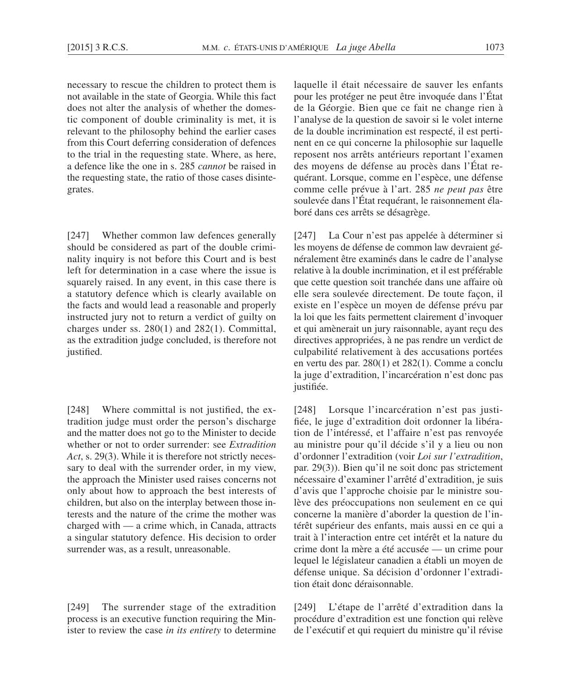necessary to rescue the children to protect them is not available in the state of Georgia. While this fact does not alter the analysis of whether the domestic component of double criminality is met, it is relevant to the philosophy behind the earlier cases from this Court deferring consideration of defences to the trial in the requesting state. Where, as here, a defence like the one in s. 285 *cannot* be raised in the requesting state, the ratio of those cases disintegrates.

[247] Whether common law defences generally should be considered as part of the double criminality inquiry is not before this Court and is best left for determination in a case where the issue is squarely raised. In any event, in this case there is a statutory defence which is clearly available on the facts and would lead a reasonable and properly instructed jury not to return a verdict of guilty on charges under ss. 280(1) and 282(1). Committal, as the extradition judge concluded, is therefore not justified.

[248] Where committal is not justified, the extradition judge must order the person's discharge and the matter does not go to the Minister to decide whether or not to order surrender: see *Extradition Act*, s. 29(3). While it is therefore not strictly necessary to deal with the surrender order, in my view, the approach the Minister used raises concerns not only about how to approach the best interests of children, but also on the interplay between those interests and the nature of the crime the mother was charged with — a crime which, in Canada, attracts a singular statutory defence. His decision to order surrender was, as a result, unreasonable.

[249] The surrender stage of the extradition process is an executive function requiring the Minister to review the case *in its entirety* to determine laquelle il était nécessaire de sauver les enfants pour les protéger ne peut être invoquée dans l'État de la Géorgie. Bien que ce fait ne change rien à l'analyse de la question de savoir si le volet interne de la double incrimination est respecté, il est pertinent en ce qui concerne la philosophie sur laquelle reposent nos arrêts antérieurs reportant l'examen des moyens de défense au procès dans l'État requérant. Lorsque, comme en l'espèce, une défense comme celle prévue à l'art. 285 *ne peut pas* être soulevée dans l'État requérant, le raisonnement élaboré dans ces arrêts se désagrège.

[247] La Cour n'est pas appelée à déterminer si les moyens de défense de common law devraient généralement être examinés dans le cadre de l'analyse relative à la double incrimination, et il est préférable que cette question soit tranchée dans une affaire où elle sera soulevée directement. De toute façon, il existe en l'espèce un moyen de défense prévu par la loi que les faits permettent clairement d'invoquer et qui amènerait un jury raisonnable, ayant reçu des directives appropriées, à ne pas rendre un verdict de culpabilité relativement à des accusations portées en vertu des par. 280(1) et 282(1). Comme a conclu la juge d'extradition, l'incarcération n'est donc pas justifiée.

[248] Lorsque l'incarcération n'est pas justifiée, le juge d'extradition doit ordonner la libération de l'intéressé, et l'affaire n'est pas renvoyée au ministre pour qu'il décide s'il y a lieu ou non d'ordonner l'extradition (voir *Loi sur l'extradition*, par. 29(3)). Bien qu'il ne soit donc pas strictement nécessaire d'examiner l'arrêté d'extradition, je suis d'avis que l'approche choisie par le ministre soulève des préoccupations non seulement en ce qui concerne la manière d'aborder la question de l'intérêt supérieur des enfants, mais aussi en ce qui a trait à l'interaction entre cet intérêt et la nature du crime dont la mère a été accusée — un crime pour lequel le législateur canadien a établi un moyen de défense unique. Sa décision d'ordonner l'extradition était donc déraisonnable.

[249] L'étape de l'arrêté d'extradition dans la procédure d'extradition est une fonction qui relève de l'exécutif et qui requiert du ministre qu'il révise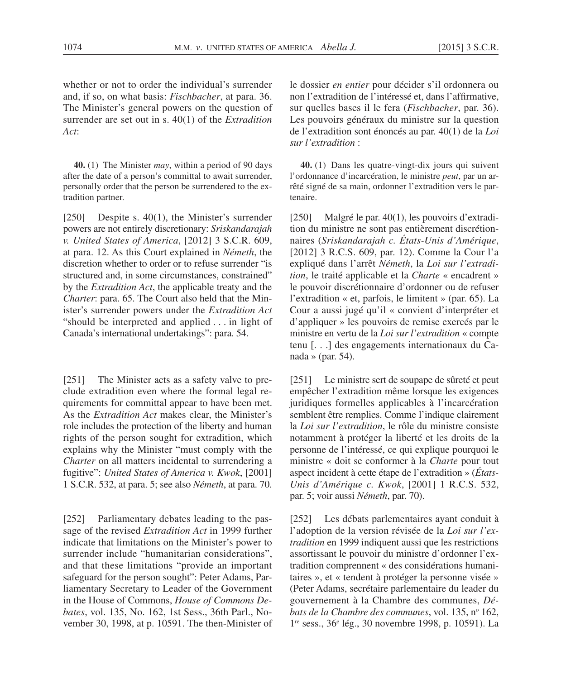whether or not to order the individual's surrender and, if so, on what basis: *Fischbacher*, at para. 36. The Minister's general powers on the question of surrender are set out in s. 40(1) of the *Extradition Act*:

**40.** (1) The Minister *may*, within a period of 90 days after the date of a person's committal to await surrender, personally order that the person be surrendered to the extradition partner.

[250] Despite s. 40(1), the Minister's surrender powers are not entirely discretionary: *Sriskandarajah v. United States of America*, [2012] 3 S.C.R. 609, at para. 12. As this Court explained in *Németh*, the discretion whether to order or to refuse surrender "is structured and, in some circumstances, constrained" by the *Extradition Act*, the applicable treaty and the *Charter*: para. 65. The Court also held that the Minister's surrender powers under the *Extradition Act* "should be interpreted and applied . . . in light of Canada's international undertakings": para. 54.

[251] The Minister acts as a safety valve to preclude extradition even where the formal legal requirements for committal appear to have been met. As the *Extradition Act* makes clear, the Minister's role includes the protection of the liberty and human rights of the person sought for extradition, which explains why the Minister "must comply with the *Charter* on all matters incidental to surrendering a fugitive": *United States of America v. Kwok*, [2001] 1 S.C.R. 532, at para. 5; see also *Németh*, at para. 70.

[252] Parliamentary debates leading to the passage of the revised *Extradition Act* in 1999 further indicate that limitations on the Minister's power to surrender include "humanitarian considerations", and that these limitations "provide an important safeguard for the person sought": Peter Adams, Parliamentary Secretary to Leader of the Government in the House of Commons, *House of Commons Debates*, vol. 135, No. 162, 1st Sess., 36th Parl., November 30, 1998, at p. 10591. The then-Minister of

le dossier *en entier* pour décider s'il ordonnera ou non l'extradition de l'intéressé et, dans l'affirmative, sur quelles bases il le fera (*Fischbacher*, par. 36). Les pouvoirs généraux du ministre sur la question de l'extradition sont énoncés au par. 40(1) de la *Loi sur l'extradition* :

**40.** (1) Dans les quatre-vingt-dix jours qui suivent l'ordonnance d'incarcération, le ministre *peut*, par un arrêté signé de sa main, ordonner l'extradition vers le partenaire.

[250] Malgré le par. 40(1), les pouvoirs d'extradition du ministre ne sont pas entièrement discrétionnaires (*Sriskandarajah c. États-Unis d'Amérique*, [2012] 3 R.C.S. 609, par. 12). Comme la Cour l'a expliqué dans l'arrêt *Németh*, la *Loi sur l'extradition*, le traité applicable et la *Charte* « encadrent » le pouvoir discrétionnaire d'ordonner ou de refuser l'extradition « et, parfois, le limitent » (par. 65). La Cour a aussi jugé qu'il « convient d'interpréter et d'appliquer » les pouvoirs de remise exercés par le ministre en vertu de la *Loi sur l'extradition* « compte tenu [. . .] des engagements internationaux du Canada » (par. 54).

[251] Le ministre sert de soupape de sûreté et peut empêcher l'extradition même lorsque les exigences juridiques formelles applicables à l'incarcération semblent être remplies. Comme l'indique clairement la *Loi sur l'extradition*, le rôle du ministre consiste notamment à protéger la liberté et les droits de la personne de l'intéressé, ce qui explique pourquoi le ministre « doit se conformer à la *Charte* pour tout aspect incident à cette étape de l'extradition » (*États-Unis d'Amérique c. Kwok*, [2001] 1 R.C.S. 532, par. 5; voir aussi *Németh*, par. 70).

[252] Les débats parlementaires ayant conduit à l'adoption de la version révisée de la *Loi sur l'extradition* en 1999 indiquent aussi que les restrictions assortissant le pouvoir du ministre d'ordonner l'extradition comprennent « des considérations humanitaires », et « tendent à protéger la personne visée » (Peter Adams, secrétaire parlementaire du leader du gouvernement à la Chambre des communes, *Dé*bats de la Chambre des communes, vol. 135, nº 162, 1re sess., 36e lég., 30 novembre 1998, p. 10591). La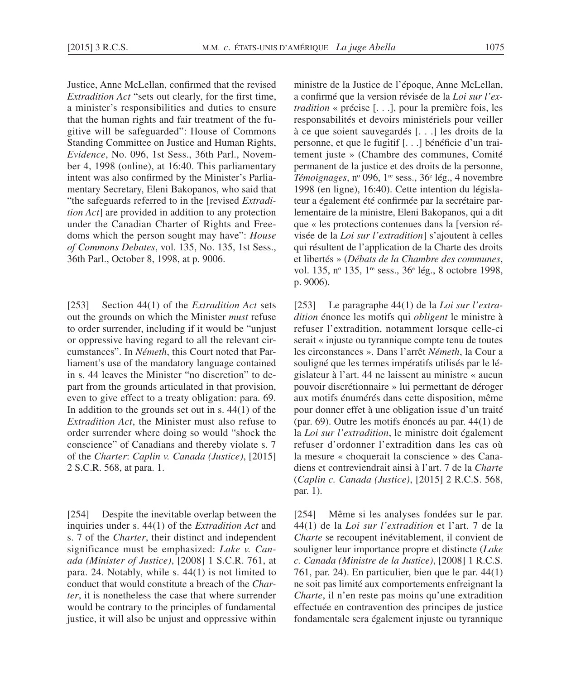Justice, Anne McLellan, confirmed that the revised *Extradition Act* "sets out clearly, for the first time, a minister's responsibilities and duties to ensure that the human rights and fair treatment of the fugitive will be safeguarded": House of Commons Standing Committee on Justice and Human Rights, *Evidence*, No. 096, 1st Sess., 36th Parl., November 4, 1998 (online), at 16:40. This parliamentary intent was also confirmed by the Minister's Parliamentary Secretary, Eleni Bakopanos, who said that "the safeguards referred to in the [revised *Extradition Act*] are provided in addition to any protection under the Canadian Charter of Rights and Freedoms which the person sought may have": *House of Commons Debates*, vol. 135, No. 135, 1st Sess., 36th Parl., October 8, 1998, at p. 9006.

[253] Section 44(1) of the *Extradition Act* sets out the grounds on which the Minister *must* refuse to order surrender, including if it would be "unjust or oppressive having regard to all the relevant circumstances". In *Németh*, this Court noted that Parliament's use of the mandatory language contained in s. 44 leaves the Minister "no discretion" to depart from the grounds articulated in that provision, even to give effect to a treaty obligation: para. 69. In addition to the grounds set out in s.  $44(1)$  of the *Extradition Act*, the Minister must also refuse to order surrender where doing so would "shock the conscience" of Canadians and thereby violate s. 7 of the *Charter*: *Caplin v. Canada (Justice)*, [2015] 2 S.C.R. 568, at para. 1.

[254] Despite the inevitable overlap between the inquiries under s. 44(1) of the *Extradition Act* and s. 7 of the *Charter*, their distinct and independent significance must be emphasized: *Lake v. Canada (Minister of Justice)*, [2008] 1 S.C.R. 761, at para. 24. Notably, while s. 44(1) is not limited to conduct that would constitute a breach of the *Charter*, it is nonetheless the case that where surrender would be contrary to the principles of fundamental justice, it will also be unjust and oppressive within ministre de la Justice de l'époque, Anne McLellan, a confirmé que la version révisée de la *Loi sur l'extradition* « précise [. . .], pour la première fois, les responsabilités et devoirs ministériels pour veiller à ce que soient sauvegardés [. . .] les droits de la personne, et que le fugitif [. . .] bénéficie d'un traitement juste » (Chambre des communes, Comité permanent de la justice et des droits de la personne, Témoignages, nº 096, 1<sup>re</sup> sess., 36<sup>e</sup> lég., 4 novembre 1998 (en ligne), 16:40). Cette intention du législateur a également été confirmée par la secrétaire parlementaire de la ministre, Eleni Bakopanos, qui a dit que « les protections contenues dans la [version révisée de la *Loi sur l'extradition*] s'ajoutent à celles qui résultent de l'application de la Charte des droits et libertés » (*Débats de la Chambre des communes*, vol. 135, nº 135, 1<sup>re</sup> sess., 36<sup>e</sup> lég., 8 octobre 1998, p. 9006).

[253] Le paragraphe 44(1) de la *Loi sur l'extradition* énonce les motifs qui *obligent* le ministre à refuser l'extradition, notamment lorsque celle-ci serait « injuste ou tyrannique compte tenu de toutes les circonstances ». Dans l'arrêt *Németh*, la Cour a souligné que les termes impératifs utilisés par le législateur à l'art. 44 ne laissent au ministre « aucun pouvoir discrétionnaire » lui permettant de déroger aux motifs énumérés dans cette disposition, même pour donner effet à une obligation issue d'un traité (par. 69). Outre les motifs énoncés au par. 44(1) de la *Loi sur l'extradition*, le ministre doit également refuser d'ordonner l'extradition dans les cas où la mesure « choquerait la conscience » des Canadiens et contreviendrait ainsi à l'art. 7 de la *Charte*  (*Caplin c. Canada (Justice)*, [2015] 2 R.C.S. 568, par. 1).

[254] Même si les analyses fondées sur le par. 44(1) de la *Loi sur l'extradition* et l'art. 7 de la *Charte* se recoupent inévitablement, il convient de souligner leur importance propre et distincte (*Lake c. Canada (Ministre de la Justice)*, [2008] 1 R.C.S. 761, par. 24). En particulier, bien que le par. 44(1) ne soit pas limité aux comportements enfreignant la *Charte*, il n'en reste pas moins qu'une extradition effectuée en contravention des principes de justice fondamentale sera également injuste ou tyrannique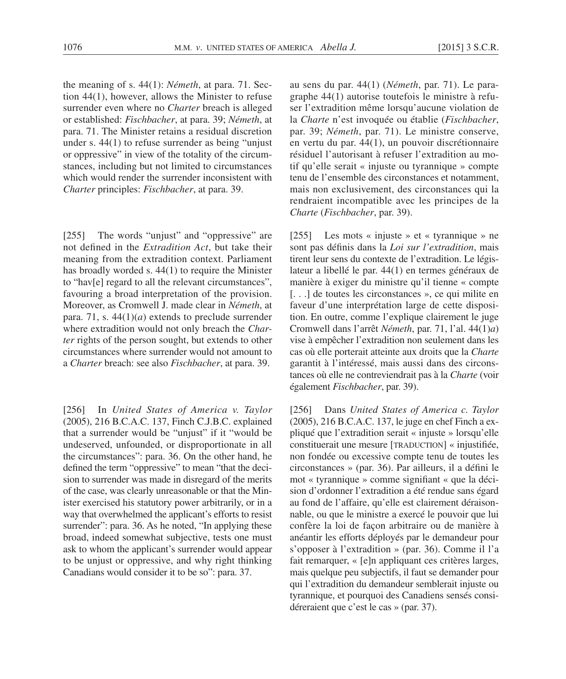the meaning of s. 44(1): *Németh*, at para. 71. Section 44(1), however, allows the Minister to refuse surrender even where no *Charter* breach is alleged or established: *Fischbacher*, at para. 39; *Németh*, at para. 71. The Minister retains a residual discretion under s. 44(1) to refuse surrender as being "unjust or oppressive" in view of the totality of the circumstances, including but not limited to circumstances which would render the surrender inconsistent with *Charter* principles: *Fischbacher*, at para. 39.

[255] The words "unjust" and "oppressive" are not defined in the *Extradition Act*, but take their meaning from the extradition context. Parliament has broadly worded s. 44(1) to require the Minister to "hav[e] regard to all the relevant circumstances", favouring a broad interpretation of the provision. Moreover, as Cromwell J. made clear in *Németh*, at para. 71, s.  $44(1)(a)$  extends to preclude surrender where extradition would not only breach the *Charter* rights of the person sought, but extends to other circumstances where surrender would not amount to a *Charter* breach: see also *Fischbacher*, at para. 39.

[256] In *United States of America v. Taylor* (2005), 216 B.C.A.C. 137, Finch C.J.B.C. explained that a surrender would be "unjust" if it "would be undeserved, unfounded, or disproportionate in all the circumstances": para. 36. On the other hand, he defined the term "oppressive" to mean "that the decision to surrender was made in disregard of the merits of the case, was clearly unreasonable or that the Minister exercised his statutory power arbitrarily, or in a way that overwhelmed the applicant's efforts to resist surrender": para. 36. As he noted, "In applying these broad, indeed somewhat subjective, tests one must ask to whom the applicant's surrender would appear to be unjust or oppressive, and why right thinking Canadians would consider it to be so": para. 37.

au sens du par. 44(1) (*Németh*, par. 71). Le paragraphe 44(1) autorise toutefois le ministre à refuser l'extradition même lorsqu'aucune violation de la *Charte* n'est invoquée ou établie (*Fischbacher*, par. 39; *Németh*, par. 71). Le ministre conserve, en vertu du par. 44(1), un pouvoir discrétionnaire résiduel l'autorisant à refuser l'extradition au motif qu'elle serait « injuste ou tyrannique » compte tenu de l'ensemble des circonstances et notamment, mais non exclusivement, des circonstances qui la rendraient incompatible avec les principes de la *Charte* (*Fischbacher*, par. 39).

[255] Les mots « injuste » et « tyrannique » ne sont pas définis dans la *Loi sur l'extradition*, mais tirent leur sens du contexte de l'extradition. Le législateur a libellé le par. 44(1) en termes généraux de manière à exiger du ministre qu'il tienne « compte [...] de toutes les circonstances », ce qui milite en faveur d'une interprétation large de cette disposition. En outre, comme l'explique clairement le juge Cromwell dans l'arrêt *Németh*, par. 71, l'al. 44(1)*a*) vise à empêcher l'extradition non seulement dans les cas où elle porterait atteinte aux droits que la *Charte* garantit à l'intéressé, mais aussi dans des circonstances où elle ne contreviendrait pas à la *Charte* (voir également *Fischbacher*, par. 39).

[256] Dans *United States of America c. Taylor* (2005), 216 B.C.A.C. 137, le juge en chef Finch a expliqué que l'extradition serait « injuste » lorsqu'elle constituerait une mesure [TRADUCTION] « injustifiée, non fondée ou excessive compte tenu de toutes les circonstances » (par. 36). Par ailleurs, il a défini le mot « tyrannique » comme signifiant « que la décision d'ordonner l'extradition a été rendue sans égard au fond de l'affaire, qu'elle est clairement déraisonnable, ou que le ministre a exercé le pouvoir que lui confère la loi de façon arbitraire ou de manière à anéantir les efforts déployés par le demandeur pour s'opposer à l'extradition » (par. 36). Comme il l'a fait remarquer, « [e]n appliquant ces critères larges, mais quelque peu subjectifs, il faut se demander pour qui l'extradition du demandeur semblerait injuste ou tyrannique, et pourquoi des Canadiens sensés considéreraient que c'est le cas » (par. 37).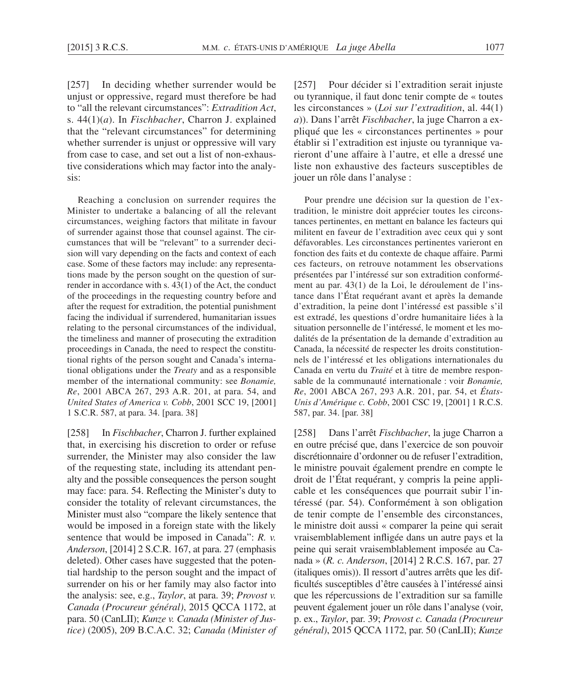[257] In deciding whether surrender would be unjust or oppressive, regard must therefore be had to "all the relevant circumstances": *Extradition Act*, s. 44(1)(*a*). In *Fischbacher*, Charron J. explained that the "relevant circumstances" for determining whether surrender is unjust or oppressive will vary from case to case, and set out a list of non-exhaustive considerations which may factor into the analysis:

Reaching a conclusion on surrender requires the Minister to undertake a balancing of all the relevant circumstances, weighing factors that militate in favour of surrender against those that counsel against. The circumstances that will be "relevant" to a surrender decision will vary depending on the facts and context of each case. Some of these factors may include: any representations made by the person sought on the question of surrender in accordance with s. 43(1) of the Act, the conduct of the proceedings in the requesting country before and after the request for extradition, the potential punishment facing the individual if surrendered, humanitarian issues relating to the personal circumstances of the individual, the timeliness and manner of prosecuting the extradition proceedings in Canada, the need to respect the constitutional rights of the person sought and Canada's international obligations under the *Treaty* and as a responsible member of the international community: see *Bonamie, Re*, 2001 ABCA 267, 293 A.R. 201, at para. 54, and *United States of America v. Cobb*, 2001 SCC 19, [2001] 1 S.C.R. 587, at para. 34. [para. 38]

[258] In *Fischbacher*, Charron J. further explained that, in exercising his discretion to order or refuse surrender, the Minister may also consider the law of the requesting state, including its attendant penalty and the possible consequences the person sought may face: para. 54. Reflecting the Minister's duty to consider the totality of relevant circumstances, the Minister must also "compare the likely sentence that would be imposed in a foreign state with the likely sentence that would be imposed in Canada": *R. v. Anderson*, [2014] 2 S.C.R. 167, at para. 27 (emphasis deleted). Other cases have suggested that the potential hardship to the person sought and the impact of surrender on his or her family may also factor into the analysis: see, e.g., *Taylor*, at para. 39; *Provost v. Canada (Procureur général)*, 2015 QCCA 1172, at para. 50 (CanLII); *Kunze v. Canada (Minister of Justice)* (2005), 209 B.C.A.C. 32; *Canada (Minister of* 

[257] Pour décider si l'extradition serait injuste ou tyrannique, il faut donc tenir compte de « toutes les circonstances » (*Loi sur l'extradition*, al. 44(1) *a*)). Dans l'arrêt *Fischbacher*, la juge Charron a expliqué que les « circonstances pertinentes » pour établir si l'extradition est injuste ou tyrannique varieront d'une affaire à l'autre, et elle a dressé une liste non exhaustive des facteurs susceptibles de jouer un rôle dans l'analyse :

Pour prendre une décision sur la question de l'extradition, le ministre doit apprécier toutes les circonstances pertinentes, en mettant en balance les facteurs qui militent en faveur de l'extradition avec ceux qui y sont défavorables. Les circonstances pertinentes varieront en fonction des faits et du contexte de chaque affaire. Parmi ces facteurs, on retrouve notamment les observations présentées par l'intéressé sur son extradition conformément au par. 43(1) de la Loi, le déroulement de l'instance dans l'État requérant avant et après la demande d'extradition, la peine dont l'intéressé est passible s'il est extradé, les questions d'ordre humanitaire liées à la situation personnelle de l'intéressé, le moment et les modalités de la présentation de la demande d'extradition au Canada, la nécessité de respecter les droits constitutionnels de l'intéressé et les obligations internationales du Canada en vertu du *Traité* et à titre de membre responsable de la communauté internationale : voir *Bonamie, Re*, 2001 ABCA 267, 293 A.R. 201, par. 54, et *États-Unis d'Amérique c. Cobb*, 2001 CSC 19, [2001] 1 R.C.S. 587, par. 34. [par. 38]

[258] Dans l'arrêt *Fischbacher*, la juge Charron a en outre précisé que, dans l'exercice de son pouvoir discrétionnaire d'ordonner ou de refuser l'extradition, le ministre pouvait également prendre en compte le droit de l'État requérant, y compris la peine applicable et les conséquences que pourrait subir l'intéressé (par. 54). Conformément à son obligation de tenir compte de l'ensemble des circonstances, le ministre doit aussi « comparer la peine qui serait vraisemblablement infligée dans un autre pays et la peine qui serait vraisemblablement imposée au Canada » (*R. c. Anderson*, [2014] 2 R.C.S. 167, par. 27 (italiques omis)). Il ressort d'autres arrêts que les difficultés susceptibles d'être causées à l'intéressé ainsi que les répercussions de l'extradition sur sa famille peuvent également jouer un rôle dans l'analyse (voir, p. ex., *Taylor*, par. 39; *Provost c. Canada (Procureur général)*, 2015 QCCA 1172, par. 50 (CanLII); *Kunze*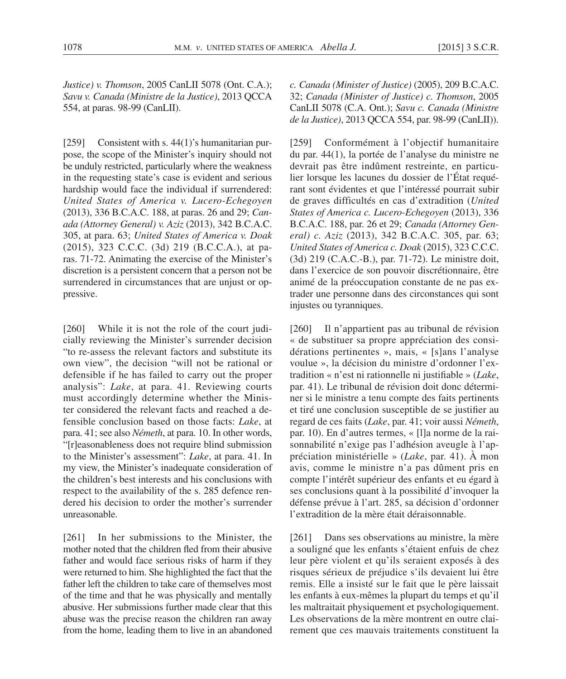*Justice) v. Thomson*, 2005 CanLII 5078 (Ont. C.A.); *Savu v. Canada (Ministre de la Justice)*, 2013 QCCA 554, at paras. 98-99 (CanLII).

[259] Consistent with s. 44(1)'s humanitarian purpose, the scope of the Minister's inquiry should not be unduly restricted, particularly where the weakness in the requesting state's case is evident and serious hardship would face the individual if surrendered: *United States of America v. Lucero-Echegoyen*  (2013), 336 B.C.A.C. 188, at paras. 26 and 29; *Canada (Attorney General) v. Aziz* (2013), 342 B.C.A.C. 305, at para. 63; *United States of America v. Doak* (2015), 323 C.C.C. (3d) 219 (B.C.C.A.), at paras. 71-72. Animating the exercise of the Minister's discretion is a persistent concern that a person not be surrendered in circumstances that are unjust or oppressive.

[260] While it is not the role of the court judicially reviewing the Minister's surrender decision "to re-assess the relevant factors and substitute its own view", the decision "will not be rational or defensible if he has failed to carry out the proper analysis": *Lake*, at para. 41. Reviewing courts must accordingly determine whether the Minister considered the relevant facts and reached a defensible conclusion based on those facts: *Lake*, at para. 41; see also *Németh*, at para. 10. In other words, "[r]easonableness does not require blind submission to the Minister's assessment": *Lake*, at para. 41. In my view, the Minister's inadequate consideration of the children's best interests and his conclusions with respect to the availability of the s. 285 defence rendered his decision to order the mother's surrender unreasonable.

[261] In her submissions to the Minister, the mother noted that the children fled from their abusive father and would face serious risks of harm if they were returned to him. She highlighted the fact that the father left the children to take care of themselves most of the time and that he was physically and mentally abusive. Her submissions further made clear that this abuse was the precise reason the children ran away from the home, leading them to live in an abandoned

*c. Canada (Minister of Justice)* (2005), 209 B.C.A.C. 32; *Canada (Minister of Justice) c. Thomson*, 2005 CanLII 5078 (C.A. Ont.); *Savu c. Canada (Ministre de la Justice)*, 2013 QCCA 554, par. 98-99 (CanLII)).

[259] Conformément à l'objectif humanitaire du par. 44(1), la portée de l'analyse du ministre ne devrait pas être indûment restreinte, en particulier lorsque les lacunes du dossier de l'État requérant sont évidentes et que l'intéressé pourrait subir de graves difficultés en cas d'extradition (*United States of America c. Lucero-Echegoyen* (2013), 336 B.C.A.C. 188, par. 26 et 29; *Canada (Attorney General) c. Aziz* (2013), 342 B.C.A.C. 305, par. 63; *United States of America c. Doak* (2015), 323 C.C.C. (3d) 219 (C.A.C.-B.), par. 71-72). Le ministre doit, dans l'exercice de son pouvoir discrétionnaire, être animé de la préoccupation constante de ne pas extrader une personne dans des circonstances qui sont injustes ou tyranniques.

[260] Il n'appartient pas au tribunal de révision « de substituer sa propre appréciation des considérations pertinentes », mais, «  $[s]$ ans l'analyse voulue », la décision du ministre d'ordonner l'extradition « n'est ni rationnelle ni justifiable » (*Lake*, par. 41). Le tribunal de révision doit donc déterminer si le ministre a tenu compte des faits pertinents et tiré une conclusion susceptible de se justifier au regard de ces faits (*Lake*, par. 41; voir aussi *Németh*, par. 10). En d'autres termes, « [l]a norme de la raisonnabilité n'exige pas l'adhésion aveugle à l'appréciation ministérielle » (*Lake*, par. 41). À mon avis, comme le ministre n'a pas dûment pris en compte l'intérêt supérieur des enfants et eu égard à ses conclusions quant à la possibilité d'invoquer la défense prévue à l'art. 285, sa décision d'ordonner l'extradition de la mère était déraisonnable.

[261] Dans ses observations au ministre, la mère a souligné que les enfants s'étaient enfuis de chez leur père violent et qu'ils seraient exposés à des risques sérieux de préjudice s'ils devaient lui être remis. Elle a insisté sur le fait que le père laissait les enfants à eux-mêmes la plupart du temps et qu'il les maltraitait physiquement et psychologiquement. Les observations de la mère montrent en outre clairement que ces mauvais traitements constituent la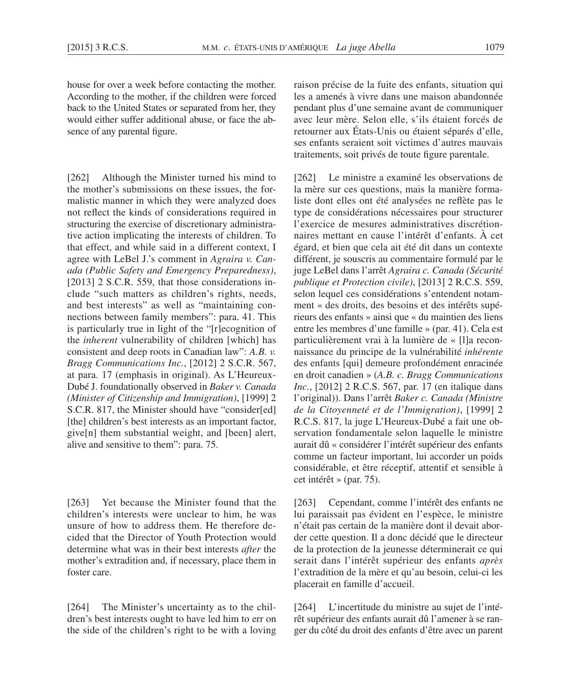house for over a week before contacting the mother. According to the mother, if the children were forced back to the United States or separated from her, they would either suffer additional abuse, or face the absence of any parental figure.

[262] Although the Minister turned his mind to the mother's submissions on these issues, the formalistic manner in which they were analyzed does not reflect the kinds of considerations required in structuring the exercise of discretionary administrative action implicating the interests of children. To that effect, and while said in a different context, I agree with LeBel J.'s comment in *Agraira v. Canada (Public Safety and Emergency Preparedness)*, [2013] 2 S.C.R. 559, that those considerations include "such matters as children's rights, needs, and best interests" as well as "maintaining connections between family members": para. 41. This is particularly true in light of the "[r]ecognition of the *inherent* vulnerability of children [which] has consistent and deep roots in Canadian law": *A.B. v. Bragg Communications Inc.*, [2012] 2 S.C.R. 567, at para. 17 (emphasis in original). As L'Heureux-Dubé J. foundationally observed in *Baker v. Canada (Minister of Citizenship and Immigration)*, [1999] 2 S.C.R. 817, the Minister should have "consider[ed] [the] children's best interests as an important factor, give[n] them substantial weight, and [been] alert, alive and sensitive to them": para. 75.

[263] Yet because the Minister found that the children's interests were unclear to him, he was unsure of how to address them. He therefore decided that the Director of Youth Protection would determine what was in their best interests *after* the mother's extradition and, if necessary, place them in foster care.

[264] The Minister's uncertainty as to the children's best interests ought to have led him to err on the side of the children's right to be with a loving raison précise de la fuite des enfants, situation qui les a amenés à vivre dans une maison abandonnée pendant plus d'une semaine avant de communiquer avec leur mère. Selon elle, s'ils étaient forcés de retourner aux États-Unis ou étaient séparés d'elle, ses enfants seraient soit victimes d'autres mauvais traitements, soit privés de toute figure parentale.

[262] Le ministre a examiné les observations de la mère sur ces questions, mais la manière formaliste dont elles ont été analysées ne reflète pas le type de considérations nécessaires pour structurer l'exercice de mesures administratives discrétionnaires mettant en cause l'intérêt d'enfants. À cet égard, et bien que cela ait été dit dans un contexte différent, je souscris au commentaire formulé par le juge LeBel dans l'arrêt *Agraira c. Canada (Sécurité publique et Protection civile)*, [2013] 2 R.C.S. 559, selon lequel ces considérations s'entendent notamment « des droits, des besoins et des intérêts supérieurs des enfants » ainsi que « du maintien des liens entre les membres d'une famille » (par. 41). Cela est particulièrement vrai à la lumière de « [l]a reconnaissance du principe de la vulnérabilité *inhérente* des enfants [qui] demeure profondément enracinée en droit canadien » (*A.B. c. Bragg Communications Inc.*, [2012] 2 R.C.S. 567, par. 17 (en italique dans l'original)). Dans l'arrêt *Baker c. Canada (Ministre de la Citoyenneté et de l'Immigration)*, [1999] 2 R.C.S. 817, la juge L'Heureux-Dubé a fait une observation fondamentale selon laquelle le ministre aurait dû « considérer l'intérêt supérieur des enfants comme un facteur important, lui accorder un poids considérable, et être réceptif, attentif et sensible à cet intérêt » (par. 75).

[263] Cependant, comme l'intérêt des enfants ne lui paraissait pas évident en l'espèce, le ministre n'était pas certain de la manière dont il devait aborder cette question. Il a donc décidé que le directeur de la protection de la jeunesse déterminerait ce qui serait dans l'intérêt supérieur des enfants *après* l'extradition de la mère et qu'au besoin, celui-ci les placerait en famille d'accueil.

[264] L'incertitude du ministre au sujet de l'intérêt supérieur des enfants aurait dû l'amener à se ranger du côté du droit des enfants d'être avec un parent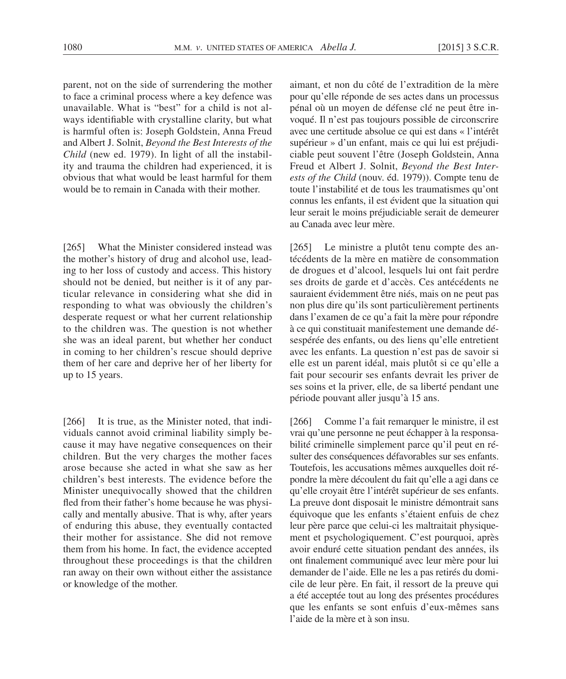parent, not on the side of surrendering the mother to face a criminal process where a key defence was unavailable. What is "best" for a child is not always identifiable with crystalline clarity, but what is harmful often is: Joseph Goldstein, Anna Freud and Albert J. Solnit, *Beyond the Best Interests of the Child* (new ed. 1979). In light of all the instability and trauma the children had experienced, it is obvious that what would be least harmful for them would be to remain in Canada with their mother.

[265] What the Minister considered instead was the mother's history of drug and alcohol use, leading to her loss of custody and access. This history should not be denied, but neither is it of any particular relevance in considering what she did in responding to what was obviously the children's desperate request or what her current relationship to the children was. The question is not whether she was an ideal parent, but whether her conduct in coming to her children's rescue should deprive them of her care and deprive her of her liberty for up to 15 years.

[266] It is true, as the Minister noted, that individuals cannot avoid criminal liability simply because it may have negative consequences on their children. But the very charges the mother faces arose because she acted in what she saw as her children's best interests. The evidence before the Minister unequivocally showed that the children fled from their father's home because he was physically and mentally abusive. That is why, after years of enduring this abuse, they eventually contacted their mother for assistance. She did not remove them from his home. In fact, the evidence accepted throughout these proceedings is that the children ran away on their own without either the assistance or knowledge of the mother.

aimant, et non du côté de l'extradition de la mère pour qu'elle réponde de ses actes dans un processus pénal où un moyen de défense clé ne peut être invoqué. Il n'est pas toujours possible de circonscrire avec une certitude absolue ce qui est dans « l'intérêt supérieur » d'un enfant, mais ce qui lui est préjudiciable peut souvent l'être (Joseph Goldstein, Anna Freud et Albert J. Solnit, *Beyond the Best Interests of the Child* (nouv. éd. 1979)). Compte tenu de toute l'instabilité et de tous les traumatismes qu'ont connus les enfants, il est évident que la situation qui leur serait le moins préjudiciable serait de demeurer au Canada avec leur mère.

[265] Le ministre a plutôt tenu compte des antécédents de la mère en matière de consommation de drogues et d'alcool, lesquels lui ont fait perdre ses droits de garde et d'accès. Ces antécédents ne sauraient évidemment être niés, mais on ne peut pas non plus dire qu'ils sont particulièrement pertinents dans l'examen de ce qu'a fait la mère pour répondre à ce qui constituait manifestement une demande désespérée des enfants, ou des liens qu'elle entretient avec les enfants. La question n'est pas de savoir si elle est un parent idéal, mais plutôt si ce qu'elle a fait pour secourir ses enfants devrait les priver de ses soins et la priver, elle, de sa liberté pendant une période pouvant aller jusqu'à 15 ans.

[266] Comme l'a fait remarquer le ministre, il est vrai qu'une personne ne peut échapper à la responsabilité criminelle simplement parce qu'il peut en résulter des conséquences défavorables sur ses enfants. Toutefois, les accusations mêmes auxquelles doit répondre la mère découlent du fait qu'elle a agi dans ce qu'elle croyait être l'intérêt supérieur de ses enfants. La preuve dont disposait le ministre démontrait sans équivoque que les enfants s'étaient enfuis de chez leur père parce que celui-ci les maltraitait physiquement et psychologiquement. C'est pourquoi, après avoir enduré cette situation pendant des années, ils ont finalement communiqué avec leur mère pour lui demander de l'aide. Elle ne les a pas retirés du domicile de leur père. En fait, il ressort de la preuve qui a été acceptée tout au long des présentes procédures que les enfants se sont enfuis d'eux-mêmes sans l'aide de la mère et à son insu.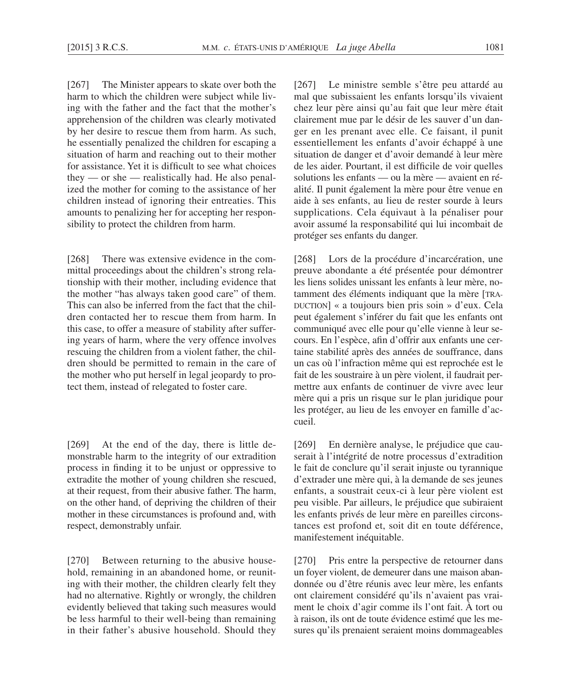[267] The Minister appears to skate over both the harm to which the children were subject while living with the father and the fact that the mother's apprehension of the children was clearly motivated by her desire to rescue them from harm. As such, he essentially penalized the children for escaping a situation of harm and reaching out to their mother for assistance. Yet it is difficult to see what choices they — or she — realistically had. He also penalized the mother for coming to the assistance of her children instead of ignoring their entreaties. This amounts to penalizing her for accepting her responsibility to protect the children from harm.

[268] There was extensive evidence in the committal proceedings about the children's strong relationship with their mother, including evidence that the mother "has always taken good care" of them. This can also be inferred from the fact that the children contacted her to rescue them from harm. In this case, to offer a measure of stability after suffering years of harm, where the very offence involves rescuing the children from a violent father, the children should be permitted to remain in the care of the mother who put herself in legal jeopardy to protect them, instead of relegated to foster care.

[269] At the end of the day, there is little demonstrable harm to the integrity of our extradition process in finding it to be unjust or oppressive to extradite the mother of young children she rescued, at their request, from their abusive father. The harm, on the other hand, of depriving the children of their mother in these circumstances is profound and, with respect, demonstrably unfair.

[270] Between returning to the abusive household, remaining in an abandoned home, or reuniting with their mother, the children clearly felt they had no alternative. Rightly or wrongly, the children evidently believed that taking such measures would be less harmful to their well-being than remaining in their father's abusive household. Should they [267] Le ministre semble s'être peu attardé au mal que subissaient les enfants lorsqu'ils vivaient chez leur père ainsi qu'au fait que leur mère était clairement mue par le désir de les sauver d'un danger en les prenant avec elle. Ce faisant, il punit essentiellement les enfants d'avoir échappé à une situation de danger et d'avoir demandé à leur mère de les aider. Pourtant, il est difficile de voir quelles solutions les enfants — ou la mère — avaient en réalité. Il punit également la mère pour être venue en aide à ses enfants, au lieu de rester sourde à leurs supplications. Cela équivaut à la pénaliser pour avoir assumé la responsabilité qui lui incombait de protéger ses enfants du danger.

[268] Lors de la procédure d'incarcération, une preuve abondante a été présentée pour démontrer les liens solides unissant les enfants à leur mère, notamment des éléments indiquant que la mère [TRA-DUCTION] « a toujours bien pris soin » d'eux. Cela peut également s'inférer du fait que les enfants ont communiqué avec elle pour qu'elle vienne à leur secours. En l'espèce, afin d'offrir aux enfants une certaine stabilité après des années de souffrance, dans un cas où l'infraction même qui est reprochée est le fait de les soustraire à un père violent, il faudrait permettre aux enfants de continuer de vivre avec leur mère qui a pris un risque sur le plan juridique pour les protéger, au lieu de les envoyer en famille d'accueil.

[269] En dernière analyse, le préjudice que causerait à l'intégrité de notre processus d'extradition le fait de conclure qu'il serait injuste ou tyrannique d'extrader une mère qui, à la demande de ses jeunes enfants, a soustrait ceux-ci à leur père violent est peu visible. Par ailleurs, le préjudice que subiraient les enfants privés de leur mère en pareilles circonstances est profond et, soit dit en toute déférence, manifestement inéquitable.

[270] Pris entre la perspective de retourner dans un foyer violent, de demeurer dans une maison abandonnée ou d'être réunis avec leur mère, les enfants ont clairement considéré qu'ils n'avaient pas vraiment le choix d'agir comme ils l'ont fait. À tort ou à raison, ils ont de toute évidence estimé que les mesures qu'ils prenaient seraient moins dommageables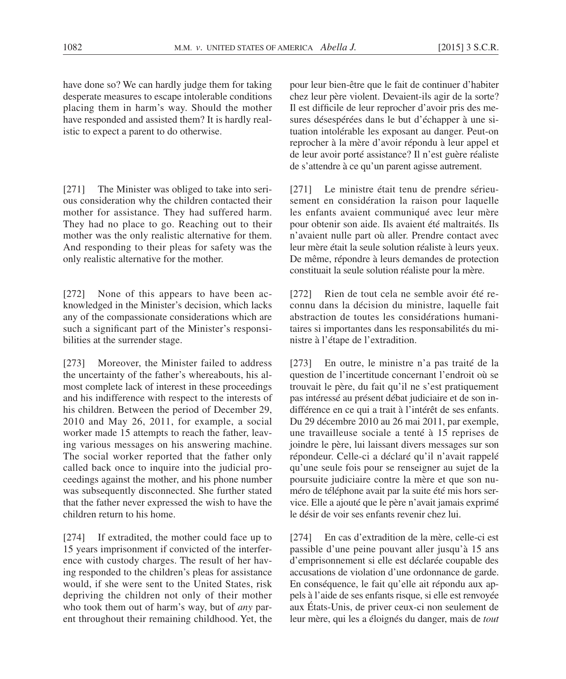have done so? We can hardly judge them for taking desperate measures to escape intolerable conditions placing them in harm's way. Should the mother have responded and assisted them? It is hardly realistic to expect a parent to do otherwise.

[271] The Minister was obliged to take into serious consideration why the children contacted their mother for assistance. They had suffered harm. They had no place to go. Reaching out to their mother was the only realistic alternative for them. And responding to their pleas for safety was the only realistic alternative for the mother.

[272] None of this appears to have been acknowledged in the Minister's decision, which lacks any of the compassionate considerations which are such a significant part of the Minister's responsibilities at the surrender stage.

[273] Moreover, the Minister failed to address the uncertainty of the father's whereabouts, his almost complete lack of interest in these proceedings and his indifference with respect to the interests of his children. Between the period of December 29, 2010 and May 26, 2011, for example, a social worker made 15 attempts to reach the father, leaving various messages on his answering machine. The social worker reported that the father only called back once to inquire into the judicial proceedings against the mother, and his phone number was subsequently disconnected. She further stated that the father never expressed the wish to have the children return to his home.

[274] If extradited, the mother could face up to 15 years imprisonment if convicted of the interference with custody charges. The result of her having responded to the children's pleas for assistance would, if she were sent to the United States, risk depriving the children not only of their mother who took them out of harm's way, but of *any* parent throughout their remaining childhood. Yet, the

pour leur bien-être que le fait de continuer d'habiter chez leur père violent. Devaient-ils agir de la sorte? Il est difficile de leur reprocher d'avoir pris des mesures désespérées dans le but d'échapper à une situation intolérable les exposant au danger. Peut-on reprocher à la mère d'avoir répondu à leur appel et de leur avoir porté assistance? Il n'est guère réaliste de s'attendre à ce qu'un parent agisse autrement.

[271] Le ministre était tenu de prendre sérieusement en considération la raison pour laquelle les enfants avaient communiqué avec leur mère pour obtenir son aide. Ils avaient été maltraités. Ils n'avaient nulle part où aller. Prendre contact avec leur mère était la seule solution réaliste à leurs yeux. De même, répondre à leurs demandes de protection constituait la seule solution réaliste pour la mère.

[272] Rien de tout cela ne semble avoir été reconnu dans la décision du ministre, laquelle fait abstraction de toutes les considérations humanitaires si importantes dans les responsabilités du ministre à l'étape de l'extradition.

[273] En outre, le ministre n'a pas traité de la question de l'incertitude concernant l'endroit où se trouvait le père, du fait qu'il ne s'est pratiquement pas intéressé au présent débat judiciaire et de son indifférence en ce qui a trait à l'intérêt de ses enfants. Du 29 décembre 2010 au 26 mai 2011, par exemple, une travailleuse sociale a tenté à 15 reprises de joindre le père, lui laissant divers messages sur son répondeur. Celle-ci a déclaré qu'il n'avait rappelé qu'une seule fois pour se renseigner au sujet de la poursuite judiciaire contre la mère et que son numéro de téléphone avait par la suite été mis hors service. Elle a ajouté que le père n'avait jamais exprimé le désir de voir ses enfants revenir chez lui.

[274] En cas d'extradition de la mère, celle-ci est passible d'une peine pouvant aller jusqu'à 15 ans d'emprisonnement si elle est déclarée coupable des accusations de violation d'une ordonnance de garde. En conséquence, le fait qu'elle ait répondu aux appels à l'aide de ses enfants risque, si elle est renvoyée aux États-Unis, de priver ceux-ci non seulement de leur mère, qui les a éloignés du danger, mais de *tout*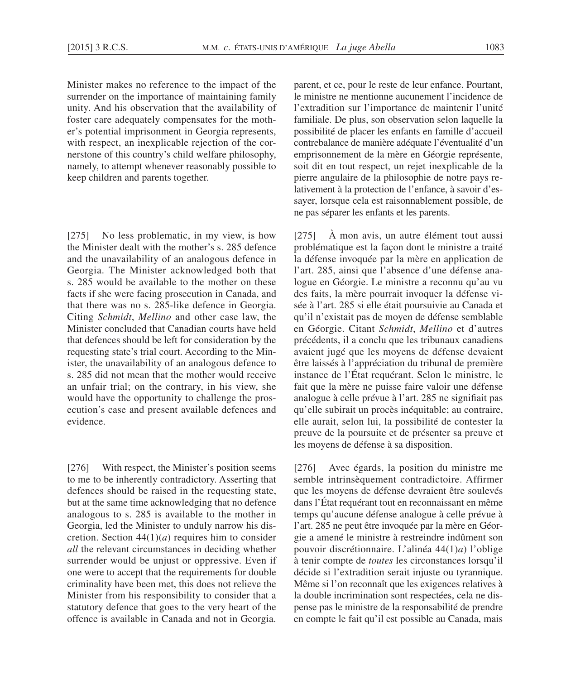Minister makes no reference to the impact of the surrender on the importance of maintaining family unity. And his observation that the availability of foster care adequately compensates for the mother's potential imprisonment in Georgia represents, with respect, an inexplicable rejection of the cornerstone of this country's child welfare philosophy, namely, to attempt whenever reasonably possible to keep children and parents together.

[275] No less problematic, in my view, is how the Minister dealt with the mother's s. 285 defence and the unavailability of an analogous defence in Georgia. The Minister acknowledged both that s. 285 would be available to the mother on these facts if she were facing prosecution in Canada, and that there was no s. 285-like defence in Georgia. Citing *Schmidt*, *Mellino* and other case law, the Minister concluded that Canadian courts have held that defences should be left for consideration by the requesting state's trial court. According to the Minister, the unavailability of an analogous defence to s. 285 did not mean that the mother would receive an unfair trial; on the contrary, in his view, she would have the opportunity to challenge the prosecution's case and present available defences and evidence.

[276] With respect, the Minister's position seems to me to be inherently contradictory. Asserting that defences should be raised in the requesting state, but at the same time acknowledging that no defence analogous to s. 285 is available to the mother in Georgia, led the Minister to unduly narrow his discretion. Section  $44(1)(a)$  requires him to consider *all* the relevant circumstances in deciding whether surrender would be unjust or oppressive. Even if one were to accept that the requirements for double criminality have been met, this does not relieve the Minister from his responsibility to consider that a statutory defence that goes to the very heart of the offence is available in Canada and not in Georgia.

parent, et ce, pour le reste de leur enfance. Pourtant, le ministre ne mentionne aucunement l'incidence de l'extradition sur l'importance de maintenir l'unité familiale. De plus, son observation selon laquelle la possibilité de placer les enfants en famille d'accueil contrebalance de manière adéquate l'éventualité d'un emprisonnement de la mère en Géorgie représente, soit dit en tout respect, un rejet inexplicable de la pierre angulaire de la philosophie de notre pays relativement à la protection de l'enfance, à savoir d'essayer, lorsque cela est raisonnablement possible, de ne pas séparer les enfants et les parents.

[275] À mon avis, un autre élément tout aussi problématique est la façon dont le ministre a traité la défense invoquée par la mère en application de l'art. 285, ainsi que l'absence d'une défense analogue en Géorgie. Le ministre a reconnu qu'au vu des faits, la mère pourrait invoquer la défense visée à l'art. 285 si elle était poursuivie au Canada et qu'il n'existait pas de moyen de défense semblable en Géorgie. Citant *Schmidt*, *Mellino* et d'autres précédents, il a conclu que les tribunaux canadiens avaient jugé que les moyens de défense devaient être laissés à l'appréciation du tribunal de première instance de l'État requérant. Selon le ministre, le fait que la mère ne puisse faire valoir une défense analogue à celle prévue à l'art. 285 ne signifiait pas qu'elle subirait un procès inéquitable; au contraire, elle aurait, selon lui, la possibilité de contester la preuve de la poursuite et de présenter sa preuve et les moyens de défense à sa disposition.

[276] Avec égards, la position du ministre me semble intrinsèquement contradictoire. Affirmer que les moyens de défense devraient être soulevés dans l'État requérant tout en reconnaissant en même temps qu'aucune défense analogue à celle prévue à l'art. 285 ne peut être invoquée par la mère en Géorgie a amené le ministre à restreindre indûment son pouvoir discrétionnaire. L'alinéa 44(1)*a*) l'oblige à tenir compte de *toutes* les circonstances lorsqu'il décide si l'extradition serait injuste ou tyrannique. Même si l'on reconnaît que les exigences relatives à la double incrimination sont respectées, cela ne dispense pas le ministre de la responsabilité de prendre en compte le fait qu'il est possible au Canada, mais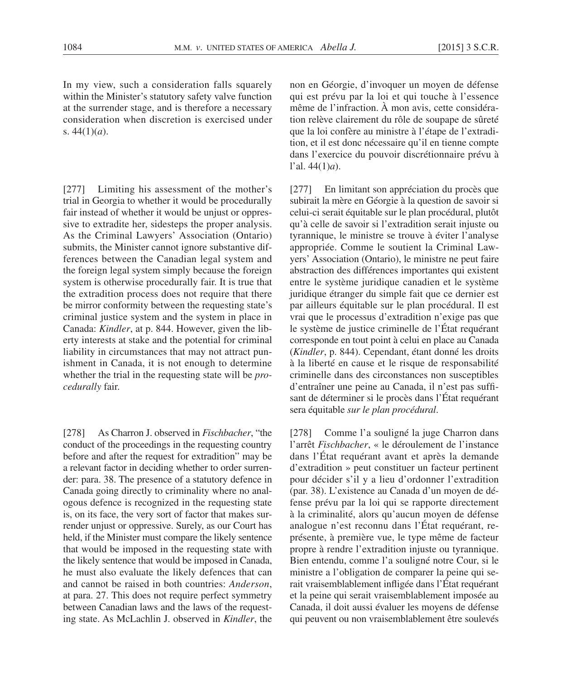In my view, such a consideration falls squarely within the Minister's statutory safety valve function at the surrender stage, and is therefore a necessary consideration when discretion is exercised under s. 44(1)(*a*).

[277] Limiting his assessment of the mother's trial in Georgia to whether it would be procedurally fair instead of whether it would be unjust or oppressive to extradite her, sidesteps the proper analysis. As the Criminal Lawyers' Association (Ontario) submits, the Minister cannot ignore substantive differences between the Canadian legal system and the foreign legal system simply because the foreign system is otherwise procedurally fair. It is true that the extradition process does not require that there be mirror conformity between the requesting state's criminal justice system and the system in place in Canada: *Kindler*, at p. 844. However, given the liberty interests at stake and the potential for criminal liability in circumstances that may not attract punishment in Canada, it is not enough to determine whether the trial in the requesting state will be *procedurally* fair.

[278] As Charron J. observed in *Fischbacher*, "the conduct of the proceedings in the requesting country before and after the request for extradition" may be a relevant factor in deciding whether to order surrender: para. 38. The presence of a statutory defence in Canada going directly to criminality where no analogous defence is recognized in the requesting state is, on its face, the very sort of factor that makes surrender unjust or oppressive. Surely, as our Court has held, if the Minister must compare the likely sentence that would be imposed in the requesting state with the likely sentence that would be imposed in Canada, he must also evaluate the likely defences that can and cannot be raised in both countries: *Anderson*, at para. 27. This does not require perfect symmetry between Canadian laws and the laws of the requesting state. As McLachlin J. observed in *Kindler*, the

non en Géorgie, d'invoquer un moyen de défense qui est prévu par la loi et qui touche à l'essence même de l'infraction. À mon avis, cette considération relève clairement du rôle de soupape de sûreté que la loi confère au ministre à l'étape de l'extradition, et il est donc nécessaire qu'il en tienne compte dans l'exercice du pouvoir discrétionnaire prévu à l'al. 44(1)*a*).

[277] En limitant son appréciation du procès que subirait la mère en Géorgie à la question de savoir si celui-ci serait équitable sur le plan procédural, plutôt qu'à celle de savoir si l'extradition serait injuste ou tyrannique, le ministre se trouve à éviter l'analyse appropriée. Comme le soutient la Criminal Lawyers' Association (Ontario), le ministre ne peut faire abstraction des différences importantes qui existent entre le système juridique canadien et le système juridique étranger du simple fait que ce dernier est par ailleurs équitable sur le plan procédural. Il est vrai que le processus d'extradition n'exige pas que le système de justice criminelle de l'État requérant corresponde en tout point à celui en place au Canada (*Kindler*, p. 844). Cependant, étant donné les droits à la liberté en cause et le risque de responsabilité criminelle dans des circonstances non susceptibles d'entraîner une peine au Canada, il n'est pas suffisant de déterminer si le procès dans l'État requérant sera équitable *sur le plan procédural*.

[278] Comme l'a souligné la juge Charron dans l'arrêt *Fischbacher*, « le déroulement de l'instance dans l'État requérant avant et après la demande d'extradition » peut constituer un facteur pertinent pour décider s'il y a lieu d'ordonner l'extradition (par. 38). L'existence au Canada d'un moyen de défense prévu par la loi qui se rapporte directement à la criminalité, alors qu'aucun moyen de défense analogue n'est reconnu dans l'État requérant, représente, à première vue, le type même de facteur propre à rendre l'extradition injuste ou tyrannique. Bien entendu, comme l'a souligné notre Cour, si le ministre a l'obligation de comparer la peine qui serait vraisemblablement infligée dans l'État requérant et la peine qui serait vraisemblablement imposée au Canada, il doit aussi évaluer les moyens de défense qui peuvent ou non vraisemblablement être soulevés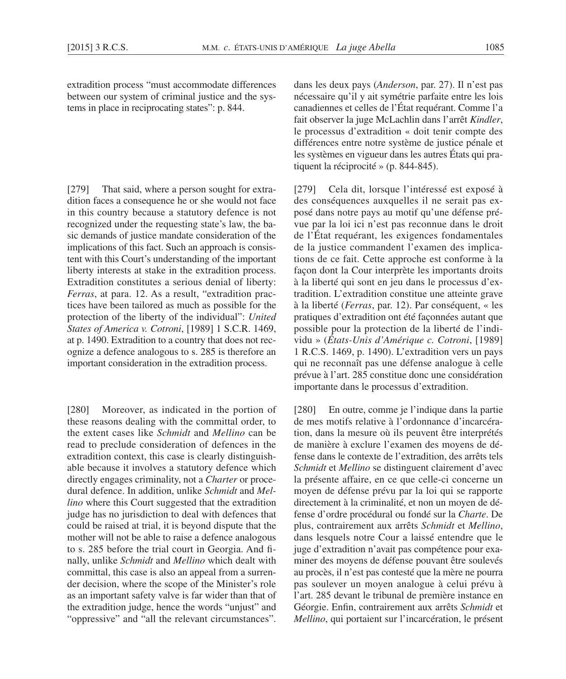extradition process "must accommodate differences between our system of criminal justice and the systems in place in reciprocating states": p. 844.

[279] That said, where a person sought for extradition faces a consequence he or she would not face in this country because a statutory defence is not recognized under the requesting state's law, the basic demands of justice mandate consideration of the implications of this fact. Such an approach is consistent with this Court's understanding of the important liberty interests at stake in the extradition process. Extradition constitutes a serious denial of liberty: *Ferras*, at para. 12. As a result, "extradition practices have been tailored as much as possible for the protection of the liberty of the individual": *United States of America v. Cotroni*, [1989] 1 S.C.R. 1469, at p. 1490. Extradition to a country that does not recognize a defence analogous to s. 285 is therefore an important consideration in the extradition process.

[280] Moreover, as indicated in the portion of these reasons dealing with the committal order, to the extent cases like *Schmidt* and *Mellino* can be read to preclude consideration of defences in the extradition context, this case is clearly distinguishable because it involves a statutory defence which directly engages criminality, not a *Charter* or procedural defence. In addition, unlike *Schmidt* and *Mellino* where this Court suggested that the extradition judge has no jurisdiction to deal with defences that could be raised at trial, it is beyond dispute that the mother will not be able to raise a defence analogous to s. 285 before the trial court in Georgia. And finally, unlike *Schmidt* and *Mellino* which dealt with committal, this case is also an appeal from a surrender decision, where the scope of the Minister's role as an important safety valve is far wider than that of the extradition judge, hence the words "unjust" and "oppressive" and "all the relevant circumstances". dans les deux pays (*Anderson*, par. 27). Il n'est pas nécessaire qu'il y ait symétrie parfaite entre les lois canadiennes et celles de l'État requérant. Comme l'a fait observer la juge McLachlin dans l'arrêt *Kindler*, le processus d'extradition « doit tenir compte des différences entre notre système de justice pénale et les systèmes en vigueur dans les autres États qui pratiquent la réciprocité » (p. 844-845).

[279] Cela dit, lorsque l'intéressé est exposé à des conséquences auxquelles il ne serait pas exposé dans notre pays au motif qu'une défense prévue par la loi ici n'est pas reconnue dans le droit de l'État requérant, les exigences fondamentales de la justice commandent l'examen des implications de ce fait. Cette approche est conforme à la façon dont la Cour interprète les importants droits à la liberté qui sont en jeu dans le processus d'extradition. L'extradition constitue une atteinte grave à la liberté (*Ferras*, par. 12). Par conséquent, « les pratiques d'extradition ont été façonnées autant que possible pour la protection de la liberté de l'individu » (*États-Unis d'Amérique c. Cotroni*, [1989] 1 R.C.S. 1469, p. 1490). L'extradition vers un pays qui ne reconnaît pas une défense analogue à celle prévue à l'art. 285 constitue donc une considération importante dans le processus d'extradition.

[280] En outre, comme je l'indique dans la partie de mes motifs relative à l'ordonnance d'incarcération, dans la mesure où ils peuvent être interprétés de manière à exclure l'examen des moyens de défense dans le contexte de l'extradition, des arrêts tels *Schmidt* et *Mellino* se distinguent clairement d'avec la présente affaire, en ce que celle-ci concerne un moyen de défense prévu par la loi qui se rapporte directement à la criminalité, et non un moyen de défense d'ordre procédural ou fondé sur la *Charte*. De plus, contrairement aux arrêts *Schmidt* et *Mellino*, dans lesquels notre Cour a laissé entendre que le juge d'extradition n'avait pas compétence pour examiner des moyens de défense pouvant être soulevés au procès, il n'est pas contesté que la mère ne pourra pas soulever un moyen analogue à celui prévu à l'art. 285 devant le tribunal de première instance en Géorgie. Enfin, contrairement aux arrêts *Schmidt* et *Mellino*, qui portaient sur l'incarcération, le présent